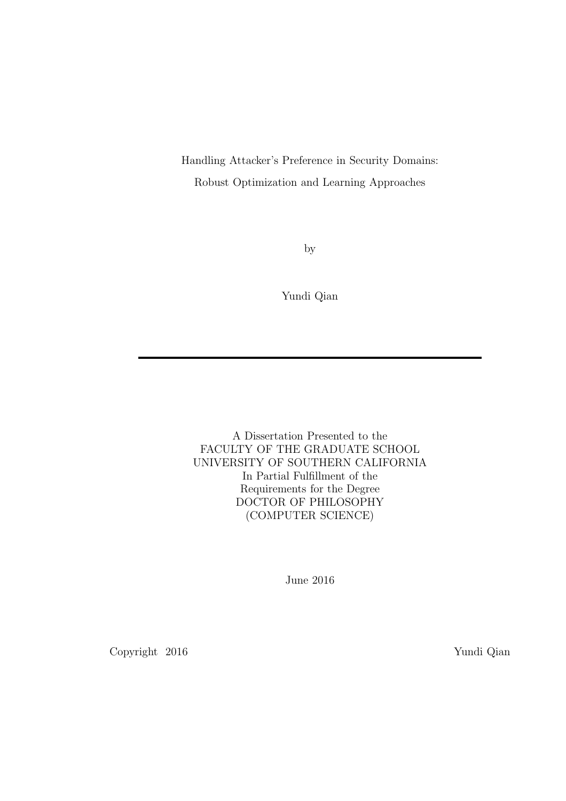Handling Attacker's Preference in Security Domains: Robust Optimization and Learning Approaches

by

Yundi Qian

A Dissertation Presented to the FACULTY OF THE GRADUATE SCHOOL UNIVERSITY OF SOUTHERN CALIFORNIA In Partial Fulfillment of the Requirements for the Degree DOCTOR OF PHILOSOPHY (COMPUTER SCIENCE)

June 2016

Copyright 2016 Yundi Qian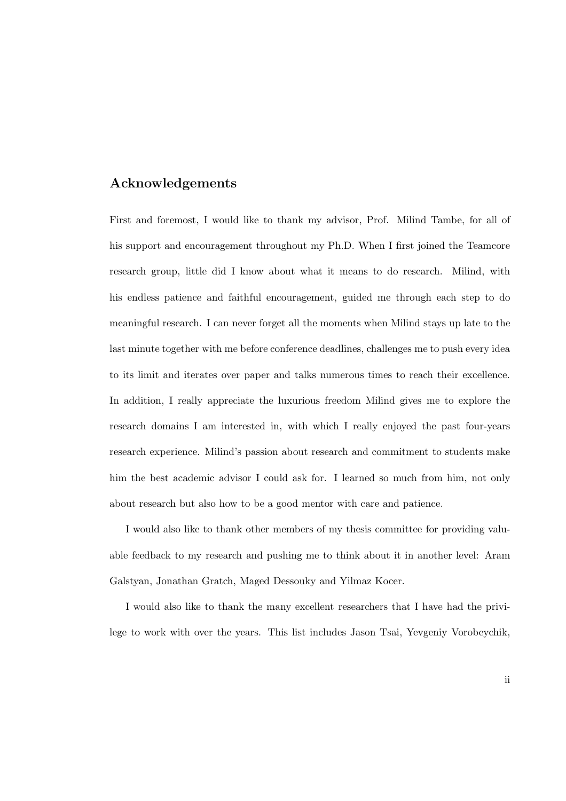## Acknowledgements

First and foremost, I would like to thank my advisor, Prof. Milind Tambe, for all of his support and encouragement throughout my Ph.D. When I first joined the Teamcore research group, little did I know about what it means to do research. Milind, with his endless patience and faithful encouragement, guided me through each step to do meaningful research. I can never forget all the moments when Milind stays up late to the last minute together with me before conference deadlines, challenges me to push every idea to its limit and iterates over paper and talks numerous times to reach their excellence. In addition, I really appreciate the luxurious freedom Milind gives me to explore the research domains I am interested in, with which I really enjoyed the past four-years research experience. Milind's passion about research and commitment to students make him the best academic advisor I could ask for. I learned so much from him, not only about research but also how to be a good mentor with care and patience.

I would also like to thank other members of my thesis committee for providing valuable feedback to my research and pushing me to think about it in another level: Aram Galstyan, Jonathan Gratch, Maged Dessouky and Yilmaz Kocer.

I would also like to thank the many excellent researchers that I have had the privilege to work with over the years. This list includes Jason Tsai, Yevgeniy Vorobeychik,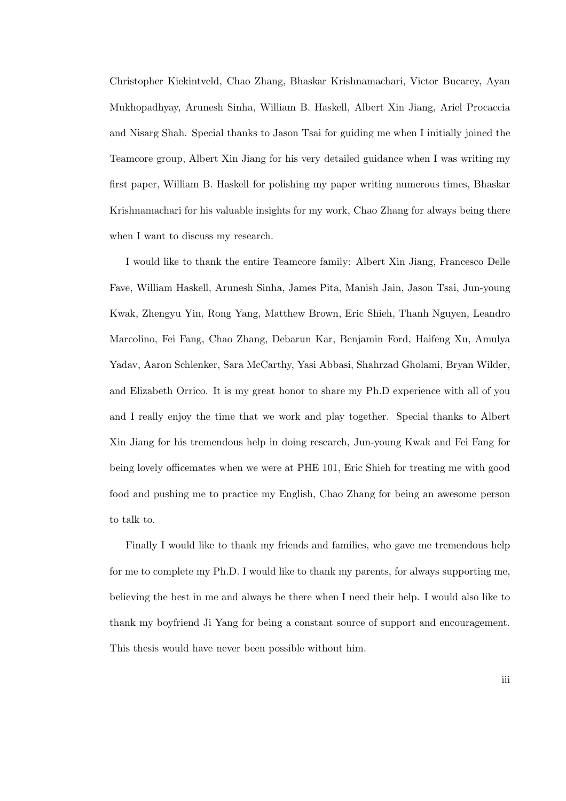Christopher Kiekintveld, Chao Zhang, Bhaskar Krishnamachari, Victor Bucarey, Ayan Mukhopadhyay, Arunesh Sinha, William B. Haskell, Albert Xin Jiang, Ariel Procaccia and Nisarg Shah. Special thanks to Jason Tsai for guiding me when I initially joined the Teamcore group, Albert Xin Jiang for his very detailed guidance when I was writing my first paper, William B. Haskell for polishing my paper writing numerous times, Bhaskar Krishnamachari for his valuable insights for my work, Chao Zhang for always being there when I want to discuss my research.

I would like to thank the entire Teamcore family: Albert Xin Jiang, Francesco Delle Fave, William Haskell, Arunesh Sinha, James Pita, Manish Jain, Jason Tsai, Jun-young Kwak, Zhengyu Yin, Rong Yang, Matthew Brown, Eric Shieh, Thanh Nguyen, Leandro Marcolino, Fei Fang, Chao Zhang, Debarun Kar, Benjamin Ford, Haifeng Xu, Amulya Yadav, Aaron Schlenker, Sara McCarthy, Yasi Abbasi, Shahrzad Gholami, Bryan Wilder, and Elizabeth Orrico. It is my great honor to share my Ph.D experience with all of you and I really enjoy the time that we work and play together. Special thanks to Albert Xin Jiang for his tremendous help in doing research, Jun-young Kwak and Fei Fang for being lovely officemates when we were at PHE 101, Eric Shieh for treating me with good food and pushing me to practice my English, Chao Zhang for being an awesome person to talk to.

Finally I would like to thank my friends and families, who gave me tremendous help for me to complete my Ph.D. I would like to thank my parents, for always supporting me, believing the best in me and always be there when I need their help. I would also like to thank my boyfriend Ji Yang for being a constant source of support and encouragement. This thesis would have never been possible without him.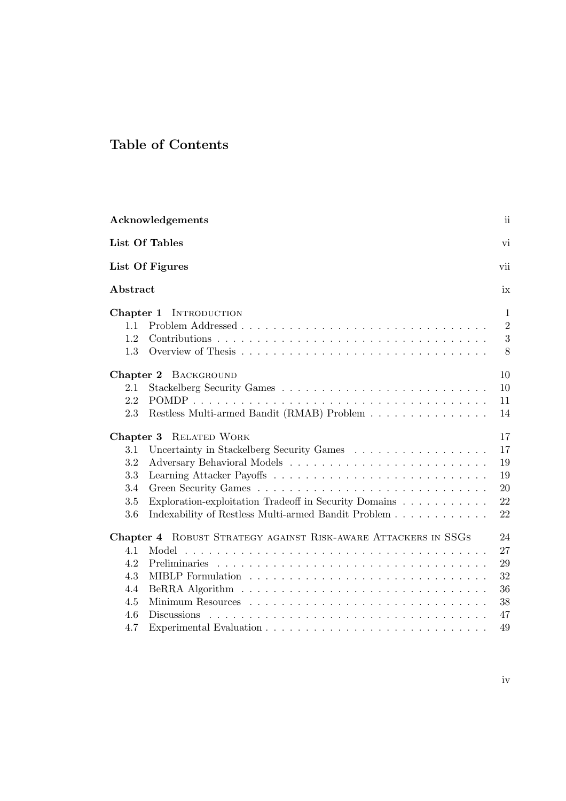# Table of Contents

|                                | Acknowledgements                                               | ii                                       |
|--------------------------------|----------------------------------------------------------------|------------------------------------------|
|                                | List Of Tables                                                 | vi                                       |
|                                | List Of Figures                                                | vii                                      |
| Abstract                       |                                                                | ix                                       |
| Chapter 1<br>1.1<br>1.2<br>1.3 | <b>INTRODUCTION</b>                                            | $\mathbf{1}$<br>$\overline{2}$<br>3<br>8 |
|                                | Chapter 2 BACKGROUND                                           | 10                                       |
| 2.1                            |                                                                | 10                                       |
| 2.2                            |                                                                | 11                                       |
| 2.3                            | Restless Multi-armed Bandit (RMAB) Problem                     | 14                                       |
| Chapter 3                      | <b>RELATED WORK</b>                                            | 17                                       |
| $3.1\,$                        | Uncertainty in Stackelberg Security Games                      | 17                                       |
| 3.2                            |                                                                | 19                                       |
| 3.3                            |                                                                | 19                                       |
| $3.4\,$                        |                                                                | 20                                       |
| 3.5                            | Exploration-exploitation Tradeoff in Security Domains          | 22                                       |
| 3.6                            | Indexability of Restless Multi-armed Bandit Problem            | 22                                       |
|                                | Chapter 4 ROBUST STRATEGY AGAINST RISK-AWARE ATTACKERS IN SSGS | 24                                       |
| 4.1                            | Model                                                          | 27                                       |
| 4.2                            | <b>Preliminaries</b>                                           | 29                                       |
| 4.3                            |                                                                | 32                                       |
| 4.4                            |                                                                | 36                                       |
| 4.5                            |                                                                | 38                                       |
| 4.6                            | Discussions                                                    | $47\,$                                   |
| 4.7                            |                                                                | 49                                       |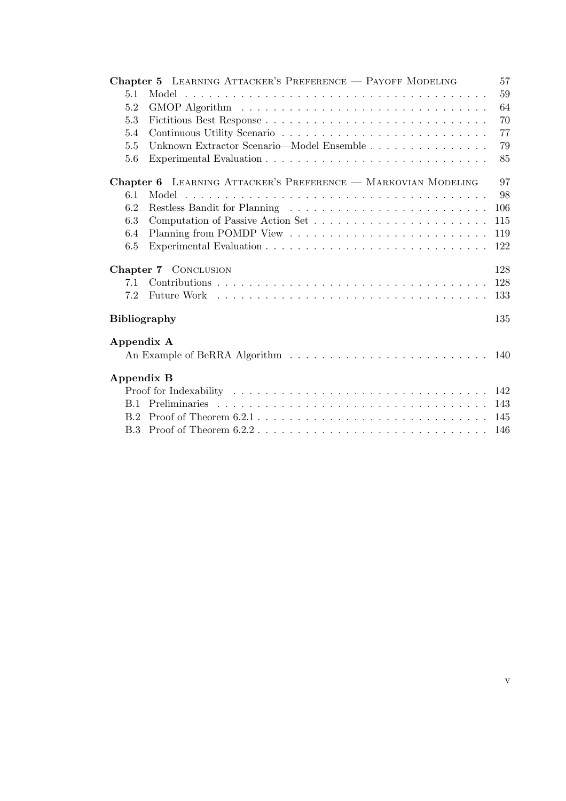|                     | Chapter 5 LEARNING ATTACKER'S PREFERENCE - PAYOFF MODELING           | 57  |
|---------------------|----------------------------------------------------------------------|-----|
| 5.1                 |                                                                      | 59  |
| 5.2                 |                                                                      | 64  |
| 5.3                 |                                                                      | 70  |
| 5.4                 |                                                                      | 77  |
| 5.5                 | Unknown Extractor Scenario—Model Ensemble                            | 79  |
| 5.6                 |                                                                      | 85  |
|                     | <b>Chapter 6</b> LEARNING ATTACKER'S PREFERENCE - MARKOVIAN MODELING | 97  |
| 6.1                 |                                                                      | 98  |
| 6.2                 |                                                                      | 106 |
| 6.3                 |                                                                      | 115 |
| 6.4                 |                                                                      | 119 |
| 6.5                 |                                                                      | 122 |
|                     | Chapter 7 CONCLUSION                                                 | 128 |
| 71                  |                                                                      | 128 |
| 7.2                 |                                                                      | 133 |
| <b>Bibliography</b> |                                                                      | 135 |
| Appendix A          |                                                                      |     |
|                     |                                                                      |     |
| Appendix B          |                                                                      |     |
|                     |                                                                      |     |
|                     |                                                                      | 143 |
|                     |                                                                      | 145 |
|                     |                                                                      | 146 |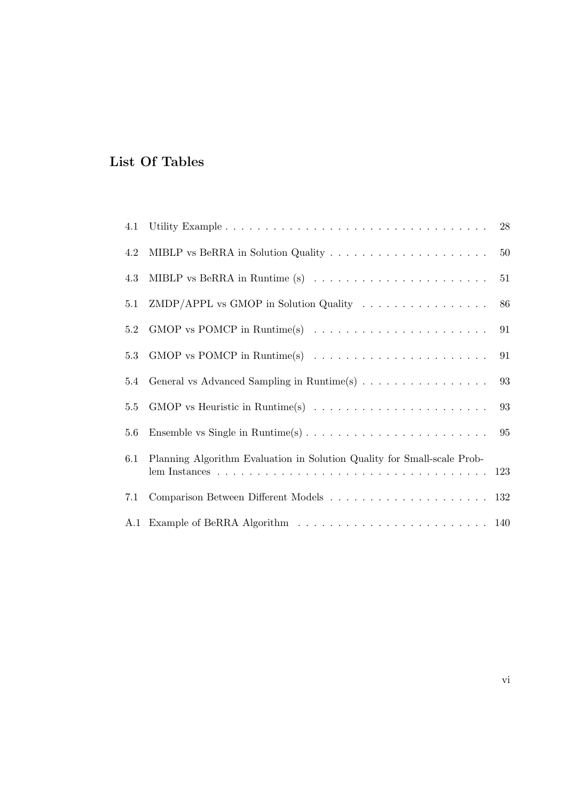# List Of Tables

| 4.1 |                                                                                              | $28\,$ |
|-----|----------------------------------------------------------------------------------------------|--------|
| 4.2 |                                                                                              | $50\,$ |
| 4.3 |                                                                                              | 51     |
| 5.1 | $ZMDP/APPL$ vs GMOP in Solution Quality $\ldots \ldots \ldots \ldots \ldots$                 | 86     |
| 5.2 |                                                                                              | 91     |
| 5.3 |                                                                                              | 91     |
| 5.4 | General vs Advanced Sampling in Runtime(s)                                                   | 93     |
| 5.5 | GMOP vs Heuristic in Runtime(s) $\ldots \ldots \ldots \ldots \ldots \ldots \ldots \ldots$ 93 |        |
| 5.6 |                                                                                              |        |
| 6.1 | Planning Algorithm Evaluation in Solution Quality for Small-scale Prob-                      |        |
| 7.1 |                                                                                              |        |
|     |                                                                                              |        |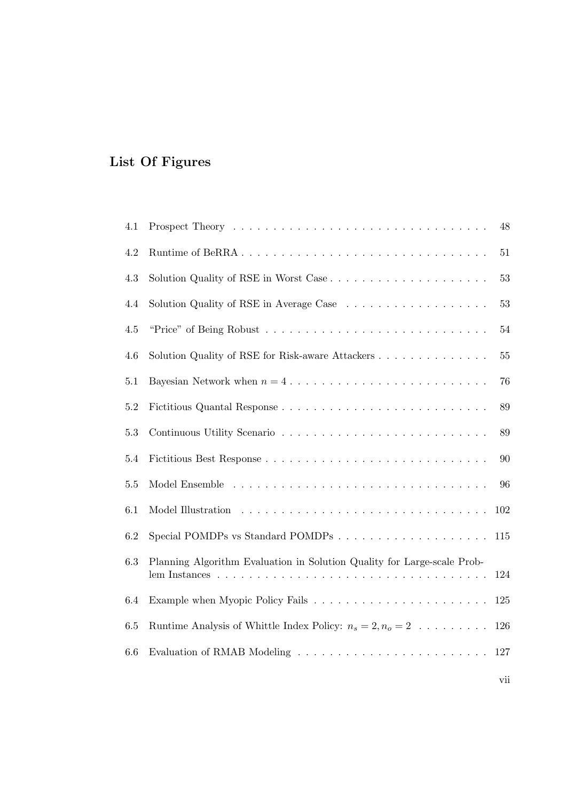# List Of Figures

| 4.1     |                                                                                                                                                                                | 48     |
|---------|--------------------------------------------------------------------------------------------------------------------------------------------------------------------------------|--------|
| 4.2     |                                                                                                                                                                                | $51\,$ |
| 4.3     |                                                                                                                                                                                | 53     |
| 4.4     |                                                                                                                                                                                | 53     |
| $4.5\,$ |                                                                                                                                                                                | 54     |
| 4.6     | Solution Quality of RSE for Risk-aware Attackers                                                                                                                               | $55\,$ |
| $5.1\,$ |                                                                                                                                                                                | 76     |
| $5.2\,$ |                                                                                                                                                                                | 89     |
| 5.3     |                                                                                                                                                                                | 89     |
| 5.4     |                                                                                                                                                                                | 90     |
| $5.5\,$ |                                                                                                                                                                                | 96     |
| 6.1     |                                                                                                                                                                                | 102    |
| 6.2     |                                                                                                                                                                                | 115    |
| $6.3\,$ | Planning Algorithm Evaluation in Solution Quality for Large-scale Prob-<br>lem Instances $\ldots \ldots \ldots \ldots \ldots \ldots \ldots \ldots \ldots \ldots \ldots \ldots$ | 124    |
| 6.4     |                                                                                                                                                                                | 125    |
| 6.5     | Runtime Analysis of Whittle Index Policy: $n_s = 2, n_o = 2 \dots \dots$                                                                                                       | 126    |
| 6.6     |                                                                                                                                                                                | 127    |
|         |                                                                                                                                                                                |        |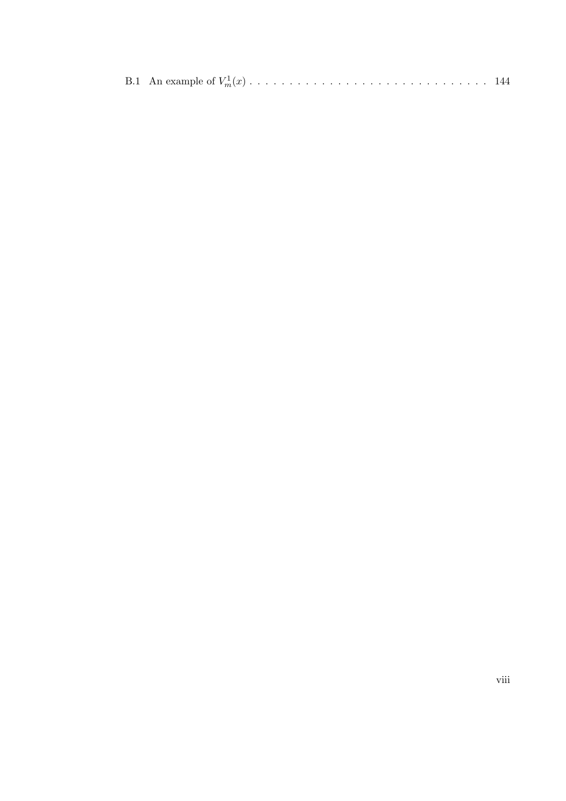|--|--|--|--|--|--|--|--|--|--|--|--|--|--|--|--|--|--|--|--|--|--|--|--|--|--|--|--|--|--|--|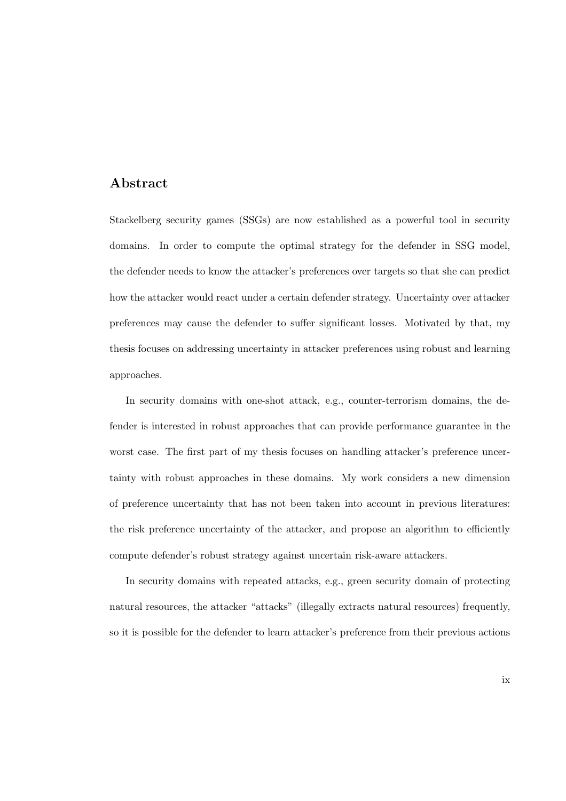## Abstract

Stackelberg security games (SSGs) are now established as a powerful tool in security domains. In order to compute the optimal strategy for the defender in SSG model, the defender needs to know the attacker's preferences over targets so that she can predict how the attacker would react under a certain defender strategy. Uncertainty over attacker preferences may cause the defender to suffer significant losses. Motivated by that, my thesis focuses on addressing uncertainty in attacker preferences using robust and learning approaches.

In security domains with one-shot attack, e.g., counter-terrorism domains, the defender is interested in robust approaches that can provide performance guarantee in the worst case. The first part of my thesis focuses on handling attacker's preference uncertainty with robust approaches in these domains. My work considers a new dimension of preference uncertainty that has not been taken into account in previous literatures: the risk preference uncertainty of the attacker, and propose an algorithm to efficiently compute defender's robust strategy against uncertain risk-aware attackers.

In security domains with repeated attacks, e.g., green security domain of protecting natural resources, the attacker "attacks" (illegally extracts natural resources) frequently, so it is possible for the defender to learn attacker's preference from their previous actions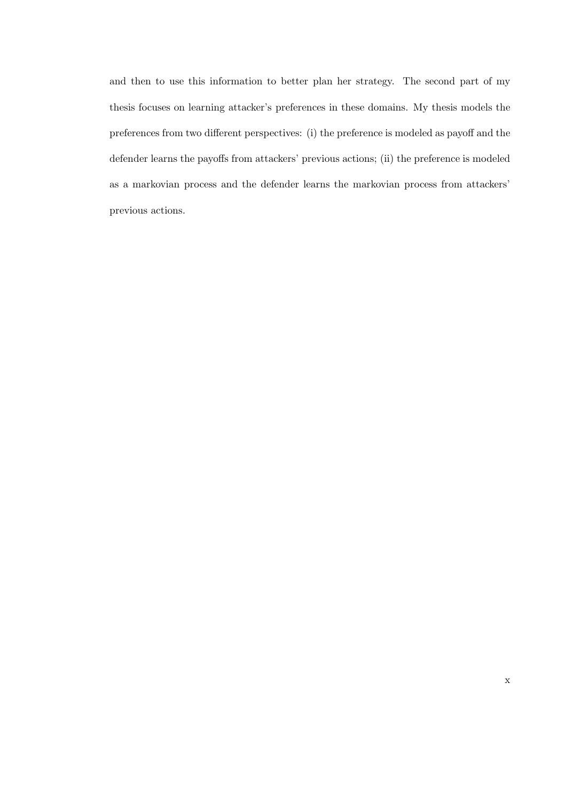and then to use this information to better plan her strategy. The second part of my thesis focuses on learning attacker's preferences in these domains. My thesis models the preferences from two different perspectives: (i) the preference is modeled as payoff and the defender learns the payoffs from attackers' previous actions; (ii) the preference is modeled as a markovian process and the defender learns the markovian process from attackers' previous actions.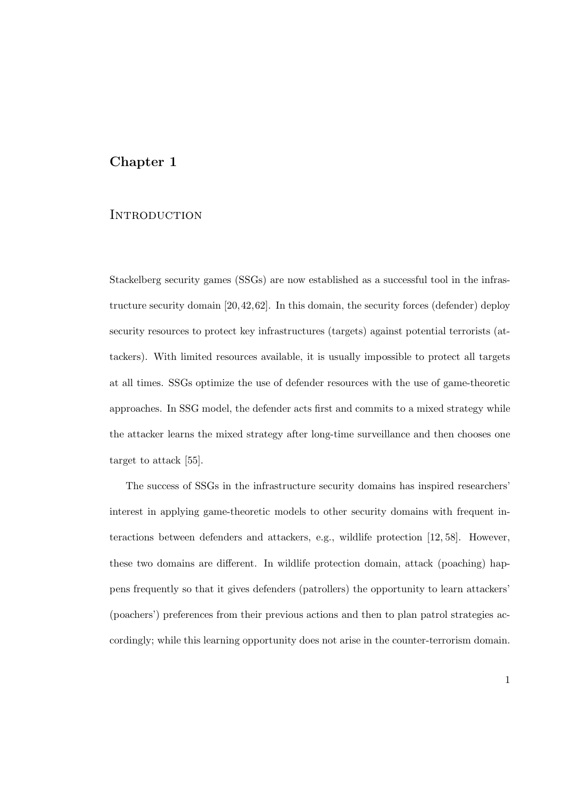## Chapter 1

## **INTRODUCTION**

Stackelberg security games (SSGs) are now established as a successful tool in the infrastructure security domain [20,42,62]. In this domain, the security forces (defender) deploy security resources to protect key infrastructures (targets) against potential terrorists (attackers). With limited resources available, it is usually impossible to protect all targets at all times. SSGs optimize the use of defender resources with the use of game-theoretic approaches. In SSG model, the defender acts first and commits to a mixed strategy while the attacker learns the mixed strategy after long-time surveillance and then chooses one target to attack [55].

The success of SSGs in the infrastructure security domains has inspired researchers' interest in applying game-theoretic models to other security domains with frequent interactions between defenders and attackers, e.g., wildlife protection [12, 58]. However, these two domains are different. In wildlife protection domain, attack (poaching) happens frequently so that it gives defenders (patrollers) the opportunity to learn attackers' (poachers') preferences from their previous actions and then to plan patrol strategies accordingly; while this learning opportunity does not arise in the counter-terrorism domain.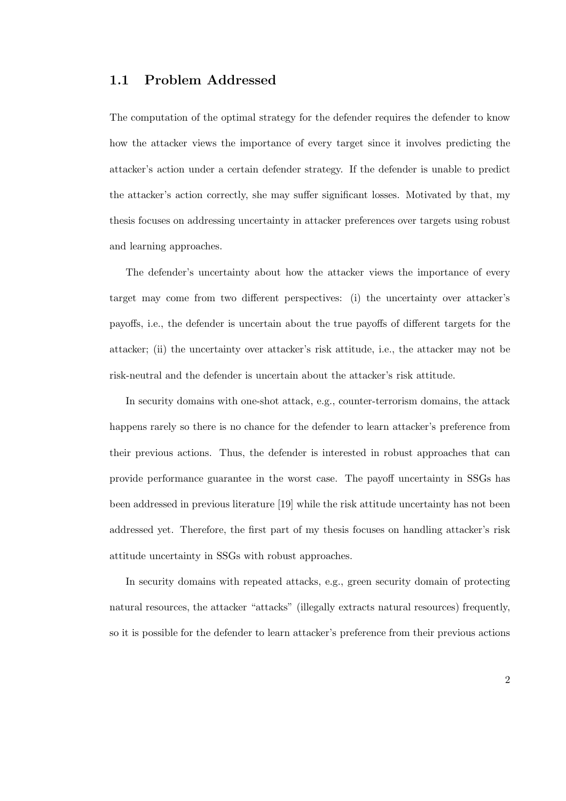## 1.1 Problem Addressed

The computation of the optimal strategy for the defender requires the defender to know how the attacker views the importance of every target since it involves predicting the attacker's action under a certain defender strategy. If the defender is unable to predict the attacker's action correctly, she may suffer significant losses. Motivated by that, my thesis focuses on addressing uncertainty in attacker preferences over targets using robust and learning approaches.

The defender's uncertainty about how the attacker views the importance of every target may come from two different perspectives: (i) the uncertainty over attacker's payoffs, i.e., the defender is uncertain about the true payoffs of different targets for the attacker; (ii) the uncertainty over attacker's risk attitude, i.e., the attacker may not be risk-neutral and the defender is uncertain about the attacker's risk attitude.

In security domains with one-shot attack, e.g., counter-terrorism domains, the attack happens rarely so there is no chance for the defender to learn attacker's preference from their previous actions. Thus, the defender is interested in robust approaches that can provide performance guarantee in the worst case. The payoff uncertainty in SSGs has been addressed in previous literature [19] while the risk attitude uncertainty has not been addressed yet. Therefore, the first part of my thesis focuses on handling attacker's risk attitude uncertainty in SSGs with robust approaches.

In security domains with repeated attacks, e.g., green security domain of protecting natural resources, the attacker "attacks" (illegally extracts natural resources) frequently, so it is possible for the defender to learn attacker's preference from their previous actions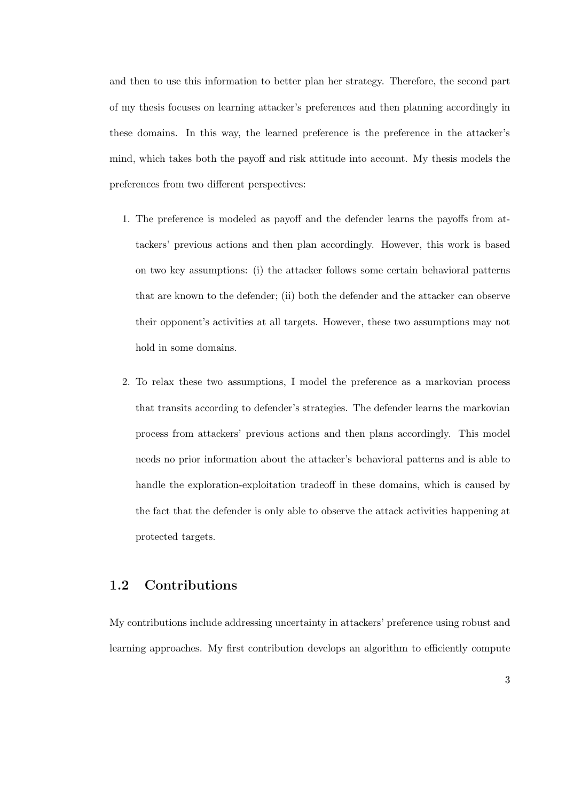and then to use this information to better plan her strategy. Therefore, the second part of my thesis focuses on learning attacker's preferences and then planning accordingly in these domains. In this way, the learned preference is the preference in the attacker's mind, which takes both the payoff and risk attitude into account. My thesis models the preferences from two different perspectives:

- 1. The preference is modeled as payoff and the defender learns the payoffs from attackers' previous actions and then plan accordingly. However, this work is based on two key assumptions: (i) the attacker follows some certain behavioral patterns that are known to the defender; (ii) both the defender and the attacker can observe their opponent's activities at all targets. However, these two assumptions may not hold in some domains.
- 2. To relax these two assumptions, I model the preference as a markovian process that transits according to defender's strategies. The defender learns the markovian process from attackers' previous actions and then plans accordingly. This model needs no prior information about the attacker's behavioral patterns and is able to handle the exploration-exploitation tradeoff in these domains, which is caused by the fact that the defender is only able to observe the attack activities happening at protected targets.

## 1.2 Contributions

My contributions include addressing uncertainty in attackers' preference using robust and learning approaches. My first contribution develops an algorithm to efficiently compute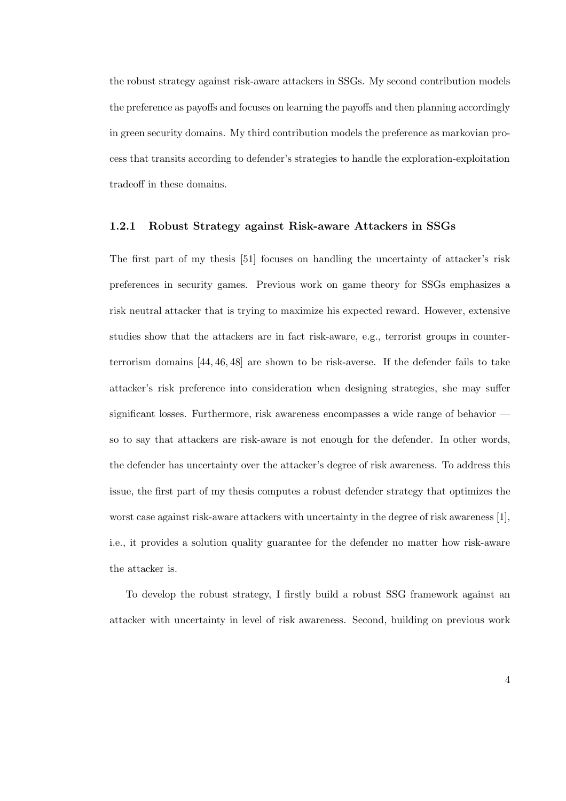the robust strategy against risk-aware attackers in SSGs. My second contribution models the preference as payoffs and focuses on learning the payoffs and then planning accordingly in green security domains. My third contribution models the preference as markovian process that transits according to defender's strategies to handle the exploration-exploitation tradeoff in these domains.

#### 1.2.1 Robust Strategy against Risk-aware Attackers in SSGs

The first part of my thesis [51] focuses on handling the uncertainty of attacker's risk preferences in security games. Previous work on game theory for SSGs emphasizes a risk neutral attacker that is trying to maximize his expected reward. However, extensive studies show that the attackers are in fact risk-aware, e.g., terrorist groups in counterterrorism domains [44, 46, 48] are shown to be risk-averse. If the defender fails to take attacker's risk preference into consideration when designing strategies, she may suffer significant losses. Furthermore, risk awareness encompasses a wide range of behavior so to say that attackers are risk-aware is not enough for the defender. In other words, the defender has uncertainty over the attacker's degree of risk awareness. To address this issue, the first part of my thesis computes a robust defender strategy that optimizes the worst case against risk-aware attackers with uncertainty in the degree of risk awareness [1], i.e., it provides a solution quality guarantee for the defender no matter how risk-aware the attacker is.

To develop the robust strategy, I firstly build a robust SSG framework against an attacker with uncertainty in level of risk awareness. Second, building on previous work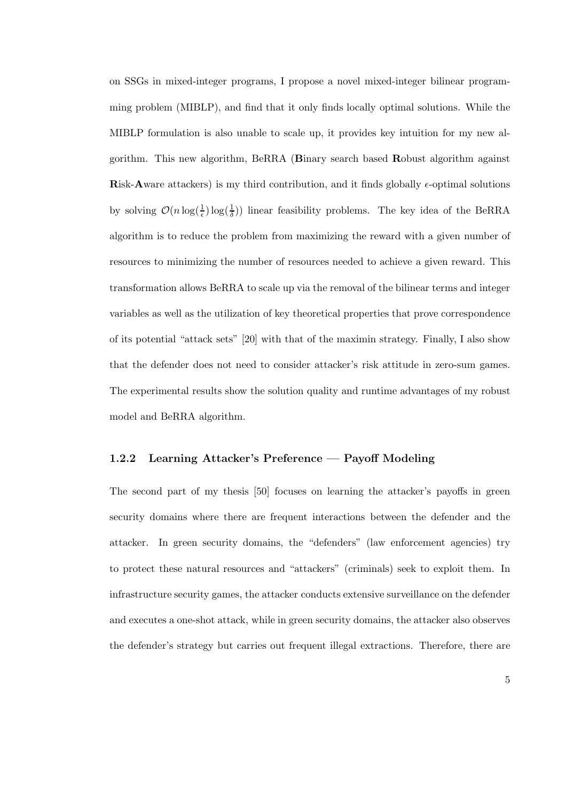on SSGs in mixed-integer programs, I propose a novel mixed-integer bilinear programming problem (MIBLP), and find that it only finds locally optimal solutions. While the MIBLP formulation is also unable to scale up, it provides key intuition for my new algorithm. This new algorithm, BeRRA (Binary search based Robust algorithm against Risk-Aware attackers) is my third contribution, and it finds globally  $\epsilon$ -optimal solutions by solving  $\mathcal{O}(n \log(\frac{1}{\epsilon}) \log(\frac{1}{\delta}))$  linear feasibility problems. The key idea of the BeRRA algorithm is to reduce the problem from maximizing the reward with a given number of resources to minimizing the number of resources needed to achieve a given reward. This transformation allows BeRRA to scale up via the removal of the bilinear terms and integer variables as well as the utilization of key theoretical properties that prove correspondence of its potential "attack sets" [20] with that of the maximin strategy. Finally, I also show that the defender does not need to consider attacker's risk attitude in zero-sum games. The experimental results show the solution quality and runtime advantages of my robust model and BeRRA algorithm.

#### 1.2.2 Learning Attacker's Preference — Payoff Modeling

The second part of my thesis [50] focuses on learning the attacker's payoffs in green security domains where there are frequent interactions between the defender and the attacker. In green security domains, the "defenders" (law enforcement agencies) try to protect these natural resources and "attackers" (criminals) seek to exploit them. In infrastructure security games, the attacker conducts extensive surveillance on the defender and executes a one-shot attack, while in green security domains, the attacker also observes the defender's strategy but carries out frequent illegal extractions. Therefore, there are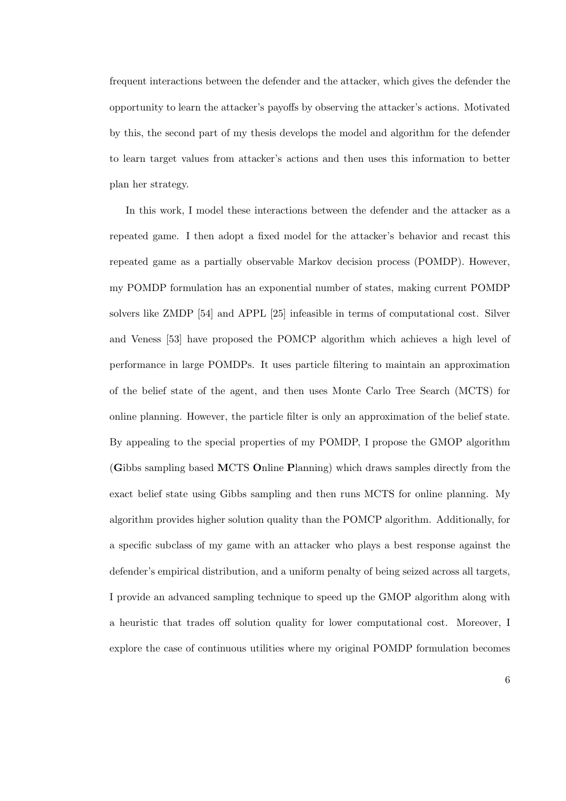frequent interactions between the defender and the attacker, which gives the defender the opportunity to learn the attacker's payoffs by observing the attacker's actions. Motivated by this, the second part of my thesis develops the model and algorithm for the defender to learn target values from attacker's actions and then uses this information to better plan her strategy.

In this work, I model these interactions between the defender and the attacker as a repeated game. I then adopt a fixed model for the attacker's behavior and recast this repeated game as a partially observable Markov decision process (POMDP). However, my POMDP formulation has an exponential number of states, making current POMDP solvers like ZMDP [54] and APPL [25] infeasible in terms of computational cost. Silver and Veness [53] have proposed the POMCP algorithm which achieves a high level of performance in large POMDPs. It uses particle filtering to maintain an approximation of the belief state of the agent, and then uses Monte Carlo Tree Search (MCTS) for online planning. However, the particle filter is only an approximation of the belief state. By appealing to the special properties of my POMDP, I propose the GMOP algorithm (Gibbs sampling based MCTS Online Planning) which draws samples directly from the exact belief state using Gibbs sampling and then runs MCTS for online planning. My algorithm provides higher solution quality than the POMCP algorithm. Additionally, for a specific subclass of my game with an attacker who plays a best response against the defender's empirical distribution, and a uniform penalty of being seized across all targets, I provide an advanced sampling technique to speed up the GMOP algorithm along with a heuristic that trades off solution quality for lower computational cost. Moreover, I explore the case of continuous utilities where my original POMDP formulation becomes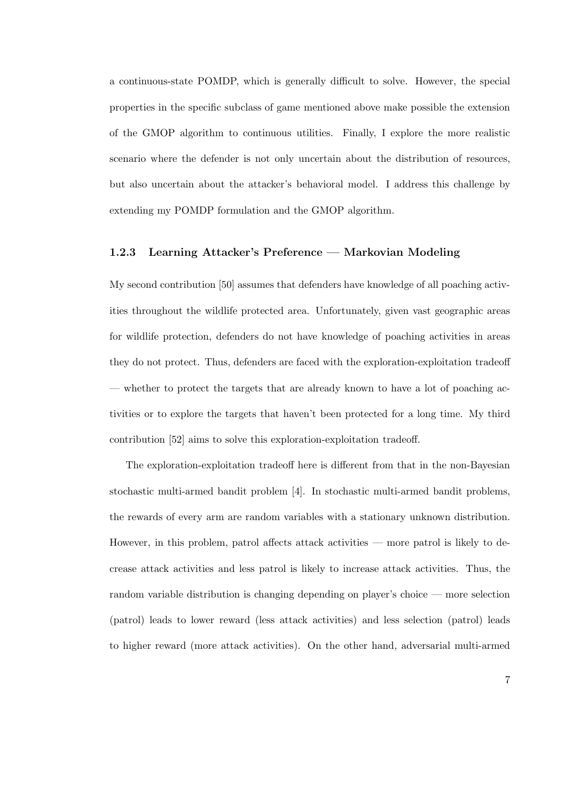a continuous-state POMDP, which is generally difficult to solve. However, the special properties in the specific subclass of game mentioned above make possible the extension of the GMOP algorithm to continuous utilities. Finally, I explore the more realistic scenario where the defender is not only uncertain about the distribution of resources, but also uncertain about the attacker's behavioral model. I address this challenge by extending my POMDP formulation and the GMOP algorithm.

#### 1.2.3 Learning Attacker's Preference — Markovian Modeling

My second contribution [50] assumes that defenders have knowledge of all poaching activities throughout the wildlife protected area. Unfortunately, given vast geographic areas for wildlife protection, defenders do not have knowledge of poaching activities in areas they do not protect. Thus, defenders are faced with the exploration-exploitation tradeoff — whether to protect the targets that are already known to have a lot of poaching activities or to explore the targets that haven't been protected for a long time. My third contribution [52] aims to solve this exploration-exploitation tradeoff.

The exploration-exploitation tradeoff here is different from that in the non-Bayesian stochastic multi-armed bandit problem [4]. In stochastic multi-armed bandit problems, the rewards of every arm are random variables with a stationary unknown distribution. However, in this problem, patrol affects attack activities — more patrol is likely to decrease attack activities and less patrol is likely to increase attack activities. Thus, the random variable distribution is changing depending on player's choice — more selection (patrol) leads to lower reward (less attack activities) and less selection (patrol) leads to higher reward (more attack activities). On the other hand, adversarial multi-armed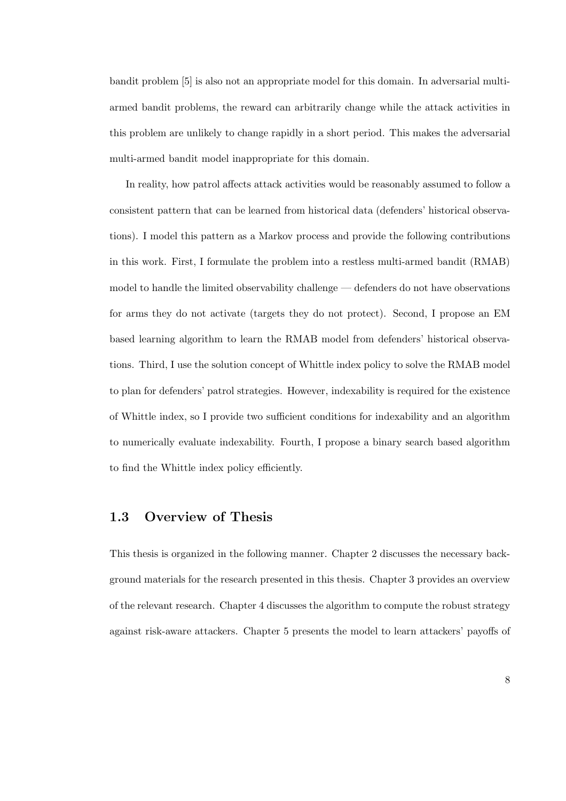bandit problem [5] is also not an appropriate model for this domain. In adversarial multiarmed bandit problems, the reward can arbitrarily change while the attack activities in this problem are unlikely to change rapidly in a short period. This makes the adversarial multi-armed bandit model inappropriate for this domain.

In reality, how patrol affects attack activities would be reasonably assumed to follow a consistent pattern that can be learned from historical data (defenders' historical observations). I model this pattern as a Markov process and provide the following contributions in this work. First, I formulate the problem into a restless multi-armed bandit (RMAB) model to handle the limited observability challenge — defenders do not have observations for arms they do not activate (targets they do not protect). Second, I propose an EM based learning algorithm to learn the RMAB model from defenders' historical observations. Third, I use the solution concept of Whittle index policy to solve the RMAB model to plan for defenders' patrol strategies. However, indexability is required for the existence of Whittle index, so I provide two sufficient conditions for indexability and an algorithm to numerically evaluate indexability. Fourth, I propose a binary search based algorithm to find the Whittle index policy efficiently.

## 1.3 Overview of Thesis

This thesis is organized in the following manner. Chapter 2 discusses the necessary background materials for the research presented in this thesis. Chapter 3 provides an overview of the relevant research. Chapter 4 discusses the algorithm to compute the robust strategy against risk-aware attackers. Chapter 5 presents the model to learn attackers' payoffs of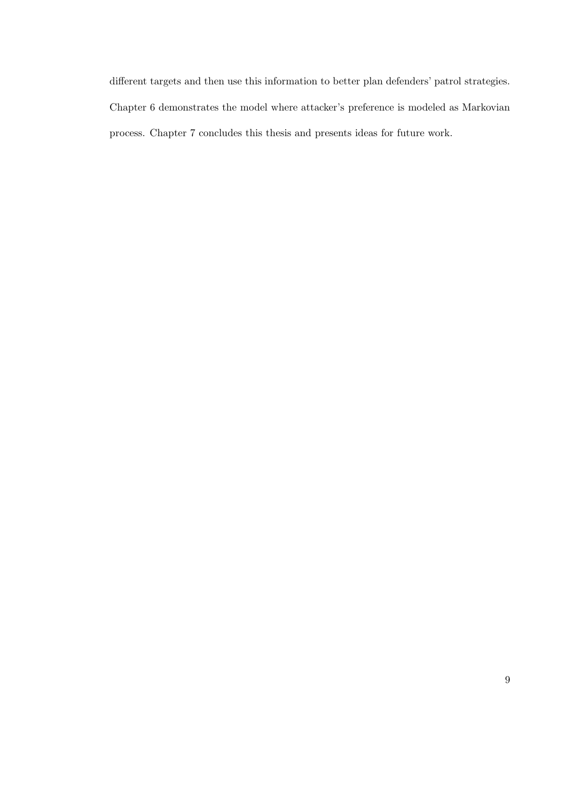different targets and then use this information to better plan defenders' patrol strategies. Chapter 6 demonstrates the model where attacker's preference is modeled as Markovian process. Chapter 7 concludes this thesis and presents ideas for future work.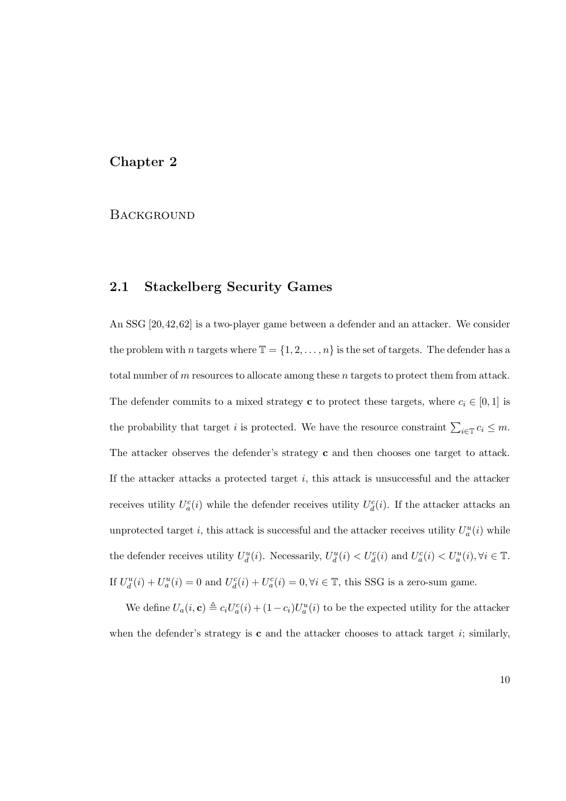### Chapter 2

#### **BACKGROUND**

## 2.1 Stackelberg Security Games

An SSG [20,42,62] is a two-player game between a defender and an attacker. We consider the problem with n targets where  $\mathbb{T} = \{1, 2, ..., n\}$  is the set of targets. The defender has a total number of m resources to allocate among these n targets to protect them from attack. The defender commits to a mixed strategy **c** to protect these targets, where  $c_i \in [0, 1]$  is the probability that target i is protected. We have the resource constraint  $\sum_{i\in\mathbb{I}} c_i \leq m$ . The attacker observes the defender's strategy **c** and then chooses one target to attack. If the attacker attacks a protected target  $i$ , this attack is unsuccessful and the attacker receives utility  $U_a^c(i)$  while the defender receives utility  $U_d^c(i)$ . If the attacker attacks an unprotected target *i*, this attack is successful and the attacker receives utility  $U_a^u(i)$  while the defender receives utility  $U_d^u(i)$ . Necessarily,  $U_d^u(i) < U_d^c(i)$  and  $U_a^c(i) < U_a^u(i)$ ,  $\forall i \in \mathbb{T}$ . If  $U_d^u(i) + U_a^u(i) = 0$  and  $U_d^c(i) + U_a^c(i) = 0, \forall i \in \mathbb{T}$ , this SSG is a zero-sum game.

We define  $U_a(i, \mathbf{c}) \triangleq c_i U_a^c(i) + (1 - c_i)U_a^u(i)$  to be the expected utility for the attacker when the defender's strategy is  $c$  and the attacker chooses to attack target  $i$ ; similarly,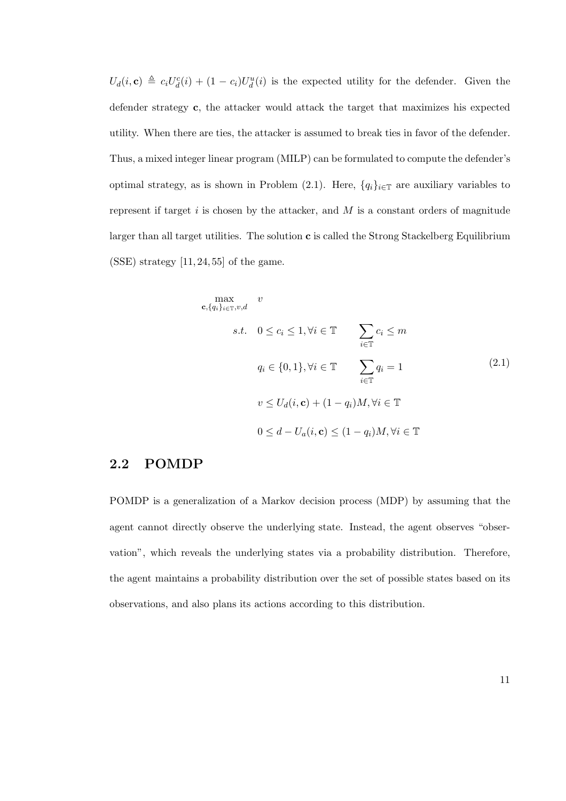$U_d(i, c) \triangleq c_i U_d^c(i) + (1 - c_i) U_d^u(i)$  is the expected utility for the defender. Given the defender strategy c, the attacker would attack the target that maximizes his expected utility. When there are ties, the attacker is assumed to break ties in favor of the defender. Thus, a mixed integer linear program (MILP) can be formulated to compute the defender's optimal strategy, as is shown in Problem (2.1). Here,  ${q_i}_{i \in \mathbb{T}}$  are auxiliary variables to represent if target  $i$  is chosen by the attacker, and  $M$  is a constant orders of magnitude larger than all target utilities. The solution  $c$  is called the Strong Stackelberg Equilibrium  $(SSE)$  strategy  $[11, 24, 55]$  of the game.

$$
\begin{aligned}\n\max_{\mathbf{c}, \{q_i\}_{i \in \mathbb{T}}, v, d} & v \\
\text{s.t.} & 0 \le c_i \le 1, \forall i \in \mathbb{T} \\
& q_i \in \{0, 1\}, \forall i \in \mathbb{T} \\
& v \le U_d(i, \mathbf{c}) + (1 - q_i)M, \forall i \in \mathbb{T} \\
& 0 \le d - U_a(i, \mathbf{c}) \le (1 - q_i)M, \forall i \in \mathbb{T}\n\end{aligned}
$$
\n
$$
(2.1)
$$

## 2.2 POMDP

POMDP is a generalization of a Markov decision process (MDP) by assuming that the agent cannot directly observe the underlying state. Instead, the agent observes "observation", which reveals the underlying states via a probability distribution. Therefore, the agent maintains a probability distribution over the set of possible states based on its observations, and also plans its actions according to this distribution.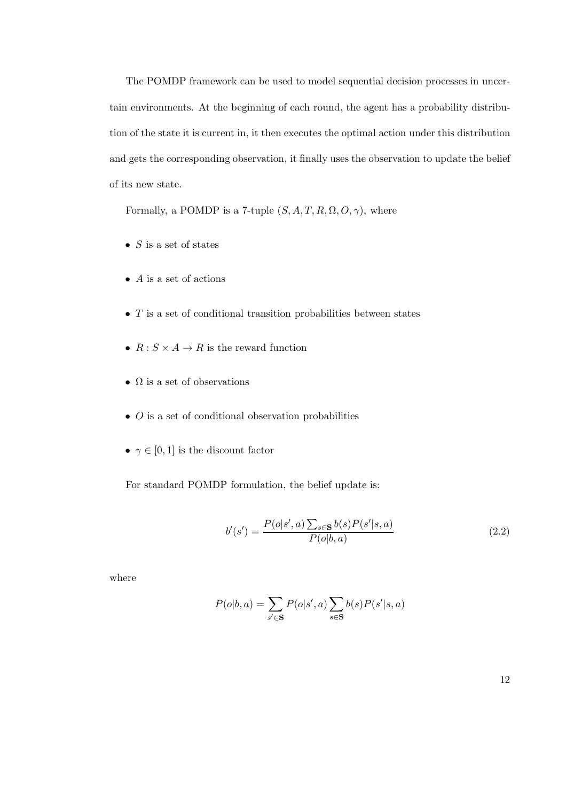The POMDP framework can be used to model sequential decision processes in uncertain environments. At the beginning of each round, the agent has a probability distribution of the state it is current in, it then executes the optimal action under this distribution and gets the corresponding observation, it finally uses the observation to update the belief of its new state.

Formally, a POMDP is a 7-tuple  $(S, A, T, R, \Omega, O, \gamma)$ , where

- $S$  is a set of states
- $\bullet$  A is a set of actions
- $\bullet$  T is a set of conditional transition probabilities between states
- $R: S \times A \rightarrow R$  is the reward function
- $\Omega$  is a set of observations
- $\bullet$  *O* is a set of conditional observation probabilities
- $\gamma \in [0, 1]$  is the discount factor

For standard POMDP formulation, the belief update is:

$$
b'(s') = \frac{P(o|s',a) \sum_{s \in \mathbf{S}} b(s) P(s'|s,a)}{P(o|b,a)}
$$
(2.2)

where

$$
P(o|b, a) = \sum_{s' \in \mathbf{S}} P(o|s', a) \sum_{s \in \mathbf{S}} b(s) P(s'|s, a)
$$

12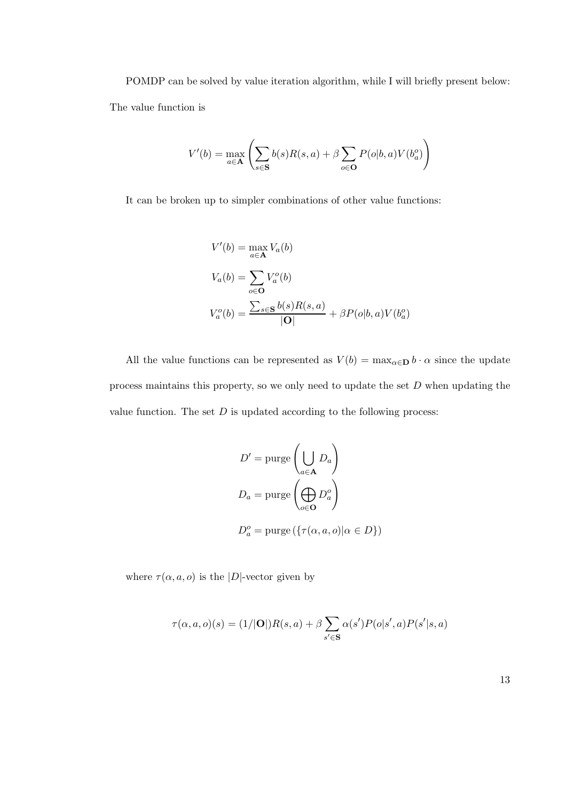POMDP can be solved by value iteration algorithm, while I will briefly present below: The value function is

$$
V'(b) = \max_{a \in \mathbf{A}} \left( \sum_{s \in \mathbf{S}} b(s)R(s, a) + \beta \sum_{o \in \mathbf{O}} P(o|b, a)V(b_a^o) \right)
$$

It can be broken up to simpler combinations of other value functions:

$$
V'(b) = \max_{a \in \mathbf{A}} V_a(b)
$$
  
\n
$$
V_a(b) = \sum_{o \in \mathbf{O}} V_a^o(b)
$$
  
\n
$$
V_a^o(b) = \frac{\sum_{s \in \mathbf{S}} b(s)R(s, a)}{|\mathbf{O}|} + \beta P(o|b, a)V(b_a^o)
$$

All the value functions can be represented as  $V(b) = \max_{\alpha \in \mathbf{D}} b \cdot \alpha$  since the update process maintains this property, so we only need to update the set  $D$  when updating the value function. The set  $D$  is updated according to the following process:

$$
D' = \text{pure}\left(\bigcup_{a \in \mathbf{A}} D_a\right)
$$

$$
D_a = \text{pure}\left(\bigoplus_{o \in \mathbf{O}} D_a^o\right)
$$

$$
D_a^o = \text{pure}\left(\{\tau(\alpha, a, o) | \alpha \in D\}\right)
$$

where  $\tau(\alpha, a, o)$  is the |D|-vector given by

$$
\tau(\alpha, a, o)(s) = (1/|\mathbf{O}|)R(s, a) + \beta \sum_{s' \in \mathbf{S}} \alpha(s')P(o|s', a)P(s'|s, a)
$$

13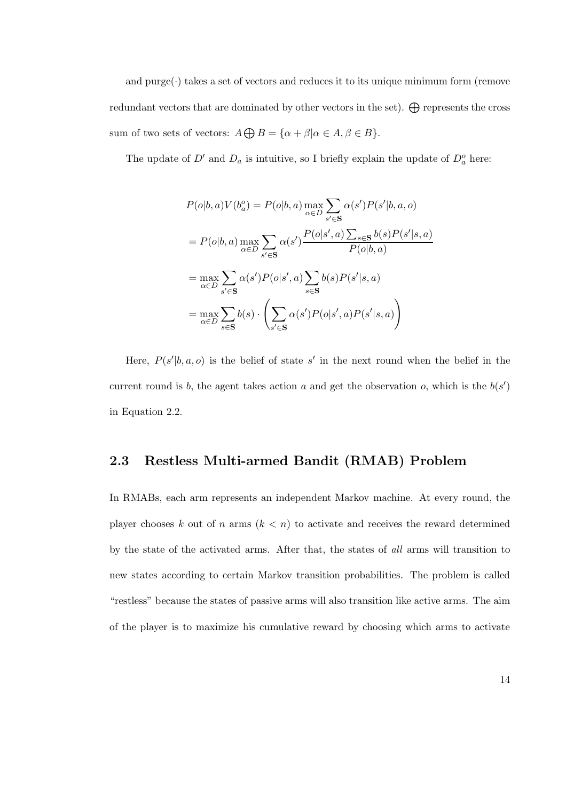and  $pure(\cdot)$  takes a set of vectors and reduces it to its unique minimum form (remove redundant vectors that are dominated by other vectors in the set).  $\bigoplus$  represents the cross sum of two sets of vectors:  $A \bigoplus B = {\alpha + \beta | \alpha \in A, \beta \in B}.$ 

The update of  $D'$  and  $D_a$  is intuitive, so I briefly explain the update of  $D_a^o$  here:

$$
P(o|b, a)V(b_a^o) = P(o|b, a) \max_{\alpha \in D} \sum_{s' \in \mathbf{S}} \alpha(s')P(s'|b, a, o)
$$
  
= 
$$
P(o|b, a) \max_{\alpha \in D} \sum_{s' \in \mathbf{S}} \alpha(s') \frac{P(o|s', a) \sum_{s \in \mathbf{S}} b(s)P(s'|s, a)}{P(o|b, a)}
$$
  
= 
$$
\max_{\alpha \in D} \sum_{s' \in \mathbf{S}} \alpha(s')P(o|s', a) \sum_{s \in \mathbf{S}} b(s)P(s'|s, a)
$$
  
= 
$$
\max_{\alpha \in D} \sum_{s \in \mathbf{S}} b(s) \cdot \left( \sum_{s' \in \mathbf{S}} \alpha(s')P(o|s', a)P(s'|s, a) \right)
$$

Here,  $P(s'|b, a, o)$  is the belief of state s' in the next round when the belief in the current round is b, the agent takes action a and get the observation o, which is the  $b(s')$ in Equation 2.2.

#### 2.3 Restless Multi-armed Bandit (RMAB) Problem

In RMABs, each arm represents an independent Markov machine. At every round, the player chooses k out of n arms  $(k < n)$  to activate and receives the reward determined by the state of the activated arms. After that, the states of all arms will transition to new states according to certain Markov transition probabilities. The problem is called "restless" because the states of passive arms will also transition like active arms. The aim of the player is to maximize his cumulative reward by choosing which arms to activate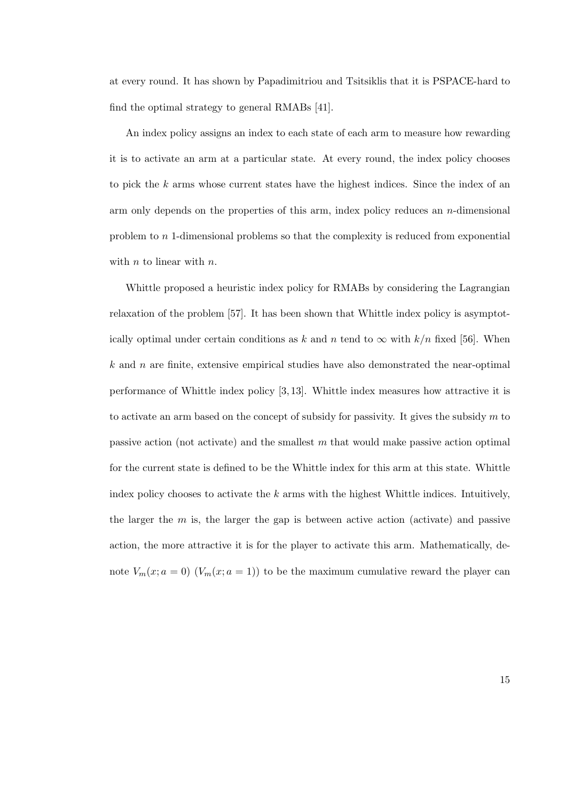at every round. It has shown by Papadimitriou and Tsitsiklis that it is PSPACE-hard to find the optimal strategy to general RMABs [41].

An index policy assigns an index to each state of each arm to measure how rewarding it is to activate an arm at a particular state. At every round, the index policy chooses to pick the k arms whose current states have the highest indices. Since the index of an arm only depends on the properties of this arm, index policy reduces an  $n$ -dimensional problem to n 1-dimensional problems so that the complexity is reduced from exponential with  $n$  to linear with  $n$ .

Whittle proposed a heuristic index policy for RMABs by considering the Lagrangian relaxation of the problem [57]. It has been shown that Whittle index policy is asymptotically optimal under certain conditions as k and n tend to  $\infty$  with  $k/n$  fixed [56]. When  $k$  and n are finite, extensive empirical studies have also demonstrated the near-optimal performance of Whittle index policy [3, 13]. Whittle index measures how attractive it is to activate an arm based on the concept of subsidy for passivity. It gives the subsidy  $m$  to passive action (not activate) and the smallest m that would make passive action optimal for the current state is defined to be the Whittle index for this arm at this state. Whittle index policy chooses to activate the  $k$  arms with the highest Whittle indices. Intuitively, the larger the  $m$  is, the larger the gap is between active action (activate) and passive action, the more attractive it is for the player to activate this arm. Mathematically, denote  $V_m(x; a = 0)$   $(V_m(x; a = 1))$  to be the maximum cumulative reward the player can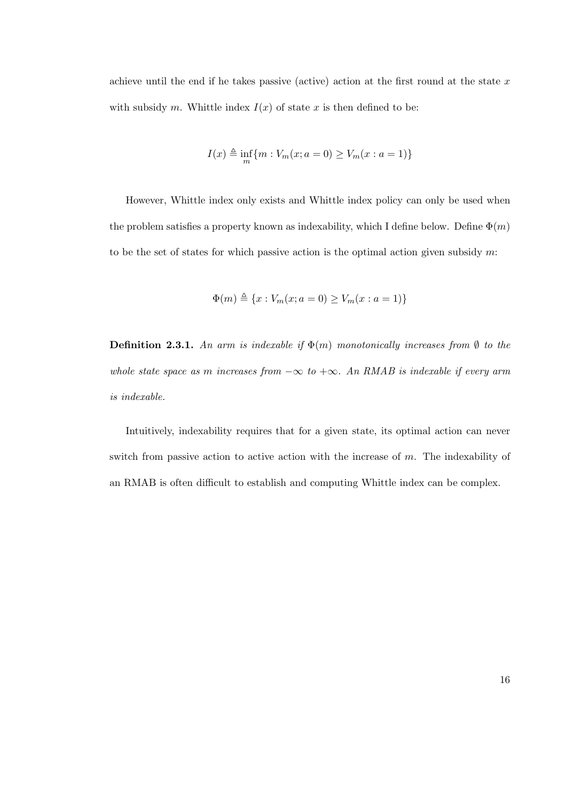achieve until the end if he takes passive (active) action at the first round at the state  $x$ with subsidy m. Whittle index  $I(x)$  of state x is then defined to be:

$$
I(x) \triangleq \inf_{m} \{ m : V_m(x; a = 0) \ge V_m(x : a = 1) \}
$$

However, Whittle index only exists and Whittle index policy can only be used when the problem satisfies a property known as indexability, which I define below. Define  $\Phi(m)$ to be the set of states for which passive action is the optimal action given subsidy  $m$ :

$$
\Phi(m) \triangleq \{x : V_m(x; a = 0) \ge V_m(x : a = 1)\}
$$

**Definition 2.3.1.** An arm is indexable if  $\Phi(m)$  monotonically increases from  $\emptyset$  to the whole state space as m increases from  $-\infty$  to  $+\infty$ . An RMAB is indexable if every arm is indexable.

Intuitively, indexability requires that for a given state, its optimal action can never switch from passive action to active action with the increase of  $m$ . The indexability of an RMAB is often difficult to establish and computing Whittle index can be complex.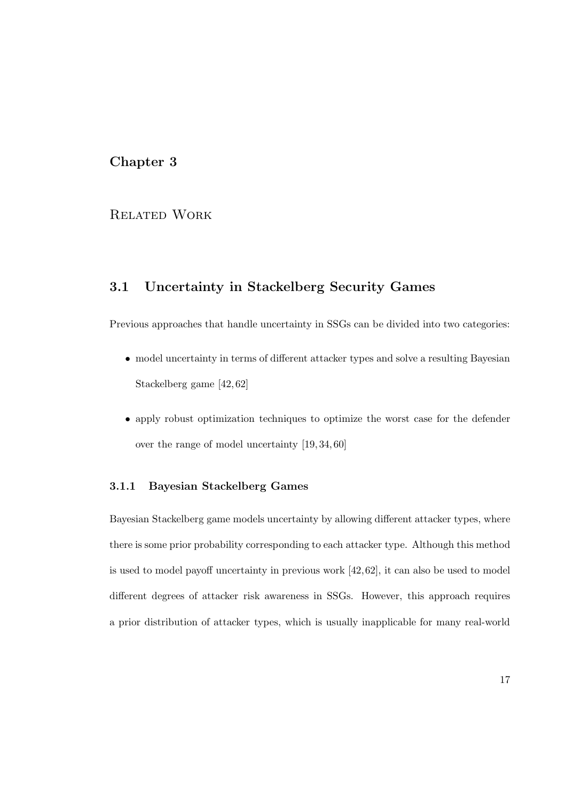## Chapter 3

## Related Work

## 3.1 Uncertainty in Stackelberg Security Games

Previous approaches that handle uncertainty in SSGs can be divided into two categories:

- model uncertainty in terms of different attacker types and solve a resulting Bayesian Stackelberg game [42, 62]
- apply robust optimization techniques to optimize the worst case for the defender over the range of model uncertainty [19, 34, 60]

#### 3.1.1 Bayesian Stackelberg Games

Bayesian Stackelberg game models uncertainty by allowing different attacker types, where there is some prior probability corresponding to each attacker type. Although this method is used to model payoff uncertainty in previous work [42,62], it can also be used to model different degrees of attacker risk awareness in SSGs. However, this approach requires a prior distribution of attacker types, which is usually inapplicable for many real-world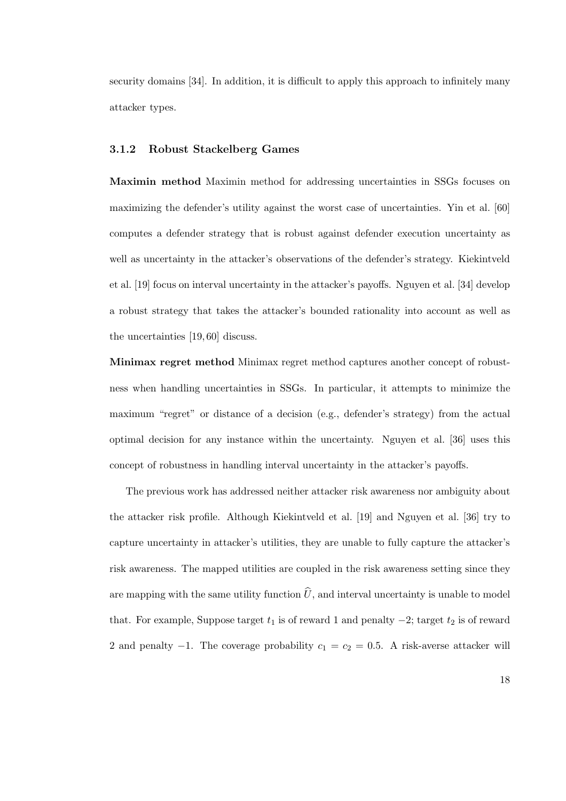security domains [34]. In addition, it is difficult to apply this approach to infinitely many attacker types.

#### 3.1.2 Robust Stackelberg Games

Maximin method Maximin method for addressing uncertainties in SSGs focuses on maximizing the defender's utility against the worst case of uncertainties. Yin et al. [60] computes a defender strategy that is robust against defender execution uncertainty as well as uncertainty in the attacker's observations of the defender's strategy. Kiekintveld et al. [19] focus on interval uncertainty in the attacker's payoffs. Nguyen et al. [34] develop a robust strategy that takes the attacker's bounded rationality into account as well as the uncertainties [19, 60] discuss.

Minimax regret method Minimax regret method captures another concept of robustness when handling uncertainties in SSGs. In particular, it attempts to minimize the maximum "regret" or distance of a decision (e.g., defender's strategy) from the actual optimal decision for any instance within the uncertainty. Nguyen et al. [36] uses this concept of robustness in handling interval uncertainty in the attacker's payoffs.

The previous work has addressed neither attacker risk awareness nor ambiguity about the attacker risk profile. Although Kiekintveld et al. [19] and Nguyen et al. [36] try to capture uncertainty in attacker's utilities, they are unable to fully capture the attacker's risk awareness. The mapped utilities are coupled in the risk awareness setting since they are mapping with the same utility function  $\hat{U}$ , and interval uncertainty is unable to model that. For example, Suppose target  $t_1$  is of reward 1 and penalty  $-2$ ; target  $t_2$  is of reward 2 and penalty  $-1$ . The coverage probability  $c_1 = c_2 = 0.5$ . A risk-averse attacker will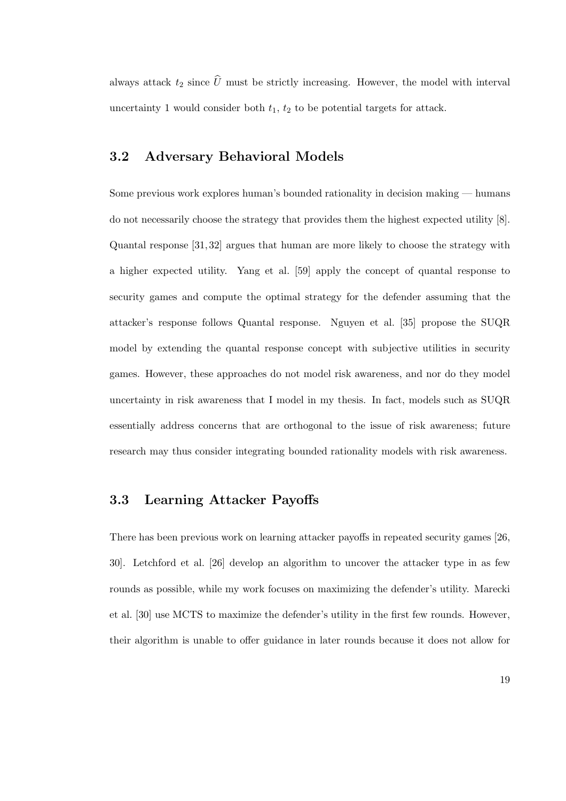always attack  $t_2$  since  $\widehat{U}$  must be strictly increasing. However, the model with interval uncertainty 1 would consider both  $t_1$ ,  $t_2$  to be potential targets for attack.

## 3.2 Adversary Behavioral Models

Some previous work explores human's bounded rationality in decision making — humans do not necessarily choose the strategy that provides them the highest expected utility [8]. Quantal response [31, 32] argues that human are more likely to choose the strategy with a higher expected utility. Yang et al. [59] apply the concept of quantal response to security games and compute the optimal strategy for the defender assuming that the attacker's response follows Quantal response. Nguyen et al. [35] propose the SUQR model by extending the quantal response concept with subjective utilities in security games. However, these approaches do not model risk awareness, and nor do they model uncertainty in risk awareness that I model in my thesis. In fact, models such as SUQR essentially address concerns that are orthogonal to the issue of risk awareness; future research may thus consider integrating bounded rationality models with risk awareness.

## 3.3 Learning Attacker Payoffs

There has been previous work on learning attacker payoffs in repeated security games [26, 30]. Letchford et al. [26] develop an algorithm to uncover the attacker type in as few rounds as possible, while my work focuses on maximizing the defender's utility. Marecki et al. [30] use MCTS to maximize the defender's utility in the first few rounds. However, their algorithm is unable to offer guidance in later rounds because it does not allow for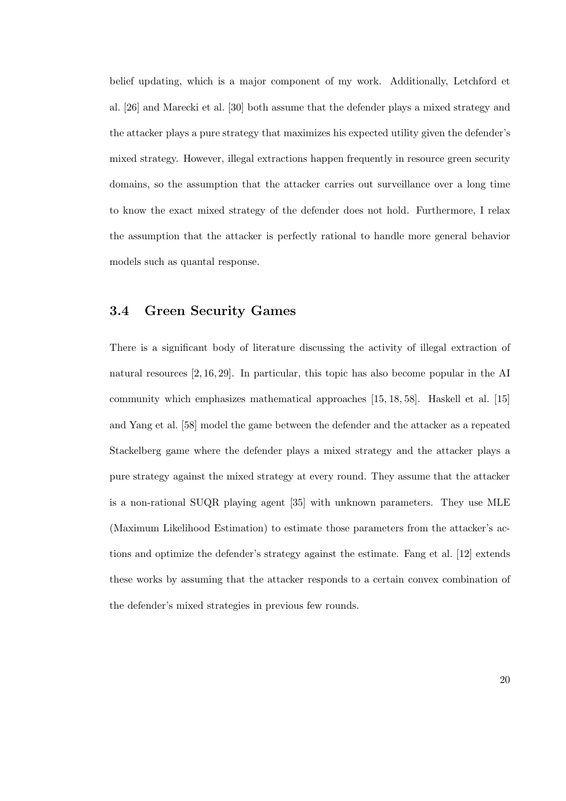belief updating, which is a major component of my work. Additionally, Letchford et al. [26] and Marecki et al. [30] both assume that the defender plays a mixed strategy and the attacker plays a pure strategy that maximizes his expected utility given the defender's mixed strategy. However, illegal extractions happen frequently in resource green security domains, so the assumption that the attacker carries out surveillance over a long time to know the exact mixed strategy of the defender does not hold. Furthermore, I relax the assumption that the attacker is perfectly rational to handle more general behavior models such as quantal response.

### 3.4 Green Security Games

There is a significant body of literature discussing the activity of illegal extraction of natural resources [2, 16, 29]. In particular, this topic has also become popular in the AI community which emphasizes mathematical approaches [15, 18, 58]. Haskell et al. [15] and Yang et al. [58] model the game between the defender and the attacker as a repeated Stackelberg game where the defender plays a mixed strategy and the attacker plays a pure strategy against the mixed strategy at every round. They assume that the attacker is a non-rational SUQR playing agent [35] with unknown parameters. They use MLE (Maximum Likelihood Estimation) to estimate those parameters from the attacker's actions and optimize the defender's strategy against the estimate. Fang et al. [12] extends these works by assuming that the attacker responds to a certain convex combination of the defender's mixed strategies in previous few rounds.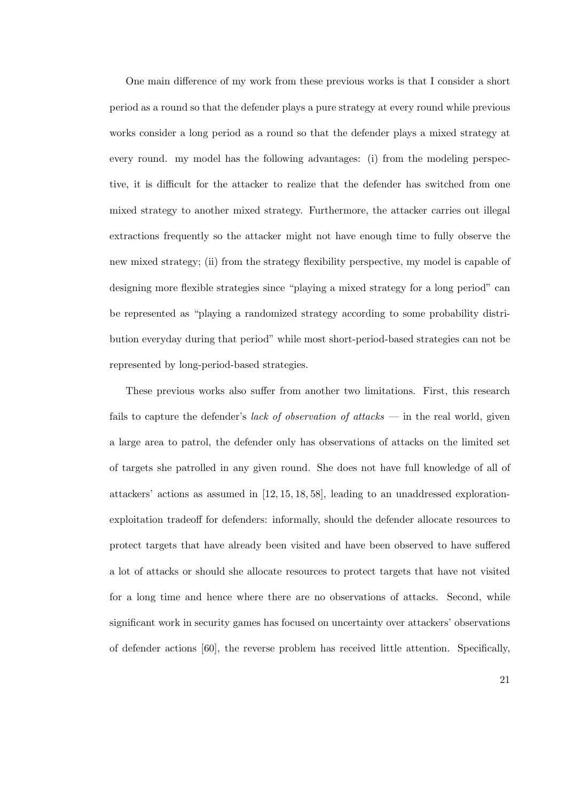One main difference of my work from these previous works is that I consider a short period as a round so that the defender plays a pure strategy at every round while previous works consider a long period as a round so that the defender plays a mixed strategy at every round. my model has the following advantages: (i) from the modeling perspective, it is difficult for the attacker to realize that the defender has switched from one mixed strategy to another mixed strategy. Furthermore, the attacker carries out illegal extractions frequently so the attacker might not have enough time to fully observe the new mixed strategy; (ii) from the strategy flexibility perspective, my model is capable of designing more flexible strategies since "playing a mixed strategy for a long period" can be represented as "playing a randomized strategy according to some probability distribution everyday during that period" while most short-period-based strategies can not be represented by long-period-based strategies.

These previous works also suffer from another two limitations. First, this research fails to capture the defender's *lack of observation of attacks* — in the real world, given a large area to patrol, the defender only has observations of attacks on the limited set of targets she patrolled in any given round. She does not have full knowledge of all of attackers' actions as assumed in [12, 15, 18, 58], leading to an unaddressed explorationexploitation tradeoff for defenders: informally, should the defender allocate resources to protect targets that have already been visited and have been observed to have suffered a lot of attacks or should she allocate resources to protect targets that have not visited for a long time and hence where there are no observations of attacks. Second, while significant work in security games has focused on uncertainty over attackers' observations of defender actions [60], the reverse problem has received little attention. Specifically,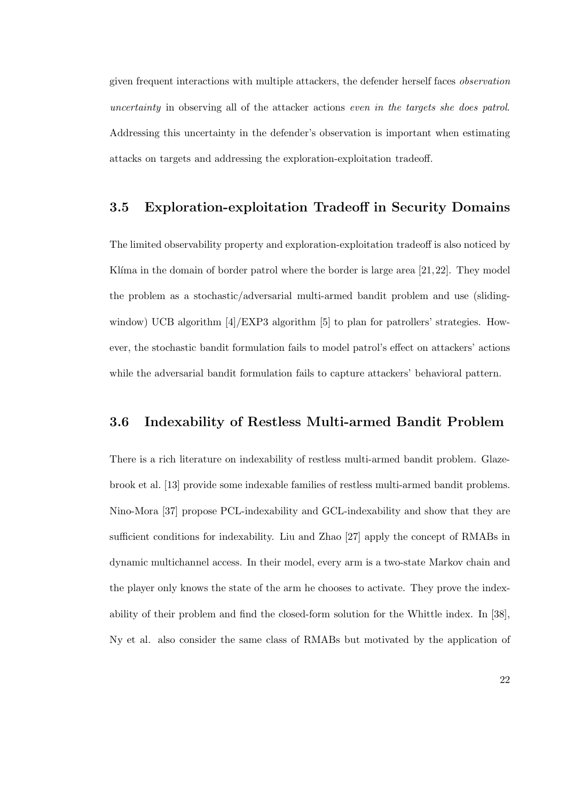given frequent interactions with multiple attackers, the defender herself faces observation uncertainty in observing all of the attacker actions even in the targets she does patrol. Addressing this uncertainty in the defender's observation is important when estimating attacks on targets and addressing the exploration-exploitation tradeoff.

### 3.5 Exploration-exploitation Tradeoff in Security Domains

The limited observability property and exploration-exploitation tradeoff is also noticed by Klíma in the domain of border patrol where the border is large area  $[21,22]$ . They model the problem as a stochastic/adversarial multi-armed bandit problem and use (slidingwindow) UCB algorithm  $[4]/\text{EXP3}$  algorithm [5] to plan for patrollers' strategies. However, the stochastic bandit formulation fails to model patrol's effect on attackers' actions while the adversarial bandit formulation fails to capture attackers' behavioral pattern.

## 3.6 Indexability of Restless Multi-armed Bandit Problem

There is a rich literature on indexability of restless multi-armed bandit problem. Glazebrook et al. [13] provide some indexable families of restless multi-armed bandit problems. Nino-Mora [37] propose PCL-indexability and GCL-indexability and show that they are sufficient conditions for indexability. Liu and Zhao [27] apply the concept of RMABs in dynamic multichannel access. In their model, every arm is a two-state Markov chain and the player only knows the state of the arm he chooses to activate. They prove the indexability of their problem and find the closed-form solution for the Whittle index. In [38], Ny et al. also consider the same class of RMABs but motivated by the application of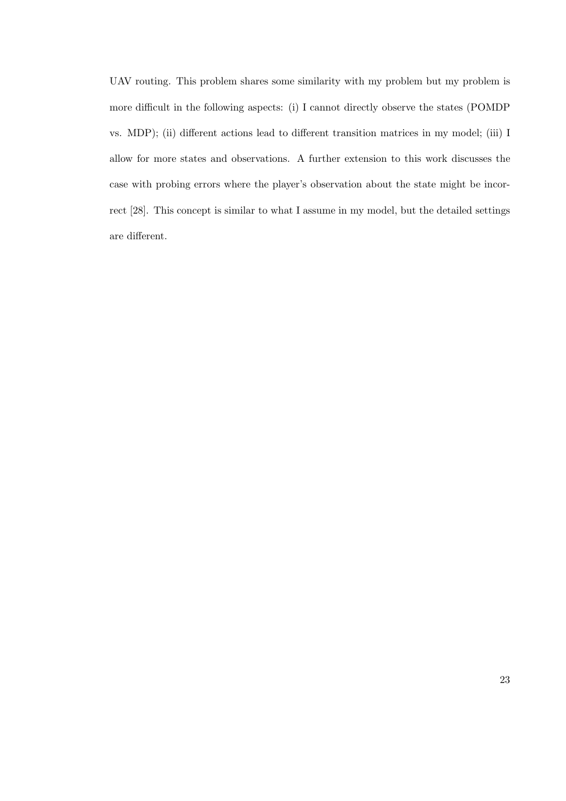UAV routing. This problem shares some similarity with my problem but my problem is more difficult in the following aspects: (i) I cannot directly observe the states (POMDP vs. MDP); (ii) different actions lead to different transition matrices in my model; (iii) I allow for more states and observations. A further extension to this work discusses the case with probing errors where the player's observation about the state might be incorrect [28]. This concept is similar to what I assume in my model, but the detailed settings are different.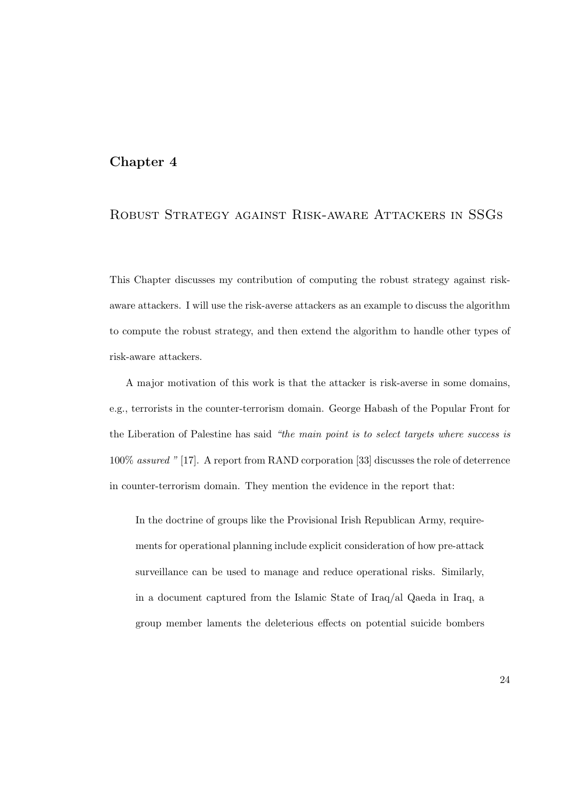### Chapter 4

# Robust Strategy against Risk-aware Attackers in SSGs

This Chapter discusses my contribution of computing the robust strategy against riskaware attackers. I will use the risk-averse attackers as an example to discuss the algorithm to compute the robust strategy, and then extend the algorithm to handle other types of risk-aware attackers.

A major motivation of this work is that the attacker is risk-averse in some domains, e.g., terrorists in the counter-terrorism domain. George Habash of the Popular Front for the Liberation of Palestine has said "the main point is to select targets where success is 100% assured " [17]. A report from RAND corporation [33] discusses the role of deterrence in counter-terrorism domain. They mention the evidence in the report that:

In the doctrine of groups like the Provisional Irish Republican Army, requirements for operational planning include explicit consideration of how pre-attack surveillance can be used to manage and reduce operational risks. Similarly, in a document captured from the Islamic State of Iraq/al Qaeda in Iraq, a group member laments the deleterious effects on potential suicide bombers

24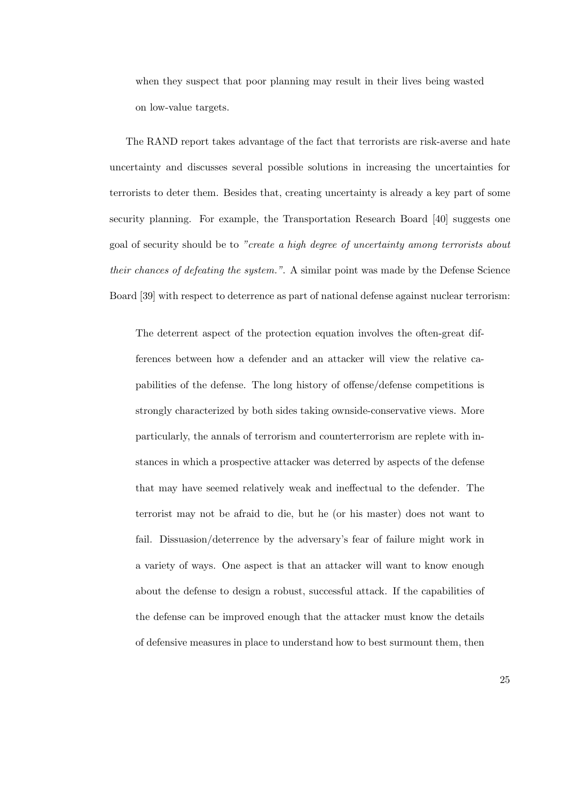when they suspect that poor planning may result in their lives being wasted on low-value targets.

The RAND report takes advantage of the fact that terrorists are risk-averse and hate uncertainty and discusses several possible solutions in increasing the uncertainties for terrorists to deter them. Besides that, creating uncertainty is already a key part of some security planning. For example, the Transportation Research Board [40] suggests one goal of security should be to "create a high degree of uncertainty among terrorists about their chances of defeating the system.". A similar point was made by the Defense Science Board [39] with respect to deterrence as part of national defense against nuclear terrorism:

The deterrent aspect of the protection equation involves the often-great differences between how a defender and an attacker will view the relative capabilities of the defense. The long history of offense/defense competitions is strongly characterized by both sides taking ownside-conservative views. More particularly, the annals of terrorism and counterterrorism are replete with instances in which a prospective attacker was deterred by aspects of the defense that may have seemed relatively weak and ineffectual to the defender. The terrorist may not be afraid to die, but he (or his master) does not want to fail. Dissuasion/deterrence by the adversary's fear of failure might work in a variety of ways. One aspect is that an attacker will want to know enough about the defense to design a robust, successful attack. If the capabilities of the defense can be improved enough that the attacker must know the details of defensive measures in place to understand how to best surmount them, then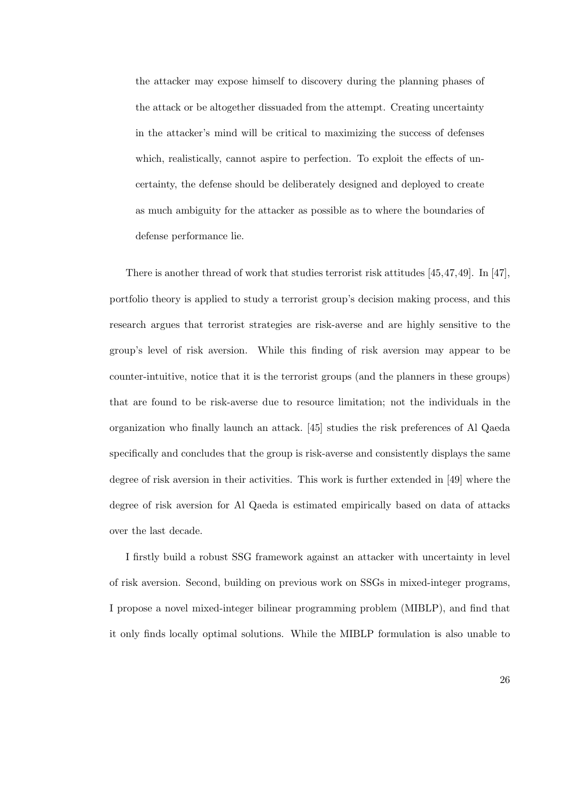the attacker may expose himself to discovery during the planning phases of the attack or be altogether dissuaded from the attempt. Creating uncertainty in the attacker's mind will be critical to maximizing the success of defenses which, realistically, cannot aspire to perfection. To exploit the effects of uncertainty, the defense should be deliberately designed and deployed to create as much ambiguity for the attacker as possible as to where the boundaries of defense performance lie.

There is another thread of work that studies terrorist risk attitudes [45,47,49]. In [47], portfolio theory is applied to study a terrorist group's decision making process, and this research argues that terrorist strategies are risk-averse and are highly sensitive to the group's level of risk aversion. While this finding of risk aversion may appear to be counter-intuitive, notice that it is the terrorist groups (and the planners in these groups) that are found to be risk-averse due to resource limitation; not the individuals in the organization who finally launch an attack. [45] studies the risk preferences of Al Qaeda specifically and concludes that the group is risk-averse and consistently displays the same degree of risk aversion in their activities. This work is further extended in [49] where the degree of risk aversion for Al Qaeda is estimated empirically based on data of attacks over the last decade.

I firstly build a robust SSG framework against an attacker with uncertainty in level of risk aversion. Second, building on previous work on SSGs in mixed-integer programs, I propose a novel mixed-integer bilinear programming problem (MIBLP), and find that it only finds locally optimal solutions. While the MIBLP formulation is also unable to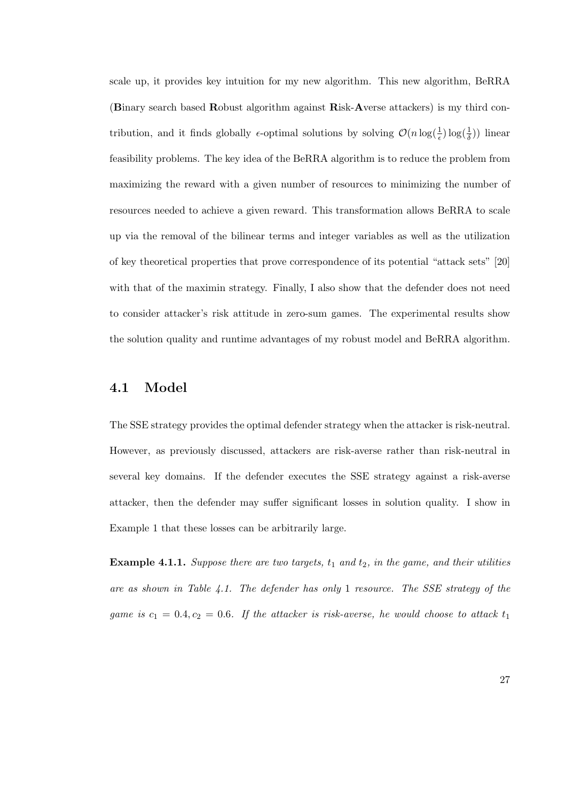scale up, it provides key intuition for my new algorithm. This new algorithm, BeRRA (Binary search based Robust algorithm against Risk-Averse attackers) is my third contribution, and it finds globally  $\epsilon$ -optimal solutions by solving  $\mathcal{O}(n \log(\frac{1}{\epsilon}) \log(\frac{1}{\delta}))$  linear feasibility problems. The key idea of the BeRRA algorithm is to reduce the problem from maximizing the reward with a given number of resources to minimizing the number of resources needed to achieve a given reward. This transformation allows BeRRA to scale up via the removal of the bilinear terms and integer variables as well as the utilization of key theoretical properties that prove correspondence of its potential "attack sets" [20] with that of the maximin strategy. Finally, I also show that the defender does not need to consider attacker's risk attitude in zero-sum games. The experimental results show the solution quality and runtime advantages of my robust model and BeRRA algorithm.

## 4.1 Model

The SSE strategy provides the optimal defender strategy when the attacker is risk-neutral. However, as previously discussed, attackers are risk-averse rather than risk-neutral in several key domains. If the defender executes the SSE strategy against a risk-averse attacker, then the defender may suffer significant losses in solution quality. I show in Example 1 that these losses can be arbitrarily large.

**Example 4.1.1.** Suppose there are two targets,  $t_1$  and  $t_2$ , in the game, and their utilities are as shown in Table 4.1. The defender has only 1 resource. The SSE strategy of the game is  $c_1 = 0.4, c_2 = 0.6$ . If the attacker is risk-averse, he would choose to attack  $t_1$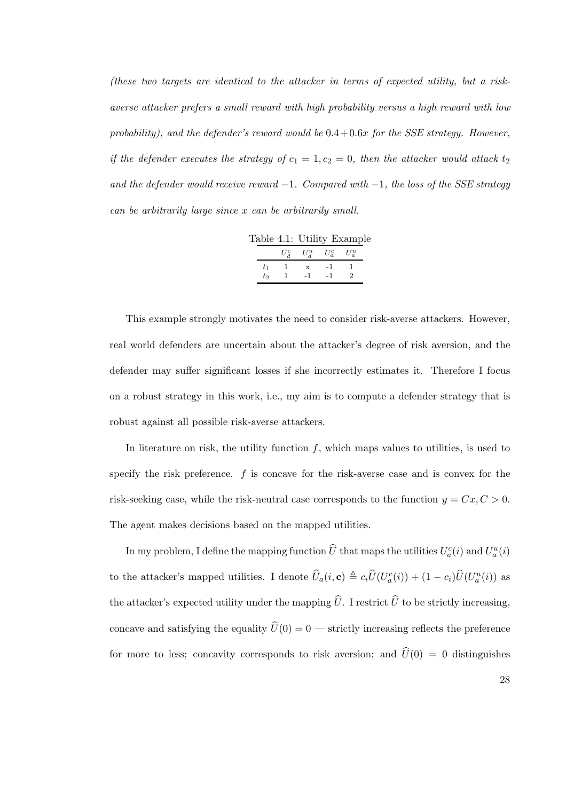(these two targets are identical to the attacker in terms of expected utility, but a riskaverse attacker prefers a small reward with high probability versus a high reward with low probability), and the defender's reward would be  $0.4+0.6x$  for the SSE strategy. However, if the defender executes the strategy of  $c_1 = 1, c_2 = 0$ , then the attacker would attack  $t_2$ and the defender would receive reward  $-1$ . Compared with  $-1$ , the loss of the SSE strategy can be arbitrarily large since x can be arbitrarily small.

|    |       | Table 4.1: Utility Example |                         |         |  |
|----|-------|----------------------------|-------------------------|---------|--|
|    |       |                            | $U^c_A$ $U^u_A$ $U^c_a$ | $U_a^u$ |  |
| t1 |       | $\mathbf{x}$               | -1                      |         |  |
|    | $t_2$ | $-1$                       | $-1$                    |         |  |

This example strongly motivates the need to consider risk-averse attackers. However, real world defenders are uncertain about the attacker's degree of risk aversion, and the defender may suffer significant losses if she incorrectly estimates it. Therefore I focus on a robust strategy in this work, i.e., my aim is to compute a defender strategy that is robust against all possible risk-averse attackers.

In literature on risk, the utility function  $f$ , which maps values to utilities, is used to specify the risk preference. f is concave for the risk-averse case and is convex for the risk-seeking case, while the risk-neutral case corresponds to the function  $y = Cx, C > 0$ . The agent makes decisions based on the mapped utilities.

In my problem, I define the mapping function  $\hat{U}$  that maps the utilities  $U_a^c(i)$  and  $U_a^u(i)$ to the attacker's mapped utilities. I denote  $\hat{U}_a(i, \mathbf{c}) \triangleq c_i \hat{U}(U_a^c(i)) + (1 - c_i)\hat{U}(U_a^u(i))$  as the attacker's expected utility under the mapping  $\hat{U}$ . I restrict  $\hat{U}$  to be strictly increasing, concave and satisfying the equality  $\widehat{U}(0) = 0$  — strictly increasing reflects the preference for more to less; concavity corresponds to risk aversion; and  $\hat{U}(0) = 0$  distinguishes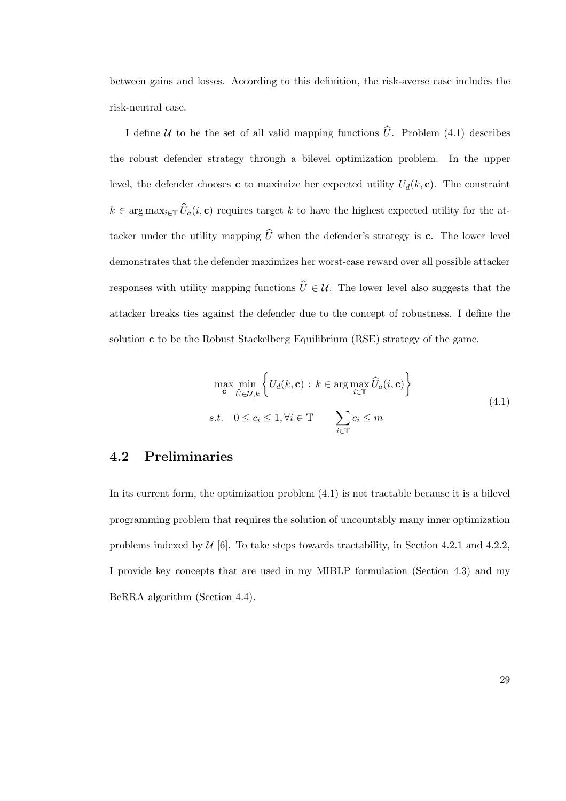between gains and losses. According to this definition, the risk-averse case includes the risk-neutral case.

I define U to be the set of all valid mapping functions  $\hat{U}$ . Problem (4.1) describes the robust defender strategy through a bilevel optimization problem. In the upper level, the defender chooses c to maximize her expected utility  $U_d(k, c)$ . The constraint  $k \in \arg \max_{i \in \mathbb{T}} \widehat{U}_a(i, \mathbf{c})$  requires target k to have the highest expected utility for the attacker under the utility mapping  $\widehat{U}$  when the defender's strategy is c. The lower level demonstrates that the defender maximizes her worst-case reward over all possible attacker responses with utility mapping functions  $\hat{U} \in \mathcal{U}$ . The lower level also suggests that the attacker breaks ties against the defender due to the concept of robustness. I define the solution c to be the Robust Stackelberg Equilibrium (RSE) strategy of the game.

$$
\max_{\mathbf{c}} \min_{\hat{U} \in \mathcal{U}, k} \left\{ U_d(k, \mathbf{c}) : k \in \arg \max_{i \in \mathbb{T}} \hat{U}_a(i, \mathbf{c}) \right\}
$$
\n
$$
s.t. \quad 0 \le c_i \le 1, \forall i \in \mathbb{T} \qquad \sum_{i \in \mathbb{T}} c_i \le m
$$
\n
$$
(4.1)
$$

# 4.2 Preliminaries

In its current form, the optimization problem (4.1) is not tractable because it is a bilevel programming problem that requires the solution of uncountably many inner optimization problems indexed by  $U$  [6]. To take steps towards tractability, in Section 4.2.1 and 4.2.2, I provide key concepts that are used in my MIBLP formulation (Section 4.3) and my BeRRA algorithm (Section 4.4).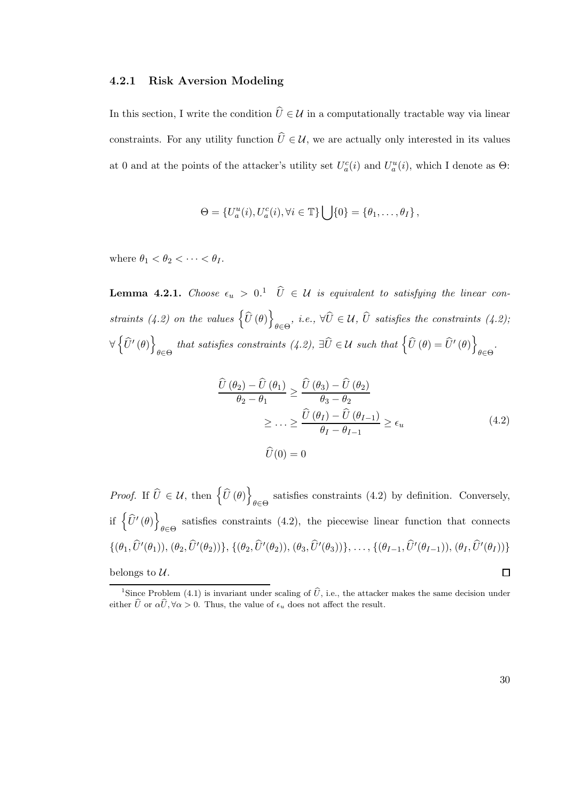#### 4.2.1 Risk Aversion Modeling

In this section, I write the condition  $\hat{U} \in \mathcal{U}$  in a computationally tractable way via linear constraints. For any utility function  $\hat{U} \in \mathcal{U}$ , we are actually only interested in its values at 0 and at the points of the attacker's utility set  $U_a^c(i)$  and  $U_a^u(i)$ , which I denote as  $\Theta$ :

$$
\Theta = \{U_a^u(i), U_a^c(i), \forall i \in \mathbb{T}\} \bigcup \{0\} = \{\theta_1, \dots, \theta_I\},\
$$

where  $\theta_1 < \theta_2 < \cdots < \theta_I$ .

**Lemma 4.2.1.** Choose  $\epsilon_u > 0.1$   $\hat{U} \in \mathcal{U}$  is equivalent to satisfying the linear constraints (4.2) on the values  $\left\{ \widehat{U}\left(\theta\right)\right\}$  $\theta \in \Theta$ , i.e.,  $\forall U \in \mathcal{U}, U$  satisfies the constraints (4.2); ∀  $\left\{ \widehat{U}'\left( \theta\right) \right\}$  $\theta \in \Theta$  that satisfies constraints (4.2),  $\exists \widehat{U} \in \mathcal{U}$  such that  $\left\{ \widehat{U}(\theta) = \widehat{U}'(\theta) \right\}$ θ∈Θ .

$$
\frac{\widehat{U}(\theta_2) - \widehat{U}(\theta_1)}{\theta_2 - \theta_1} \ge \frac{\widehat{U}(\theta_3) - \widehat{U}(\theta_2)}{\theta_3 - \theta_2}
$$
\n
$$
\ge \dots \ge \frac{\widehat{U}(\theta_I) - \widehat{U}(\theta_{I-1})}{\theta_I - \theta_{I-1}} \ge \epsilon_u
$$
\n
$$
\widehat{U}(0) = 0
$$
\n(4.2)

*Proof.* If  $\widehat{U} \in \mathcal{U}$ , then  $\left\{ \widehat{U}(\theta) \right\}$ satisfies constraints (4.2) by definition. Conversely,  $\theta \in \Theta$ if  $\left\{ \widehat{U}'(\theta) \right\}$ satisfies constraints (4.2), the piecewise linear function that connects  $\theta \in \Theta$  $\{(\theta_1, \hat{U}'(\theta_1)), (\theta_2, \hat{U}'(\theta_2))\}, \{(\theta_2, \hat{U}'(\theta_2)), (\theta_3, \hat{U}'(\theta_3))\}, \ldots, \{(\theta_{I-1}, \hat{U}'(\theta_{I-1})), (\theta_I, \hat{U}'(\theta_I))\}\$ belongs to  $\mathcal{U}$ .  $\Box$ 

<sup>&</sup>lt;sup>1</sup>Since Problem (4.1) is invariant under scaling of  $\hat{U}$ , i.e., the attacker makes the same decision under either  $\hat{U}$  or  $\alpha \hat{U}$ ,  $\forall \alpha > 0$ . Thus, the value of  $\epsilon_u$  does not affect the result.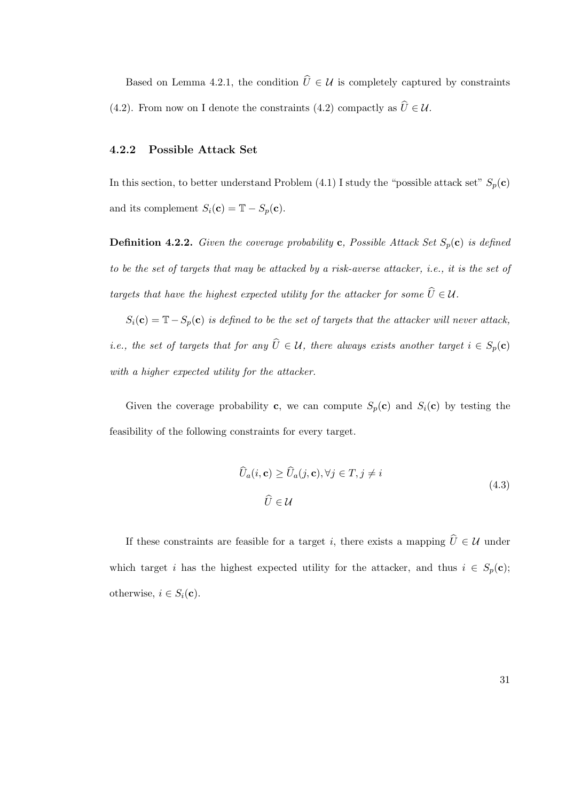Based on Lemma 4.2.1, the condition  $\hat{U} \in \mathcal{U}$  is completely captured by constraints (4.2). From now on I denote the constraints (4.2) compactly as  $\hat{U} \in \mathcal{U}$ .

#### 4.2.2 Possible Attack Set

In this section, to better understand Problem (4.1) I study the "possible attack set"  $S_p(c)$ and its complement  $S_i(\mathbf{c}) = \mathbb{T} - S_p(\mathbf{c})$ .

**Definition 4.2.2.** Given the coverage probability c, Possible Attack Set  $S_p(c)$  is defined to be the set of targets that may be attacked by a risk-averse attacker, i.e., it is the set of targets that have the highest expected utility for the attacker for some  $\widehat{U} \in \mathcal{U}$ .

 $S_i(c) = T - S_p(c)$  is defined to be the set of targets that the attacker will never attack, i.e., the set of targets that for any  $\hat{U} \in \mathcal{U}$ , there always exists another target  $i \in S_p(\mathbf{c})$ with a higher expected utility for the attacker.

Given the coverage probability c, we can compute  $S_p(c)$  and  $S_i(c)$  by testing the feasibility of the following constraints for every target.

$$
\widehat{U}_a(i, \mathbf{c}) \ge \widehat{U}_a(j, \mathbf{c}), \forall j \in T, j \ne i
$$
\n
$$
\widehat{U} \in \mathcal{U}
$$
\n(4.3)

If these constraints are feasible for a target i, there exists a mapping  $\hat{U} \in \mathcal{U}$  under which target i has the highest expected utility for the attacker, and thus  $i \in S_p(c)$ ; otherwise,  $i \in S_i(\mathbf{c})$ .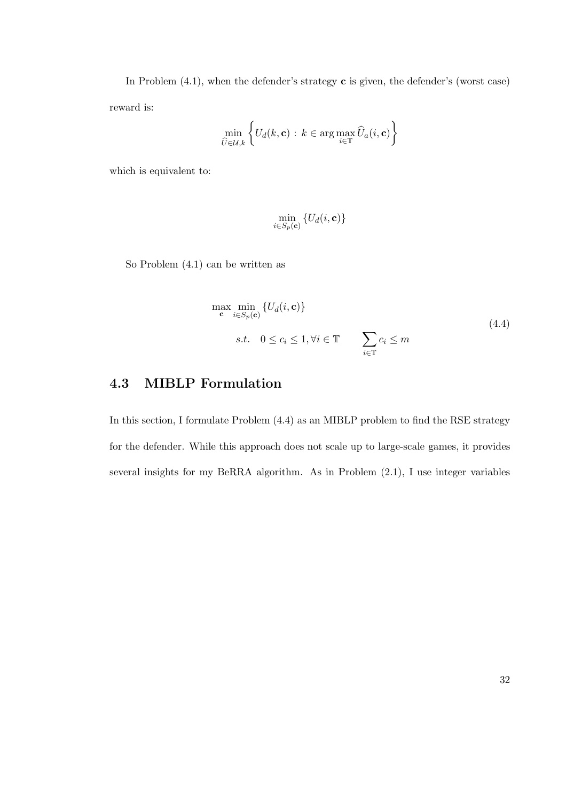In Problem  $(4.1)$ , when the defender's strategy **c** is given, the defender's (worst case) reward is:

$$
\min_{\widehat{U}\in\mathcal{U},k}\left\{U_d(k,\mathbf{c})\,:\,k\in\arg\max_{i\in\mathbb{T}}\widehat{U}_a(i,\mathbf{c})\right\}
$$

which is equivalent to:

$$
\min_{i \in S_p(\mathbf{c})} \left\{ U_d(i, \mathbf{c}) \right\}
$$

So Problem (4.1) can be written as

$$
\max_{\mathbf{c}} \min_{i \in S_p(\mathbf{c})} \{ U_d(i, \mathbf{c}) \}
$$
\n
$$
s.t. \quad 0 \le c_i \le 1, \forall i \in \mathbb{T} \qquad \sum_{i \in \mathbb{T}} c_i \le m
$$
\n
$$
(4.4)
$$

# 4.3 MIBLP Formulation

In this section, I formulate Problem  $(4.4)$  as an MIBLP problem to find the RSE strategy for the defender. While this approach does not scale up to large-scale games, it provides several insights for my BeRRA algorithm. As in Problem (2.1), I use integer variables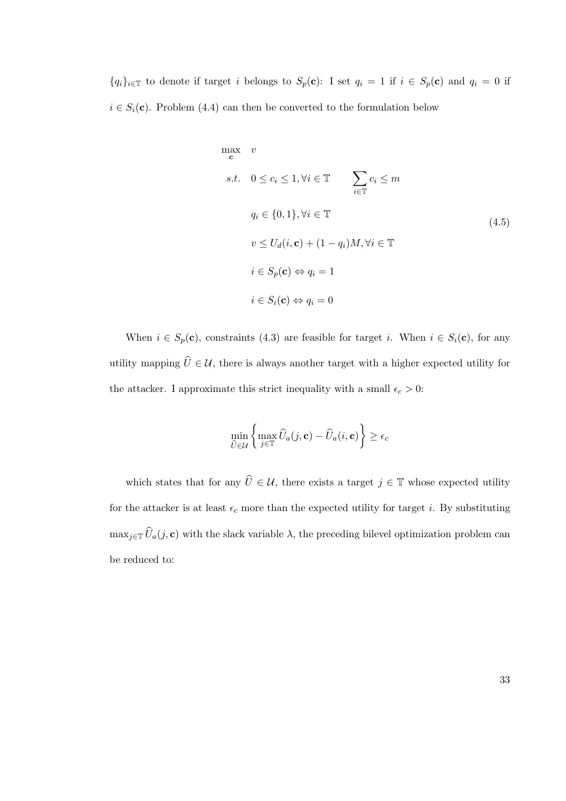${q_i}_{i \in \mathbb{T}}$  to denote if target i belongs to  $S_p(c)$ : I set  $q_i = 1$  if  $i \in S_p(c)$  and  $q_i = 0$  if  $i \in S_i(\mathbf{c})$ . Problem (4.4) can then be converted to the formulation below

$$
\max_{\mathbf{c}} \quad v
$$
\n
$$
s.t. \quad 0 \le c_i \le 1, \forall i \in \mathbb{T} \qquad \sum_{i \in \mathbb{T}} c_i \le m
$$
\n
$$
q_i \in \{0, 1\}, \forall i \in \mathbb{T} \qquad (4.5)
$$
\n
$$
v \le U_d(i, \mathbf{c}) + (1 - q_i)M, \forall i \in \mathbb{T} \qquad i \in S_p(\mathbf{c}) \Leftrightarrow q_i = 1
$$
\n
$$
i \in S_i(\mathbf{c}) \Leftrightarrow q_i = 0
$$
\n
$$
(4.5)
$$

When  $i \in S_p(\mathbf{c})$ , constraints (4.3) are feasible for target i. When  $i \in S_i(\mathbf{c})$ , for any utility mapping  $\widehat{U} \in \mathcal{U}$ , there is always another target with a higher expected utility for the attacker. I approximate this strict inequality with a small  $\epsilon_c > 0$ :

$$
\min_{\widehat{U} \in \mathcal{U}} \bigg\{\max_{j \in \mathbb{T}} \widehat{U}_a(j, \mathbf{c}) - \widehat{U}_a(i, \mathbf{c})\bigg\} \ge \epsilon_c
$$

which states that for any  $\widehat{U} \in \mathcal{U}$ , there exists a target  $j \in \mathbb{T}$  whose expected utility for the attacker is at least  $\epsilon_c$  more than the expected utility for target *i*. By substituting  $\max_{j\in\mathbb{T}}\widehat{U}_a(j,\mathbf{c})$  with the slack variable  $\lambda$ , the preceding bilevel optimization problem can be reduced to: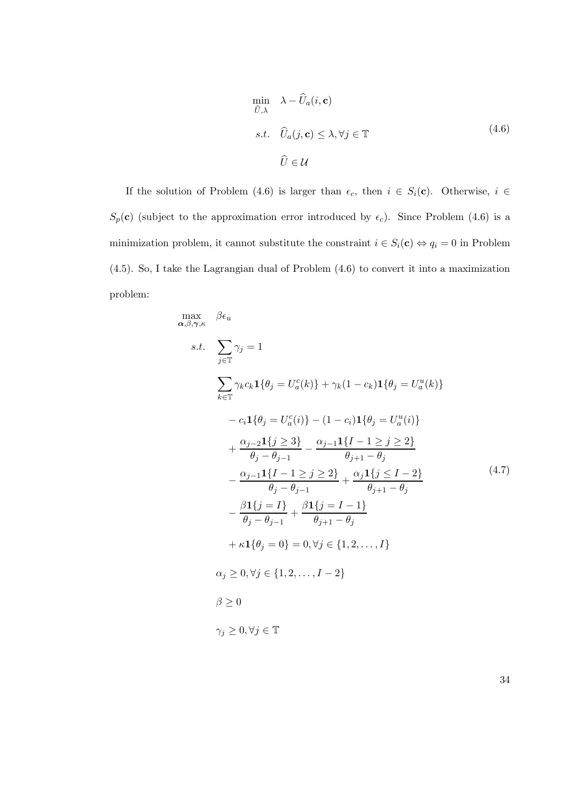$$
\min_{\widehat{U},\lambda} \lambda - \widehat{U}_a(i,\mathbf{c})
$$
\n
$$
s.t. \quad \widehat{U}_a(j,\mathbf{c}) \le \lambda, \forall j \in \mathbb{T}
$$
\n
$$
\widehat{U} \in \mathcal{U}
$$
\n(4.6)

If the solution of Problem (4.6) is larger than  $\epsilon_c$ , then  $i \in S_i(\mathbf{c})$ . Otherwise,  $i \in$  $S_p(\mathbf{c})$  (subject to the approximation error introduced by  $\epsilon_c$ ). Since Problem (4.6) is a minimization problem, it cannot substitute the constraint  $i \in S_i(\mathbf{c}) \Leftrightarrow q_i = 0$  in Problem (4.5). So, I take the Lagrangian dual of Problem (4.6) to convert it into a maximization problem:

$$
\max_{\alpha,\beta,\gamma,\kappa} \beta \epsilon_u
$$
\n
$$
s.t. \sum_{j \in \mathbb{T}} \gamma_j = 1
$$
\n
$$
\sum_{k \in \mathbb{T}} \gamma_k c_k \mathbf{1} \{ \theta_j = U_a^c(k) \} + \gamma_k (1 - c_k) \mathbf{1} \{ \theta_j = U_a^u(k) \}
$$
\n
$$
- c_i \mathbf{1} \{ \theta_j = U_a^c(i) \} - (1 - c_i) \mathbf{1} \{ \theta_j = U_a^u(i) \}
$$
\n
$$
+ \frac{\alpha_{j-2} \mathbf{1} \{ j \geq 3 \}}{\theta_j - \theta_{j-1}} - \frac{\alpha_{j-1} \mathbf{1} \{ I - 1 \geq j \geq 2 \}}{\theta_{j+1} - \theta_j}
$$
\n
$$
- \frac{\alpha_{j-1} \mathbf{1} \{ I - 1 \geq j \geq 2 \}}{\theta_j - \theta_{j-1}} + \frac{\alpha_j \mathbf{1} \{ j \leq I - 2 \}}{\theta_{j+1} - \theta_j}
$$
\n
$$
- \frac{\beta \mathbf{1} \{ j = I \}}{\theta_j - \theta_{j-1}} + \frac{\beta \mathbf{1} \{ j = I - 1 \}}{\theta_{j+1} - \theta_j}
$$
\n
$$
+ \kappa \mathbf{1} \{ \theta_j = 0 \} = 0, \forall j \in \{1, 2, ..., I\}
$$
\n
$$
\alpha_j \geq 0, \forall j \in \{1, 2, ..., I - 2 \}
$$
\n
$$
\beta \geq 0
$$
\n
$$
\gamma_j \geq 0, \forall j \in \mathbb{T}
$$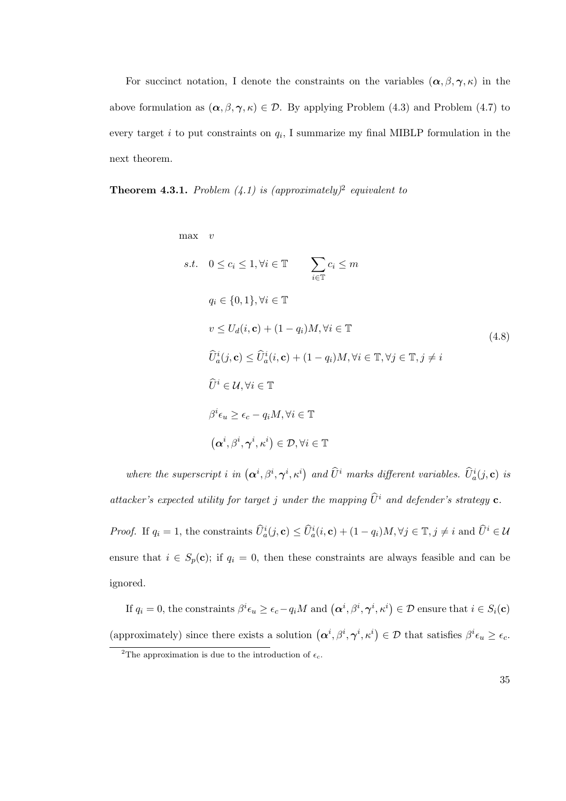For succinct notation, I denote the constraints on the variables  $(\alpha, \beta, \gamma, \kappa)$  in the above formulation as  $(\alpha, \beta, \gamma, \kappa) \in \mathcal{D}$ . By applying Problem (4.3) and Problem (4.7) to every target i to put constraints on  $q_i$ , I summarize my final MIBLP formulation in the next theorem.

**Theorem 4.3.1.** Problem  $(4.1)$  is (approximately)<sup>2</sup> equivalent to

$$
x.t. \quad 0 \leq c_i \leq 1, \forall i \in \mathbb{T} \qquad \sum_{i \in \mathbb{T}} c_i \leq m
$$
\n
$$
q_i \in \{0, 1\}, \forall i \in \mathbb{T}
$$
\n
$$
v \leq U_d(i, \mathbf{c}) + (1 - q_i)M, \forall i \in \mathbb{T} \qquad (4.8)
$$
\n
$$
\widehat{U}_a^i(j, \mathbf{c}) \leq \widehat{U}_a^i(i, \mathbf{c}) + (1 - q_i)M, \forall i \in \mathbb{T}, \forall j \in \mathbb{T}, j \neq i
$$
\n
$$
\widehat{U}^i \in \mathcal{U}, \forall i \in \mathbb{T}
$$
\n
$$
\beta^i \epsilon_u \geq \epsilon_c - q_i M, \forall i \in \mathbb{T}
$$
\n
$$
(\alpha^i, \beta^i, \gamma^i, \kappa^i) \in \mathcal{D}, \forall i \in \mathbb{T}
$$
\n
$$
(3.25)
$$
\n
$$
(4.8)
$$

where the superscript i in  $(\alpha^i, \beta^i, \gamma^i, \kappa^i)$  and  $\widehat{U}^i$  marks different variables.  $\widehat{U}_a^i(j, \mathbf{c})$  is attacker's expected utility for target j under the mapping  $\widehat{U}^i$  and defender's strategy **c**.

*Proof.* If  $q_i = 1$ , the constraints  $\widehat{U}_a^i(j, \mathbf{c}) \leq \widehat{U}_a^i(i, \mathbf{c}) + (1 - q_i)M$ ,  $\forall j \in \mathbb{T}$ ,  $j \neq i$  and  $\widehat{U}^i \in \mathcal{U}$ ensure that  $i \in S_p(c)$ ; if  $q_i = 0$ , then these constraints are always feasible and can be ignored.

If  $q_i = 0$ , the constraints  $\beta^i \epsilon_u \geq \epsilon_c - q_i M$  and  $(\boldsymbol{\alpha}^i, \beta^i, \boldsymbol{\gamma}^i, \kappa^i) \in \mathcal{D}$  ensure that  $i \in S_i(\mathbf{c})$ (approximately) since there exists a solution  $(\alpha^i, \beta^i, \gamma^i, \kappa^i) \in \mathcal{D}$  that satisfies  $\beta^i \epsilon_u \ge \epsilon_c$ .

<sup>&</sup>lt;sup>2</sup>The approximation is due to the introduction of  $\epsilon_c$ .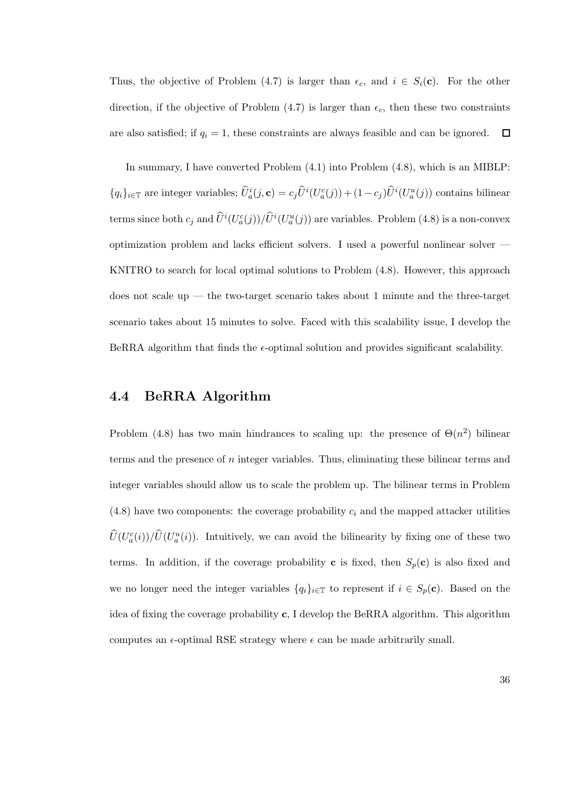Thus, the objective of Problem (4.7) is larger than  $\epsilon_c$ , and  $i \in S_i(\mathbf{c})$ . For the other direction, if the objective of Problem  $(4.7)$  is larger than  $\epsilon_c$ , then these two constraints are also satisfied; if  $q_i = 1$ , these constraints are always feasible and can be ignored.  $\Box$ 

In summary, I have converted Problem (4.1) into Problem (4.8), which is an MIBLP:  ${q_i}_{i \in \mathbb{T}}$  are integer variables;  $\hat{U}_a^i(j, \mathbf{c}) = c_j \hat{U}^i(U_a^c(j)) + (1 - c_j) \hat{U}^i(U_a^u(j))$  contains bilinear terms since both  $c_j$  and  $\hat{U}^i(U_a^c(j))/\hat{U}^i(U_a^u(j))$  are variables. Problem (4.8) is a non-convex optimization problem and lacks efficient solvers. I used a powerful nonlinear solver — KNITRO to search for local optimal solutions to Problem (4.8). However, this approach does not scale up — the two-target scenario takes about 1 minute and the three-target scenario takes about 15 minutes to solve. Faced with this scalability issue, I develop the BeRRA algorithm that finds the  $\epsilon$ -optimal solution and provides significant scalability.

# 4.4 BeRRA Algorithm

Problem (4.8) has two main hindrances to scaling up: the presence of  $\Theta(n^2)$  bilinear terms and the presence of  $n$  integer variables. Thus, eliminating these bilinear terms and integer variables should allow us to scale the problem up. The bilinear terms in Problem  $(4.8)$  have two components: the coverage probability  $c_i$  and the mapped attacker utilities  $\hat{U}(U_a^c(i))/\hat{U}(U_a^u(i))$ . Intuitively, we can avoid the bilinearity by fixing one of these two terms. In addition, if the coverage probability **c** is fixed, then  $S_p(c)$  is also fixed and we no longer need the integer variables  $\{q_i\}_{i\in\mathbb{T}}$  to represent if  $i \in S_p(\mathbf{c})$ . Based on the idea of fixing the coverage probability c, I develop the BeRRA algorithm. This algorithm computes an  $\epsilon$ -optimal RSE strategy where  $\epsilon$  can be made arbitrarily small.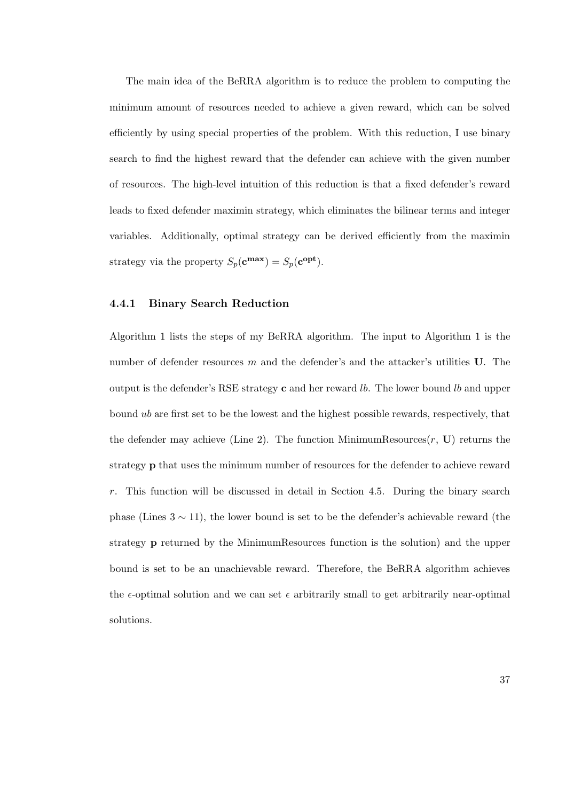The main idea of the BeRRA algorithm is to reduce the problem to computing the minimum amount of resources needed to achieve a given reward, which can be solved efficiently by using special properties of the problem. With this reduction, I use binary search to find the highest reward that the defender can achieve with the given number of resources. The high-level intuition of this reduction is that a fixed defender's reward leads to fixed defender maximin strategy, which eliminates the bilinear terms and integer variables. Additionally, optimal strategy can be derived efficiently from the maximin strategy via the property  $S_p(\mathbf{c}^{\max}) = S_p(\mathbf{c}^{\text{opt}})$ .

#### 4.4.1 Binary Search Reduction

Algorithm 1 lists the steps of my BeRRA algorithm. The input to Algorithm 1 is the number of defender resources  $m$  and the defender's and the attacker's utilities U. The output is the defender's RSE strategy  $c$  and her reward *lb*. The lower bound *lb* and upper bound ub are first set to be the lowest and the highest possible rewards, respectively, that the defender may achieve (Line 2). The function MinimumResources $(r, U)$  returns the strategy p that uses the minimum number of resources for the defender to achieve reward r. This function will be discussed in detail in Section 4.5. During the binary search phase (Lines  $3 \sim 11$ ), the lower bound is set to be the defender's achievable reward (the strategy p returned by the MinimumResources function is the solution) and the upper bound is set to be an unachievable reward. Therefore, the BeRRA algorithm achieves the  $\epsilon$ -optimal solution and we can set  $\epsilon$  arbitrarily small to get arbitrarily near-optimal solutions.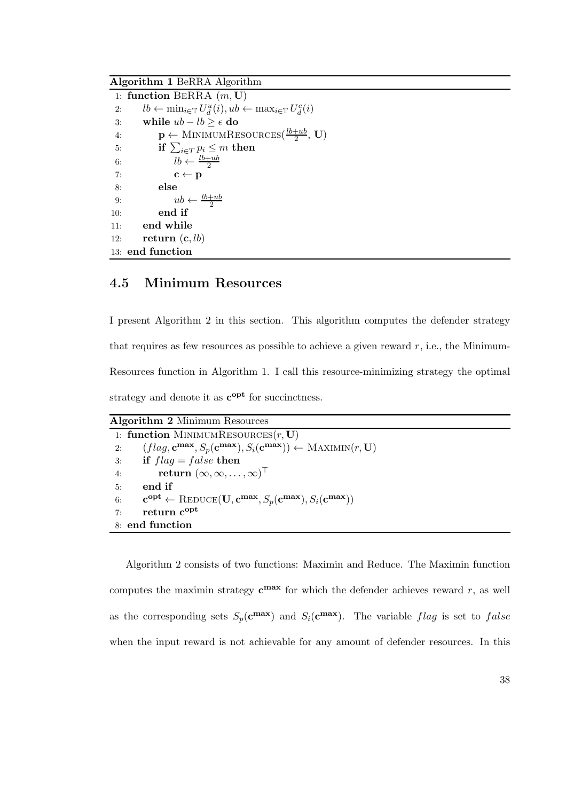Algorithm 1 BeRRA Algorithm

|     | 1: function BERRA $(m, U)$                                                                       |
|-----|--------------------------------------------------------------------------------------------------|
| 2:  | $lb \leftarrow \min_{i \in \mathbb{T}} U_d^u(i), ub \leftarrow \max_{i \in \mathbb{T}} U_d^c(i)$ |
| 3:  | while $ub - lb > \epsilon$ do                                                                    |
| 4:  | $\mathbf{p} \leftarrow$ MINIMUMRESOURCES $(\frac{lb+ub}{2}, \mathbf{U})$                         |
| 5:  | if $\sum_{i \in T} p_i \leq m$ then                                                              |
| 6:  | $lb \leftarrow \frac{lb+ub}{2}$                                                                  |
| 7:  | $\mathbf{c} \leftarrow \mathbf{p}$                                                               |
| 8:  | else                                                                                             |
| 9:  | $ub \leftarrow \frac{lb+ub}{2}$                                                                  |
| 10: | end if                                                                                           |
| 11: | end while                                                                                        |
| 12: | return $(c, lb)$                                                                                 |
|     | 13: end function                                                                                 |

# 4.5 Minimum Resources

I present Algorithm 2 in this section. This algorithm computes the defender strategy that requires as few resources as possible to achieve a given reward  $r$ , i.e., the Minimum-Resources function in Algorithm 1. I call this resource-minimizing strategy the optimal strategy and denote it as  $c^{opt}$  for succinctness.

Algorithm 2 Minimum Resources

| 1: function MINIMUMRESOURCES $(r, U)$                                                                                                                     |
|-----------------------------------------------------------------------------------------------------------------------------------------------------------|
| $(flag, \mathbf{c}^{\max}, S_p(\mathbf{c}^{\max}), S_i(\mathbf{c}^{\max})) \leftarrow \text{MAXIMIN}(r, \mathbf{U})$<br>2:                                |
| if $flag = false$ then<br>3:                                                                                                                              |
| return $(\infty, \infty, \ldots, \infty)$<br>4:                                                                                                           |
| end if<br>5:                                                                                                                                              |
| $\mathbf{c}^{\text{opt}} \leftarrow \text{REDUCE}(\mathbf{U}, \mathbf{c}^{\text{max}}, S_p(\mathbf{c}^{\text{max}}), S_i(\mathbf{c}^{\text{max}}))$<br>6: |
| return c <sup>opt</sup><br>7:                                                                                                                             |
| 8: end function                                                                                                                                           |

Algorithm 2 consists of two functions: Maximin and Reduce. The Maximin function computes the maximin strategy  $c^{max}$  for which the defender achieves reward r, as well as the corresponding sets  $S_p(\mathbf{c}^{\max})$  and  $S_i(\mathbf{c}^{\max})$ . The variable flag is set to false when the input reward is not achievable for any amount of defender resources. In this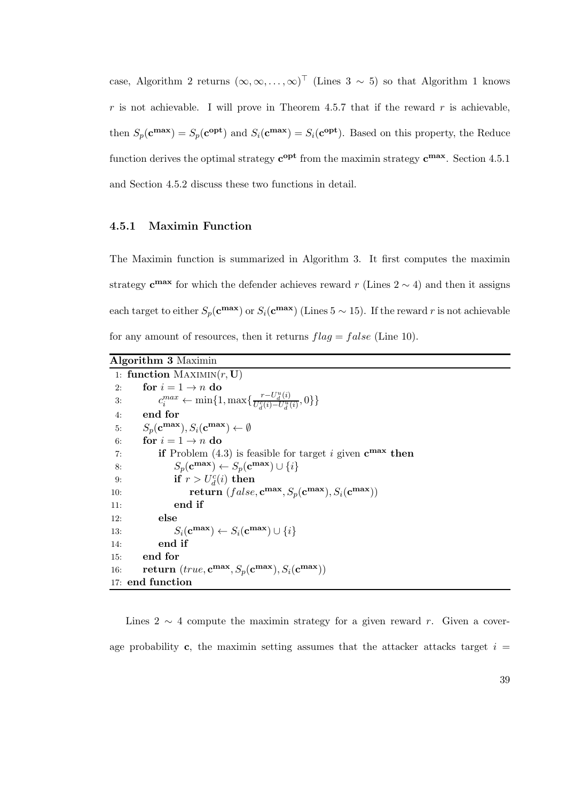case, Algorithm 2 returns  $(\infty, \infty, ..., \infty)^\top$  (Lines 3 ~ 5) so that Algorithm 1 knows  $r$  is not achievable. I will prove in Theorem 4.5.7 that if the reward  $r$  is achievable, then  $S_p(\mathbf{c}^{\max}) = S_p(\mathbf{c}^{\text{opt}})$  and  $S_i(\mathbf{c}^{\max}) = S_i(\mathbf{c}^{\text{opt}})$ . Based on this property, the Reduce function derives the optimal strategy  $c^{opt}$  from the maximin strategy  $c^{max}$ . Section 4.5.1 and Section 4.5.2 discuss these two functions in detail.

#### 4.5.1 Maximin Function

The Maximin function is summarized in Algorithm 3. It first computes the maximin strategy  $c^{max}$  for which the defender achieves reward r (Lines 2  $\sim$  4) and then it assigns each target to either  $S_p(\mathbf{c}^{\max})$  or  $S_i(\mathbf{c}^{\max})$  (Lines 5 ~ 15). If the reward r is not achievable for any amount of resources, then it returns  $flag = false$  (Line 10).

| <b>Algorithm 3 Maximin</b>                                                                   |  |  |  |  |
|----------------------------------------------------------------------------------------------|--|--|--|--|
| 1: function $MAXIMIN(r, U)$                                                                  |  |  |  |  |
| for $i = 1 \rightarrow n$ do<br>2:                                                           |  |  |  |  |
| $c_i^{max} \leftarrow \min\{1, \max\{\frac{r - U_d^u(i)}{U_d^c(i) - U_u^u(i)}, 0\}\}\$<br>3: |  |  |  |  |
| end for<br>4:                                                                                |  |  |  |  |
| $S_p(\mathbf{c}^{\max}), S_i(\mathbf{c}^{\max}) \leftarrow \emptyset$<br>5:                  |  |  |  |  |
| for $i = 1 \rightarrow n$ do<br>6:                                                           |  |  |  |  |
| <b>if</b> Problem $(4.3)$ is feasible for target i given $c^{max}$ then<br>7:                |  |  |  |  |
| $S_p(\mathbf{c}^{\max}) \leftarrow S_p(\mathbf{c}^{\max}) \cup \{i\}$<br>8:                  |  |  |  |  |
| if $r > U_d^c(i)$ then<br>9:                                                                 |  |  |  |  |
| return $(false, \mathbf{c}^{\max}, S_p(\mathbf{c}^{\max}), S_i(\mathbf{c}^{\max}))$<br>10:   |  |  |  |  |
| end if<br>11:                                                                                |  |  |  |  |
| else<br>12:                                                                                  |  |  |  |  |
| $S_i(\mathbf{c}^{\max}) \leftarrow S_i(\mathbf{c}^{\max}) \cup \{i\}$<br>13:                 |  |  |  |  |
| end if<br>14:                                                                                |  |  |  |  |
| end for<br>15:                                                                               |  |  |  |  |
| return $(true, c^{max}, S_p(c^{max}), S_i(c^{max}))$<br>16:                                  |  |  |  |  |
| 17: end function                                                                             |  |  |  |  |

Lines 2  $\sim$  4 compute the maximin strategy for a given reward r. Given a coverage probability c, the maximin setting assumes that the attacker attacks target  $i =$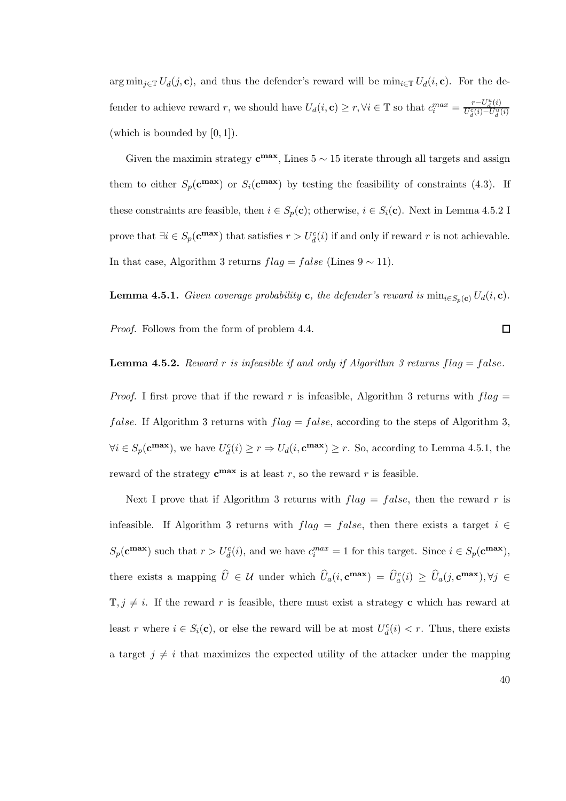arg min<sub>j∈T</sub>  $U_d(j, c)$ , and thus the defender's reward will be min<sub>i∈T</sub>  $U_d(i, c)$ . For the defender to achieve reward r, we should have  $U_d(i, \mathbf{c}) \ge r, \forall i \in \mathbb{T}$  so that  $c_i^{max} = \frac{r - U_d^u(i)}{U_d^c(i) - U_d^u(i)}$  $U_d^c(i) - U_d^u(i)$ (which is bounded by [0, 1]).

Given the maximin strategy  $c^{max}$ , Lines  $5 \sim 15$  iterate through all targets and assign them to either  $S_p(\mathbf{c}^{\max})$  or  $S_i(\mathbf{c}^{\max})$  by testing the feasibility of constraints (4.3). If these constraints are feasible, then  $i \in S_p(\mathbf{c})$ ; otherwise,  $i \in S_i(\mathbf{c})$ . Next in Lemma 4.5.2 I prove that  $\exists i \in S_p(\mathbf{c}^{\max})$  that satisfies  $r > U_d^c(i)$  if and only if reward r is not achievable. In that case, Algorithm 3 returns  $flag = false$  (Lines  $9 \sim 11$ ).

**Lemma 4.5.1.** Given coverage probability **c**, the defender's reward is  $\min_{i \in S_n(\mathbf{c})} U_d(i, \mathbf{c})$ .

Proof. Follows from the form of problem 4.4.

**Lemma 4.5.2.** Reward r is infeasible if and only if Algorithm 3 returns  $flag = false$ .

*Proof.* I first prove that if the reward r is infeasible, Algorithm 3 returns with  $flag =$ *false.* If Algorithm 3 returns with  $flag = false$ , according to the steps of Algorithm 3,  $\forall i \in S_p(\mathbf{c}^{\max})$ , we have  $U_d^c(i) \geq r \Rightarrow U_d(i, \mathbf{c}^{\max}) \geq r$ . So, according to Lemma 4.5.1, the reward of the strategy  $c^{max}$  is at least r, so the reward r is feasible.

Next I prove that if Algorithm 3 returns with  $flag = false$ , then the reward r is infeasible. If Algorithm 3 returns with  $flag = false$ , then there exists a target  $i \in$  $S_p(\mathbf{c}^{\max})$  such that  $r > U_d^c(i)$ , and we have  $c_i^{max} = 1$  for this target. Since  $i \in S_p(\mathbf{c}^{\max})$ , there exists a mapping  $\hat{U} \in \mathcal{U}$  under which  $\hat{U}_a(i, \mathbf{c}^{\max}) = \hat{U}_a^c(i) \geq \hat{U}_a(j, \mathbf{c}^{\max}), \forall j \in \mathcal{U}$  $\mathbb{T}, j \neq i$ . If the reward r is feasible, there must exist a strategy **c** which has reward at least r where  $i \in S_i(\mathbf{c})$ , or else the reward will be at most  $U_d^c(i) < r$ . Thus, there exists a target  $j \neq i$  that maximizes the expected utility of the attacker under the mapping

 $\Box$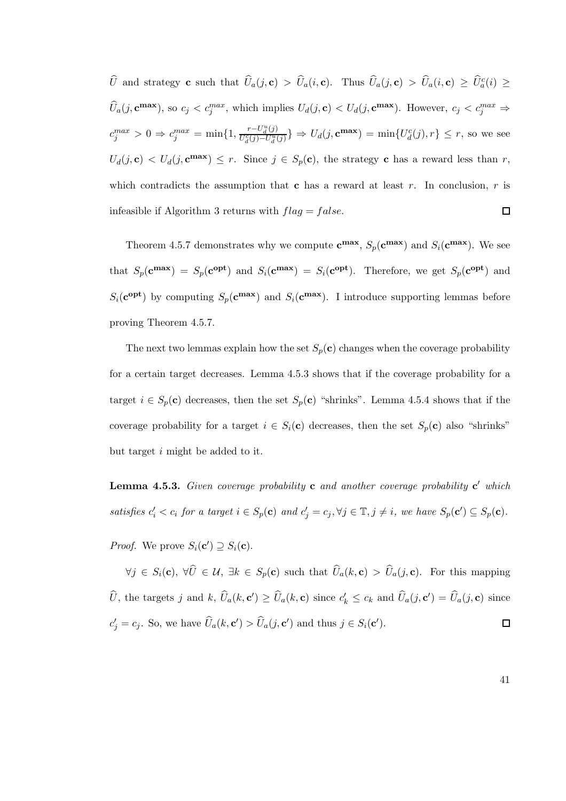$\hat{U}$  and strategy **c** such that  $\hat{U}_a(j, \mathbf{c}) > \hat{U}_a(i, \mathbf{c})$ . Thus  $\hat{U}_a(j, \mathbf{c}) > \hat{U}_a(i, \mathbf{c}) \geq \hat{U}_a^c(i) \geq \hat{U}_a^c(i)$  $\widehat{U}_a(j, \mathbf{c}^{\max})$ , so  $c_j < c_j^{max}$ , which implies  $U_d(j, \mathbf{c}) < U_d(j, \mathbf{c}^{\max})$ . However,  $c_j < c_j^{max} \Rightarrow$  $c_j^{max} > 0 \Rightarrow c_j^{max} = \min\{1, \frac{r - U_d^u(j)}{U_d^c(j) - U_d^u(j)}\}$  $\frac{r-U_d^u(j)}{U_d^c(j)-U_d^u(j)}$   $\Rightarrow$   $U_d(j, \mathbf{c}^{\max}) = \min\{U_d^c(j), r\} \leq r$ , so we see  $U_d(j, \mathbf{c}) \langle U_d(j, \mathbf{c}^{\max}) \rangle \leq r$ . Since  $j \in S_p(\mathbf{c})$ , the strategy c has a reward less than r, which contradicts the assumption that c has a reward at least  $r$ . In conclusion,  $r$  is infeasible if Algorithm 3 returns with  $flag = false$ .  $\Box$ 

Theorem 4.5.7 demonstrates why we compute  $c^{max}$ ,  $S_p(c^{max})$  and  $S_i(c^{max})$ . We see that  $S_p(\mathbf{c}^{\mathbf{max}}) = S_p(\mathbf{c}^{\mathbf{opt}})$  and  $S_i(\mathbf{c}^{\mathbf{max}}) = S_i(\mathbf{c}^{\mathbf{opt}})$ . Therefore, we get  $S_p(\mathbf{c}^{\mathbf{opt}})$  and  $S_i(\mathbf{c}^{\text{opt}})$  by computing  $S_p(\mathbf{c}^{\text{max}})$  and  $S_i(\mathbf{c}^{\text{max}})$ . I introduce supporting lemmas before proving Theorem 4.5.7.

The next two lemmas explain how the set  $S_p(c)$  changes when the coverage probability for a certain target decreases. Lemma 4.5.3 shows that if the coverage probability for a target  $i \in S_p(\mathbf{c})$  decreases, then the set  $S_p(\mathbf{c})$  "shrinks". Lemma 4.5.4 shows that if the coverage probability for a target  $i \in S_i(\mathbf{c})$  decreases, then the set  $S_p(\mathbf{c})$  also "shrinks" but target i might be added to it.

**Lemma 4.5.3.** Given coverage probability **c** and another coverage probability **c**' which satisfies  $c'_i < c_i$  for a target  $i \in S_p(c)$  and  $c'_j = c_j, \forall j \in \mathbb{T}, j \neq i$ , we have  $S_p(c') \subseteq S_p(c)$ .

*Proof.* We prove  $S_i(\mathbf{c}') \supseteq S_i(\mathbf{c})$ .

 $\forall j \in S_i(\mathbf{c}), \ \forall \widehat{U} \in \mathcal{U}, \ \exists k \in S_p(\mathbf{c}) \ \text{such that} \ \widehat{U}_a(k, \mathbf{c}) > \widehat{U}_a(j, \mathbf{c}).$  For this mapping  $\hat{U}$ , the targets j and k,  $\hat{U}_a(k, \mathbf{c}') \ge \hat{U}_a(k, \mathbf{c})$  since  $c'_k \le c_k$  and  $\hat{U}_a(j, \mathbf{c}') = \hat{U}_a(j, \mathbf{c})$  since  $c'_j = c_j$ . So, we have  $\widehat{U}_a(k, \mathbf{c}') > \widehat{U}_a(j, \mathbf{c}')$  and thus  $j \in S_i(\mathbf{c}')$ .  $\Box$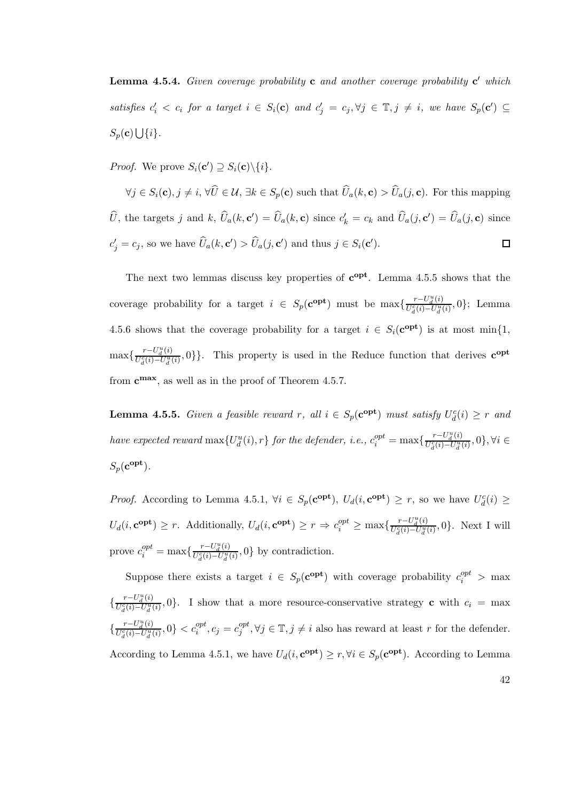**Lemma 4.5.4.** Given coverage probability **c** and another coverage probability **c**' which satisfies  $c'_i < c_i$  for a target  $i \in S_i(\mathbf{c})$  and  $c'_j = c_j, \forall j \in \mathbb{T}, j \neq i$ , we have  $S_p(\mathbf{c}') \subseteq$  $S_p(\mathbf{c}) \bigcup \{i\}.$ 

*Proof.* We prove  $S_i(\mathbf{c}') \supseteq S_i(\mathbf{c}) \setminus \{i\}.$ 

 $\forall j \in S_i(\mathbf{c}), j \neq i, \forall \widehat{U} \in \mathcal{U}, \exists k \in S_p(\mathbf{c}) \text{ such that } \widehat{U}_a(k, \mathbf{c}) > \widehat{U}_a(j, \mathbf{c})$ . For this mapping  $\hat{U}$ , the targets j and k,  $\hat{U}_a(k, \mathbf{c}') = \hat{U}_a(k, \mathbf{c})$  since  $c'_k = c_k$  and  $\hat{U}_a(j, \mathbf{c}') = \hat{U}_a(j, \mathbf{c})$  since  $c'_j = c_j$ , so we have  $\widehat{U}_a(k, \mathbf{c}') > \widehat{U}_a(j, \mathbf{c}')$  and thus  $j \in S_i(\mathbf{c}')$ .  $\Box$ 

The next two lemmas discuss key properties of  $c^{opt}$ . Lemma 4.5.5 shows that the coverage probability for a target  $i \in S_p(\mathbf{c}^{\text{opt}})$  must be  $\max\{\frac{r-U_d^u(i)}{U_d^c(i)-U_d^u(i)}\}$  $\frac{U_c^{C}(i)-U_d^{u}(i)}{U_d^{C}(i)-U_d^{u}(i)}, 0$ ; Lemma 4.5.6 shows that the coverage probability for a target  $i \in S_i(\mathbf{c}^{\text{opt}})$  is at most min $\{1,$  $\max\{\frac{r-U_d^u(i)}{U_d^c(i)-U_d^u(i)}\}$  $\frac{r-U_d^u(i)}{U_d^c(i)-U_d^u(i)},0$ . This property is used in the Reduce function that derives  $\mathbf{c}^{\text{opt}}$ from  $c^{max}$ , as well as in the proof of Theorem 4.5.7.

**Lemma 4.5.5.** Given a feasible reward r, all  $i \in S_p(\mathbf{c}^{\text{opt}})$  must satisfy  $U_d^c(i) \geq r$  and have expected reward  $\max\{U_d^u(i), r\}$  for the defender, i.e.,  $c_i^{opt} = \max\{\frac{r-U_d^u(i)}{U_d^c(i)-U_d^u(i)}\}$  $\frac{U_c^c(i)-U_d^u(i)}{U_d^c(i)-U_d^u(i)}, 0\}, \forall i \in$  $S_p(\mathbf{c^{opt}}).$ 

*Proof.* According to Lemma 4.5.1,  $\forall i \in S_p(\mathbf{c}^{\text{opt}}), U_d(i, \mathbf{c}^{\text{opt}}) \geq r$ , so we have  $U_d^c(i) \geq$  $U_d(i, \mathbf{c}^{\text{opt}}) \geq r$ . Additionally,  $U_d(i, \mathbf{c}^{\text{opt}}) \geq r \Rightarrow c_i^{opt} \geq \max\{\frac{r - U_d^u(i)}{U_d^c(i) - U_d^u(i)}\}$  $\frac{U^{\text{C}}_{d}(i)-U^{\text{u}}_{d}(i)}{U^{\text{c}}_{d}(i)-U^{\text{u}}_{d}(i)}, 0$ . Next I will prove  $c_i^{opt} = \max\{\frac{r-U_d^u(i)}{U_d^c(i)-U_d^u(i)}\}$  $\frac{U_c^-(t)}{U_d^-(t)}$ ,  $0$ } by contradiction.

Suppose there exists a target  $i \in S_p(\mathbf{c}^{\text{opt}})$  with coverage probability  $c_i^{opt} > \max$ {  $r-U_d^u(i)$  $U_{\overline{U}_d^a(i)-U_d^u(i)}^{(i)},0$ . I show that a more resource-conservative strategy **c** with  $c_i = \max_{i}$  $\{\frac{r-U_d^u(i)}{U_d^c(i)-U_d^u(i)}\}$  $\frac{r-U_d^u(i)}{U_d^c(i)-U_d^u(i)}, 0$   $\langle c_i^{opt}, c_j = c_j^{opt}$  $j^{opt}, \forall j \in \mathbb{T}, j \neq i$  also has reward at least r for the defender. According to Lemma 4.5.1, we have  $U_d(i, \mathbf{c}^{\text{opt}}) \ge r, \forall i \in S_p(\mathbf{c}^{\text{opt}})$ . According to Lemma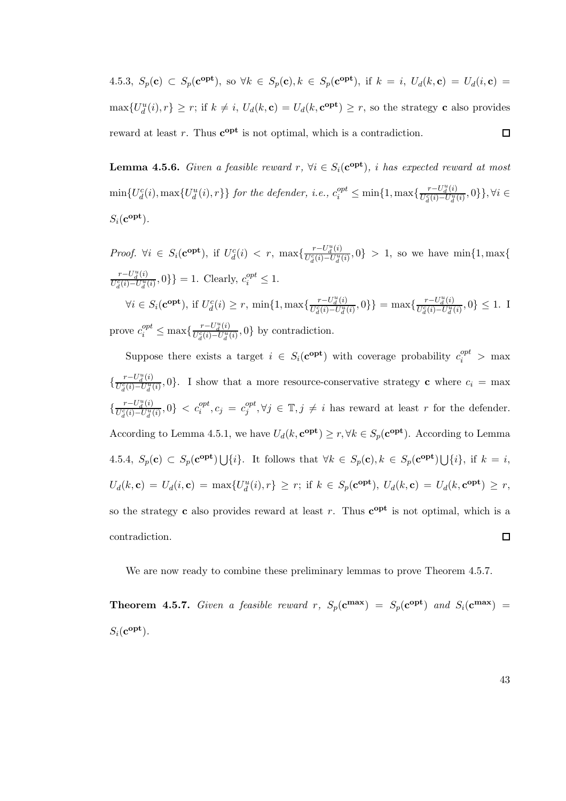4.5.3,  $S_p(\mathbf{c}) \subset S_p(\mathbf{c}^{\text{opt}})$ , so  $\forall k \in S_p(\mathbf{c})$ ,  $k \in S_p(\mathbf{c}^{\text{opt}})$ , if  $k = i$ ,  $U_d(k, \mathbf{c}) = U_d(i, \mathbf{c}) =$  $\max\{U_d^u(i), r\} \geq r$ ; if  $k \neq i$ ,  $U_d(k, \mathbf{c}) = U_d(k, \mathbf{c}^{\text{opt}}) \geq r$ , so the strategy **c** also provides reward at least r. Thus  $c^{opt}$  is not optimal, which is a contradiction.  $\Box$ 

**Lemma 4.5.6.** Given a feasible reward  $r$ ,  $\forall i \in S_i(\mathbf{c}^{\text{opt}})$ , i has expected reward at most  $\min\{U_d^c(i), \max\{U_d^u(i), r\}\}\$  for the defender, i.e.,  $c_i^{opt} \leq \min\{1, \max\{\frac{r-U_d^u(i)}{U_d^c(i)-U_d^u(i)}\}$  $\{\frac{U_{d}^{c}(i)-U_{d}^{u}(i)}{U_{d}^{c}(i)-U_{d}^{u}(i)},0\}\}\$ ,  $\forall i \in$  $S_i({\bf c^{opt}}).$ 

*Proof.*  $\forall i \in S_i(\mathbf{c}^{\text{opt}})$ , if  $U_d^c(i) < r$ ,  $\max\{\frac{r-U_d^u(i)}{U_d^c(i)-U_d^u(i)}\}$  $\{U_{d}^{-1}(i) - U_{d}^{u}(i), 0\} > 1$ , so we have min{1, max{  $r-U_d^u(i)$  $\frac{r-U_d^u(i)}{U_d^c(i)-U_d^u(i)}, 0$ } = 1. Clearly,  $c_i^{opt} \leq 1$ .  $\forall i \in S_i(\mathbf{c}^{\text{opt}}), \text{ if } U_d^c(i) \geq r, \min\{1, \max\{\frac{r-U_d^u(i)}{U_d^c(i)-U_d^u(i)}\}\}$  $\frac{r-U_d^u(i)}{U_d^c(i)-U_d^u(i)},0$  } = max $\{\frac{r-U_d^u(i)}{U_d^c(i)-U_d^u(i)}\}$  $\frac{U_c^C(i)-U_d^u(i)}{U_d^c(i)-U_d^u(i)}, 0$   $\leq 1$ . I prove  $c_i^{opt} \le \max\{\frac{r-U_d^u(i)}{U_d^c(i)-U_d^u(i)}\}$  $\frac{U_c - U_d(v)}{U_d^2(i) - U_d^u(i)}$ , 0} by contradiction.

Suppose there exists a target  $i \in S_i(\mathbf{c}^{\text{opt}})$  with coverage probability  $c_i^{opt} > \max$  $r-U_d^u(i)$  $U_{\overline{U}_d^a(i)-U_d^u(i)}^{(i)},0$ . I show that a more resource-conservative strategy **c** where  $c_i = \max$ {  $r-U_d^u(i)$  $\frac{r-U_d^u(i)}{U_d^c(i)-U_d^u(i)}, 0$   $\langle c_i^{opt}, c_j = c_j^{opt}$  $j^{opt}, \forall j \in \mathbb{T}, j \neq i$  has reward at least r for the defender. { According to Lemma 4.5.1, we have  $U_d(k, \mathbf{c}^{\text{opt}}) \ge r, \forall k \in S_p(\mathbf{c}^{\text{opt}})$ . According to Lemma 4.5.4,  $S_p(\mathbf{c}) \subset S_p(\mathbf{c}^{\text{opt}}) \bigcup \{i\}.$  It follows that  $\forall k \in S_p(\mathbf{c}), k \in S_p(\mathbf{c}^{\text{opt}}) \bigcup \{i\},\$ if  $k = i$ ,  $U_d(k, \mathbf{c}) = U_d(i, \mathbf{c}) = \max\{U_d^u(i), r\} \ge r$ ; if  $k \in S_p(\mathbf{c}^{\text{opt}})$ ,  $U_d(k, \mathbf{c}) = U_d(k, \mathbf{c}^{\text{opt}}) \ge r$ , so the strategy **c** also provides reward at least r. Thus  $c^{opt}$  is not optimal, which is a contradiction.  $\Box$ 

We are now ready to combine these preliminary lemmas to prove Theorem 4.5.7.

**Theorem 4.5.7.** Given a feasible reward r,  $S_p(c^{max}) = S_p(c^{opt})$  and  $S_i(c^{max}) =$  $S_i({\bf c^{opt}}).$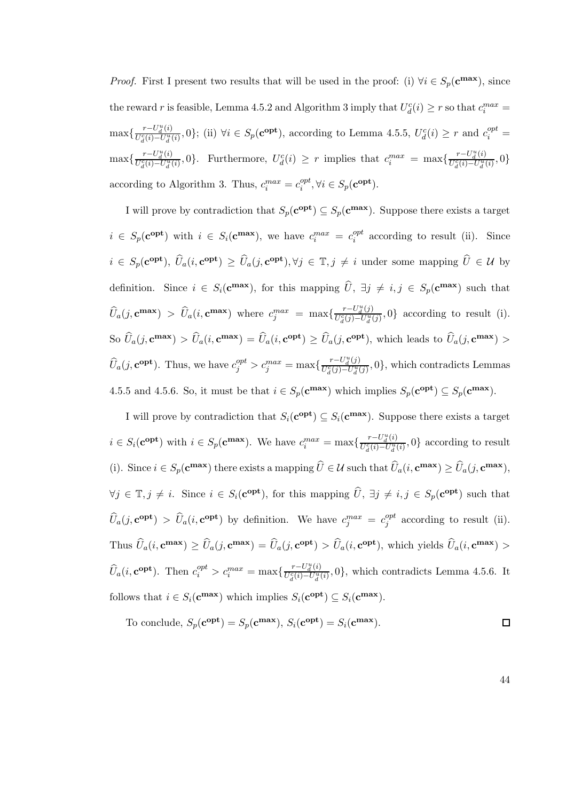*Proof.* First I present two results that will be used in the proof: (i)  $\forall i \in S_p(\mathbf{c}^{\max})$ , since the reward r is feasible, Lemma 4.5.2 and Algorithm 3 imply that  $U_d^c(i) \ge r$  so that  $c_i^{max} =$  $\max\{\frac{r-U_d^u(i)}{U_d^c(i)-U_d^u(i)}\}$  $\frac{r-U_d^u(i)}{U_d^c(i)-U_d^u(i)}, 0$ ; (ii)  $\forall i \in S_p(\mathbf{c}^{\text{opt}})$ , according to Lemma 4.5.5,  $U_d^c(i) \geq r$  and  $c_i^{opt} =$  $\max\{\frac{r-U_d^u(i)}{U_d^c(i)-U_d^u(i)}\}$  $\frac{r-U_d^u(i)}{U_d^c(i)-U_d^u(i)},0$ . Furthermore,  $U_d^c(i) \geq r$  implies that  $c_i^{max} = \max\{\frac{r-U_d^u(i)}{U_d^c(i)-U_d^u(i)}\}$  $\frac{U_c^c(i)-U_d^u(i)}{U_d^c(i)-U_d^u(i)}, 0\}$ according to Algorithm 3. Thus,  $c_i^{max} = c_i^{opt}$  $_{i}^{opt}, \forall i \in S_p(\mathbf{c}^{\textbf{opt}}).$ 

I will prove by contradiction that  $S_p(\mathbf{c}^{\text{opt}}) \subseteq S_p(\mathbf{c}^{\text{max}})$ . Suppose there exists a target  $i \in S_p(\mathbf{c}^{\text{opt}})$  with  $i \in S_i(\mathbf{c}^{\text{max}})$ , we have  $c_i^{max} = c_i^{opt}$  $i_i^{opt}$  according to result (ii). Since  $i \in S_p(\mathbf{c}^{\text{opt}}), \ \hat{U}_a(i, \mathbf{c}^{\text{opt}}) \geq \hat{U}_a(j, \mathbf{c}^{\text{opt}}), \forall j \in \mathbb{T}, j \neq i$  under some mapping  $\hat{U} \in \mathcal{U}$  by definition. Since  $i \in S_i(\mathbf{c}^{\max})$ , for this mapping  $\widehat{U}$ ,  $\exists j \neq i, j \in S_p(\mathbf{c}^{\max})$  such that  $\widehat{U}_a(j, \mathbf{c}^{\max}) > \widehat{U}_a(i, \mathbf{c}^{\max})$  where  $c_j^{max} = \max\{\frac{r-U_d^u(j)}{U_d^c(j)-U_d^u(j)}\}$  $\{U_q^{-1}$  $U_q^{u}(j)$  $-U_q^{u}(j)$ , 0} according to result (i). So  $\widehat{U}_a(j, \mathbf{c}^{\max}) > \widehat{U}_a(i, \mathbf{c}^{\max}) = \widehat{U}_a(i, \mathbf{c}^{\text{opt}}) \ge \widehat{U}_a(j, \mathbf{c}^{\text{opt}})$ , which leads to  $\widehat{U}_a(j, \mathbf{c}^{\max}) >$  $\widehat{U}_a(j, \mathbf{c}^{\text{opt}})$ . Thus, we have  $c_j^{opt} > c_j^{max} = \max\{\frac{r-U_d^u(j)}{U_d^c(j)-U_d^u(j)}\}$  $\frac{U - U_d(U)}{U_d^c(j) - U_d^u(j)}, 0$ , which contradicts Lemmas 4.5.5 and 4.5.6. So, it must be that  $i \in S_p(\mathbf{c}^{\max})$  which implies  $S_p(\mathbf{c}^{\text{opt}}) \subseteq S_p(\mathbf{c}^{\max})$ .

I will prove by contradiction that  $S_i(\mathbf{c}^{\text{opt}}) \subseteq S_i(\mathbf{c}^{\text{max}})$ . Suppose there exists a target  $i \in S_i(\mathbf{c}^{\text{opt}})$  with  $i \in S_p(\mathbf{c}^{\text{max}})$ . We have  $c_i^{max} = \max\{\frac{r-U_d^u(i)}{U_d^c(i)-U_d^u(i)}\}$  $\frac{U - U_d(v)}{U_d^c(i) - U_d^u(i)}$ , 0} according to result (i). Since  $i \in S_p(\mathbf{c}^{\max})$  there exists a mapping  $\widehat{U} \in \mathcal{U}$  such that  $\widehat{U}_a(i, \mathbf{c}^{\max}) \geq \widehat{U}_a(j, \mathbf{c}^{\max}),$  $\forall j \in \mathbb{T}, j \neq i$ . Since  $i \in S_i(\mathbf{c}^{\text{opt}})$ , for this mapping  $\widehat{U}$ ,  $\exists j \neq i, j \in S_p(\mathbf{c}^{\text{opt}})$  such that  $\widehat{U}_a(j, \mathbf{c^{opt}}) > \widehat{U}_a(i, \mathbf{c^{opt}})$  by definition. We have  $c_j^{max} = c_j^{opt}$  $_{j}^{opt}$  according to result (ii). Thus  $\widehat{U}_a(i, \mathbf{c}^{\max}) \ge \widehat{U}_a(j, \mathbf{c}^{\max}) = \widehat{U}_a(j, \mathbf{c}^{\text{opt}}) > \widehat{U}_a(i, \mathbf{c}^{\text{opt}})$ , which yields  $\widehat{U}_a(i, \mathbf{c}^{\max}) >$  $\widehat{U}_a(i, \mathbf{c^{opt}})$ . Then  $c_i^{opt} > c_i^{max} = \max\{\frac{r-U_d^u(i)}{U_d^c(i)-U_d^u(i)}\}$  $\frac{U - U_d(v)}{U_d^c(i) - U_d^u(i)}$ , which contradicts Lemma 4.5.6. It follows that  $i \in S_i(\mathbf{c}^{\max})$  which implies  $S_i(\mathbf{c}^{\text{opt}}) \subseteq S_i(\mathbf{c}^{\max})$ .

To conclude, 
$$
S_p(\mathbf{c}^{\text{opt}}) = S_p(\mathbf{c}^{\text{max}}), S_i(\mathbf{c}^{\text{opt}}) = S_i(\mathbf{c}^{\text{max}}).
$$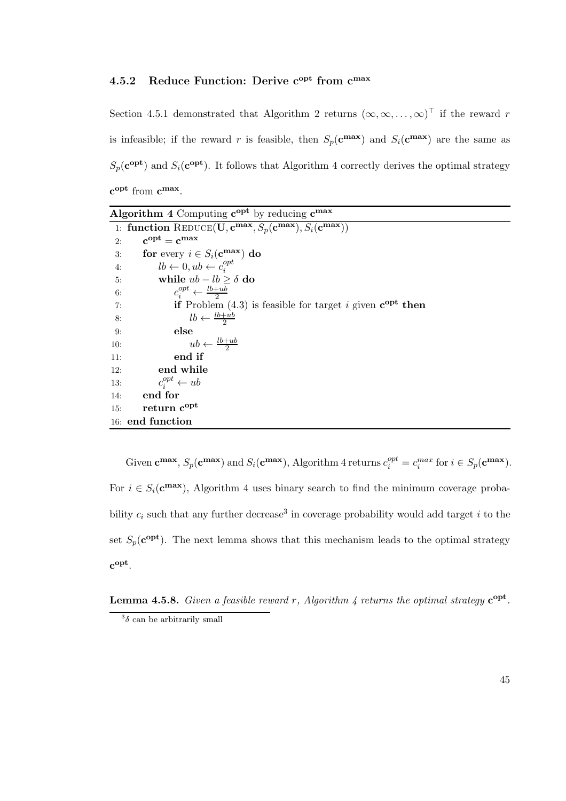# 4.5.2 Reduce Function: Derive  $c^{opt}$  from  $c^{max}$

Section 4.5.1 demonstrated that Algorithm 2 returns  $(\infty, \infty, ..., \infty)^\top$  if the reward r is infeasible; if the reward r is feasible, then  $S_p(\mathbf{c}^{\max})$  and  $S_i(\mathbf{c}^{\max})$  are the same as  $S_p(\mathbf{c}^{\text{opt}})$  and  $S_i(\mathbf{c}^{\text{opt}})$ . It follows that Algorithm 4 correctly derives the optimal strategy  $c^{opt}$  from  $c^{max}$ .

| Algorithm 4 Computing $c^{opt}$ by reducing $c^{max}$                                       |
|---------------------------------------------------------------------------------------------|
| 1: function REDUCE(U, $c^{max}$ , $S_p(c^{max})$ , $S_i(c^{max})$ )                         |
| $c^{opt} = c^{max}$<br>2:                                                                   |
| for every $i \in S_i(\mathbf{c}^{\max})$ do<br>3:                                           |
| $lb \leftarrow 0, ub \leftarrow c_i^{opt}$<br>4:                                            |
| while $ub - lb > \delta$ do<br>5:                                                           |
| $c_i^{opt} \leftarrow \frac{lb+ub}{2}$<br>6:                                                |
| <b>if</b> Problem (4.3) is feasible for target i given $\mathbf{c}^{\text{opt}}$ then<br>7: |
| $lb \leftarrow \frac{lb + ub}{2}$<br>8:                                                     |
| else<br>9:                                                                                  |
| $ub \leftarrow \frac{lb+ub}{2}$<br>10:                                                      |
| end if<br>11:                                                                               |
| end while<br>12:                                                                            |
| $c_i^{opt} \leftarrow ub$<br>13:                                                            |
| end for<br>14:                                                                              |
| return c <sup>opt</sup><br>15:                                                              |
| 16: end function                                                                            |

Given  $\mathbf{c}^{\max}, S_p(\mathbf{c}^{\max})$  and  $S_i(\mathbf{c}^{\max})$ , Algorithm 4 returns  $c_i^{opt} = c_i^{max}$  for  $i \in S_p(\mathbf{c}^{\max})$ . For  $i \in S_i(\mathbf{c}^{\max})$ , Algorithm 4 uses binary search to find the minimum coverage probability  $c_i$  such that any further decrease<sup>3</sup> in coverage probability would add target i to the set  $S_p(\mathbf{c}^{\text{opt}})$ . The next lemma shows that this mechanism leads to the optimal strategy  $c^{opt}$ .

**Lemma 4.5.8.** Given a feasible reward r, Algorithm 4 returns the optimal strategy  $c^{opt}$ .  $3\delta$  can be arbitrarily small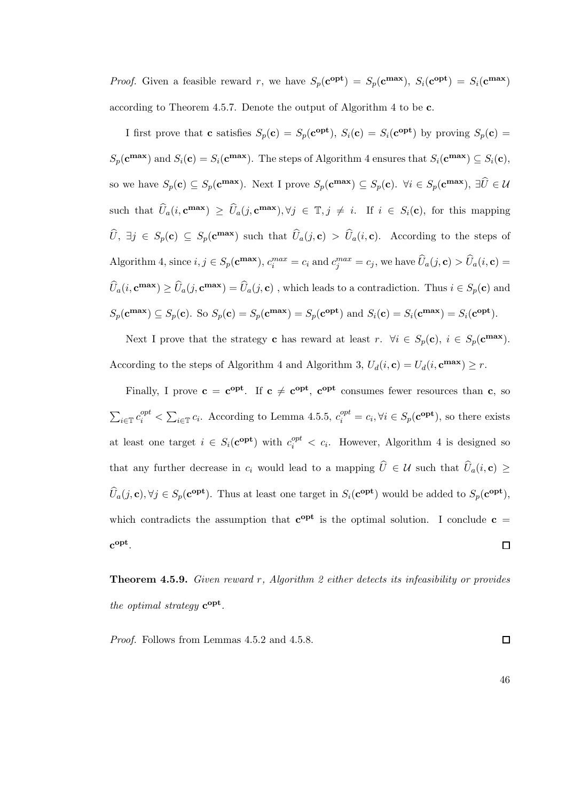*Proof.* Given a feasible reward r, we have  $S_p(\mathbf{c}^{\text{opt}}) = S_p(\mathbf{c}^{\text{max}})$ ,  $S_i(\mathbf{c}^{\text{opt}}) = S_i(\mathbf{c}^{\text{max}})$ according to Theorem 4.5.7. Denote the output of Algorithm 4 to be c.

I first prove that **c** satisfies  $S_p(\mathbf{c}) = S_p(\mathbf{c}^{\text{opt}})$ ,  $S_i(\mathbf{c}) = S_i(\mathbf{c}^{\text{opt}})$  by proving  $S_p(\mathbf{c}) =$  $S_p(\mathbf{c}^{\max})$  and  $S_i(\mathbf{c}) = S_i(\mathbf{c}^{\max})$ . The steps of Algorithm 4 ensures that  $S_i(\mathbf{c}^{\max}) \subseteq S_i(\mathbf{c})$ , so we have  $S_p(\mathbf{c}) \subseteq S_p(\mathbf{c}^{\max})$ . Next I prove  $S_p(\mathbf{c}^{\max}) \subseteq S_p(\mathbf{c})$ .  $\forall i \in S_p(\mathbf{c}^{\max})$ ,  $\exists \hat{U} \in \mathcal{U}$ such that  $\widehat{U}_a(i, \mathbf{c}^{\max}) \geq \widehat{U}_a(j, \mathbf{c}^{\max}), \forall j \in \mathbb{T}, j \neq i$ . If  $i \in S_i(\mathbf{c})$ , for this mapping  $\hat{U}, \exists j \in S_p(\mathbf{c}) \subseteq S_p(\mathbf{c}^{\max})$  such that  $\hat{U}_a(j, \mathbf{c}) > \hat{U}_a(i, \mathbf{c})$ . According to the steps of Algorithm 4, since  $i, j \in S_p(\mathbf{c^{max}}), c_i^{max} = c_i$  and  $c_j^{max} = c_j$ , we have  $\widehat{U}_a(j, \mathbf{c}) > \widehat{U}_a(i, \mathbf{c}) =$  $\widehat{U}_a(i, \mathbf{c}^{\max}) \ge \widehat{U}_a(j, \mathbf{c}^{\max}) = \widehat{U}_a(j, \mathbf{c})$ , which leads to a contradiction. Thus  $i \in S_p(\mathbf{c})$  and  $S_p(\mathbf{c}^{\max}) \subseteq S_p(\mathbf{c})$ . So  $S_p(\mathbf{c}) = S_p(\mathbf{c}^{\max}) = S_p(\mathbf{c}^{\text{opt}})$  and  $S_i(\mathbf{c}) = S_i(\mathbf{c}^{\max}) = S_i(\mathbf{c}^{\text{opt}})$ .

Next I prove that the strategy **c** has reward at least  $r$ .  $\forall i \in S_p(\mathbf{c})$ ,  $i \in S_p(\mathbf{c}^{\max})$ . According to the steps of Algorithm 4 and Algorithm 3,  $U_d(i, \mathbf{c}) = U_d(i, \mathbf{c}^{\max}) \geq r$ .

Finally, I prove  $c = c^{opt}$ . If  $c \neq c^{opt}$ ,  $c^{opt}$  consumes fewer resources than c, so  $\sum_{i\in\mathbb{T}} c_i^{opt} < \sum_{i\in\mathbb{T}} c_i$ . According to Lemma 4.5.5,  $c_i^{opt} = c_i, \forall i \in S_p(\mathbf{c}^{\text{opt}})$ , so there exists at least one target  $i \in S_i(\mathbf{c}^{\text{opt}})$  with  $c_i^{opt} < c_i$ . However, Algorithm 4 is designed so that any further decrease in  $c_i$  would lead to a mapping  $\hat{U} \in \mathcal{U}$  such that  $\hat{U}_a(i, c) \geq$  $\widehat{U}_a(j, \mathbf{c}), \forall j \in S_p(\mathbf{c}^{\text{opt}})$ . Thus at least one target in  $S_i(\mathbf{c}^{\text{opt}})$  would be added to  $S_p(\mathbf{c}^{\text{opt}})$ , which contradicts the assumption that  $c^{opt}$  is the optimal solution. I conclude  $c =$  $c^{opt}$ .  $\Box$ 

**Theorem 4.5.9.** Given reward r, Algorithm 2 either detects its infeasibility or provides the optimal strategy  $c^{opt}$ .

Proof. Follows from Lemmas 4.5.2 and 4.5.8.

46

 $\Box$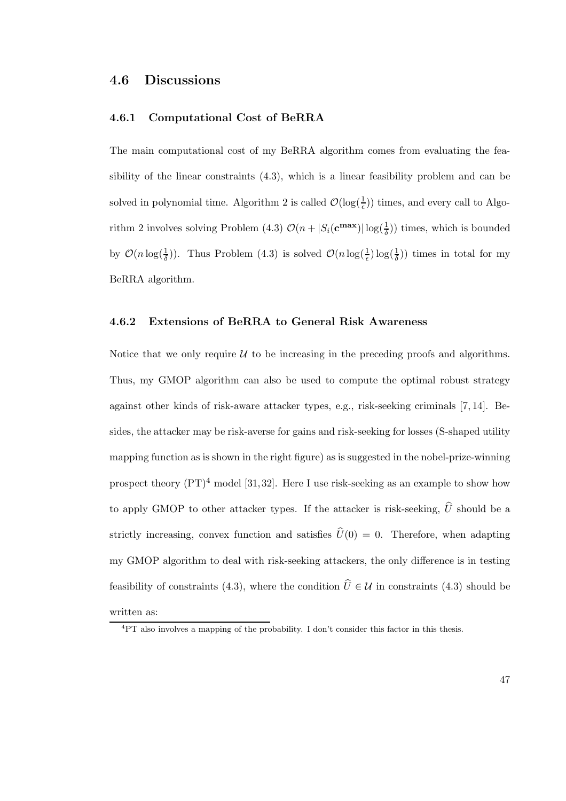# 4.6 Discussions

#### 4.6.1 Computational Cost of BeRRA

The main computational cost of my BeRRA algorithm comes from evaluating the feasibility of the linear constraints (4.3), which is a linear feasibility problem and can be solved in polynomial time. Algorithm 2 is called  $\mathcal{O}(\log(\frac{1}{\epsilon}))$  times, and every call to Algorithm 2 involves solving Problem (4.3)  $\mathcal{O}(n + |S_i(\mathbf{c}^{\max})| \log(\frac{1}{\delta}))$  times, which is bounded by  $\mathcal{O}(n \log(\frac{1}{\delta}))$ . Thus Problem (4.3) is solved  $\mathcal{O}(n \log(\frac{1}{\epsilon}) \log(\frac{1}{\delta}))$  times in total for my BeRRA algorithm.

## 4.6.2 Extensions of BeRRA to General Risk Awareness

Notice that we only require  $U$  to be increasing in the preceding proofs and algorithms. Thus, my GMOP algorithm can also be used to compute the optimal robust strategy against other kinds of risk-aware attacker types, e.g., risk-seeking criminals [7, 14]. Besides, the attacker may be risk-averse for gains and risk-seeking for losses (S-shaped utility mapping function as is shown in the right figure) as is suggested in the nobel-prize-winning prospect theory  $(PT)^4$  model [31, 32]. Here I use risk-seeking as an example to show how to apply GMOP to other attacker types. If the attacker is risk-seeking,  $\hat{U}$  should be a strictly increasing, convex function and satisfies  $\hat{U}(0) = 0$ . Therefore, when adapting my GMOP algorithm to deal with risk-seeking attackers, the only difference is in testing feasibility of constraints (4.3), where the condition  $\hat{U} \in \mathcal{U}$  in constraints (4.3) should be written as:

<sup>4</sup>PT also involves a mapping of the probability. I don't consider this factor in this thesis.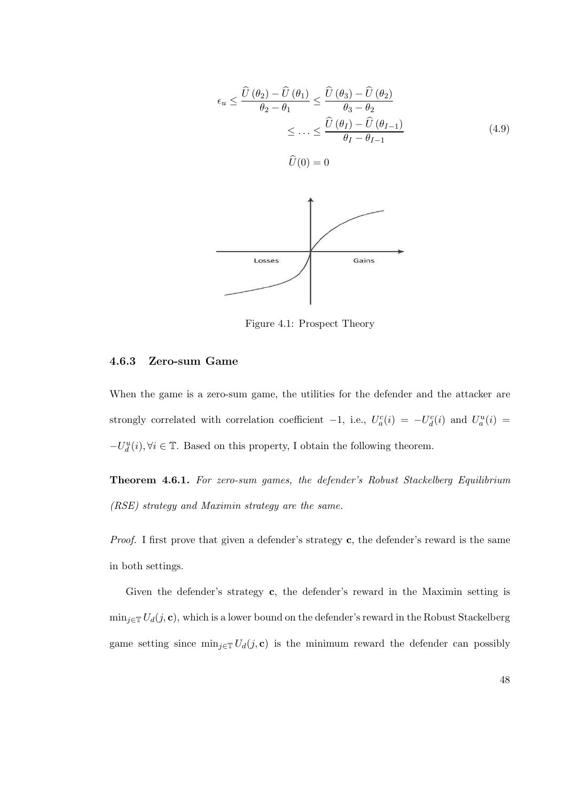$$
\epsilon_u \leq \frac{\widehat{U}(\theta_2) - \widehat{U}(\theta_1)}{\theta_2 - \theta_1} \leq \frac{\widehat{U}(\theta_3) - \widehat{U}(\theta_2)}{\theta_3 - \theta_2}
$$
  
 
$$
\leq \dots \leq \frac{\widehat{U}(\theta_I) - \widehat{U}(\theta_{I-1})}{\theta_I - \theta_{I-1}}
$$
(4.9)  
 
$$
\widehat{U}(0) = 0
$$



Figure 4.1: Prospect Theory

#### 4.6.3 Zero-sum Game

When the game is a zero-sum game, the utilities for the defender and the attacker are strongly correlated with correlation coefficient  $-1$ , i.e.,  $U_a^c(i) = -U_d^c(i)$  and  $U_a^u(i) =$  $-U_d^u(i)$ ,  $\forall i$  ∈  $\mathbb{T}$ . Based on this property, I obtain the following theorem.

Theorem 4.6.1. For zero-sum games, the defender's Robust Stackelberg Equilibrium (RSE) strategy and Maximin strategy are the same.

Proof. I first prove that given a defender's strategy c, the defender's reward is the same in both settings.

Given the defender's strategy c, the defender's reward in the Maximin setting is  $\min_{j\in\mathbb{T}} U_d(j, \mathbf{c})$ , which is a lower bound on the defender's reward in the Robust Stackelberg game setting since  $\min_{j\in\mathbb{T}} U_d(j,\mathbf{c})$  is the minimum reward the defender can possibly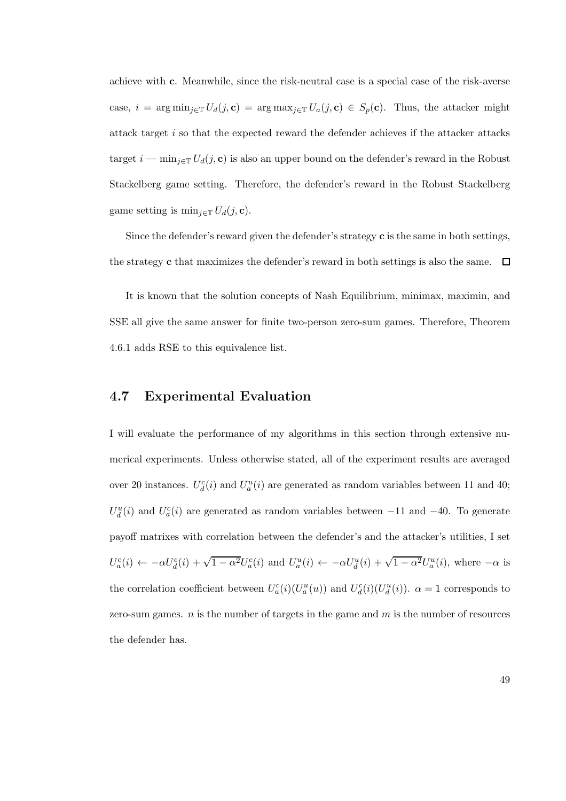achieve with c. Meanwhile, since the risk-neutral case is a special case of the risk-averse case,  $i = \arg \min_{j \in \mathbb{T}} U_d(j, \mathbf{c}) = \arg \max_{j \in \mathbb{T}} U_a(j, \mathbf{c}) \in S_p(\mathbf{c})$ . Thus, the attacker might attack target i so that the expected reward the defender achieves if the attacker attacks target  $i - \min_{j \in \mathbb{T}} U_d(j, \mathbf{c})$  is also an upper bound on the defender's reward in the Robust Stackelberg game setting. Therefore, the defender's reward in the Robust Stackelberg game setting is  $\min_{j\in\mathbb{T}} U_d(j, \mathbf{c})$ .

Since the defender's reward given the defender's strategy  $\mathbf c$  is the same in both settings, the strategy c that maximizes the defender's reward in both settings is also the same.  $\Box$ 

It is known that the solution concepts of Nash Equilibrium, minimax, maximin, and SSE all give the same answer for finite two-person zero-sum games. Therefore, Theorem 4.6.1 adds RSE to this equivalence list.

# 4.7 Experimental Evaluation

I will evaluate the performance of my algorithms in this section through extensive numerical experiments. Unless otherwise stated, all of the experiment results are averaged over 20 instances.  $U_d^c(i)$  and  $U_u^u(i)$  are generated as random variables between 11 and 40;  $U_d^u(i)$  and  $U_a^c(i)$  are generated as random variables between -11 and -40. To generate payoff matrixes with correlation between the defender's and the attacker's utilities, I set  $U_a^c(i) \leftarrow -\alpha U_d^c(i) + \sqrt{1-\alpha^2} U_a^c(i)$  and  $U_a^u(i) \leftarrow -\alpha U_d^u(i) + \sqrt{1-\alpha^2} U_a^u(i)$ , where  $-\alpha$  is the correlation coefficient between  $U_a^c(i)(U_a^u(u))$  and  $U_d^c(i)(U_d^u(i))$ .  $\alpha = 1$  corresponds to zero-sum games.  $n$  is the number of targets in the game and  $m$  is the number of resources the defender has.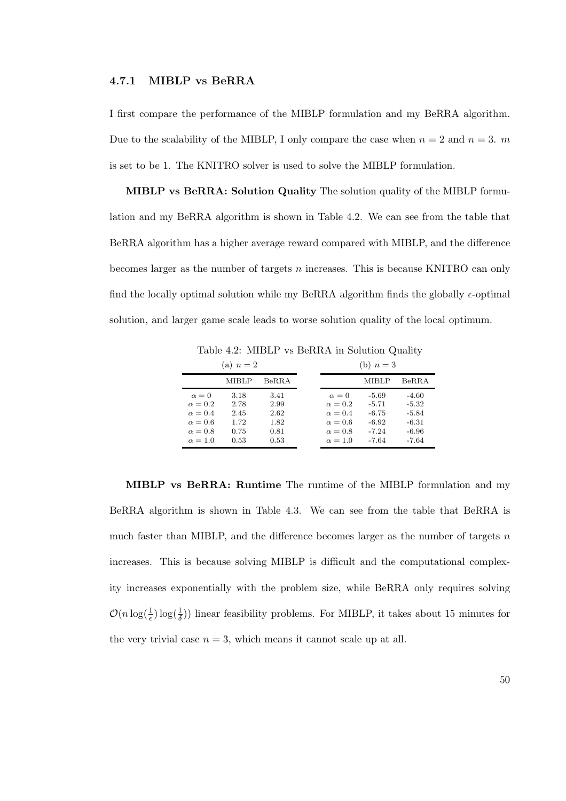#### 4.7.1 MIBLP vs BeRRA

I first compare the performance of the MIBLP formulation and my BeRRA algorithm. Due to the scalability of the MIBLP, I only compare the case when  $n = 2$  and  $n = 3$ . m is set to be 1. The KNITRO solver is used to solve the MIBLP formulation.

MIBLP vs BeRRA: Solution Quality The solution quality of the MIBLP formulation and my BeRRA algorithm is shown in Table 4.2. We can see from the table that BeRRA algorithm has a higher average reward compared with MIBLP, and the difference becomes larger as the number of targets  $n$  increases. This is because KNITRO can only find the locally optimal solution while my BeRRA algorithm finds the globally  $\epsilon$ -optimal solution, and larger game scale leads to worse solution quality of the local optimum.

Table 4.2: MIBLP vs BeRRA in Solution Quality

| (a) $n=2$                                                                                              |                                              |                                              | (b) $n=3$ |                                                                                                        |                                                                |                                                              |
|--------------------------------------------------------------------------------------------------------|----------------------------------------------|----------------------------------------------|-----------|--------------------------------------------------------------------------------------------------------|----------------------------------------------------------------|--------------------------------------------------------------|
|                                                                                                        | MIBLP                                        | BeRRA                                        |           |                                                                                                        | MIBLP                                                          | BeRRA                                                        |
| $\alpha = 0$<br>$\alpha = 0.2$<br>$\alpha = 0.4$<br>$\alpha = 0.6$<br>$\alpha = 0.8$<br>$\alpha = 1.0$ | 3.18<br>2.78<br>2.45<br>1.72<br>0.75<br>0.53 | 3.41<br>2.99<br>2.62<br>1.82<br>0.81<br>0.53 |           | $\alpha = 0$<br>$\alpha = 0.2$<br>$\alpha = 0.4$<br>$\alpha = 0.6$<br>$\alpha = 0.8$<br>$\alpha = 1.0$ | $-5.69$<br>$-5.71$<br>$-6.75$<br>$-6.92$<br>$-7.24$<br>$-7.64$ | $-4.60$<br>$-5.32$<br>$-5.84$<br>$-6.31$<br>-6.96<br>$-7.64$ |

MIBLP vs BeRRA: Runtime The runtime of the MIBLP formulation and my BeRRA algorithm is shown in Table 4.3. We can see from the table that BeRRA is much faster than MIBLP, and the difference becomes larger as the number of targets  $n$ increases. This is because solving MIBLP is difficult and the computational complexity increases exponentially with the problem size, while BeRRA only requires solving  $\mathcal{O}(n \log(\frac{1}{\epsilon}) \log(\frac{1}{\delta}))$  linear feasibility problems. For MIBLP, it takes about 15 minutes for the very trivial case  $n = 3$ , which means it cannot scale up at all.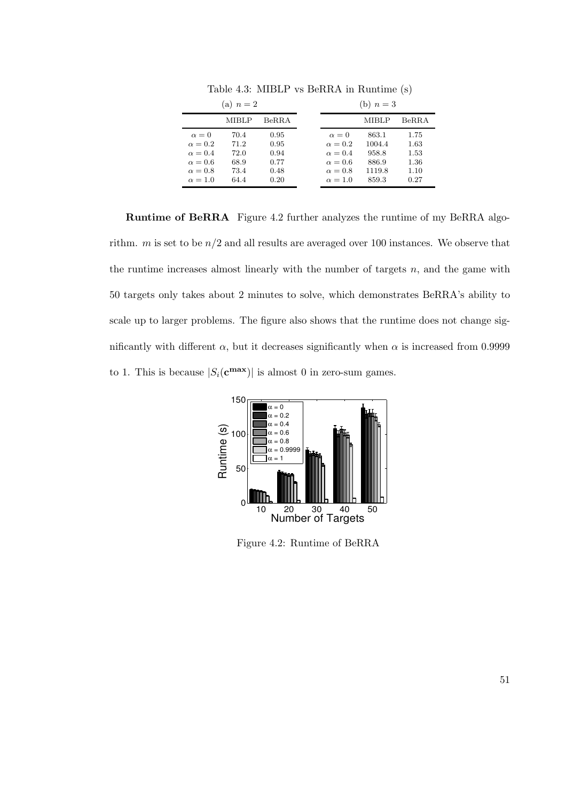| (a) $n=2$                                                                                              |                                              |                                              | (b) $n=3$                                                                                              |                                                      |                                              |
|--------------------------------------------------------------------------------------------------------|----------------------------------------------|----------------------------------------------|--------------------------------------------------------------------------------------------------------|------------------------------------------------------|----------------------------------------------|
|                                                                                                        | MIBLP                                        | BeR.R.A                                      |                                                                                                        | MIBLP                                                | <b>BeRRA</b>                                 |
| $\alpha = 0$<br>$\alpha = 0.2$<br>$\alpha = 0.4$<br>$\alpha = 0.6$<br>$\alpha = 0.8$<br>$\alpha = 1.0$ | 70.4<br>71.2<br>72.0<br>68.9<br>73.4<br>64.4 | 0.95<br>0.95<br>0.94<br>0.77<br>0.48<br>0.20 | $\alpha = 0$<br>$\alpha = 0.2$<br>$\alpha = 0.4$<br>$\alpha = 0.6$<br>$\alpha = 0.8$<br>$\alpha = 1.0$ | 863.1<br>1004.4<br>958.8<br>886.9<br>1119.8<br>859.3 | 1.75<br>1.63<br>1.53<br>1.36<br>1.10<br>0.27 |

Table 4.3: MIBLP vs BeRRA in Runtime (s)

Runtime of BeRRA Figure 4.2 further analyzes the runtime of my BeRRA algorithm. *m* is set to be  $n/2$  and all results are averaged over 100 instances. We observe that the runtime increases almost linearly with the number of targets  $n$ , and the game with 50 targets only takes about 2 minutes to solve, which demonstrates BeRRA's ability to scale up to larger problems. The figure also shows that the runtime does not change significantly with different  $\alpha$ , but it decreases significantly when  $\alpha$  is increased from 0.9999 to 1. This is because  $|S_i(\mathbf{c}^{\max})|$  is almost 0 in zero-sum games.



Figure 4.2: Runtime of BeRRA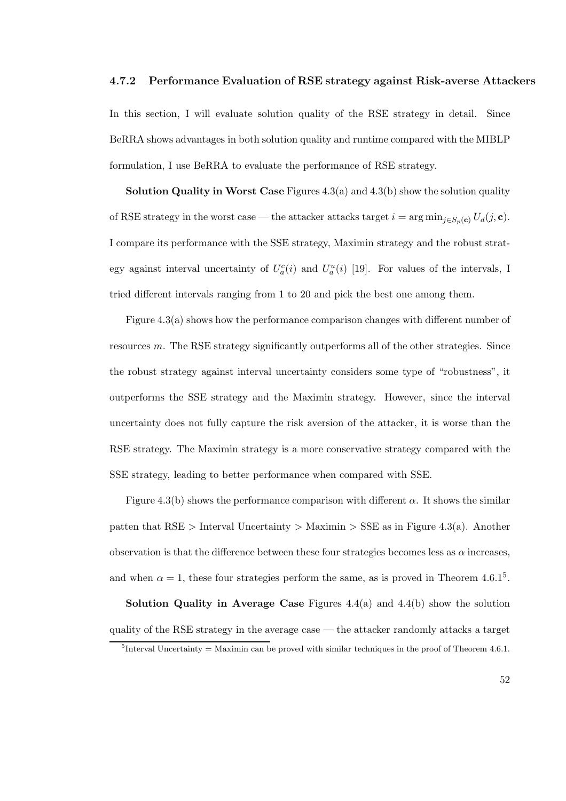#### 4.7.2 Performance Evaluation of RSE strategy against Risk-averse Attackers

In this section, I will evaluate solution quality of the RSE strategy in detail. Since BeRRA shows advantages in both solution quality and runtime compared with the MIBLP formulation, I use BeRRA to evaluate the performance of RSE strategy.

**Solution Quality in Worst Case** Figures  $4.3(a)$  and  $4.3(b)$  show the solution quality of RSE strategy in the worst case — the attacker attacks target  $i = \arg \min_{j \in S_p(\mathbf{c})} U_d(j, \mathbf{c})$ . I compare its performance with the SSE strategy, Maximin strategy and the robust strategy against interval uncertainty of  $U_a^c(i)$  and  $U_a^u(i)$  [19]. For values of the intervals, I tried different intervals ranging from 1 to 20 and pick the best one among them.

Figure 4.3(a) shows how the performance comparison changes with different number of resources m. The RSE strategy significantly outperforms all of the other strategies. Since the robust strategy against interval uncertainty considers some type of "robustness", it outperforms the SSE strategy and the Maximin strategy. However, since the interval uncertainty does not fully capture the risk aversion of the attacker, it is worse than the RSE strategy. The Maximin strategy is a more conservative strategy compared with the SSE strategy, leading to better performance when compared with SSE.

Figure 4.3(b) shows the performance comparison with different  $\alpha$ . It shows the similar patten that  $RSE$  > Interval Uncertainty > Maximin > SSE as in Figure 4.3(a). Another observation is that the difference between these four strategies becomes less as  $\alpha$  increases, and when  $\alpha = 1$ , these four strategies perform the same, as is proved in Theorem 4.6.1<sup>5</sup>.

**Solution Quality in Average Case** Figures  $4.4(a)$  and  $4.4(b)$  show the solution quality of the RSE strategy in the average case — the attacker randomly attacks a target

<sup>&</sup>lt;sup>5</sup>Interval Uncertainty = Maximin can be proved with similar techniques in the proof of Theorem 4.6.1.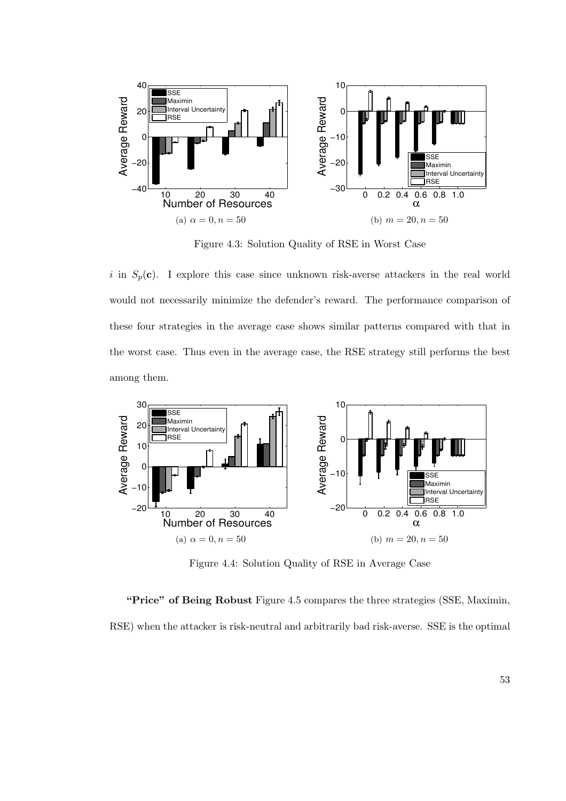

Figure 4.3: Solution Quality of RSE in Worst Case

i in  $S_p(c)$ . I explore this case since unknown risk-averse attackers in the real world would not necessarily minimize the defender's reward. The performance comparison of these four strategies in the average case shows similar patterns compared with that in the worst case. Thus even in the average case, the RSE strategy still performs the best among them.



Figure 4.4: Solution Quality of RSE in Average Case

"Price" of Being Robust Figure 4.5 compares the three strategies (SSE, Maximin, RSE) when the attacker is risk-neutral and arbitrarily bad risk-averse. SSE is the optimal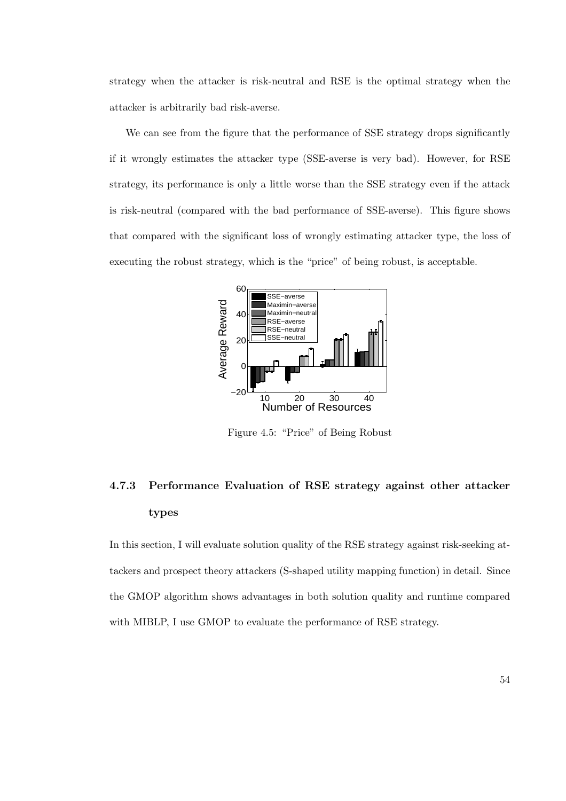strategy when the attacker is risk-neutral and RSE is the optimal strategy when the attacker is arbitrarily bad risk-averse.

We can see from the figure that the performance of SSE strategy drops significantly if it wrongly estimates the attacker type (SSE-averse is very bad). However, for RSE strategy, its performance is only a little worse than the SSE strategy even if the attack is risk-neutral (compared with the bad performance of SSE-averse). This figure shows that compared with the significant loss of wrongly estimating attacker type, the loss of executing the robust strategy, which is the "price" of being robust, is acceptable.



Figure 4.5: "Price" of Being Robust

# 4.7.3 Performance Evaluation of RSE strategy against other attacker types

In this section, I will evaluate solution quality of the RSE strategy against risk-seeking attackers and prospect theory attackers (S-shaped utility mapping function) in detail. Since the GMOP algorithm shows advantages in both solution quality and runtime compared with MIBLP, I use GMOP to evaluate the performance of RSE strategy.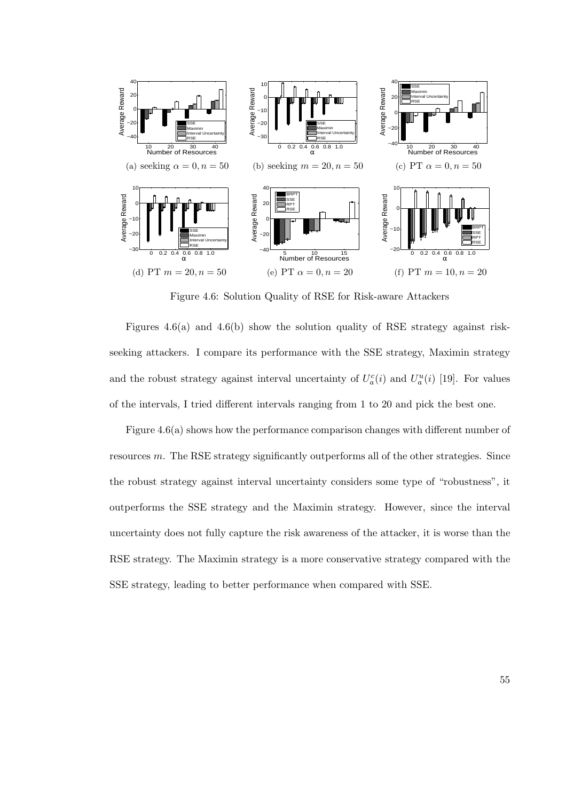

Figure 4.6: Solution Quality of RSE for Risk-aware Attackers

Figures 4.6(a) and 4.6(b) show the solution quality of RSE strategy against riskseeking attackers. I compare its performance with the SSE strategy, Maximin strategy and the robust strategy against interval uncertainty of  $U_a^c(i)$  and  $U_a^u(i)$  [19]. For values of the intervals, I tried different intervals ranging from 1 to 20 and pick the best one.

Figure 4.6(a) shows how the performance comparison changes with different number of resources m. The RSE strategy significantly outperforms all of the other strategies. Since the robust strategy against interval uncertainty considers some type of "robustness", it outperforms the SSE strategy and the Maximin strategy. However, since the interval uncertainty does not fully capture the risk awareness of the attacker, it is worse than the RSE strategy. The Maximin strategy is a more conservative strategy compared with the SSE strategy, leading to better performance when compared with SSE.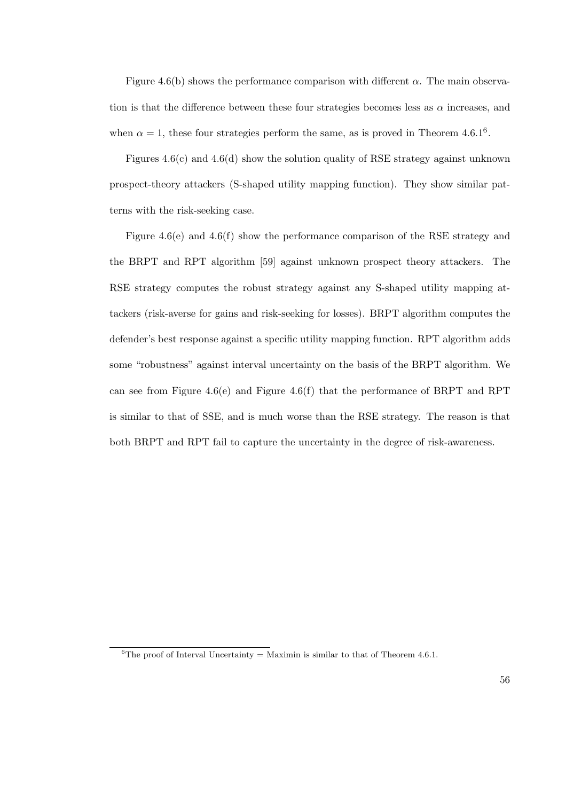Figure 4.6(b) shows the performance comparison with different  $\alpha$ . The main observation is that the difference between these four strategies becomes less as  $\alpha$  increases, and when  $\alpha = 1$ , these four strategies perform the same, as is proved in Theorem 4.6.1<sup>6</sup>.

Figures 4.6(c) and 4.6(d) show the solution quality of RSE strategy against unknown prospect-theory attackers (S-shaped utility mapping function). They show similar patterns with the risk-seeking case.

Figure 4.6(e) and 4.6(f) show the performance comparison of the RSE strategy and the BRPT and RPT algorithm [59] against unknown prospect theory attackers. The RSE strategy computes the robust strategy against any S-shaped utility mapping attackers (risk-averse for gains and risk-seeking for losses). BRPT algorithm computes the defender's best response against a specific utility mapping function. RPT algorithm adds some "robustness" against interval uncertainty on the basis of the BRPT algorithm. We can see from Figure 4.6(e) and Figure 4.6(f) that the performance of BRPT and RPT is similar to that of SSE, and is much worse than the RSE strategy. The reason is that both BRPT and RPT fail to capture the uncertainty in the degree of risk-awareness.

<sup>&</sup>lt;sup>6</sup>The proof of Interval Uncertainty = Maximin is similar to that of Theorem 4.6.1.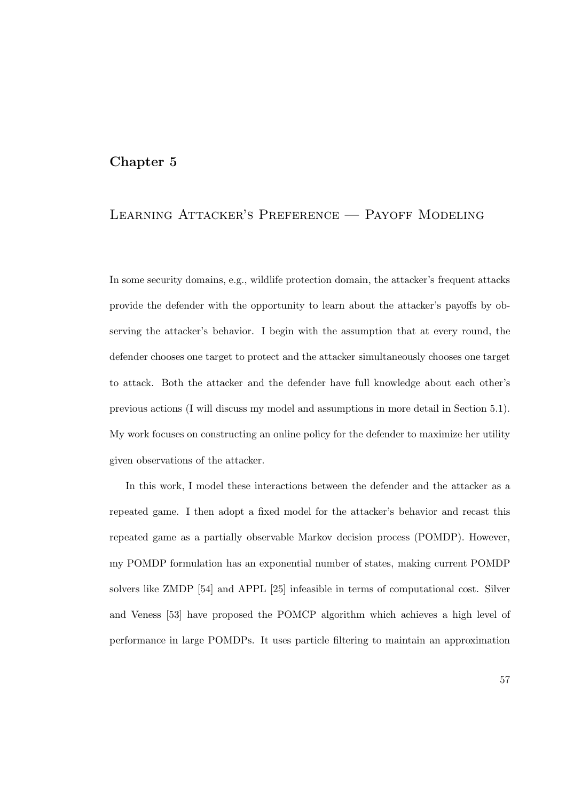## Chapter 5

# Learning Attacker's Preference — Payoff Modeling

In some security domains, e.g., wildlife protection domain, the attacker's frequent attacks provide the defender with the opportunity to learn about the attacker's payoffs by observing the attacker's behavior. I begin with the assumption that at every round, the defender chooses one target to protect and the attacker simultaneously chooses one target to attack. Both the attacker and the defender have full knowledge about each other's previous actions (I will discuss my model and assumptions in more detail in Section 5.1). My work focuses on constructing an online policy for the defender to maximize her utility given observations of the attacker.

In this work, I model these interactions between the defender and the attacker as a repeated game. I then adopt a fixed model for the attacker's behavior and recast this repeated game as a partially observable Markov decision process (POMDP). However, my POMDP formulation has an exponential number of states, making current POMDP solvers like ZMDP [54] and APPL [25] infeasible in terms of computational cost. Silver and Veness [53] have proposed the POMCP algorithm which achieves a high level of performance in large POMDPs. It uses particle filtering to maintain an approximation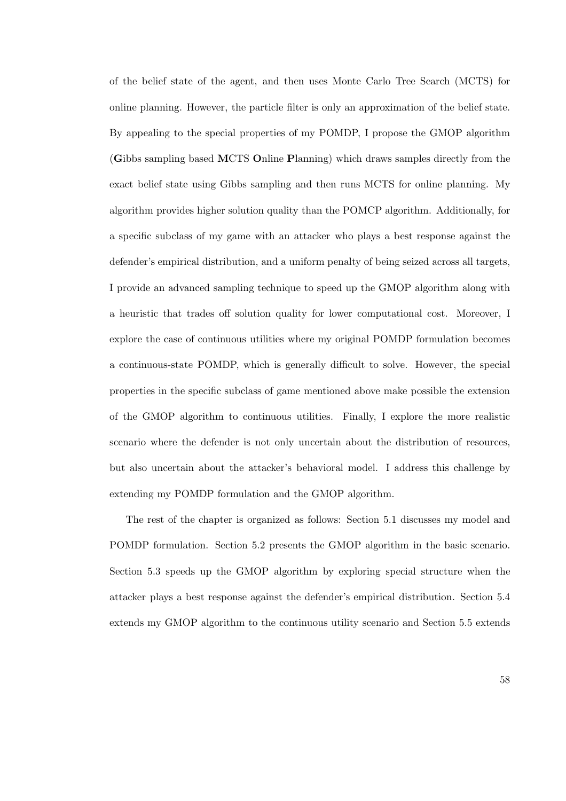of the belief state of the agent, and then uses Monte Carlo Tree Search (MCTS) for online planning. However, the particle filter is only an approximation of the belief state. By appealing to the special properties of my POMDP, I propose the GMOP algorithm (Gibbs sampling based MCTS Online Planning) which draws samples directly from the exact belief state using Gibbs sampling and then runs MCTS for online planning. My algorithm provides higher solution quality than the POMCP algorithm. Additionally, for a specific subclass of my game with an attacker who plays a best response against the defender's empirical distribution, and a uniform penalty of being seized across all targets, I provide an advanced sampling technique to speed up the GMOP algorithm along with a heuristic that trades off solution quality for lower computational cost. Moreover, I explore the case of continuous utilities where my original POMDP formulation becomes a continuous-state POMDP, which is generally difficult to solve. However, the special properties in the specific subclass of game mentioned above make possible the extension of the GMOP algorithm to continuous utilities. Finally, I explore the more realistic scenario where the defender is not only uncertain about the distribution of resources, but also uncertain about the attacker's behavioral model. I address this challenge by extending my POMDP formulation and the GMOP algorithm.

The rest of the chapter is organized as follows: Section 5.1 discusses my model and POMDP formulation. Section 5.2 presents the GMOP algorithm in the basic scenario. Section 5.3 speeds up the GMOP algorithm by exploring special structure when the attacker plays a best response against the defender's empirical distribution. Section 5.4 extends my GMOP algorithm to the continuous utility scenario and Section 5.5 extends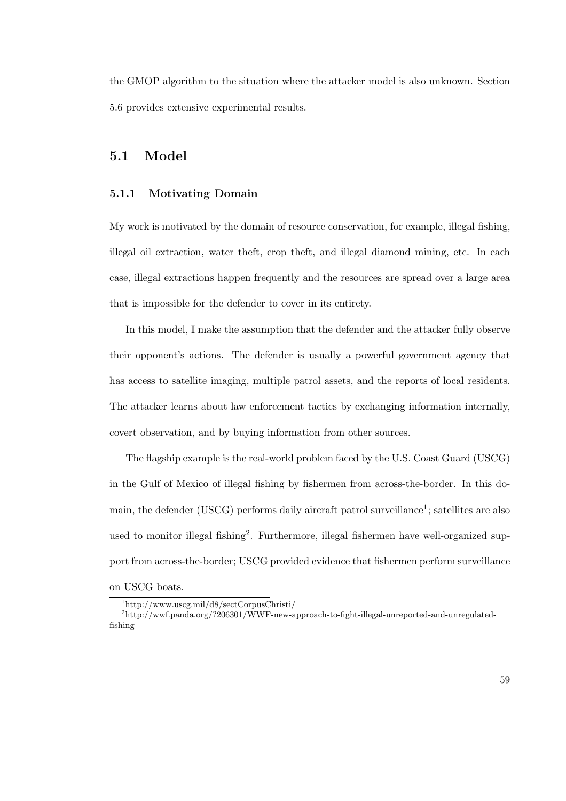the GMOP algorithm to the situation where the attacker model is also unknown. Section 5.6 provides extensive experimental results.

# 5.1 Model

### 5.1.1 Motivating Domain

My work is motivated by the domain of resource conservation, for example, illegal fishing, illegal oil extraction, water theft, crop theft, and illegal diamond mining, etc. In each case, illegal extractions happen frequently and the resources are spread over a large area that is impossible for the defender to cover in its entirety.

In this model, I make the assumption that the defender and the attacker fully observe their opponent's actions. The defender is usually a powerful government agency that has access to satellite imaging, multiple patrol assets, and the reports of local residents. The attacker learns about law enforcement tactics by exchanging information internally, covert observation, and by buying information from other sources.

The flagship example is the real-world problem faced by the U.S. Coast Guard (USCG) in the Gulf of Mexico of illegal fishing by fishermen from across-the-border. In this domain, the defender (USCG) performs daily aircraft patrol surveillance<sup>1</sup>; satellites are also used to monitor illegal fishing<sup>2</sup>. Furthermore, illegal fishermen have well-organized support from across-the-border; USCG provided evidence that fishermen perform surveillance on USCG boats.

<sup>1</sup> http://www.uscg.mil/d8/sectCorpusChristi/

<sup>2</sup>http://wwf.panda.org/?206301/WWF-new-approach-to-fight-illegal-unreported-and-unregulatedfishing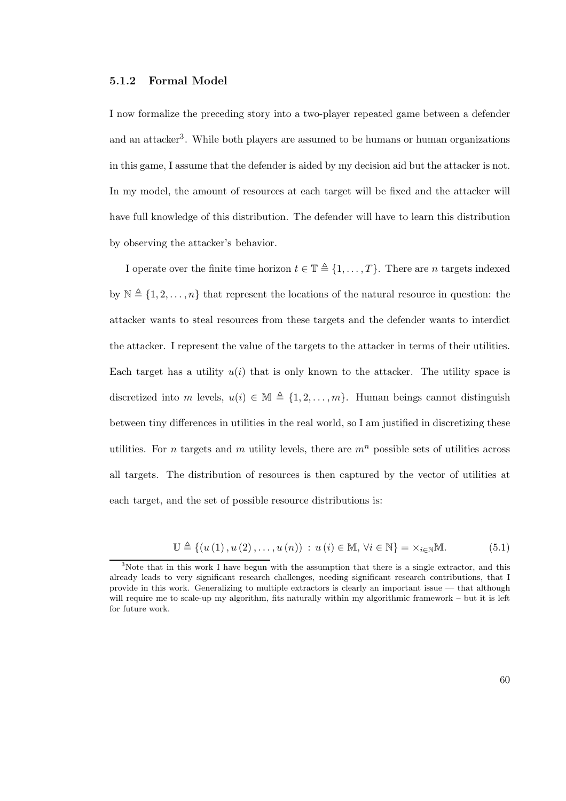#### 5.1.2 Formal Model

I now formalize the preceding story into a two-player repeated game between a defender and an attacker<sup>3</sup>. While both players are assumed to be humans or human organizations in this game, I assume that the defender is aided by my decision aid but the attacker is not. In my model, the amount of resources at each target will be fixed and the attacker will have full knowledge of this distribution. The defender will have to learn this distribution by observing the attacker's behavior.

I operate over the finite time horizon  $t \in \mathbb{T} \triangleq \{1, \ldots, T\}$ . There are n targets indexed by  $\mathbb{N} \triangleq \{1, 2, \ldots, n\}$  that represent the locations of the natural resource in question: the attacker wants to steal resources from these targets and the defender wants to interdict the attacker. I represent the value of the targets to the attacker in terms of their utilities. Each target has a utility  $u(i)$  that is only known to the attacker. The utility space is discretized into m levels,  $u(i) \in \mathbb{M} \triangleq \{1, 2, \ldots, m\}$ . Human beings cannot distinguish between tiny differences in utilities in the real world, so I am justified in discretizing these utilities. For n targets and m utility levels, there are  $m<sup>n</sup>$  possible sets of utilities across all targets. The distribution of resources is then captured by the vector of utilities at each target, and the set of possible resource distributions is:

$$
\mathbb{U} \triangleq \left\{ \left( u\left(1\right), u\left(2\right), \ldots, u\left(n\right) \right) \, : \, u\left(i\right) \in \mathbb{M}, \, \forall i \in \mathbb{N} \right\} = \times_{i \in \mathbb{N}} \mathbb{M}.
$$

<sup>&</sup>lt;sup>3</sup>Note that in this work I have begun with the assumption that there is a single extractor, and this already leads to very significant research challenges, needing significant research contributions, that I provide in this work. Generalizing to multiple extractors is clearly an important issue — that although will require me to scale-up my algorithm, fits naturally within my algorithmic framework – but it is left for future work.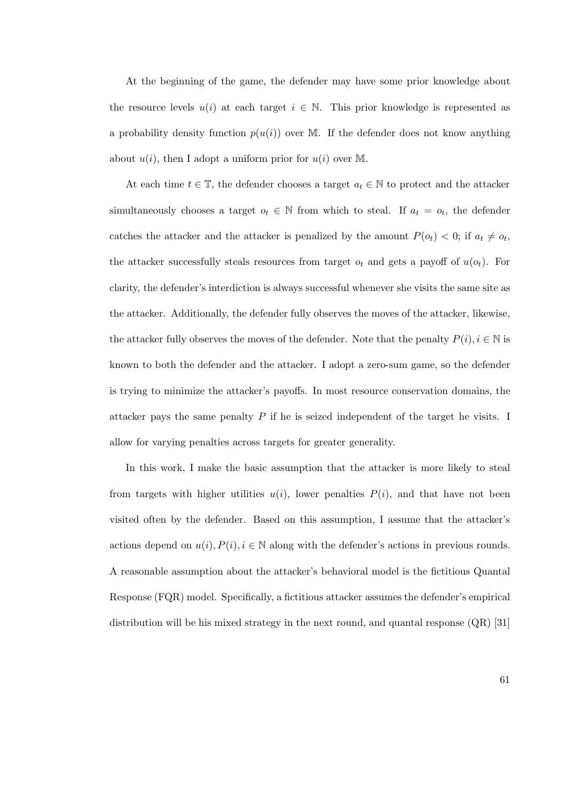At the beginning of the game, the defender may have some prior knowledge about the resource levels  $u(i)$  at each target  $i \in \mathbb{N}$ . This prior knowledge is represented as a probability density function  $p(u(i))$  over M. If the defender does not know anything about  $u(i)$ , then I adopt a uniform prior for  $u(i)$  over M.

At each time  $t \in \mathbb{T}$ , the defender chooses a target  $a_t \in \mathbb{N}$  to protect and the attacker simultaneously chooses a target  $o_t \in \mathbb{N}$  from which to steal. If  $a_t = o_t$ , the defender catches the attacker and the attacker is penalized by the amount  $P(o_t) < 0$ ; if  $a_t \neq o_t$ , the attacker successfully steals resources from target  $o_t$  and gets a payoff of  $u(o_t)$ . For clarity, the defender's interdiction is always successful whenever she visits the same site as the attacker. Additionally, the defender fully observes the moves of the attacker, likewise, the attacker fully observes the moves of the defender. Note that the penalty  $P(i), i \in \mathbb{N}$  is known to both the defender and the attacker. I adopt a zero-sum game, so the defender is trying to minimize the attacker's payoffs. In most resource conservation domains, the attacker pays the same penalty  $P$  if he is seized independent of the target he visits. I allow for varying penalties across targets for greater generality.

In this work, I make the basic assumption that the attacker is more likely to steal from targets with higher utilities  $u(i)$ , lower penalties  $P(i)$ , and that have not been visited often by the defender. Based on this assumption, I assume that the attacker's actions depend on  $u(i)$ ,  $P(i)$ ,  $i \in \mathbb{N}$  along with the defender's actions in previous rounds. A reasonable assumption about the attacker's behavioral model is the fictitious Quantal Response (FQR) model. Specifically, a fictitious attacker assumes the defender's empirical distribution will be his mixed strategy in the next round, and quantal response (QR) [31]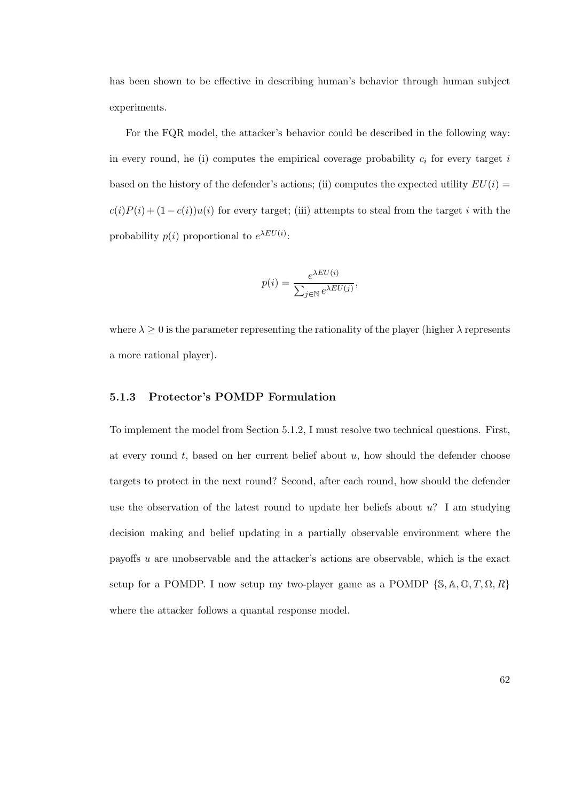has been shown to be effective in describing human's behavior through human subject experiments.

For the FQR model, the attacker's behavior could be described in the following way: in every round, he (i) computes the empirical coverage probability  $c_i$  for every target i based on the history of the defender's actions; (ii) computes the expected utility  $EU(i)$  $c(i)P(i) + (1 - c(i))u(i)$  for every target; (iii) attempts to steal from the target i with the probability  $p(i)$  proportional to  $e^{\lambda EU(i)}$ :

$$
p(i) = \frac{e^{\lambda EU(i)}}{\sum_{j \in \mathbb{N}} e^{\lambda EU(j)}},
$$

where  $\lambda \geq 0$  is the parameter representing the rationality of the player (higher  $\lambda$  represents a more rational player).

#### 5.1.3 Protector's POMDP Formulation

To implement the model from Section 5.1.2, I must resolve two technical questions. First, at every round  $t$ , based on her current belief about  $u$ , how should the defender choose targets to protect in the next round? Second, after each round, how should the defender use the observation of the latest round to update her beliefs about  $u$ ? I am studying decision making and belief updating in a partially observable environment where the payoffs u are unobservable and the attacker's actions are observable, which is the exact setup for a POMDP. I now setup my two-player game as a POMDP  $\{\mathbb{S}, \mathbb{A}, \mathbb{O}, T, \Omega, R\}$ where the attacker follows a quantal response model.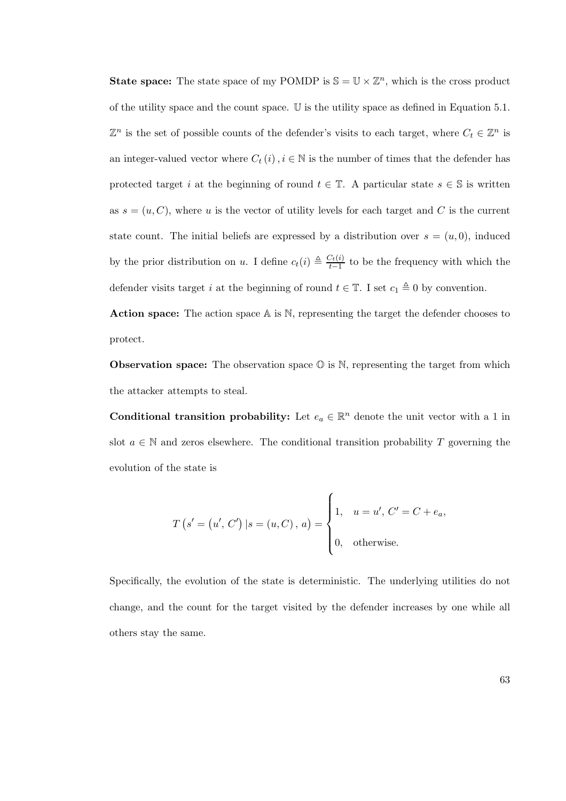**State space:** The state space of my POMDP is  $\mathbb{S} = \mathbb{U} \times \mathbb{Z}^n$ , which is the cross product of the utility space and the count space. U is the utility space as defined in Equation 5.1.  $\mathbb{Z}^n$  is the set of possible counts of the defender's visits to each target, where  $C_t \in \mathbb{Z}^n$  is an integer-valued vector where  $C_t(i), i \in \mathbb{N}$  is the number of times that the defender has protected target i at the beginning of round  $t \in \mathbb{T}$ . A particular state  $s \in \mathbb{S}$  is written as  $s = (u, C)$ , where u is the vector of utility levels for each target and C is the current state count. The initial beliefs are expressed by a distribution over  $s = (u, 0)$ , induced by the prior distribution on u. I define  $c_t(i) \triangleq \frac{C_t(i)}{t-1}$  $\frac{\partial^2 t(t)}{\partial t-1}$  to be the frequency with which the defender visits target i at the beginning of round  $t \in \mathbb{T}$ . I set  $c_1 \triangleq 0$  by convention.

Action space: The action space A is N, representing the target the defender chooses to protect.

**Observation space:** The observation space  $\mathbb{O}$  is  $\mathbb{N}$ , representing the target from which the attacker attempts to steal.

Conditional transition probability: Let  $e_a \in \mathbb{R}^n$  denote the unit vector with a 1 in slot  $a \in \mathbb{N}$  and zeros elsewhere. The conditional transition probability T governing the evolution of the state is

$$
T(s' = (u', C') | s = (u, C), a) = \begin{cases} 1, & u = u', C' = C + e_a, \\ 0, & \text{otherwise.} \end{cases}
$$

Specifically, the evolution of the state is deterministic. The underlying utilities do not change, and the count for the target visited by the defender increases by one while all others stay the same.

63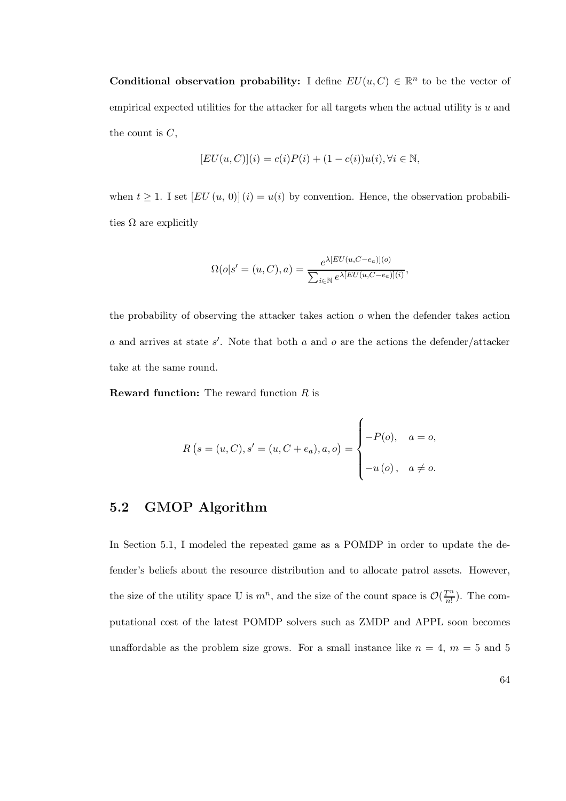**Conditional observation probability:** I define  $EU(u, C) \in \mathbb{R}^n$  to be the vector of empirical expected utilities for the attacker for all targets when the actual utility is  $u$  and the count is  $C$ ,

$$
[EU(u, C)](i) = c(i)P(i) + (1 - c(i))u(i), \forall i \in \mathbb{N},
$$

when  $t \geq 1$ . I set  $[EU(u, 0)](i) = u(i)$  by convention. Hence, the observation probabilities  $\Omega$  are explicitly

$$
\Omega(o|s' = (u, C), a) = \frac{e^{\lambda [EU(u, C - e_a)](o)}}{\sum_{i \in \mathbb{N}} e^{\lambda [EU(u, C - e_a)](i)}},
$$

the probability of observing the attacker takes action  $o$  when the defender takes action a and arrives at state  $s'$ . Note that both a and o are the actions the defender/attacker take at the same round.

**Reward function:** The reward function  $R$  is

$$
R(s = (u, C), s' = (u, C + e_a), a, o) = \begin{cases} -P(o), & a = o, \\ -u(o), & a \neq o. \end{cases}
$$

# 5.2 GMOP Algorithm

In Section 5.1, I modeled the repeated game as a POMDP in order to update the defender's beliefs about the resource distribution and to allocate patrol assets. However, the size of the utility space U is  $m^n$ , and the size of the count space is  $\mathcal{O}(\frac{T^n}{n!})$  $\frac{r^m}{n!}$ ). The computational cost of the latest POMDP solvers such as ZMDP and APPL soon becomes unaffordable as the problem size grows. For a small instance like  $n = 4$ ,  $m = 5$  and 5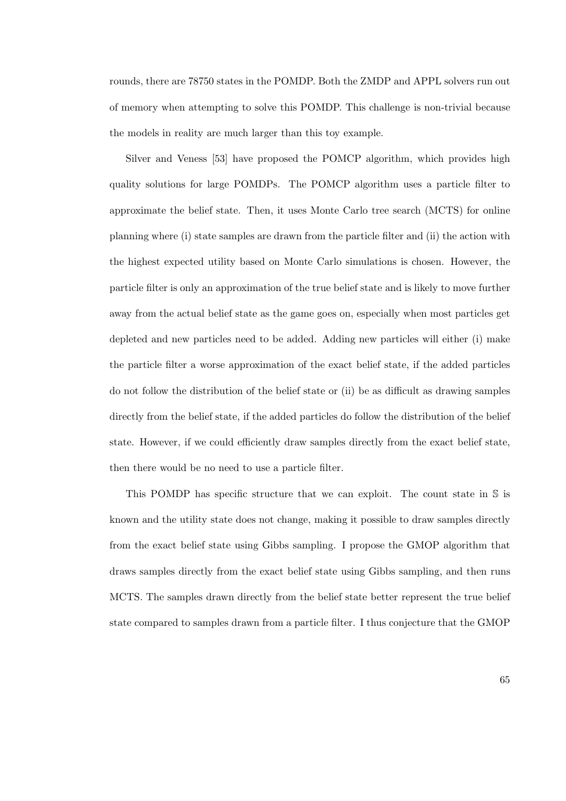rounds, there are 78750 states in the POMDP. Both the ZMDP and APPL solvers run out of memory when attempting to solve this POMDP. This challenge is non-trivial because the models in reality are much larger than this toy example.

Silver and Veness [53] have proposed the POMCP algorithm, which provides high quality solutions for large POMDPs. The POMCP algorithm uses a particle filter to approximate the belief state. Then, it uses Monte Carlo tree search (MCTS) for online planning where (i) state samples are drawn from the particle filter and (ii) the action with the highest expected utility based on Monte Carlo simulations is chosen. However, the particle filter is only an approximation of the true belief state and is likely to move further away from the actual belief state as the game goes on, especially when most particles get depleted and new particles need to be added. Adding new particles will either (i) make the particle filter a worse approximation of the exact belief state, if the added particles do not follow the distribution of the belief state or (ii) be as difficult as drawing samples directly from the belief state, if the added particles do follow the distribution of the belief state. However, if we could efficiently draw samples directly from the exact belief state, then there would be no need to use a particle filter.

This POMDP has specific structure that we can exploit. The count state in S is known and the utility state does not change, making it possible to draw samples directly from the exact belief state using Gibbs sampling. I propose the GMOP algorithm that draws samples directly from the exact belief state using Gibbs sampling, and then runs MCTS. The samples drawn directly from the belief state better represent the true belief state compared to samples drawn from a particle filter. I thus conjecture that the GMOP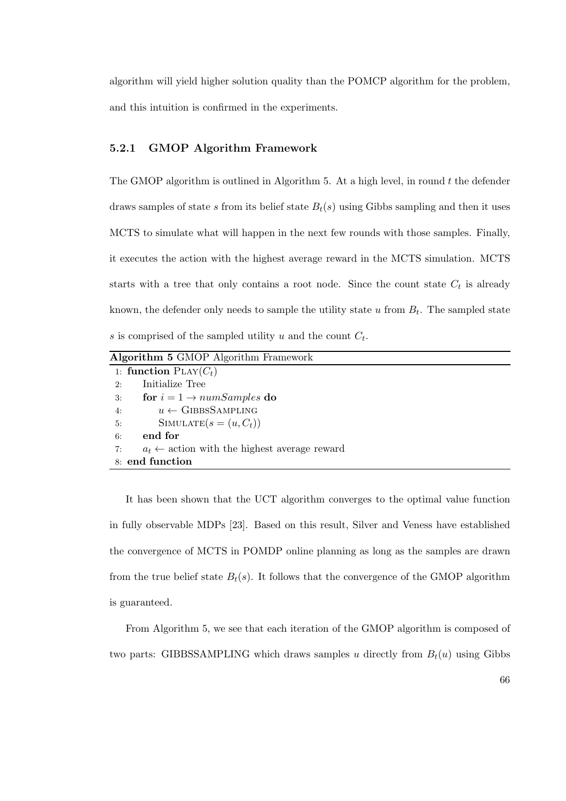algorithm will yield higher solution quality than the POMCP algorithm for the problem, and this intuition is confirmed in the experiments.

### 5.2.1 GMOP Algorithm Framework

The GMOP algorithm is outlined in Algorithm 5. At a high level, in round  $t$  the defender draws samples of state s from its belief state  $B_t(s)$  using Gibbs sampling and then it uses MCTS to simulate what will happen in the next few rounds with those samples. Finally, it executes the action with the highest average reward in the MCTS simulation. MCTS starts with a tree that only contains a root node. Since the count state  $C_t$  is already known, the defender only needs to sample the utility state  $u$  from  $B_t$ . The sampled state s is comprised of the sampled utility u and the count  $C_t$ .

Algorithm 5 GMOP Algorithm Framework 1: function  $PLAY(C_t)$ 2: Initialize Tree 3: for  $i = 1 \rightarrow numSamples$  do 4:  $u \leftarrow \text{GIBBSSAMPLING}$ 5: SIMULATE $(s = (u, C_t))$ 6: end for 7:  $a_t \leftarrow$  action with the highest average reward 8: end function

It has been shown that the UCT algorithm converges to the optimal value function in fully observable MDPs [23]. Based on this result, Silver and Veness have established the convergence of MCTS in POMDP online planning as long as the samples are drawn from the true belief state  $B_t(s)$ . It follows that the convergence of the GMOP algorithm is guaranteed.

From Algorithm 5, we see that each iteration of the GMOP algorithm is composed of two parts: GIBBSSAMPLING which draws samples u directly from  $B_t(u)$  using Gibbs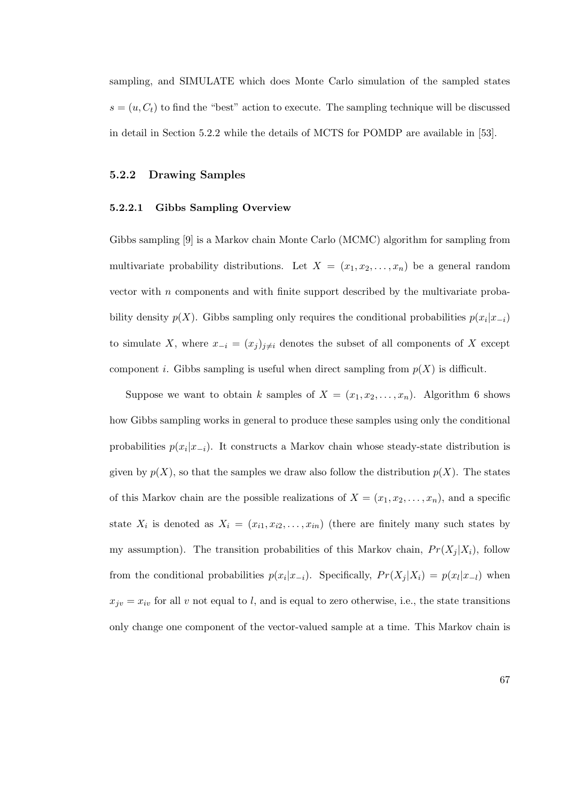sampling, and SIMULATE which does Monte Carlo simulation of the sampled states  $s = (u, C_t)$  to find the "best" action to execute. The sampling technique will be discussed in detail in Section 5.2.2 while the details of MCTS for POMDP are available in [53].

#### 5.2.2 Drawing Samples

#### 5.2.2.1 Gibbs Sampling Overview

Gibbs sampling [9] is a Markov chain Monte Carlo (MCMC) algorithm for sampling from multivariate probability distributions. Let  $X = (x_1, x_2, \ldots, x_n)$  be a general random vector with  $n$  components and with finite support described by the multivariate probability density  $p(X)$ . Gibbs sampling only requires the conditional probabilities  $p(x_i|x_{-i})$ to simulate X, where  $x_{-i} = (x_j)_{j \neq i}$  denotes the subset of all components of X except component *i*. Gibbs sampling is useful when direct sampling from  $p(X)$  is difficult.

Suppose we want to obtain k samples of  $X = (x_1, x_2, \ldots, x_n)$ . Algorithm 6 shows how Gibbs sampling works in general to produce these samples using only the conditional probabilities  $p(x_i|x_{-i})$ . It constructs a Markov chain whose steady-state distribution is given by  $p(X)$ , so that the samples we draw also follow the distribution  $p(X)$ . The states of this Markov chain are the possible realizations of  $X = (x_1, x_2, \ldots, x_n)$ , and a specific state  $X_i$  is denoted as  $X_i = (x_{i1}, x_{i2}, \ldots, x_{in})$  (there are finitely many such states by my assumption). The transition probabilities of this Markov chain,  $Pr(X_i | X_i)$ , follow from the conditional probabilities  $p(x_i|x_{-i})$ . Specifically,  $Pr(X_j|X_i) = p(x_l|x_{-l})$  when  $x_{jv} = x_{iv}$  for all v not equal to l, and is equal to zero otherwise, i.e., the state transitions only change one component of the vector-valued sample at a time. This Markov chain is

67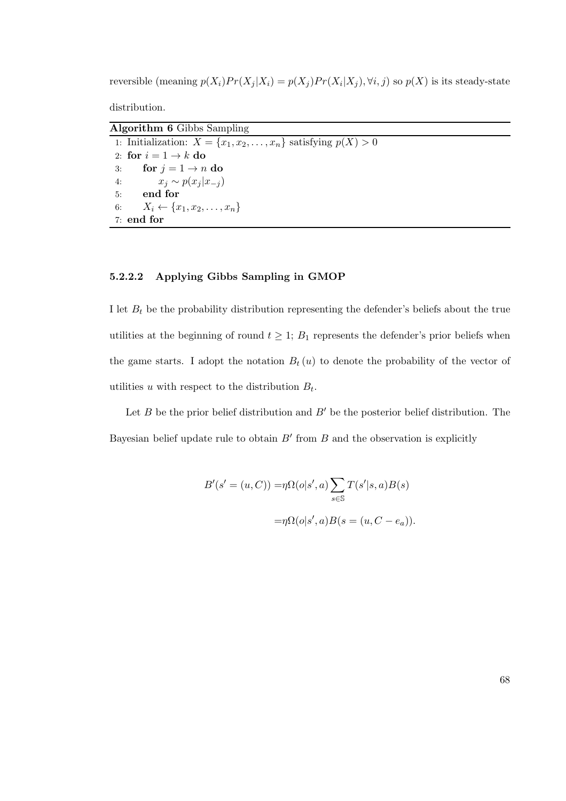reversible (meaning  $p(X_i)Pr(X_j|X_i) = p(X_j)Pr(X_i|X_j), \forall i, j$ ) so  $p(X)$  is its steady-state

distribution.

| <b>Algorithm 6</b> Gibbs Sampling                                        |
|--------------------------------------------------------------------------|
| 1: Initialization: $X = \{x_1, x_2, \ldots, x_n\}$ satisfying $p(X) > 0$ |
| 2: for $i = 1 \rightarrow k$ do                                          |
| 3: for $j = 1 \rightarrow n$ do                                          |
| $x_i \sim p(x_i x_{-i})$<br>4:                                           |
| 5: end for                                                               |
| 6: $X_i \leftarrow \{x_1, x_2, \ldots, x_n\}$                            |
| $7:$ end for                                                             |

## 5.2.2.2 Applying Gibbs Sampling in GMOP

I let  $B_t$  be the probability distribution representing the defender's beliefs about the true utilities at the beginning of round  $t \geq 1$ ;  $B_1$  represents the defender's prior beliefs when the game starts. I adopt the notation  $B_t(u)$  to denote the probability of the vector of utilities u with respect to the distribution  $B_t$ .

Let  $B$  be the prior belief distribution and  $B'$  be the posterior belief distribution. The Bayesian belief update rule to obtain  $B'$  from  $B$  and the observation is explicitly

$$
B'(s' = (u, C)) = \eta \Omega(o|s', a) \sum_{s \in \mathbb{S}} T(s'|s, a)B(s)
$$

$$
= \eta \Omega(o|s', a)B(s = (u, C - e_a)).
$$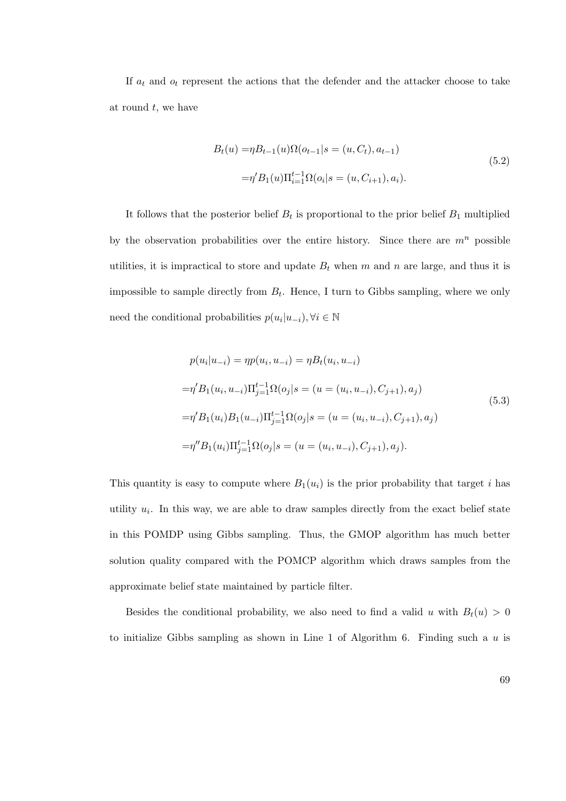If  $a_t$  and  $o_t$  represent the actions that the defender and the attacker choose to take at round  $t$ , we have

$$
B_t(u) = \eta B_{t-1}(u)\Omega(o_{t-1}|s = (u, C_t), a_{t-1})
$$
  

$$
= \eta' B_1(u)\Pi_{i=1}^{t-1}\Omega(o_i|s = (u, C_{i+1}), a_i).
$$
 (5.2)

It follows that the posterior belief  $B_t$  is proportional to the prior belief  $B_1$  multiplied by the observation probabilities over the entire history. Since there are  $m<sup>n</sup>$  possible utilities, it is impractical to store and update  $B_t$  when m and n are large, and thus it is impossible to sample directly from  $B_t$ . Hence, I turn to Gibbs sampling, where we only need the conditional probabilities  $p(u_i|u_{-i}), \forall i \in \mathbb{N}$ 

$$
p(u_i|u_{-i}) = \eta p(u_i, u_{-i}) = \eta B_t(u_i, u_{-i})
$$
  
\n
$$
= \eta' B_1(u_i, u_{-i}) \Pi_{j=1}^{t-1} \Omega(o_j|s = (u = (u_i, u_{-i}), C_{j+1}), a_j)
$$
  
\n
$$
= \eta' B_1(u_i) B_1(u_{-i}) \Pi_{j=1}^{t-1} \Omega(o_j|s = (u = (u_i, u_{-i}), C_{j+1}), a_j)
$$
  
\n
$$
= \eta'' B_1(u_i) \Pi_{j=1}^{t-1} \Omega(o_j|s = (u = (u_i, u_{-i}), C_{j+1}), a_j).
$$
\n(5.3)

This quantity is easy to compute where  $B_1(u_i)$  is the prior probability that target i has utility  $u_i$ . In this way, we are able to draw samples directly from the exact belief state in this POMDP using Gibbs sampling. Thus, the GMOP algorithm has much better solution quality compared with the POMCP algorithm which draws samples from the approximate belief state maintained by particle filter.

Besides the conditional probability, we also need to find a valid u with  $B_t(u) > 0$ to initialize Gibbs sampling as shown in Line 1 of Algorithm 6. Finding such a  $u$  is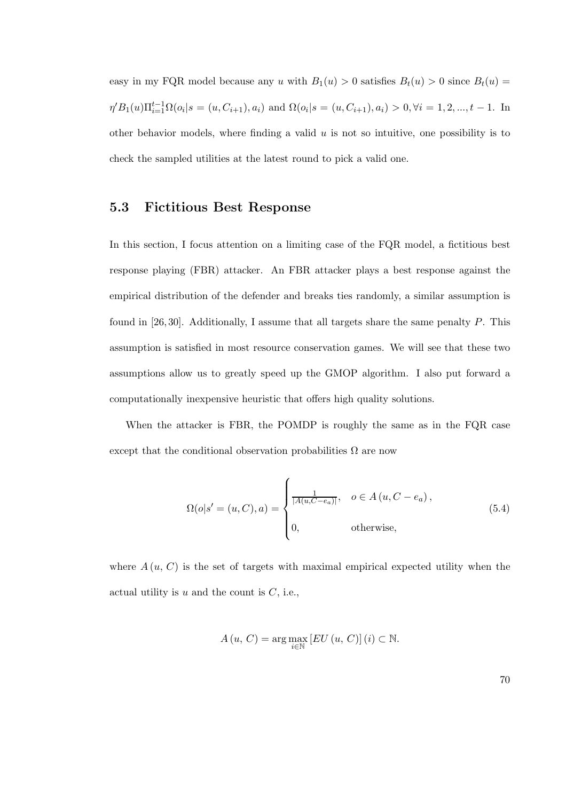easy in my FQR model because any u with  $B_1(u) > 0$  satisfies  $B_t(u) > 0$  since  $B_t(u) =$  $\eta' B_1(u) \Pi_{i=1}^{t-1} \Omega(o_i | s = (u, C_{i+1}), a_i)$  and  $\Omega(o_i | s = (u, C_{i+1}), a_i) > 0, \forall i = 1, 2, ..., t-1$ . In other behavior models, where finding a valid  $u$  is not so intuitive, one possibility is to check the sampled utilities at the latest round to pick a valid one.

# 5.3 Fictitious Best Response

In this section, I focus attention on a limiting case of the FQR model, a fictitious best response playing (FBR) attacker. An FBR attacker plays a best response against the empirical distribution of the defender and breaks ties randomly, a similar assumption is found in [26, 30]. Additionally, I assume that all targets share the same penalty  $P$ . This assumption is satisfied in most resource conservation games. We will see that these two assumptions allow us to greatly speed up the GMOP algorithm. I also put forward a computationally inexpensive heuristic that offers high quality solutions.

When the attacker is FBR, the POMDP is roughly the same as in the FQR case except that the conditional observation probabilities  $\Omega$  are now

$$
\Omega(o|s' = (u, C), a) = \begin{cases} \frac{1}{|A(u, C - e_a)|}, & o \in A(u, C - e_a), \\ 0, & \text{otherwise}, \end{cases}
$$
(5.4)

where  $A(u, C)$  is the set of targets with maximal empirical expected utility when the actual utility is  $u$  and the count is  $C$ , i.e.,

$$
A(u, C) = \arg \max_{i \in \mathbb{N}} \left[ EU(u, C) \right](i) \subset \mathbb{N}.
$$

70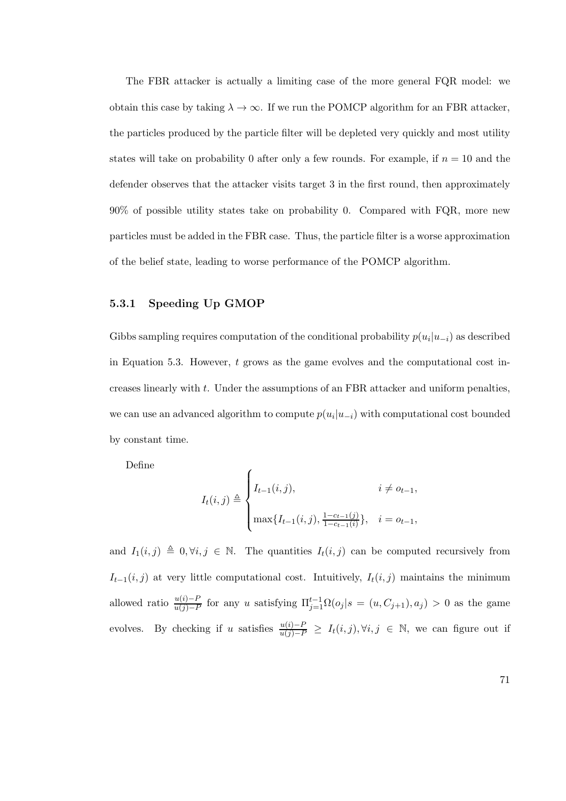The FBR attacker is actually a limiting case of the more general FQR model: we obtain this case by taking  $\lambda \to \infty$ . If we run the POMCP algorithm for an FBR attacker, the particles produced by the particle filter will be depleted very quickly and most utility states will take on probability 0 after only a few rounds. For example, if  $n = 10$  and the defender observes that the attacker visits target 3 in the first round, then approximately 90% of possible utility states take on probability 0. Compared with FQR, more new particles must be added in the FBR case. Thus, the particle filter is a worse approximation of the belief state, leading to worse performance of the POMCP algorithm.

### 5.3.1 Speeding Up GMOP

Gibbs sampling requires computation of the conditional probability  $p(u_i|u_{-i})$  as described in Equation 5.3. However,  $t$  grows as the game evolves and the computational cost increases linearly with t. Under the assumptions of an FBR attacker and uniform penalties, we can use an advanced algorithm to compute  $p(u_i|u_{-i})$  with computational cost bounded by constant time.

Define

$$
I_t(i,j) \triangleq \begin{cases} I_{t-1}(i,j), & i \neq o_{t-1}, \\ \max\{I_{t-1}(i,j), \frac{1-c_{t-1}(j)}{1-c_{t-1}(i)}\}, & i = o_{t-1}, \end{cases}
$$

and  $I_1(i, j) \triangleq 0, \forall i, j \in \mathbb{N}$ . The quantities  $I_t(i, j)$  can be computed recursively from  $I_{t-1}(i, j)$  at very little computational cost. Intuitively,  $I_t(i, j)$  maintains the minimum allowed ratio  $\frac{u(i)-P}{u(j)-P}$  for any u satisfying  $\Pi_{j=1}^{t-1}\Omega(o_j|s=(u,C_{j+1}),a_j)>0$  as the game evolves. By checking if u satisfies  $\frac{u(i)-P}{u(j)-P} \geq I_t(i,j), \forall i,j \in \mathbb{N}$ , we can figure out if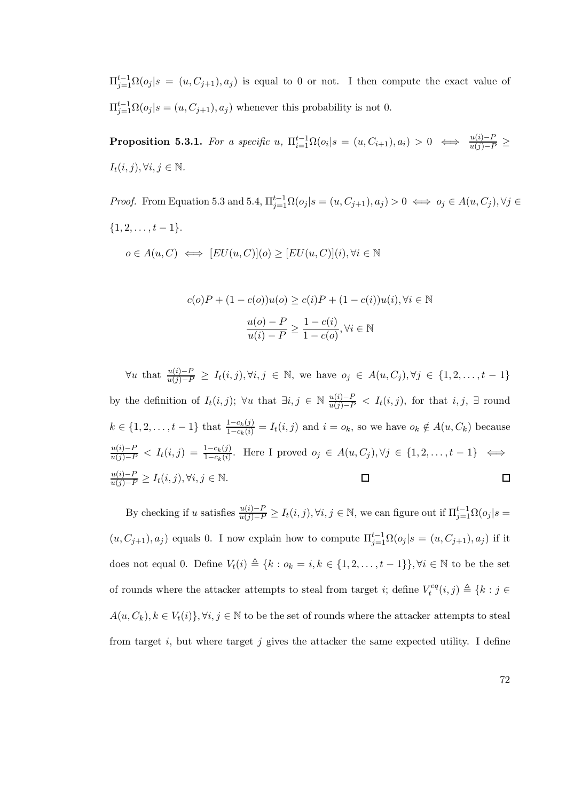$\Pi_{j=1}^{t-1}\Omega(o_j|s=(u,C_{j+1}),a_j)$  is equal to 0 or not. I then compute the exact value of  $\Pi_{j=1}^{t-1} \Omega(o_j | s = (u, C_{j+1}), a_j)$  whenever this probability is not 0.

**Proposition 5.3.1.** For a specific u,  $\Pi_{i=1}^{t-1} \Omega(o_i | s = (u, C_{i+1}), a_i) > 0 \iff \frac{u(i)-P}{u(j)-P} \ge$  $I_t(i, j), \forall i, j \in \mathbb{N}.$ 

*Proof.* From Equation 5.3 and 5.4,  $\Pi_{j=1}^{t-1} \Omega(o_j | s = (u, C_{j+1}), a_j) > 0 \iff o_j \in A(u, C_j), \forall j \in \mathbb{R}$  $\{1, 2, \ldots, t-1\}.$  $o \in A(u, C) \iff [EU(u, C)](o) \ge [EU(u, C)](i), \forall i \in \mathbb{N}$ 

$$
c(o)P + (1 - c(o))u(o) \ge c(i)P + (1 - c(i))u(i), \forall i \in \mathbb{N}
$$

$$
\frac{u(o) - P}{u(i) - P} \ge \frac{1 - c(i)}{1 - c(o)}, \forall i \in \mathbb{N}
$$

 $\forall u$  that  $\frac{u(i)-P}{u(j)-P} \geq I_t(i,j), \forall i,j \in \mathbb{N}$ , we have  $o_j \in A(u, C_j), \forall j \in \{1, 2, ..., t-1\}$ by the definition of  $I_t(i, j)$ ;  $\forall u$  that  $\exists i, j \in \mathbb{N} \frac{u(i)-P}{u(j)-P} < I_t(i, j)$ , for that  $i, j$ ,  $\exists$  round  $k \in \{1, 2, \ldots, t-1\}$  that  $\frac{1-c_k(j)}{1-c_k(i)} = I_t(i,j)$  and  $i = o_k$ , so we have  $o_k \notin A(u, C_k)$  because  $\frac{u(i)-P}{u(j)-P}$  <  $I_t(i,j) = \frac{1-c_k(j)}{1-c_k(i)}$ . Here I proved  $o_j \in A(u, C_j)$ ,  $\forall j \in \{1, 2, ..., t-1\}$  ⇔  $\frac{u(i)-P}{u(j)-P} \ge I_t(i,j), \forall i, j \in \mathbb{N}.$  $\Box$  $\Box$ 

By checking if u satisfies  $\frac{u(i)-P}{u(j)-P} \ge I_t(i,j)$ ,  $\forall i, j \in \mathbb{N}$ , we can figure out if  $\Pi_{j=1}^{t-1}\Omega(o_j|s=1)$  $(u, C_{j+1}), a_j$  equals 0. I now explain how to compute  $\Pi_{j=1}^{t-1} \Omega(o_j | s = (u, C_{j+1}), a_j)$  if it does not equal 0. Define  $V_t(i) \triangleq \{k : o_k = i, k \in \{1, 2, ..., t-1\}\}, \forall i \in \mathbb{N}$  to be the set of rounds where the attacker attempts to steal from target *i*; define  $V_t^{eq}$  $t^{eq}(i, j) \triangleq \{k : j \in$  $A(u, C_k), k \in V_t(i)$ ,  $\forall i, j \in \mathbb{N}$  to be the set of rounds where the attacker attempts to steal from target i, but where target j gives the attacker the same expected utility. I define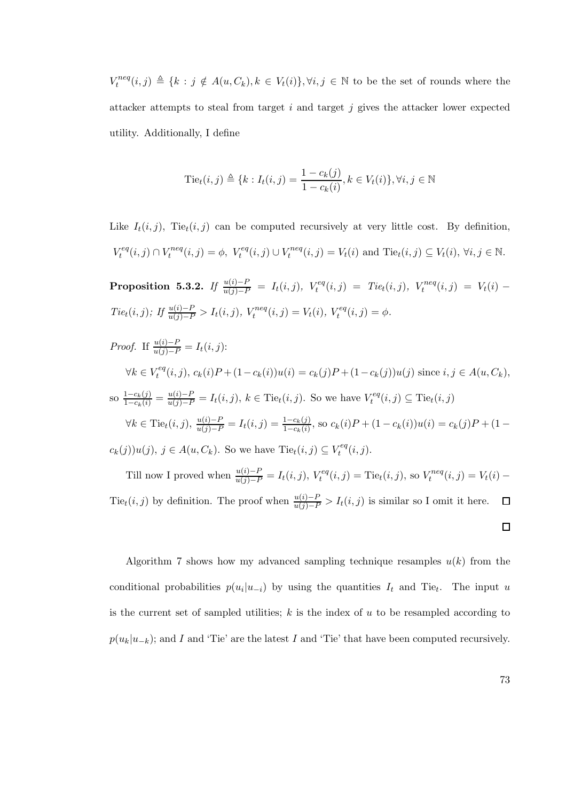$V_t^{neq}$  $t^{neq}(i, j) \triangleq \{k : j \notin A(u, C_k), k \in V_t(i)\}, \forall i, j \in \mathbb{N}$  to be the set of rounds where the attacker attempts to steal from target  $i$  and target  $j$  gives the attacker lower expected utility. Additionally, I define

$$
Tiet(i, j) ≦ {k : It(i, j) = \frac{1 - ck(j)}{1 - ck(i)}, k ∈ Vt(i)}, ∀i, j ∈ ℕ
$$

Like  $I_t(i, j)$ , Tie<sub>t</sub> $(i, j)$  can be computed recursively at very little cost. By definition,  $V_t^{eq}$  $t^{eq}(i,j) \cap V_t^{neq}$  $t^{neq}(i,j) = \phi, V_t^{eq}(i,j) \cup V_t^{neq}$  $t_t^{neq}(i, j) = V_t(i)$  and Tie $_t(i, j) \subseteq V_t(i)$ ,  $\forall i, j \in \mathbb{N}$ .

 $\textbf{Proposition 5.3.2.} \ \emph{If} \ \frac{u(i)-P}{u(j)-P} \ = \ I_t(i,j), \ \emph{V}^{eq}_t$  $\mathcal{I}_t^{eq}(i,j) = \text{T}ie_t(i,j), \ \mathcal{V}_t^{neq}$  $t^{neq}(i,j) = V_t(i) Tie_t(i, j);$  If  $\frac{u(i) - P}{u(j) - P} > I_t(i, j),$   $V_t^{neq}$  $t^{neq}(i, j) = V_t(i), V_t^{eq}$  $t^{eq}(i,j) = \phi.$ 

*Proof.* If  $\frac{u(i)-P}{u(j)-P} = I_t(i,j)$ :  $\forall k \in V_t^{eq}$  $t^{eq}(i, j), c_k(i)P + (1 - c_k(i))u(i) = c_k(j)P + (1 - c_k(j))u(j)$  since  $i, j \in A(u, C_k)$ , so  $\frac{1-c_k(j)}{1-c_k(i)} = \frac{u(i)-P}{u(j)-P} = I_t(i,j), k \in \text{Te}_t(i,j)$ . So we have  $V_t^{eq}$  $\mathcal{I}_t^{eq}(i,j) \subseteq \text{tie}_t(i,j)$  $\forall k \in \text{Tie}_t(i,j), \frac{u(i)-P}{u(j)-P} = I_t(i,j) = \frac{1-c_k(j)}{1-c_k(i)}, \text{ so } c_k(i)P + (1-c_k(i))u(i) = c_k(j)P + (1-c_k(i))u(i)$  $c_k(j))u(j), j \in A(u, C_k)$ . So we have  $\text{Te}_t(i,j) \subseteq V_t^{eq}$  $t^{eq}(i,j).$ 

Till now I proved when  $\frac{u(i)-P}{u(j)-P} = I_t(i,j)$ ,  $V_t^{eq}$  $t_t^{eq}(i,j) = \text{Tie}_t(i,j)$ , so  $V_t^{neq}$  $t^{neq}(i, j) = V_t(i) -$ Tie $_t(i, j)$  by definition. The proof when  $\frac{u(i)-P}{u(j)-P} > I_t(i,j)$  is similar so I omit it here.  $\Box$ 

Algorithm 7 shows how my advanced sampling technique resamples  $u(k)$  from the conditional probabilities  $p(u_i|u_{-i})$  by using the quantities  $I_t$  and Tie<sub>t</sub>. The input u is the current set of sampled utilities;  $k$  is the index of  $u$  to be resampled according to  $p(u_k|u_{-k})$ ; and I and 'Tie' are the latest I and 'Tie' that have been computed recursively.

 $\Box$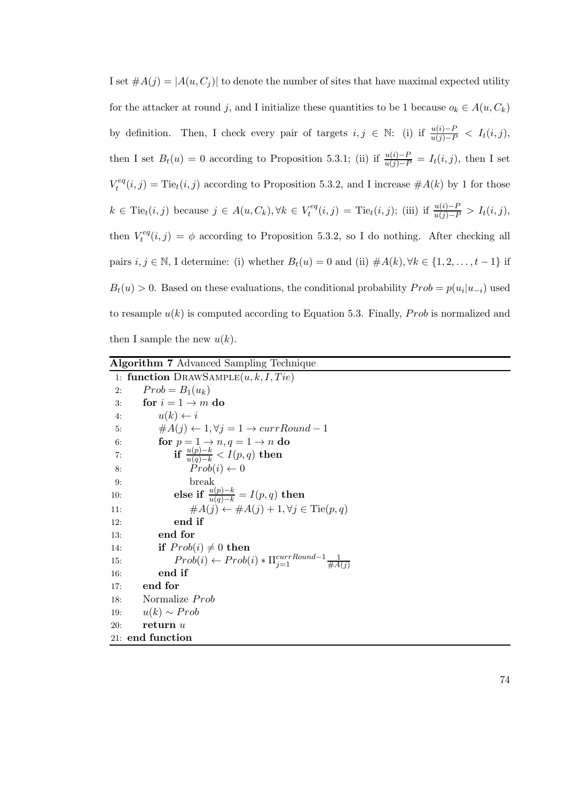I set  $#A(j) = |A(u, C_j)|$  to denote the number of sites that have maximal expected utility for the attacker at round j, and I initialize these quantities to be 1 because  $o_k \in A(u, C_k)$ by definition. Then, I check every pair of targets  $i, j \in \mathbb{N}$ : (i) if  $\frac{u(i)-P}{u(j)-P} < I_t(i,j)$ , then I set  $B_t(u) = 0$  according to Proposition 5.3.1; (ii) if  $\frac{u(i)-P}{u(j)-P} = I_t(i,j)$ , then I set  $V_t^{eq}$  $t^{eq}(i,j) = \text{Tie}_t(i,j)$  according to Proposition 5.3.2, and I increase  $\#A(k)$  by 1 for those  $k \in \text{Tie}_t(i,j)$  because  $j \in A(u, C_k), \forall k \in V_t^{eq}$  $t^{eq}(i, j) = \text{Tie}_t(i, j);$  (iii) if  $\frac{u(i) - P}{u(j) - P} > I_t(i, j),$ then  $V_t^{eq}$  $t^{eq}(i, j) = \phi$  according to Proposition 5.3.2, so I do nothing. After checking all pairs  $i, j \in \mathbb{N}$ , I determine: (i) whether  $B_t(u) = 0$  and (ii)  $\#A(k), \forall k \in \{1, 2, \ldots, t-1\}$  if  $B_t(u) > 0$ . Based on these evaluations, the conditional probability  $Prob = p(u_i|u_{-i})$  used to resample  $u(k)$  is computed according to Equation 5.3. Finally, *Prob* is normalized and then I sample the new  $u(k)$ .

| <b>Algorithm 7</b> Advanced Sampling Technique                                 |
|--------------------------------------------------------------------------------|
| 1: function DRAWSAMPLE $(u, k, I, Tie)$                                        |
| $Prob = B_1(u_k)$<br>2:                                                        |
| for $i = 1 \rightarrow m$ do<br>3:                                             |
| $u(k) \leftarrow i$<br>4:                                                      |
| $#A(j) \leftarrow 1, \forall j = 1 \rightarrow currRound - 1$<br>5:            |
| for $p = 1 \rightarrow n, q = 1 \rightarrow n$ do<br>6:                        |
| if $\frac{u(p)-k}{u(q)-k} < I(p,q)$ then<br>7:                                 |
| $Prob(i) \leftarrow 0$<br>8:                                                   |
| break<br>9:                                                                    |
| else if $\frac{u(p)-k}{u(q)-k} = I(p,q)$ then<br>10:                           |
| $\#A(j) \leftarrow \#A(j) + 1, \forall j \in \text{Te}(p,q)$<br>11:            |
| end if<br>12:                                                                  |
| end for<br>13:                                                                 |
| if $Prob(i) \neq 0$ then<br>14:                                                |
| $Prob(i) \leftarrow Prob(i) * \Pi_{i=1}^{currRound-1} \frac{1}{\#A(i)}$<br>15: |
| end if<br>16:                                                                  |
| end for<br>17:                                                                 |
| Normalize <i>Prob</i><br>18:                                                   |
| $u(k) \sim Prob$<br>19:                                                        |
| return $u$<br>20:                                                              |
| 21: end function                                                               |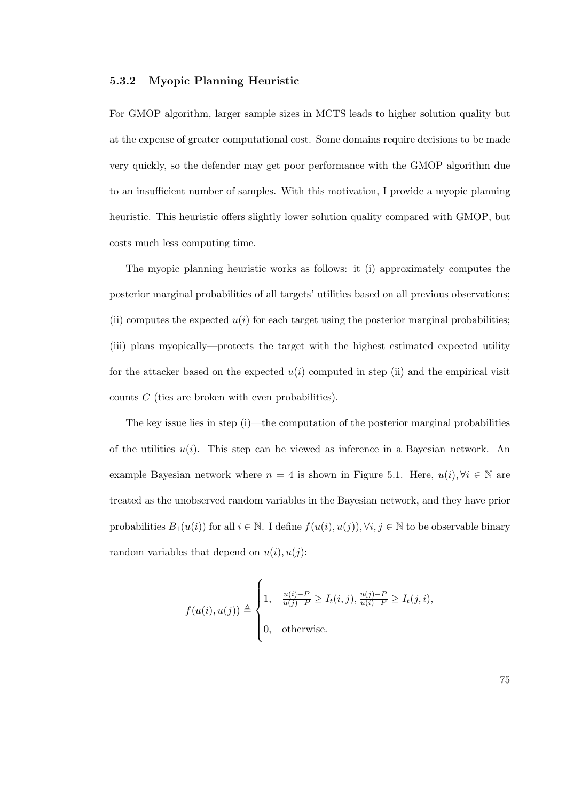### 5.3.2 Myopic Planning Heuristic

For GMOP algorithm, larger sample sizes in MCTS leads to higher solution quality but at the expense of greater computational cost. Some domains require decisions to be made very quickly, so the defender may get poor performance with the GMOP algorithm due to an insufficient number of samples. With this motivation, I provide a myopic planning heuristic. This heuristic offers slightly lower solution quality compared with GMOP, but costs much less computing time.

The myopic planning heuristic works as follows: it (i) approximately computes the posterior marginal probabilities of all targets' utilities based on all previous observations; (ii) computes the expected  $u(i)$  for each target using the posterior marginal probabilities; (iii) plans myopically—protects the target with the highest estimated expected utility for the attacker based on the expected  $u(i)$  computed in step (ii) and the empirical visit counts C (ties are broken with even probabilities).

The key issue lies in step (i)—the computation of the posterior marginal probabilities of the utilities  $u(i)$ . This step can be viewed as inference in a Bayesian network. An example Bayesian network where  $n = 4$  is shown in Figure 5.1. Here,  $u(i)$ ,  $\forall i \in \mathbb{N}$  are treated as the unobserved random variables in the Bayesian network, and they have prior probabilities  $B_1(u(i))$  for all  $i \in \mathbb{N}$ . I define  $f(u(i), u(j))$ ,  $\forall i, j \in \mathbb{N}$  to be observable binary random variables that depend on  $u(i)$ ,  $u(j)$ :

$$
f(u(i), u(j)) \triangleq \begin{cases} 1, & \frac{u(i)-P}{u(j)-P} \ge I_t(i,j), \frac{u(j)-P}{u(i)-P} \ge I_t(j,i), \\ 0, & \text{otherwise.} \end{cases}
$$

75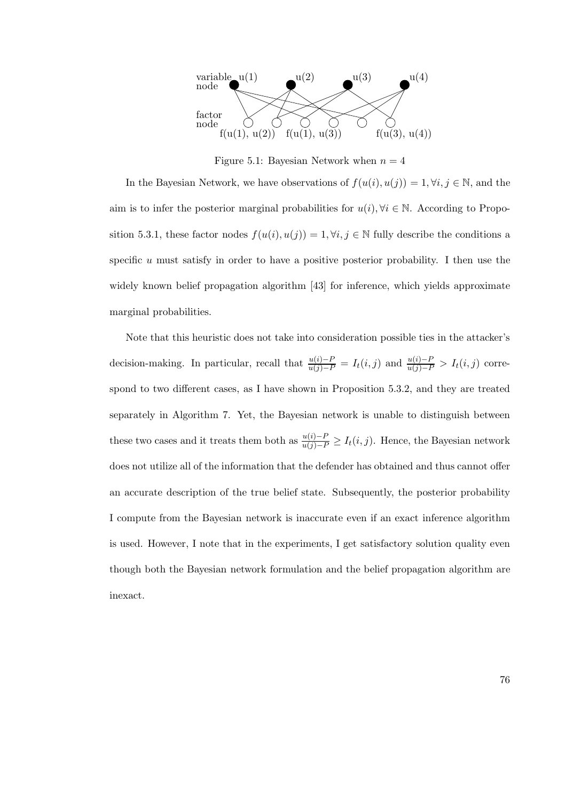

Figure 5.1: Bayesian Network when  $n = 4$ 

In the Bayesian Network, we have observations of  $f(u(i), u(j)) = 1, \forall i, j \in \mathbb{N}$ , and the aim is to infer the posterior marginal probabilities for  $u(i)$ ,  $\forall i \in \mathbb{N}$ . According to Proposition 5.3.1, these factor nodes  $f(u(i), u(j)) = 1, \forall i, j \in \mathbb{N}$  fully describe the conditions a specific  $u$  must satisfy in order to have a positive posterior probability. I then use the widely known belief propagation algorithm [43] for inference, which yields approximate marginal probabilities.

Note that this heuristic does not take into consideration possible ties in the attacker's decision-making. In particular, recall that  $\frac{u(i)-P}{u(j)-P} = I_t(i,j)$  and  $\frac{u(i)-P}{u(j)-P} > I_t(i,j)$  correspond to two different cases, as I have shown in Proposition 5.3.2, and they are treated separately in Algorithm 7. Yet, the Bayesian network is unable to distinguish between these two cases and it treats them both as  $\frac{u(i)-P}{u(j)-P} \geq I_t(i,j)$ . Hence, the Bayesian network does not utilize all of the information that the defender has obtained and thus cannot offer an accurate description of the true belief state. Subsequently, the posterior probability I compute from the Bayesian network is inaccurate even if an exact inference algorithm is used. However, I note that in the experiments, I get satisfactory solution quality even though both the Bayesian network formulation and the belief propagation algorithm are inexact.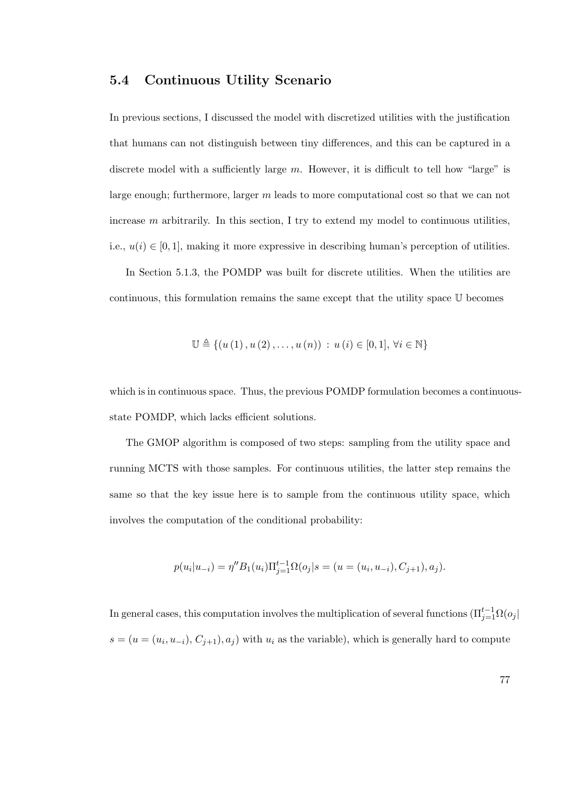# 5.4 Continuous Utility Scenario

In previous sections, I discussed the model with discretized utilities with the justification that humans can not distinguish between tiny differences, and this can be captured in a discrete model with a sufficiently large  $m$ . However, it is difficult to tell how "large" is large enough; furthermore, larger m leads to more computational cost so that we can not increase  $m$  arbitrarily. In this section, I try to extend my model to continuous utilities, i.e.,  $u(i) \in [0, 1]$ , making it more expressive in describing human's perception of utilities.

In Section 5.1.3, the POMDP was built for discrete utilities. When the utilities are continuous, this formulation remains the same except that the utility space U becomes

$$
\mathbb{U} \triangleq \{ (u(1), u(2), \dots, u(n)) : u(i) \in [0,1], \forall i \in \mathbb{N} \}
$$

which is in continuous space. Thus, the previous POMDP formulation becomes a continuousstate POMDP, which lacks efficient solutions.

The GMOP algorithm is composed of two steps: sampling from the utility space and running MCTS with those samples. For continuous utilities, the latter step remains the same so that the key issue here is to sample from the continuous utility space, which involves the computation of the conditional probability:

$$
p(u_i|u_{-i}) = \eta'' B_1(u_i) \Pi_{j=1}^{t-1} \Omega(o_j|s = (u = (u_i, u_{-i}), C_{j+1}), a_j).
$$

In general cases, this computation involves the multiplication of several functions  $(\Pi_{j=1}^{t-1}\Omega(o_j))$  $s = (u = (u_i, u_{-i}), C_{j+1}), a_j)$  with  $u_i$  as the variable), which is generally hard to compute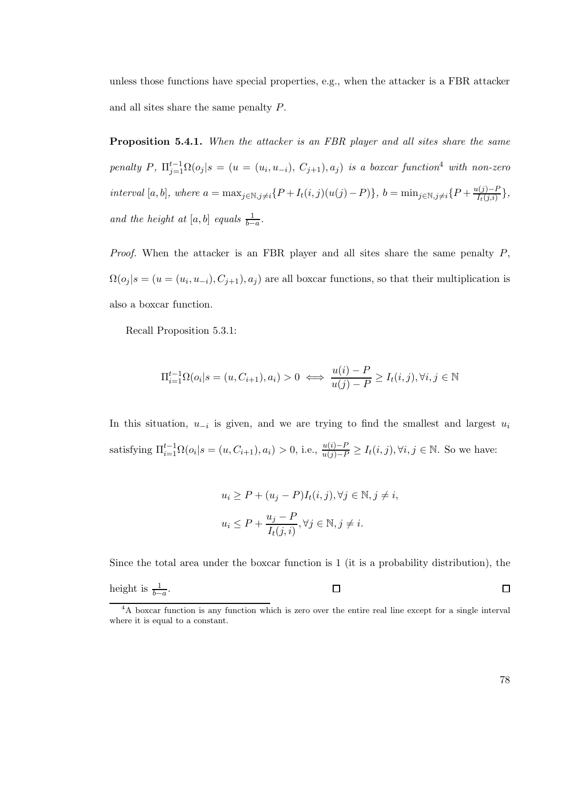unless those functions have special properties, e.g., when the attacker is a FBR attacker and all sites share the same penalty P.

Proposition 5.4.1. When the attacker is an FBR player and all sites share the same penalty P,  $\Pi_{j=1}^{t-1} \Omega(o_j | s = (u = (u_i, u_{-i}), C_{j+1}), a_j)$  is a boxcar function<sup>4</sup> with non-zero interval [a, b], where  $a = \max_{j \in \mathbb{N}, j \neq i} \{P + I_t(i, j)(u(j) - P)\}, b = \min_{j \in \mathbb{N}, j \neq i} \{P + \frac{u(j) - P}{I_t(j,i)}\}$  $\frac{I(j)-I}{I_t(j,i)}\},\,$ and the height at  $[a, b]$  equals  $\frac{1}{b-a}$ .

*Proof.* When the attacker is an FBR player and all sites share the same penalty  $P$ ,  $\Omega(o_j | s = (u = (u_i, u_{-i}), C_{j+1}), a_j)$  are all boxcar functions, so that their multiplication is also a boxcar function.

Recall Proposition 5.3.1:

$$
\Pi_{i=1}^{t-1} \Omega(o_i | s = (u, C_{i+1}), a_i) > 0 \iff \frac{u(i) - P}{u(j) - P} \ge I_t(i, j), \forall i, j \in \mathbb{N}
$$

In this situation,  $u_{-i}$  is given, and we are trying to find the smallest and largest  $u_i$ satisfying  $\Pi_{i=1}^{t-1} \Omega(o_i | s = (u, C_{i+1}), a_i) > 0$ , i.e.,  $\frac{u(i)-P}{u(j)-P} \geq I_t(i,j), \forall i, j \in \mathbb{N}$ . So we have:

$$
u_i \ge P + (u_j - P)I_t(i, j), \forall j \in \mathbb{N}, j \ne i,
$$
  

$$
u_i \le P + \frac{u_j - P}{I_t(j, i)}, \forall j \in \mathbb{N}, j \ne i.
$$

Since the total area under the boxcar function is 1 (it is a probability distribution), the

height is 
$$
\frac{1}{b-a}
$$
.

<sup>4</sup>A boxcar function is any function which is zero over the entire real line except for a single interval where it is equal to a constant.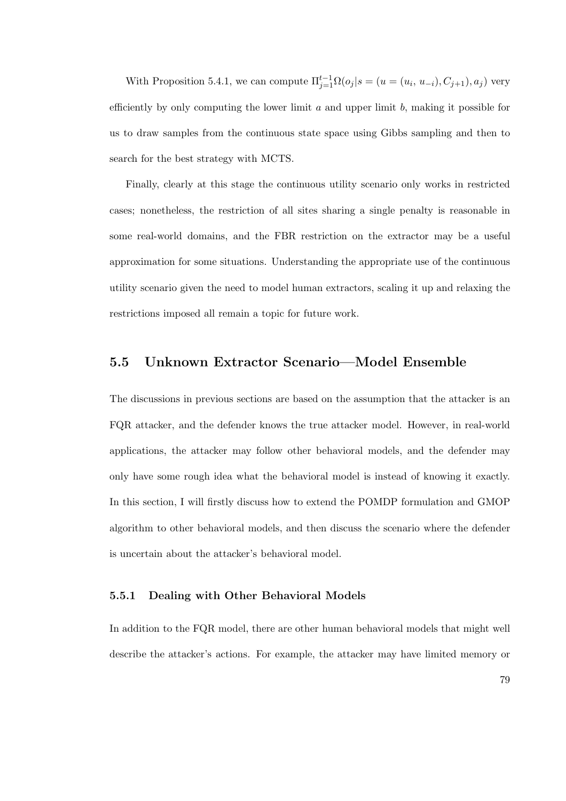With Proposition 5.4.1, we can compute  $\Pi_{j=1}^{t-1} \Omega(o_j | s = (u = (u_i, u_{-i}), C_{j+1}), a_j)$  very efficiently by only computing the lower limit  $a$  and upper limit  $b$ , making it possible for us to draw samples from the continuous state space using Gibbs sampling and then to search for the best strategy with MCTS.

Finally, clearly at this stage the continuous utility scenario only works in restricted cases; nonetheless, the restriction of all sites sharing a single penalty is reasonable in some real-world domains, and the FBR restriction on the extractor may be a useful approximation for some situations. Understanding the appropriate use of the continuous utility scenario given the need to model human extractors, scaling it up and relaxing the restrictions imposed all remain a topic for future work.

# 5.5 Unknown Extractor Scenario—Model Ensemble

The discussions in previous sections are based on the assumption that the attacker is an FQR attacker, and the defender knows the true attacker model. However, in real-world applications, the attacker may follow other behavioral models, and the defender may only have some rough idea what the behavioral model is instead of knowing it exactly. In this section, I will firstly discuss how to extend the POMDP formulation and GMOP algorithm to other behavioral models, and then discuss the scenario where the defender is uncertain about the attacker's behavioral model.

### 5.5.1 Dealing with Other Behavioral Models

In addition to the FQR model, there are other human behavioral models that might well describe the attacker's actions. For example, the attacker may have limited memory or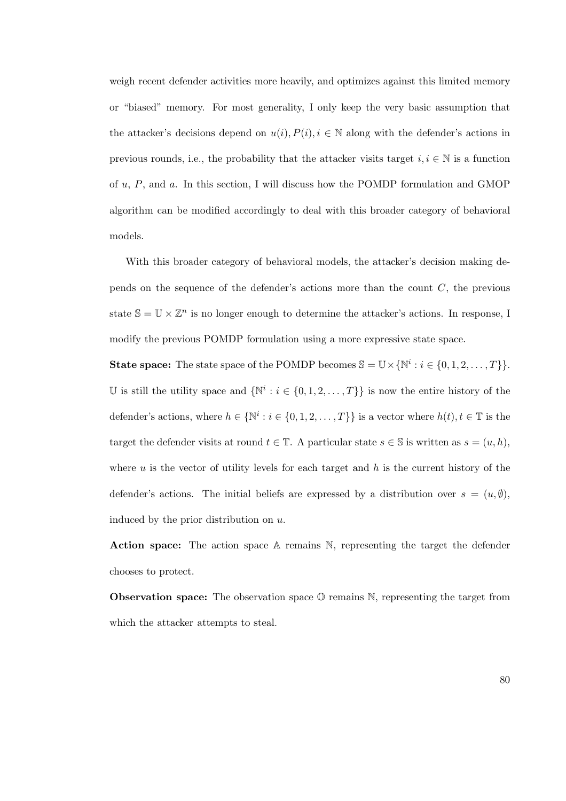weigh recent defender activities more heavily, and optimizes against this limited memory or "biased" memory. For most generality, I only keep the very basic assumption that the attacker's decisions depend on  $u(i)$ ,  $P(i)$ ,  $i \in \mathbb{N}$  along with the defender's actions in previous rounds, i.e., the probability that the attacker visits target  $i, i \in \mathbb{N}$  is a function of u, P, and a. In this section, I will discuss how the POMDP formulation and GMOP algorithm can be modified accordingly to deal with this broader category of behavioral models.

With this broader category of behavioral models, the attacker's decision making depends on the sequence of the defender's actions more than the count  $C$ , the previous state  $\mathbb{S} = \mathbb{U} \times \mathbb{Z}^n$  is no longer enough to determine the attacker's actions. In response, I modify the previous POMDP formulation using a more expressive state space.

**State space:** The state space of the POMDP becomes  $\mathbb{S} = \mathbb{U} \times \{ \mathbb{N}^i : i \in \{0, 1, 2, ..., T\} \}.$ U is still the utility space and  $\{N^i : i \in \{0, 1, 2, ..., T\}\}$  is now the entire history of the defender's actions, where  $h \in \{ \mathbb{N}^i : i \in \{0, 1, 2, ..., T\} \}$  is a vector where  $h(t), t \in \mathbb{T}$  is the target the defender visits at round  $t \in \mathbb{T}$ . A particular state  $s \in \mathbb{S}$  is written as  $s = (u, h)$ , where  $u$  is the vector of utility levels for each target and  $h$  is the current history of the defender's actions. The initial beliefs are expressed by a distribution over  $s = (u, \emptyset)$ , induced by the prior distribution on u.

Action space: The action space A remains N, representing the target the defender chooses to protect.

**Observation space:** The observation space  $\mathbb{O}$  remains  $\mathbb{N}$ , representing the target from which the attacker attempts to steal.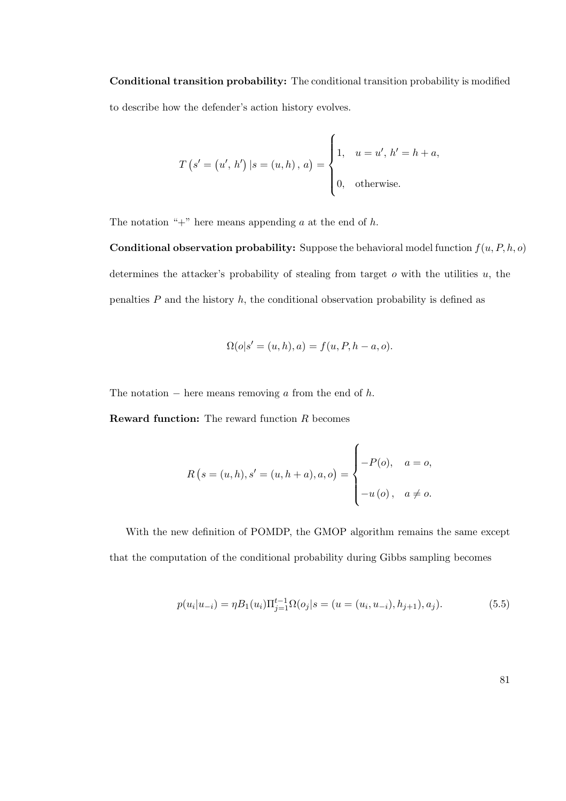Conditional transition probability: The conditional transition probability is modified to describe how the defender's action history evolves.

$$
T(s' = (u', h') | s = (u, h), a) = \begin{cases} 1, & u = u', h' = h + a, \\ 0, & \text{otherwise.} \end{cases}
$$

The notation "+" here means appending  $a$  at the end of  $h$ .

**Conditional observation probability:** Suppose the behavioral model function  $f(u, P, h, o)$ determines the attacker's probability of stealing from target  $o$  with the utilities  $u$ , the penalties  $P$  and the history  $h$ , the conditional observation probability is defined as

$$
\Omega(o|s' = (u, h), a) = f(u, P, h - a, o).
$$

The notation  $-$  here means removing a from the end of h.

**Reward function:** The reward function  $R$  becomes

$$
R(s = (u, h), s' = (u, h + a), a, o) = \begin{cases} -P(o), & a = o, \\ -u(o), & a \neq o. \end{cases}
$$

With the new definition of POMDP, the GMOP algorithm remains the same except that the computation of the conditional probability during Gibbs sampling becomes

$$
p(u_i|u_{-i}) = \eta B_1(u_i) \Pi_{j=1}^{t-1} \Omega(o_j|s = (u = (u_i, u_{-i}), h_{j+1}), a_j).
$$
\n(5.5)

81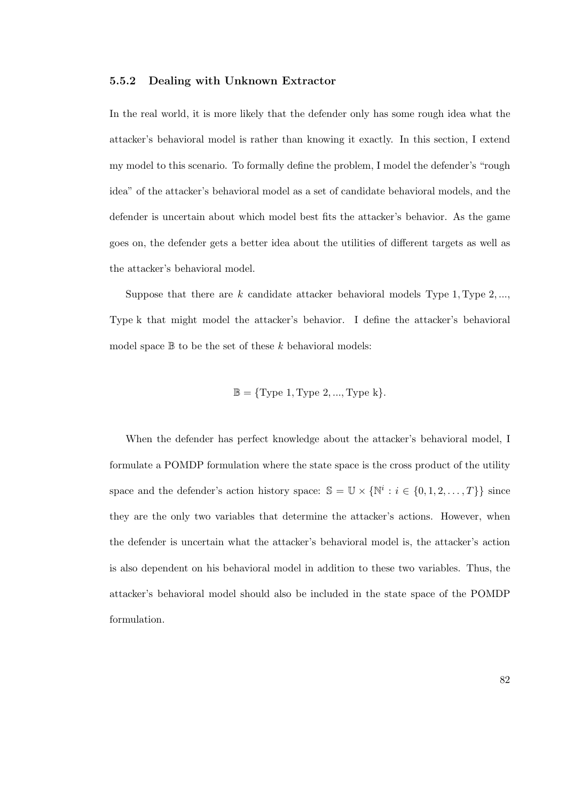#### 5.5.2 Dealing with Unknown Extractor

In the real world, it is more likely that the defender only has some rough idea what the attacker's behavioral model is rather than knowing it exactly. In this section, I extend my model to this scenario. To formally define the problem, I model the defender's "rough idea" of the attacker's behavioral model as a set of candidate behavioral models, and the defender is uncertain about which model best fits the attacker's behavior. As the game goes on, the defender gets a better idea about the utilities of different targets as well as the attacker's behavioral model.

Suppose that there are  $k$  candidate attacker behavioral models Type 1, Type 2, ..., Type k that might model the attacker's behavior. I define the attacker's behavioral model space  $\mathbb B$  to be the set of these k behavioral models:

$$
\mathbb{B} = \{ \text{Type 1}, \text{Type 2}, ..., \text{Type k} \}.
$$

When the defender has perfect knowledge about the attacker's behavioral model, I formulate a POMDP formulation where the state space is the cross product of the utility space and the defender's action history space:  $\mathbb{S} = \mathbb{U} \times \{ \mathbb{N}^i : i \in \{0, 1, 2, ..., T\} \}$  since they are the only two variables that determine the attacker's actions. However, when the defender is uncertain what the attacker's behavioral model is, the attacker's action is also dependent on his behavioral model in addition to these two variables. Thus, the attacker's behavioral model should also be included in the state space of the POMDP formulation.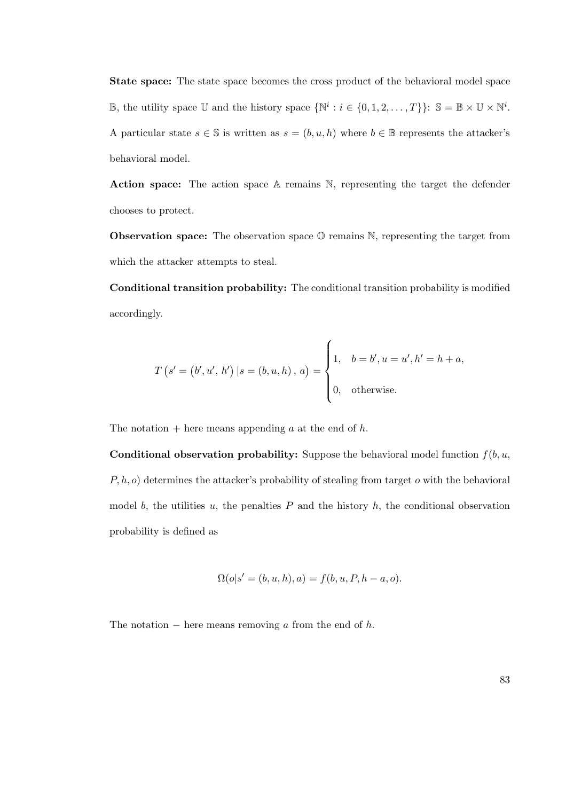State space: The state space becomes the cross product of the behavioral model space B, the utility space U and the history space  $\{N^i : i \in \{0, 1, 2, ..., T\}\}\colon S = \mathbb{B} \times \mathbb{U} \times N^i$ . A particular state  $s \in \mathbb{S}$  is written as  $s = (b, u, h)$  where  $b \in \mathbb{B}$  represents the attacker's behavioral model.

Action space: The action space A remains N, representing the target the defender chooses to protect.

**Observation space:** The observation space  $\mathbb{O}$  remains  $\mathbb{N}$ , representing the target from which the attacker attempts to steal.

Conditional transition probability: The conditional transition probability is modified accordingly.

$$
T(s' = (b', u', h') | s = (b, u, h), a) = \begin{cases} 1, & b = b', u = u', h' = h + a, \\ 0, & \text{otherwise.} \end{cases}
$$

The notation  $+$  here means appending a at the end of h.

**Conditional observation probability:** Suppose the behavioral model function  $f(b, u, \theta)$  $P, h, o$  determines the attacker's probability of stealing from target  $o$  with the behavioral model b, the utilities u, the penalties  $P$  and the history  $h$ , the conditional observation probability is defined as

$$
\Omega(o|s' = (b, u, h), a) = f(b, u, P, h - a, o).
$$

The notation  $-$  here means removing a from the end of h.

83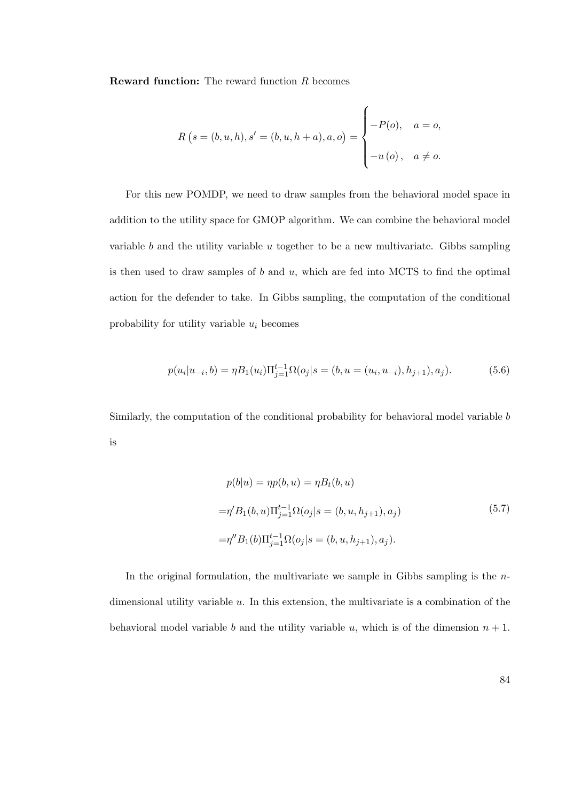**Reward function:** The reward function  $R$  becomes

$$
R(s = (b, u, h), s' = (b, u, h + a), a, o) = \begin{cases} -P(o), & a = o, \\ -u(o), & a \neq o. \end{cases}
$$

For this new POMDP, we need to draw samples from the behavioral model space in addition to the utility space for GMOP algorithm. We can combine the behavioral model variable  $b$  and the utility variable  $u$  together to be a new multivariate. Gibbs sampling is then used to draw samples of  $b$  and  $u$ , which are fed into MCTS to find the optimal action for the defender to take. In Gibbs sampling, the computation of the conditional probability for utility variable  $u_i$  becomes

$$
p(u_i|u_{-i},b) = \eta B_1(u_i) \Pi_{j=1}^{t-1} \Omega(o_j|s = (b, u = (u_i, u_{-i}), h_{j+1}), a_j).
$$
 (5.6)

Similarly, the computation of the conditional probability for behavioral model variable b is

$$
p(b|u) = \eta p(b, u) = \eta B_t(b, u)
$$
  

$$
= \eta' B_1(b, u) \Pi_{j=1}^{t-1} \Omega(o_j | s = (b, u, h_{j+1}), a_j)
$$
  

$$
= \eta'' B_1(b) \Pi_{j=1}^{t-1} \Omega(o_j | s = (b, u, h_{j+1}), a_j).
$$
 (5.7)

In the original formulation, the multivariate we sample in Gibbs sampling is the  $n$ dimensional utility variable  $u$ . In this extension, the multivariate is a combination of the behavioral model variable b and the utility variable u, which is of the dimension  $n + 1$ .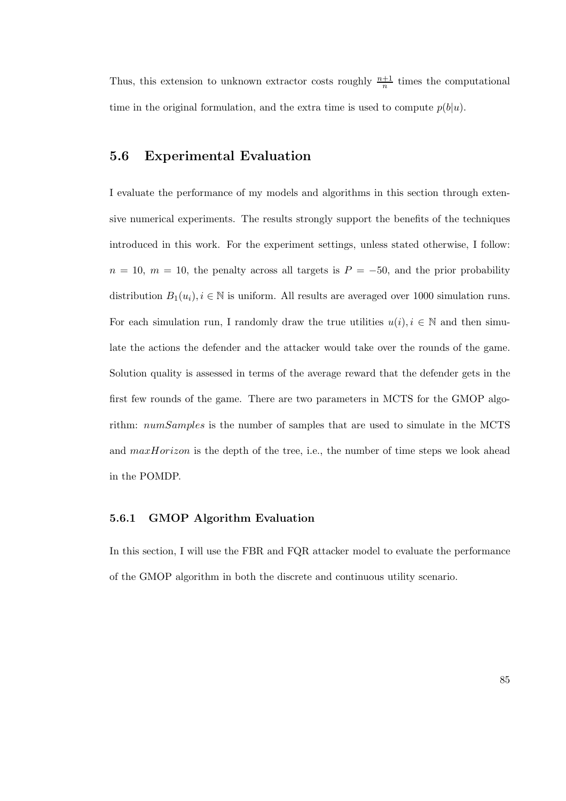Thus, this extension to unknown extractor costs roughly  $\frac{n+1}{n}$  times the computational time in the original formulation, and the extra time is used to compute  $p(b|u)$ .

# 5.6 Experimental Evaluation

I evaluate the performance of my models and algorithms in this section through extensive numerical experiments. The results strongly support the benefits of the techniques introduced in this work. For the experiment settings, unless stated otherwise, I follow:  $n = 10$ ,  $m = 10$ , the penalty across all targets is  $P = -50$ , and the prior probability distribution  $B_1(u_i), i \in \mathbb{N}$  is uniform. All results are averaged over 1000 simulation runs. For each simulation run, I randomly draw the true utilities  $u(i), i \in \mathbb{N}$  and then simulate the actions the defender and the attacker would take over the rounds of the game. Solution quality is assessed in terms of the average reward that the defender gets in the first few rounds of the game. There are two parameters in MCTS for the GMOP algorithm: numSamples is the number of samples that are used to simulate in the MCTS and  $maxHorizon$  is the depth of the tree, i.e., the number of time steps we look ahead in the POMDP.

### 5.6.1 GMOP Algorithm Evaluation

In this section, I will use the FBR and FQR attacker model to evaluate the performance of the GMOP algorithm in both the discrete and continuous utility scenario.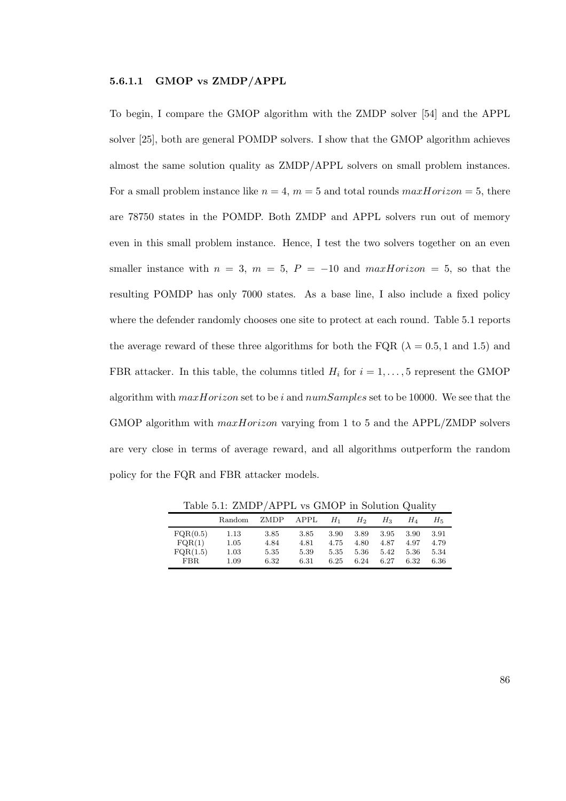#### 5.6.1.1 GMOP vs ZMDP/APPL

To begin, I compare the GMOP algorithm with the ZMDP solver [54] and the APPL solver [25], both are general POMDP solvers. I show that the GMOP algorithm achieves almost the same solution quality as ZMDP/APPL solvers on small problem instances. For a small problem instance like  $n = 4$ ,  $m = 5$  and total rounds  $maxHorizon = 5$ , there are 78750 states in the POMDP. Both ZMDP and APPL solvers run out of memory even in this small problem instance. Hence, I test the two solvers together on an even smaller instance with  $n = 3$ ,  $m = 5$ ,  $P = -10$  and  $maxHorizon = 5$ , so that the resulting POMDP has only 7000 states. As a base line, I also include a fixed policy where the defender randomly chooses one site to protect at each round. Table 5.1 reports the average reward of these three algorithms for both the FQR ( $\lambda = 0.5, 1$  and 1.5) and FBR attacker. In this table, the columns titled  $H_i$  for  $i = 1, ..., 5$  represent the GMOP algorithm with  $maxHorizon$  set to be i and  $numSamples$  set to be 10000. We see that the GMOP algorithm with *maxHorizon* varying from 1 to 5 and the APPL/ZMDP solvers are very close in terms of average reward, and all algorithms outperform the random policy for the FQR and FBR attacker models.

|                                        |                              |                              |                              |                              |                              | .                            |                              |                              |
|----------------------------------------|------------------------------|------------------------------|------------------------------|------------------------------|------------------------------|------------------------------|------------------------------|------------------------------|
|                                        | Random                       | ZMDP                         | APPL                         | $H_1$                        | $H_2$                        | $H_3$                        | H 4                          | $H_{5}$                      |
| FQR(0.5)<br>FQR(1)<br>FQR(1.5)<br>FBR. | 1.13<br>1.05<br>1.03<br>1.09 | 3.85<br>4.84<br>5.35<br>6.32 | 3.85<br>4.81<br>5.39<br>6.31 | 3.90<br>4.75<br>5.35<br>6.25 | 3.89<br>4.80<br>5.36<br>6.24 | 3.95<br>4.87<br>5.42<br>6.27 | 3.90<br>4.97<br>5.36<br>6.32 | 3.91<br>4.79<br>5.34<br>6.36 |

Table 5.1: ZMDP/APPL vs GMOP in Solution Quality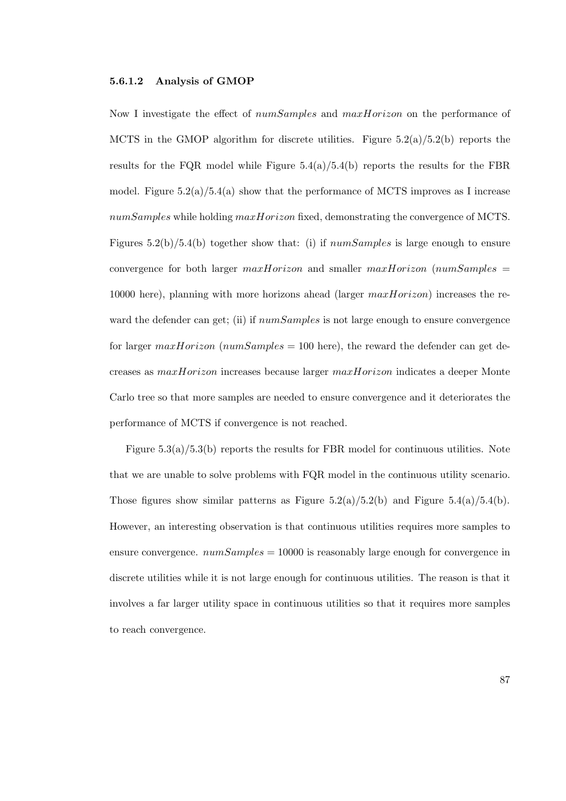#### 5.6.1.2 Analysis of GMOP

Now I investigate the effect of *numSamples* and *maxHorizon* on the performance of MCTS in the GMOP algorithm for discrete utilities. Figure  $5.2(a)/5.2(b)$  reports the results for the FQR model while Figure  $5.4(a)/5.4(b)$  reports the results for the FBR model. Figure  $5.2(a)/5.4(a)$  show that the performance of MCTS improves as I increase numSamples while holding maxHorizon fixed, demonstrating the convergence of MCTS. Figures  $5.2(b)/5.4(b)$  together show that: (i) if  $numSamples$  is large enough to ensure convergence for both larger  $maxHorizon$  and smaller  $maxHorizon$  (numSamples = 10000 here), planning with more horizons ahead (larger  $maxHorizon$ ) increases the reward the defender can get; (ii) if  $numSamples$  is not large enough to ensure convergence for larger max *Horizon* (num Samples = 100 here), the reward the defender can get decreases as maxHorizon increases because larger maxHorizon indicates a deeper Monte Carlo tree so that more samples are needed to ensure convergence and it deteriorates the performance of MCTS if convergence is not reached.

Figure 5.3(a)/5.3(b) reports the results for FBR model for continuous utilities. Note that we are unable to solve problems with FQR model in the continuous utility scenario. Those figures show similar patterns as Figure  $5.2(a)/5.2(b)$  and Figure  $5.4(a)/5.4(b)$ . However, an interesting observation is that continuous utilities requires more samples to ensure convergence.  $numSamples = 10000$  is reasonably large enough for convergence in discrete utilities while it is not large enough for continuous utilities. The reason is that it involves a far larger utility space in continuous utilities so that it requires more samples to reach convergence.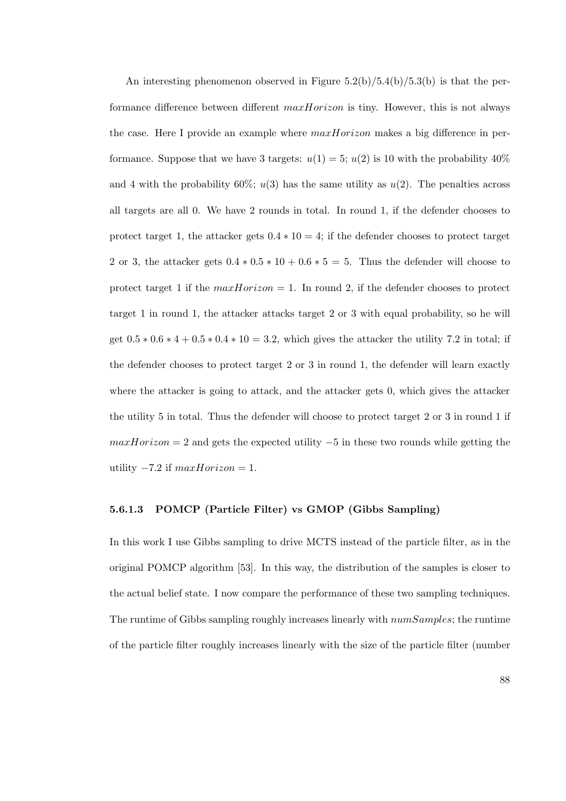An interesting phenomenon observed in Figure  $5.2(b)/5.4(b)/5.3(b)$  is that the performance difference between different  $maxHorizon$  is tiny. However, this is not always the case. Here I provide an example where  $maxHorizon$  makes a big difference in performance. Suppose that we have 3 targets:  $u(1) = 5$ ;  $u(2)$  is 10 with the probability 40% and 4 with the probability 60%;  $u(3)$  has the same utility as  $u(2)$ . The penalties across all targets are all 0. We have 2 rounds in total. In round 1, if the defender chooses to protect target 1, the attacker gets  $0.4 * 10 = 4$ ; if the defender chooses to protect target 2 or 3, the attacker gets  $0.4 * 0.5 * 10 + 0.6 * 5 = 5$ . Thus the defender will choose to protect target 1 if the  $maxHorizon = 1$ . In round 2, if the defender chooses to protect target 1 in round 1, the attacker attacks target 2 or 3 with equal probability, so he will get  $0.5 * 0.6 * 4 + 0.5 * 0.4 * 10 = 3.2$ , which gives the attacker the utility 7.2 in total; if the defender chooses to protect target 2 or 3 in round 1, the defender will learn exactly where the attacker is going to attack, and the attacker gets 0, which gives the attacker the utility 5 in total. Thus the defender will choose to protect target 2 or 3 in round 1 if  $maxHorizon = 2$  and gets the expected utility  $-5$  in these two rounds while getting the utility  $-7.2$  if  $maxHorizon = 1$ .

#### 5.6.1.3 POMCP (Particle Filter) vs GMOP (Gibbs Sampling)

In this work I use Gibbs sampling to drive MCTS instead of the particle filter, as in the original POMCP algorithm [53]. In this way, the distribution of the samples is closer to the actual belief state. I now compare the performance of these two sampling techniques. The runtime of Gibbs sampling roughly increases linearly with numSamples; the runtime of the particle filter roughly increases linearly with the size of the particle filter (number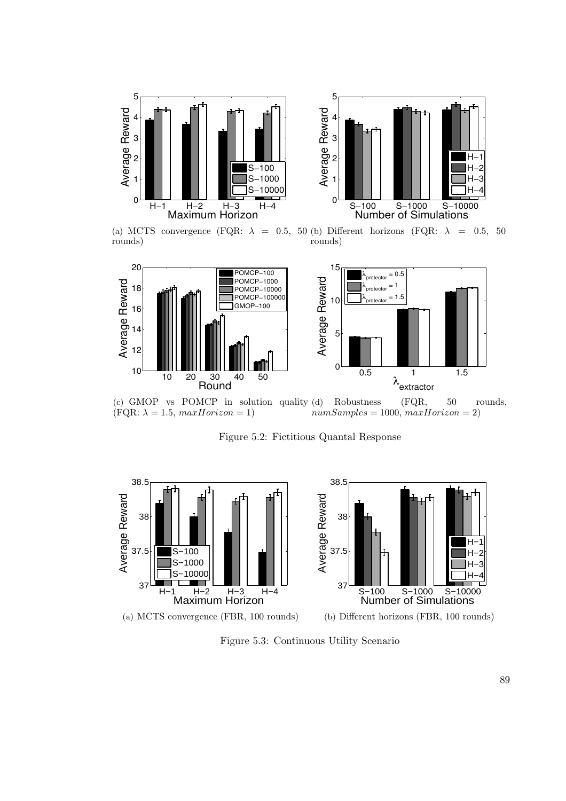



(a) MCTS convergence (FQR:  $\lambda = 0.5, 50$  (b) Different horizons (FQR:  $\lambda = 0.5, 50$ rounds)

rounds)



(c) GMOP vs POMCP in solution quality (d) Robustness (FQR, 50 rounds,  $(FQR: \lambda = 1.5, maxHorizon = 1)$  $numSamples = 1000, maxHorizon = 2)$ 

Figure 5.2: Fictitious Quantal Response



Figure 5.3: Continuous Utility Scenario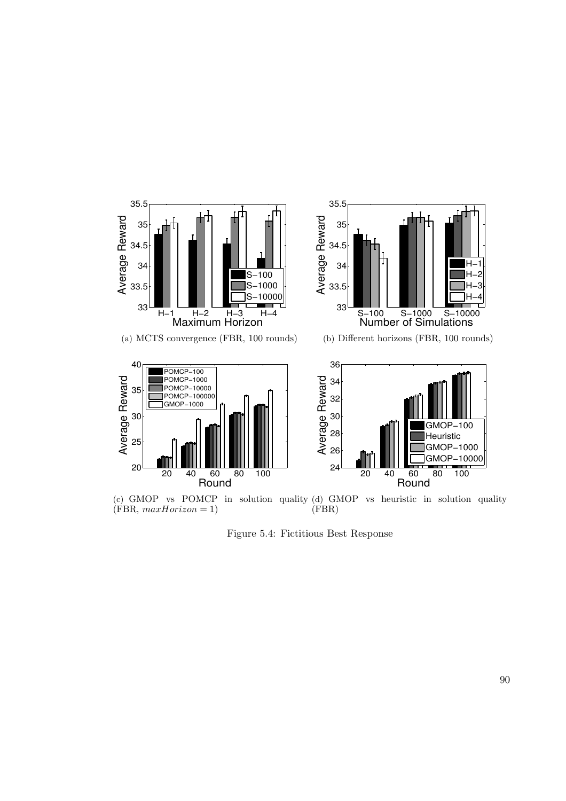

Figure 5.4: Fictitious Best Response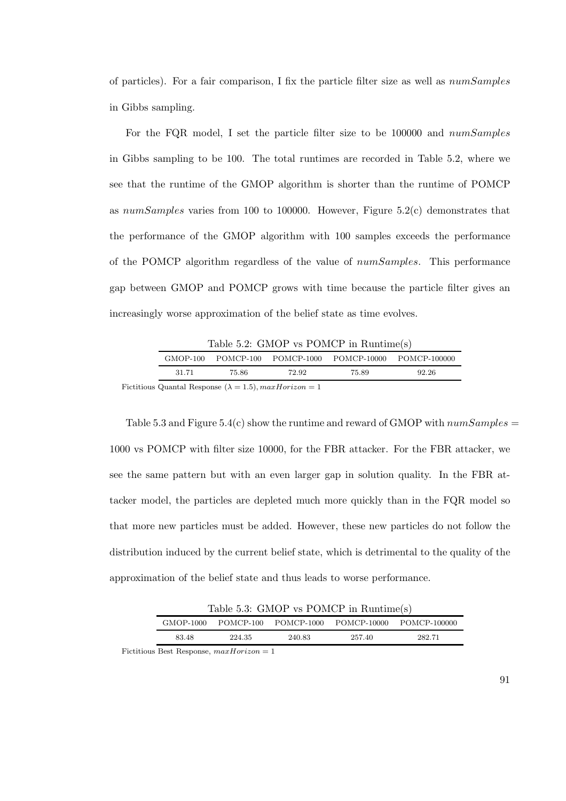of particles). For a fair comparison, I fix the particle filter size as well as numSamples in Gibbs sampling.

For the FQR model, I set the particle filter size to be 100000 and numSamples in Gibbs sampling to be 100. The total runtimes are recorded in Table 5.2, where we see that the runtime of the GMOP algorithm is shorter than the runtime of POMCP as numSamples varies from 100 to 100000. However, Figure 5.2(c) demonstrates that the performance of the GMOP algorithm with 100 samples exceeds the performance of the POMCP algorithm regardless of the value of numSamples. This performance gap between GMOP and POMCP grows with time because the particle filter gives an increasingly worse approximation of the belief state as time evolves.

| Table 5.2: GMOP vs POMCP in $\text{Runtime(s)}$ |       |       |                                               |       |  |  |  |
|-------------------------------------------------|-------|-------|-----------------------------------------------|-------|--|--|--|
| GMOP-100                                        |       |       | POMCP-100 POMCP-1000 POMCP-10000 POMCP-100000 |       |  |  |  |
| 31.71                                           | 75.86 | 72.92 | 75.89                                         | 92.26 |  |  |  |

Fictitious Quantal Response ( $\lambda = 1.5$ ),  $maxHorizon = 1$ 

Table 5.3 and Figure 5.4(c) show the runtime and reward of GMOP with  $numSamples =$ 1000 vs POMCP with filter size 10000, for the FBR attacker. For the FBR attacker, we see the same pattern but with an even larger gap in solution quality. In the FBR attacker model, the particles are depleted much more quickly than in the FQR model so that more new particles must be added. However, these new particles do not follow the distribution induced by the current belief state, which is detrimental to the quality of the approximation of the belief state and thus leads to worse performance.

| Table 5.3: GMOP vs POMCP in Runtime $(s)$ |        |        |        |                                                         |  |  |  |
|-------------------------------------------|--------|--------|--------|---------------------------------------------------------|--|--|--|
|                                           |        |        |        | GMOP-1000 POMCP-100 POMCP-1000 POMCP-10000 POMCP-100000 |  |  |  |
| 83.48                                     | 224.35 | 240.83 | 257.40 | 282.71                                                  |  |  |  |

Fictitious Best Response,  $maxHorizon = 1$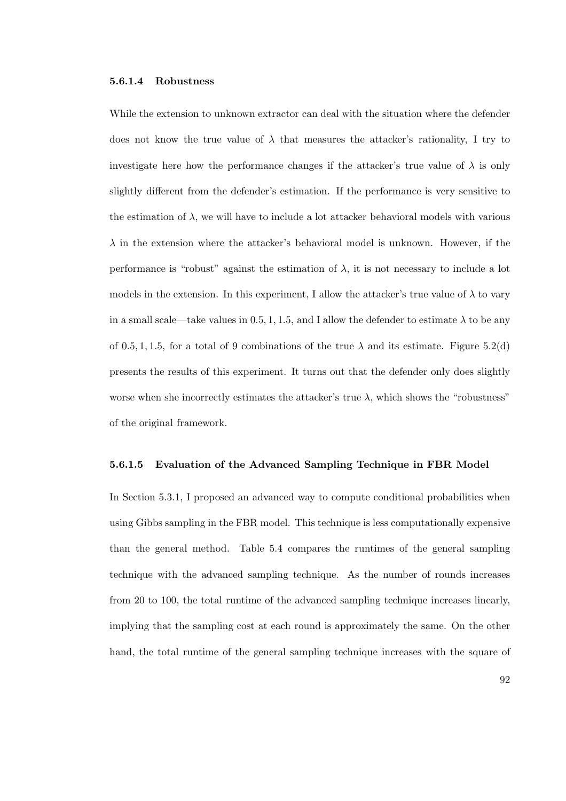#### 5.6.1.4 Robustness

While the extension to unknown extractor can deal with the situation where the defender does not know the true value of  $\lambda$  that measures the attacker's rationality, I try to investigate here how the performance changes if the attacker's true value of  $\lambda$  is only slightly different from the defender's estimation. If the performance is very sensitive to the estimation of  $\lambda$ , we will have to include a lot attacker behavioral models with various  $\lambda$  in the extension where the attacker's behavioral model is unknown. However, if the performance is "robust" against the estimation of  $\lambda$ , it is not necessary to include a lot models in the extension. In this experiment, I allow the attacker's true value of  $\lambda$  to vary in a small scale—take values in 0.5, 1, 1.5, and I allow the defender to estimate  $\lambda$  to be any of 0.5, 1, 1.5, for a total of 9 combinations of the true  $\lambda$  and its estimate. Figure 5.2(d) presents the results of this experiment. It turns out that the defender only does slightly worse when she incorrectly estimates the attacker's true  $\lambda$ , which shows the "robustness" of the original framework.

#### 5.6.1.5 Evaluation of the Advanced Sampling Technique in FBR Model

In Section 5.3.1, I proposed an advanced way to compute conditional probabilities when using Gibbs sampling in the FBR model. This technique is less computationally expensive than the general method. Table 5.4 compares the runtimes of the general sampling technique with the advanced sampling technique. As the number of rounds increases from 20 to 100, the total runtime of the advanced sampling technique increases linearly, implying that the sampling cost at each round is approximately the same. On the other hand, the total runtime of the general sampling technique increases with the square of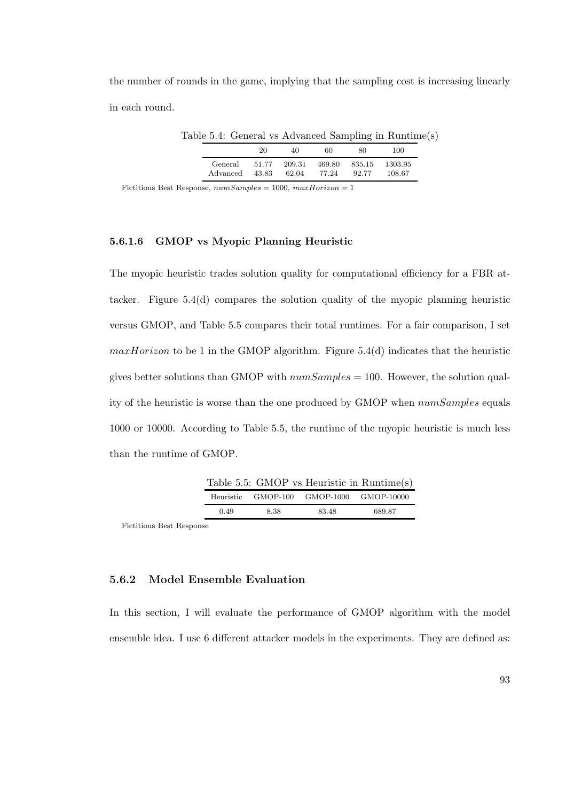the number of rounds in the game, implying that the sampling cost is increasing linearly in each round.

Table 5.4: General vs Advanced Sampling in Runtime(s)

|          | 20    | 40     | 60     | 80     | 100.    |
|----------|-------|--------|--------|--------|---------|
| General  | 51.77 | 209.31 | 469.80 | 835.15 | 1303.95 |
| Advanced | 43.83 | 62.04  | 77.24  | 92.77  | 108.67  |

Fictitious Best Response,  $numSamples = 1000$ ,  $maxHorizontalorizon = 1$ 

### 5.6.1.6 GMOP vs Myopic Planning Heuristic

The myopic heuristic trades solution quality for computational efficiency for a FBR attacker. Figure 5.4(d) compares the solution quality of the myopic planning heuristic versus GMOP, and Table 5.5 compares their total runtimes. For a fair comparison, I set  $maxHorizon$  to be 1 in the GMOP algorithm. Figure 5.4(d) indicates that the heuristic gives better solutions than GMOP with  $numSamples = 100$ . However, the solution quality of the heuristic is worse than the one produced by GMOP when numSamples equals 1000 or 10000. According to Table 5.5, the runtime of the myopic heuristic is much less than the runtime of GMOP.

|      |      |                                         | Table 5.5: GMOP vs Heuristic in $\text{Runtime(s)}$ |
|------|------|-----------------------------------------|-----------------------------------------------------|
|      |      | Heuristic GMOP-100 GMOP-1000 GMOP-10000 |                                                     |
| 0.49 | 8.38 | 83.48                                   | 689.87                                              |

Fictitious Best Response

### 5.6.2 Model Ensemble Evaluation

In this section, I will evaluate the performance of GMOP algorithm with the model ensemble idea. I use 6 different attacker models in the experiments. They are defined as: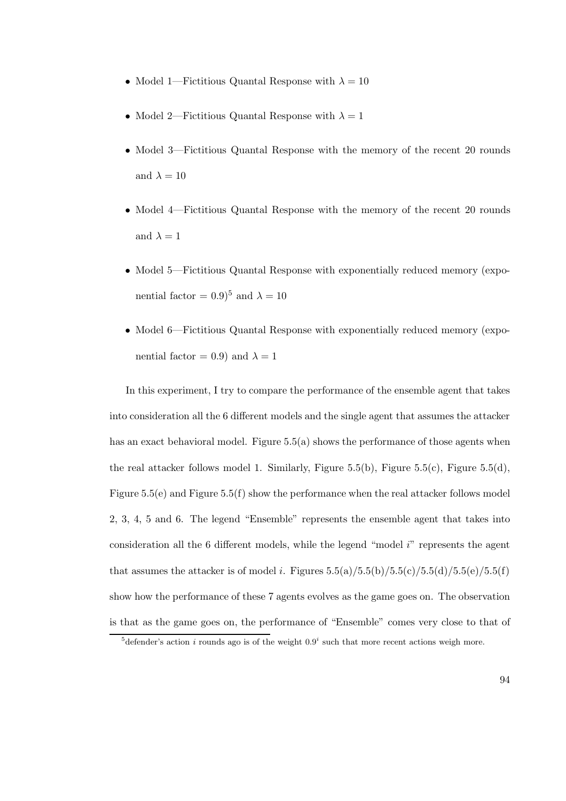- Model 1—Fictitious Quantal Response with  $\lambda = 10$
- Model 2—Fictitious Quantal Response with  $\lambda = 1$
- Model 3—Fictitious Quantal Response with the memory of the recent 20 rounds and  $\lambda = 10$
- Model 4—Fictitious Quantal Response with the memory of the recent 20 rounds and  $\lambda = 1$
- Model 5—Fictitious Quantal Response with exponentially reduced memory (exponential factor =  $0.9)^5$  and  $\lambda = 10$
- Model 6—Fictitious Quantal Response with exponentially reduced memory (exponential factor = 0.9) and  $\lambda = 1$

In this experiment, I try to compare the performance of the ensemble agent that takes into consideration all the 6 different models and the single agent that assumes the attacker has an exact behavioral model. Figure 5.5(a) shows the performance of those agents when the real attacker follows model 1. Similarly, Figure 5.5(b), Figure 5.5(c), Figure 5.5(d), Figure 5.5(e) and Figure 5.5(f) show the performance when the real attacker follows model 2, 3, 4, 5 and 6. The legend "Ensemble" represents the ensemble agent that takes into consideration all the  $6$  different models, while the legend "model  $i$ " represents the agent that assumes the attacker is of model i. Figures  $5.5(a)/5.5(b)/5.5(c)/5.5(d)/5.5(e)/5.5(f)$ show how the performance of these 7 agents evolves as the game goes on. The observation is that as the game goes on, the performance of "Ensemble" comes very close to that of

<sup>&</sup>lt;sup>5</sup>defender's action *i* rounds ago is of the weight  $0.9<sup>i</sup>$  such that more recent actions weigh more.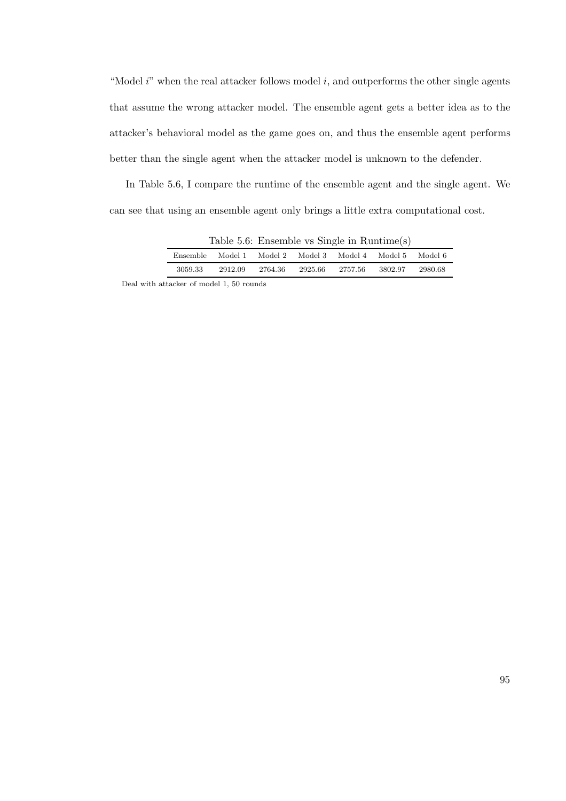"Model  $i$ " when the real attacker follows model  $i$ , and outperforms the other single agents that assume the wrong attacker model. The ensemble agent gets a better idea as to the attacker's behavioral model as the game goes on, and thus the ensemble agent performs better than the single agent when the attacker model is unknown to the defender.

In Table 5.6, I compare the runtime of the ensemble agent and the single agent. We can see that using an ensemble agent only brings a little extra computational cost.

| Table 5.6: Ensemble vs Single in $\text{Runtime(s)}$ |         |         |                                         |         |          |         |  |
|------------------------------------------------------|---------|---------|-----------------------------------------|---------|----------|---------|--|
| Ensemble                                             | Model 1 |         | Model 2 – Model 3 – Model 4 – Model 5 – |         |          | Model 6 |  |
| 3059.33                                              | 2912.09 | 2764.36 | 2925.66                                 | 2757.56 | -3802.97 | 2980.68 |  |

Deal with attacker of model 1, 50 rounds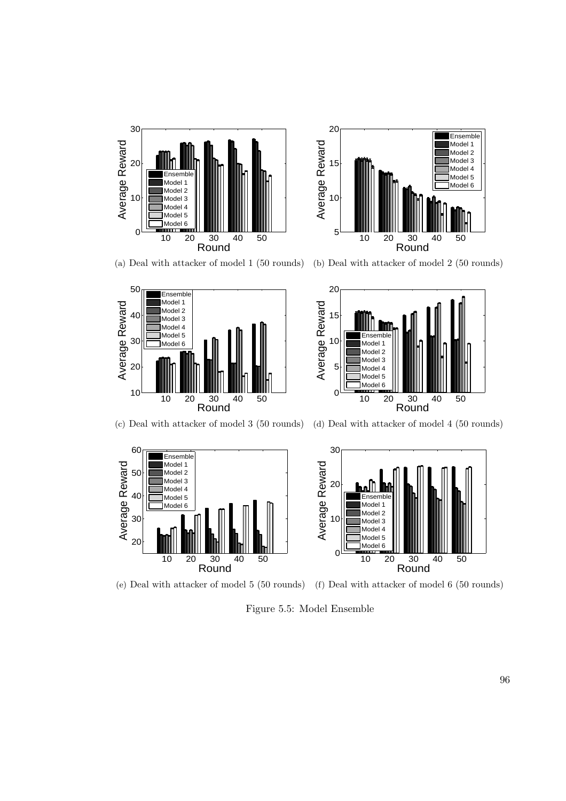



(a) Deal with attacker of model 1 (50 rounds) (b) Deal with attacker of model 2 (50 rounds)





(c) Deal with attacker of model 3 (50 rounds) (d) Deal with attacker of model 4 (50 rounds)



(e) Deal with attacker of model 5 (50 rounds) (f) Deal with attacker of model 6 (50 rounds)

Figure 5.5: Model Ensemble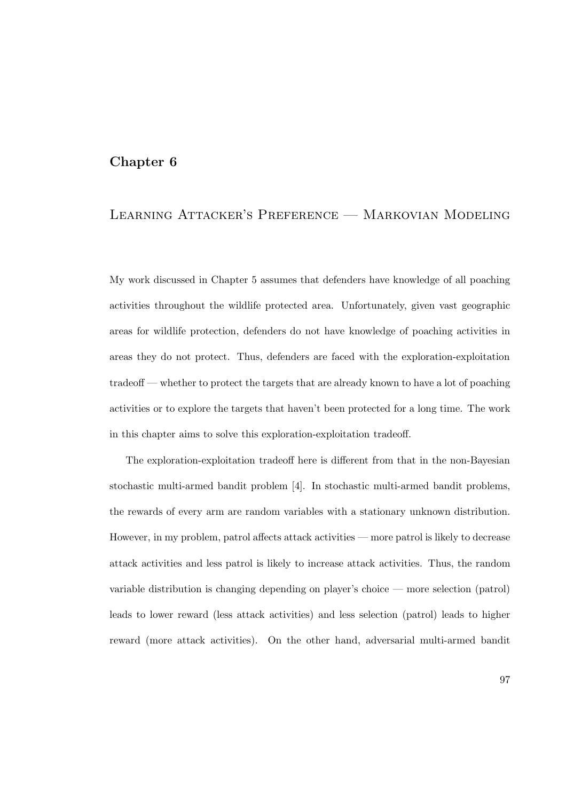## Chapter 6

# Learning Attacker's Preference — Markovian Modeling

My work discussed in Chapter 5 assumes that defenders have knowledge of all poaching activities throughout the wildlife protected area. Unfortunately, given vast geographic areas for wildlife protection, defenders do not have knowledge of poaching activities in areas they do not protect. Thus, defenders are faced with the exploration-exploitation tradeoff — whether to protect the targets that are already known to have a lot of poaching activities or to explore the targets that haven't been protected for a long time. The work in this chapter aims to solve this exploration-exploitation tradeoff.

The exploration-exploitation tradeoff here is different from that in the non-Bayesian stochastic multi-armed bandit problem [4]. In stochastic multi-armed bandit problems, the rewards of every arm are random variables with a stationary unknown distribution. However, in my problem, patrol affects attack activities — more patrol is likely to decrease attack activities and less patrol is likely to increase attack activities. Thus, the random variable distribution is changing depending on player's choice — more selection (patrol) leads to lower reward (less attack activities) and less selection (patrol) leads to higher reward (more attack activities). On the other hand, adversarial multi-armed bandit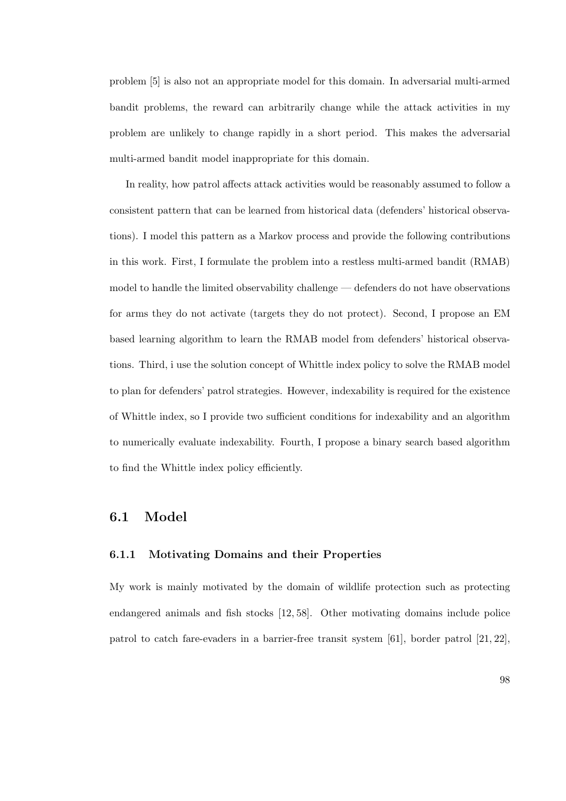problem [5] is also not an appropriate model for this domain. In adversarial multi-armed bandit problems, the reward can arbitrarily change while the attack activities in my problem are unlikely to change rapidly in a short period. This makes the adversarial multi-armed bandit model inappropriate for this domain.

In reality, how patrol affects attack activities would be reasonably assumed to follow a consistent pattern that can be learned from historical data (defenders' historical observations). I model this pattern as a Markov process and provide the following contributions in this work. First, I formulate the problem into a restless multi-armed bandit (RMAB) model to handle the limited observability challenge — defenders do not have observations for arms they do not activate (targets they do not protect). Second, I propose an EM based learning algorithm to learn the RMAB model from defenders' historical observations. Third, i use the solution concept of Whittle index policy to solve the RMAB model to plan for defenders' patrol strategies. However, indexability is required for the existence of Whittle index, so I provide two sufficient conditions for indexability and an algorithm to numerically evaluate indexability. Fourth, I propose a binary search based algorithm to find the Whittle index policy efficiently.

## 6.1 Model

### 6.1.1 Motivating Domains and their Properties

My work is mainly motivated by the domain of wildlife protection such as protecting endangered animals and fish stocks [12, 58]. Other motivating domains include police patrol to catch fare-evaders in a barrier-free transit system [61], border patrol [21, 22],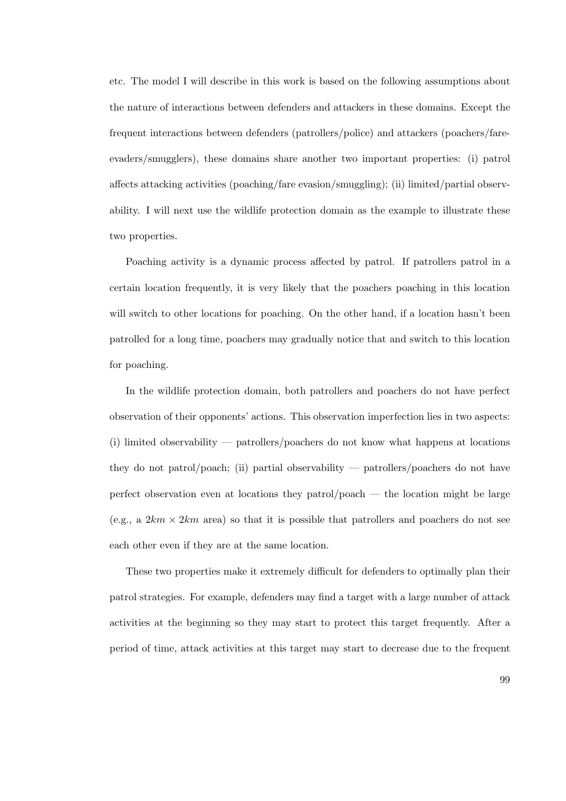etc. The model I will describe in this work is based on the following assumptions about the nature of interactions between defenders and attackers in these domains. Except the frequent interactions between defenders (patrollers/police) and attackers (poachers/fareevaders/smugglers), these domains share another two important properties: (i) patrol affects attacking activities (poaching/fare evasion/smuggling); (ii) limited/partial observability. I will next use the wildlife protection domain as the example to illustrate these two properties.

Poaching activity is a dynamic process affected by patrol. If patrollers patrol in a certain location frequently, it is very likely that the poachers poaching in this location will switch to other locations for poaching. On the other hand, if a location hasn't been patrolled for a long time, poachers may gradually notice that and switch to this location for poaching.

In the wildlife protection domain, both patrollers and poachers do not have perfect observation of their opponents' actions. This observation imperfection lies in two aspects: (i) limited observability — patrollers/poachers do not know what happens at locations they do not patrol/poach; (ii) partial observability — patrollers/poachers do not have perfect observation even at locations they patrol/poach — the location might be large (e.g., a  $2km \times 2km$  area) so that it is possible that patrollers and poachers do not see each other even if they are at the same location.

These two properties make it extremely difficult for defenders to optimally plan their patrol strategies. For example, defenders may find a target with a large number of attack activities at the beginning so they may start to protect this target frequently. After a period of time, attack activities at this target may start to decrease due to the frequent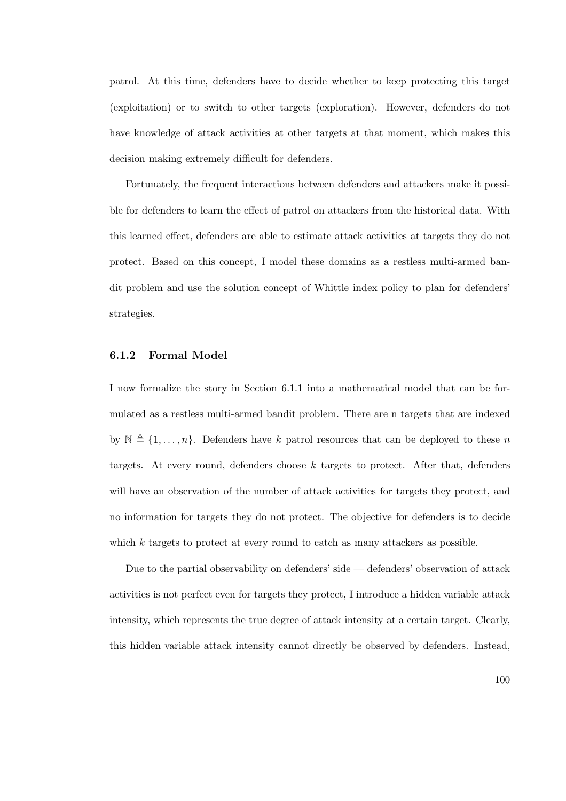patrol. At this time, defenders have to decide whether to keep protecting this target (exploitation) or to switch to other targets (exploration). However, defenders do not have knowledge of attack activities at other targets at that moment, which makes this decision making extremely difficult for defenders.

Fortunately, the frequent interactions between defenders and attackers make it possible for defenders to learn the effect of patrol on attackers from the historical data. With this learned effect, defenders are able to estimate attack activities at targets they do not protect. Based on this concept, I model these domains as a restless multi-armed bandit problem and use the solution concept of Whittle index policy to plan for defenders' strategies.

#### 6.1.2 Formal Model

I now formalize the story in Section 6.1.1 into a mathematical model that can be formulated as a restless multi-armed bandit problem. There are n targets that are indexed by  $\mathbb{N} \triangleq \{1, \ldots, n\}$ . Defenders have k patrol resources that can be deployed to these n targets. At every round, defenders choose  $k$  targets to protect. After that, defenders will have an observation of the number of attack activities for targets they protect, and no information for targets they do not protect. The objective for defenders is to decide which k targets to protect at every round to catch as many attackers as possible.

Due to the partial observability on defenders' side — defenders' observation of attack activities is not perfect even for targets they protect, I introduce a hidden variable attack intensity, which represents the true degree of attack intensity at a certain target. Clearly, this hidden variable attack intensity cannot directly be observed by defenders. Instead,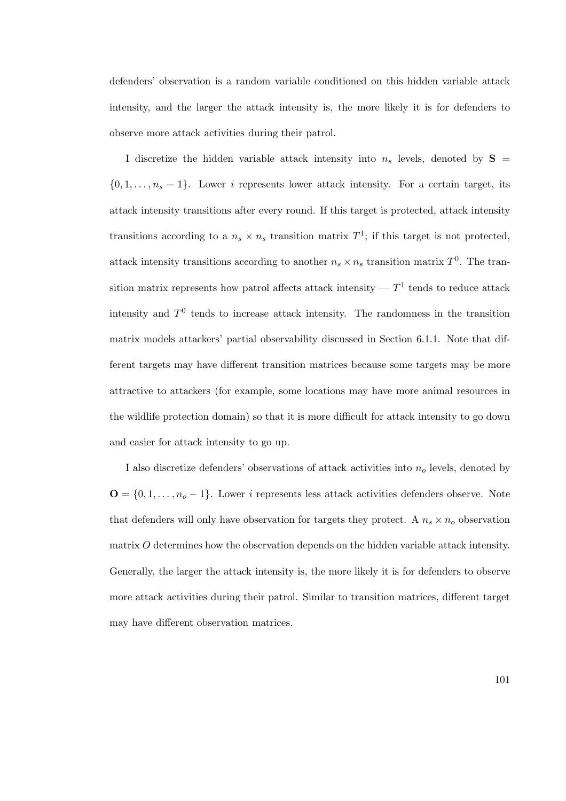defenders' observation is a random variable conditioned on this hidden variable attack intensity, and the larger the attack intensity is, the more likely it is for defenders to observe more attack activities during their patrol.

I discretize the hidden variable attack intensity into  $n_s$  levels, denoted by  $S =$  $\{0, 1, \ldots, n_s - 1\}$ . Lower i represents lower attack intensity. For a certain target, its attack intensity transitions after every round. If this target is protected, attack intensity transitions according to a  $n_s \times n_s$  transition matrix  $T^1$ ; if this target is not protected, attack intensity transitions according to another  $n_s \times n_s$  transition matrix  $T^0$ . The transition matrix represents how patrol affects attack intensity  $-T<sup>1</sup>$  tends to reduce attack intensity and  $T^0$  tends to increase attack intensity. The randomness in the transition matrix models attackers' partial observability discussed in Section 6.1.1. Note that different targets may have different transition matrices because some targets may be more attractive to attackers (for example, some locations may have more animal resources in the wildlife protection domain) so that it is more difficult for attack intensity to go down and easier for attack intensity to go up.

I also discretize defenders' observations of attack activities into  $n<sub>o</sub>$  levels, denoted by  $\mathbf{O} = \{0, 1, \dots, n_o - 1\}$ . Lower *i* represents less attack activities defenders observe. Note that defenders will only have observation for targets they protect. A  $n_s \times n_o$  observation matrix O determines how the observation depends on the hidden variable attack intensity. Generally, the larger the attack intensity is, the more likely it is for defenders to observe more attack activities during their patrol. Similar to transition matrices, different target may have different observation matrices.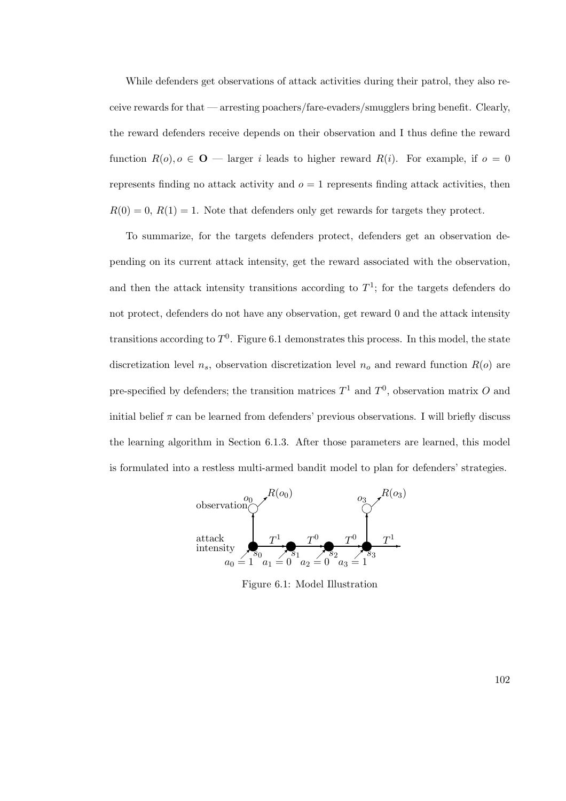While defenders get observations of attack activities during their patrol, they also receive rewards for that — arresting poachers/fare-evaders/smugglers bring benefit. Clearly, the reward defenders receive depends on their observation and I thus define the reward function  $R(o), o \in \mathbf{O}$  — larger i leads to higher reward  $R(i)$ . For example, if  $o = 0$ represents finding no attack activity and  $o = 1$  represents finding attack activities, then  $R(0) = 0$ ,  $R(1) = 1$ . Note that defenders only get rewards for targets they protect.

To summarize, for the targets defenders protect, defenders get an observation depending on its current attack intensity, get the reward associated with the observation, and then the attack intensity transitions according to  $T^1$ ; for the targets defenders do not protect, defenders do not have any observation, get reward 0 and the attack intensity transitions according to  $T^0$ . Figure 6.1 demonstrates this process. In this model, the state discretization level  $n_s$ , observation discretization level  $n_o$  and reward function  $R(o)$  are pre-specified by defenders; the transition matrices  $T^1$  and  $T^0$ , observation matrix O and initial belief  $\pi$  can be learned from defenders' previous observations. I will briefly discuss the learning algorithm in Section 6.1.3. After those parameters are learned, this model is formulated into a restless multi-armed bandit model to plan for defenders' strategies.



Figure 6.1: Model Illustration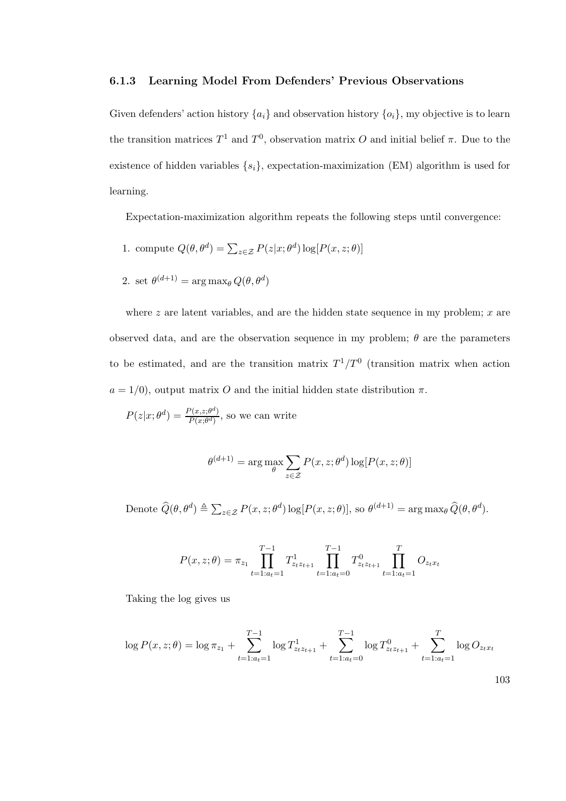### 6.1.3 Learning Model From Defenders' Previous Observations

Given defenders' action history  $\{a_i\}$  and observation history  $\{o_i\}$ , my objective is to learn the transition matrices  $T^1$  and  $T^0$ , observation matrix O and initial belief  $\pi$ . Due to the existence of hidden variables  $\{s_i\}$ , expectation-maximization (EM) algorithm is used for learning.

Expectation-maximization algorithm repeats the following steps until convergence:

- 1. compute  $Q(\theta, \theta^d) = \sum_{z \in \mathcal{Z}} P(z|x; \theta^d) \log[P(x, z; \theta)]$
- 2. set  $\theta^{(d+1)} = \arg \max_{\theta} Q(\theta, \theta^d)$

where  $z$  are latent variables, and are the hidden state sequence in my problem;  $x$  are observed data, and are the observation sequence in my problem;  $\theta$  are the parameters to be estimated, and are the transition matrix  $T^1/T^0$  (transition matrix when action  $a = 1/0$ , output matrix O and the initial hidden state distribution  $\pi$ .

$$
P(z|x; \theta^d) = \frac{P(x, z; \theta^d)}{P(x; \theta^d)}
$$
, so we can write

$$
\theta^{(d+1)} = \arg \max_{\theta} \sum_{z \in \mathcal{Z}} P(x, z; \theta^d) \log[P(x, z; \theta)]
$$

Denote  $\widehat{Q}(\theta, \theta^d) \triangleq \sum_{z \in \mathcal{Z}} P(x, z; \theta^d) \log[P(x, z; \theta)],$  so  $\theta^{(d+1)} = \arg \max_{\theta} \widehat{Q}(\theta, \theta^d).$ 

$$
P(x, z; \theta) = \pi_{z_1} \prod_{t=1:a_t=1}^{T-1} T_{z_t z_{t+1}}^1 \prod_{t=1:a_t=0}^{T-1} T_{z_t z_{t+1}}^0 \prod_{t=1:a_t=1}^T O_{z_t x_t}
$$

Taking the log gives us

$$
\log P(x, z; \theta) = \log \pi_{z_1} + \sum_{t=1:a_t=1}^{T-1} \log T_{z_t z_{t+1}}^1 + \sum_{t=1:a_t=0}^{T-1} \log T_{z_t z_{t+1}}^0 + \sum_{t=1:a_t=1}^T \log O_{z_t x_t}
$$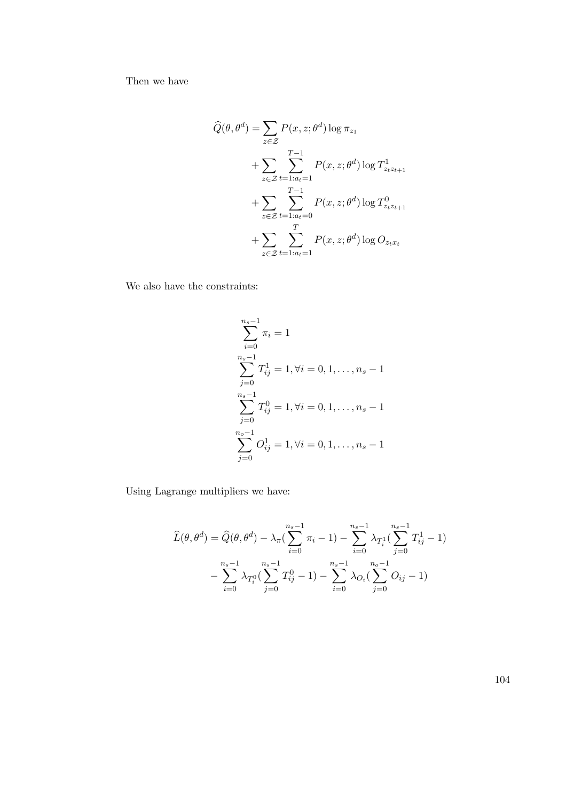Then we have

$$
\widehat{Q}(\theta, \theta^d) = \sum_{z \in \mathcal{Z}} P(x, z; \theta^d) \log \pi_{z_1}
$$
  
+ 
$$
\sum_{z \in \mathcal{Z}} \sum_{t=1:a_t=1}^{T-1} P(x, z; \theta^d) \log T_{z_t z_{t+1}}^1
$$
  
+ 
$$
\sum_{z \in \mathcal{Z}} \sum_{t=1:a_t=0}^{T-1} P(x, z; \theta^d) \log T_{z_t z_{t+1}}^0
$$
  
+ 
$$
\sum_{z \in \mathcal{Z}} \sum_{t=1:a_t=1}^{T} P(x, z; \theta^d) \log O_{z_t x_t}
$$

We also have the constraints:

$$
\sum_{i=0}^{n_s-1} \pi_i = 1
$$
  
\n
$$
\sum_{j=0}^{n_s-1} T_{ij}^1 = 1, \forall i = 0, 1, ..., n_s - 1
$$
  
\n
$$
\sum_{j=0}^{n_s-1} T_{ij}^0 = 1, \forall i = 0, 1, ..., n_s - 1
$$
  
\n
$$
\sum_{j=0}^{n_o-1} O_{ij}^1 = 1, \forall i = 0, 1, ..., n_s - 1
$$

Using Lagrange multipliers we have:

$$
\widehat{L}(\theta, \theta^d) = \widehat{Q}(\theta, \theta^d) - \lambda_{\pi} \left( \sum_{i=0}^{n_s - 1} \pi_i - 1 \right) - \sum_{i=0}^{n_s - 1} \lambda_{T_i^1} \left( \sum_{j=0}^{n_s - 1} T_{ij}^1 - 1 \right) \n- \sum_{i=0}^{n_s - 1} \lambda_{T_i^0} \left( \sum_{j=0}^{n_s - 1} T_{ij}^0 - 1 \right) - \sum_{i=0}^{n_s - 1} \lambda_{O_i} \left( \sum_{j=0}^{n_o - 1} O_{ij} - 1 \right)
$$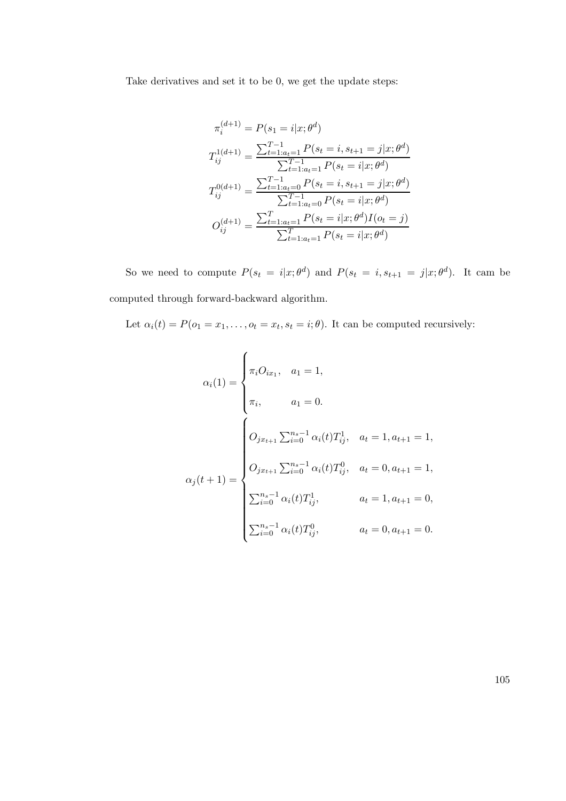Take derivatives and set it to be 0, we get the update steps:

$$
\pi_i^{(d+1)} = P(s_1 = i|x; \theta^d)
$$
  
\n
$$
T_{ij}^{1(d+1)} = \frac{\sum_{t=1:a_t=1}^{T-1} P(s_t = i, s_{t+1} = j|x; \theta^d)}{\sum_{t=1:a_t=1}^{T-1} P(s_t = i|x; \theta^d)}
$$
  
\n
$$
T_{ij}^{0(d+1)} = \frac{\sum_{t=1:a_t=0}^{T-1} P(s_t = i, s_{t+1} = j|x; \theta^d)}{\sum_{t=1:a_t=0}^{T-1} P(s_t = i|x; \theta^d)}
$$
  
\n
$$
O_{ij}^{(d+1)} = \frac{\sum_{t=1:a_t=1}^{T} P(s_t = i|x; \theta^d) I(o_t = j)}{\sum_{t=1:a_t=1}^{T} P(s_t = i|x; \theta^d)}
$$

So we need to compute  $P(s_t = i|x; \theta^d)$  and  $P(s_t = i, s_{t+1} = j|x; \theta^d)$ . It cam be computed through forward-backward algorithm.

Let  $\alpha_i(t) = P(o_1 = x_1, \ldots, o_t = x_t, s_t = i; \theta)$ . It can be computed recursively:

$$
\alpha_i(1) = \begin{cases}\n\pi_i O_{ix_1}, & a_1 = 1, \\
\pi_i, & a_1 = 0.\n\end{cases}
$$
\n
$$
O_{jx_{t+1}} \sum_{i=0}^{n_s - 1} \alpha_i(t) T_{ij}^1, & a_t = 1, a_{t+1} = 1,
$$
\n
$$
\alpha_j(t+1) = \begin{cases}\nO_{jx_{t+1}} \sum_{i=0}^{n_s - 1} \alpha_i(t) T_{ij}^0, & a_t = 0, a_{t+1} = 1, \\
\sum_{i=0}^{n_s - 1} \alpha_i(t) T_{ij}^1, & a_t = 1, a_{t+1} = 0, \\
\sum_{i=0}^{n_s - 1} \alpha_i(t) T_{ij}^0, & a_t = 0, a_{t+1} = 0.\n\end{cases}
$$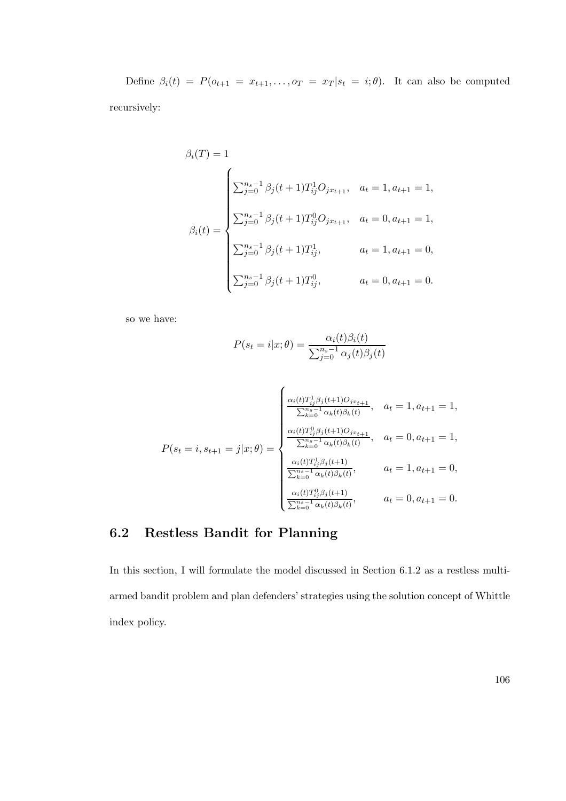Define  $\beta_i(t) = P(o_{t+1} = x_{t+1}, \ldots, o_T = x_T | s_t = i; \theta)$ . It can also be computed recursively:

$$
\beta_i(T) = 1
$$
\n
$$
\beta_i(t) = \begin{cases}\n\sum_{j=0}^{n_s - 1} \beta_j(t+1) T_{ij}^1 O_{j x_{t+1}}, & a_t = 1, a_{t+1} = 1, \\
\sum_{j=0}^{n_s - 1} \beta_j(t+1) T_{ij}^0 O_{j x_{t+1}}, & a_t = 0, a_{t+1} = 1, \\
\sum_{j=0}^{n_s - 1} \beta_j(t+1) T_{ij}^1, & a_t = 1, a_{t+1} = 0, \\
\sum_{j=0}^{n_s - 1} \beta_j(t+1) T_{ij}^0, & a_t = 0, a_{t+1} = 0.\n\end{cases}
$$

so we have:

$$
P(s_t = i|x; \theta) = \frac{\alpha_i(t)\beta_i(t)}{\sum_{j=0}^{n_s - 1} \alpha_j(t)\beta_j(t)}
$$

$$
P(s_t = i, s_{t+1} = j | x; \theta) = \begin{cases} \frac{\alpha_i(t) T_{ij}^1 \beta_j(t+1) O_{j x_{t+1}}}{\sum_{k=0}^{n_s - 1} \alpha_k(t) \beta_k(t)}, & a_t = 1, a_{t+1} = 1, \\ \frac{\alpha_i(t) T_{ij}^0 \beta_j(t+1) O_{j x_{t+1}}}{\sum_{k=0}^{n_s - 1} \alpha_k(t) \beta_k(t)}, & a_t = 0, a_{t+1} = 1, \\ \frac{\alpha_i(t) T_{ij}^1 \beta_j(t+1)}{\sum_{k=0}^{n_s - 1} \alpha_k(t) \beta_k(t)}, & a_t = 1, a_{t+1} = 0, \\ \frac{\alpha_i(t) T_{ij}^0 \beta_j(t+1)}{\sum_{k=0}^{n_s - 1} \alpha_k(t) \beta_k(t)}, & a_t = 0, a_{t+1} = 0. \end{cases}
$$

# 6.2 Restless Bandit for Planning

In this section, I will formulate the model discussed in Section 6.1.2 as a restless multiarmed bandit problem and plan defenders' strategies using the solution concept of Whittle index policy.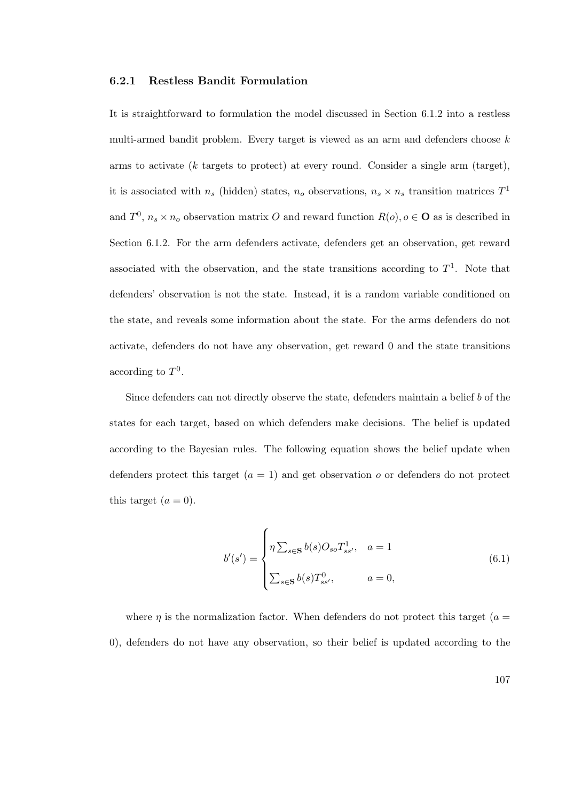### 6.2.1 Restless Bandit Formulation

It is straightforward to formulation the model discussed in Section 6.1.2 into a restless multi-armed bandit problem. Every target is viewed as an arm and defenders choose  $k$ arms to activate (k targets to protect) at every round. Consider a single arm (target), it is associated with  $n_s$  (hidden) states,  $n_o$  observations,  $n_s \times n_s$  transition matrices  $T^1$ and  $T^0$ ,  $n_s \times n_o$  observation matrix O and reward function  $R(o)$ ,  $o \in \mathbf{O}$  as is described in Section 6.1.2. For the arm defenders activate, defenders get an observation, get reward associated with the observation, and the state transitions according to  $T<sup>1</sup>$ . Note that defenders' observation is not the state. Instead, it is a random variable conditioned on the state, and reveals some information about the state. For the arms defenders do not activate, defenders do not have any observation, get reward 0 and the state transitions according to  $T^0$ .

Since defenders can not directly observe the state, defenders maintain a belief b of the states for each target, based on which defenders make decisions. The belief is updated according to the Bayesian rules. The following equation shows the belief update when defenders protect this target  $(a = 1)$  and get observation o or defenders do not protect this target  $(a = 0)$ .

$$
b'(s') = \begin{cases} \eta \sum_{s \in \mathbf{S}} b(s) O_{so} T_{ss'}^1, & a = 1 \\ \sum_{s \in \mathbf{S}} b(s) T_{ss'}^0, & a = 0, \end{cases}
$$
(6.1)

where  $\eta$  is the normalization factor. When defenders do not protect this target ( $a =$ 0), defenders do not have any observation, so their belief is updated according to the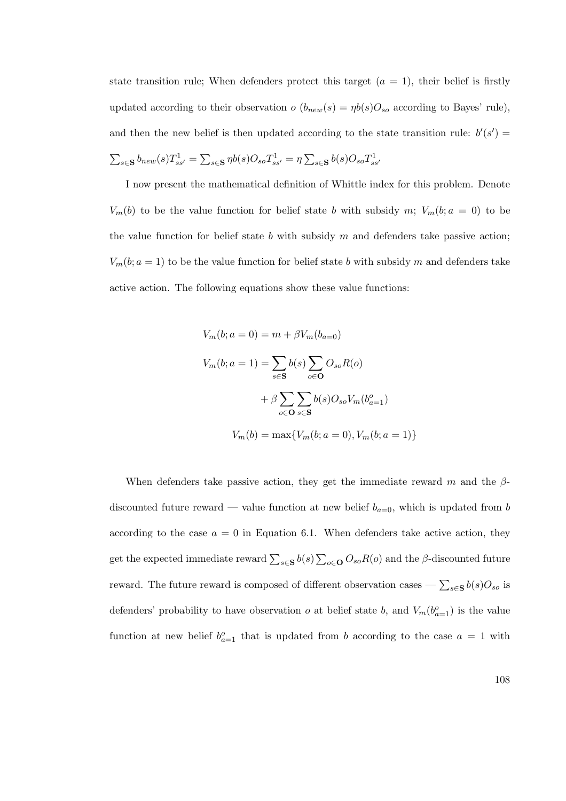state transition rule; When defenders protect this target  $(a = 1)$ , their belief is firstly updated according to their observation  $o(b_{new}(s) = \eta b(s)O_{so}$  according to Bayes' rule), and then the new belief is then updated according to the state transition rule:  $b'(s') =$  $\sum_{s\in{\bf S}}b_{new}(s)T_{ss'}^1=\sum_{s\in{\bf S}}\eta b(s)O_{so}T_{ss'}^1=\eta\sum_{s\in{\bf S}}b(s)O_{so}T_{ss'}^1$ 

I now present the mathematical definition of Whittle index for this problem. Denote  $V_m(b)$  to be the value function for belief state b with subsidy m;  $V_m(b; a = 0)$  to be the value function for belief state  $b$  with subsidy  $m$  and defenders take passive action;  $V_m(b; a = 1)$  to be the value function for belief state b with subsidy m and defenders take active action. The following equations show these value functions:

$$
V_m(b; a = 0) = m + \beta V_m(b_{a=0})
$$
  

$$
V_m(b; a = 1) = \sum_{s \in S} b(s) \sum_{o \in O} O_{so} R(o)
$$

$$
+ \beta \sum_{o \in O} \sum_{s \in S} b(s) O_{so} V_m(b_{a=1}^o)
$$

$$
V_m(b) = \max \{ V_m(b; a = 0), V_m(b; a = 1) \}
$$

When defenders take passive action, they get the immediate reward m and the  $\beta$ discounted future reward — value function at new belief  $b_{a=0}$ , which is updated from b according to the case  $a = 0$  in Equation 6.1. When defenders take active action, they get the expected immediate reward  $\sum_{s\in S} b(s) \sum_{o\in O} O_{so}R(o)$  and the  $\beta$ -discounted future reward. The future reward is composed of different observation cases  $-\sum_{s\in S}b(s)O_{so}$  is defenders' probability to have observation  $o$  at belief state  $b$ , and  $V_m(b_{a=1}^o)$  is the value function at new belief  $b_{a=1}^o$  that is updated from b according to the case  $a = 1$  with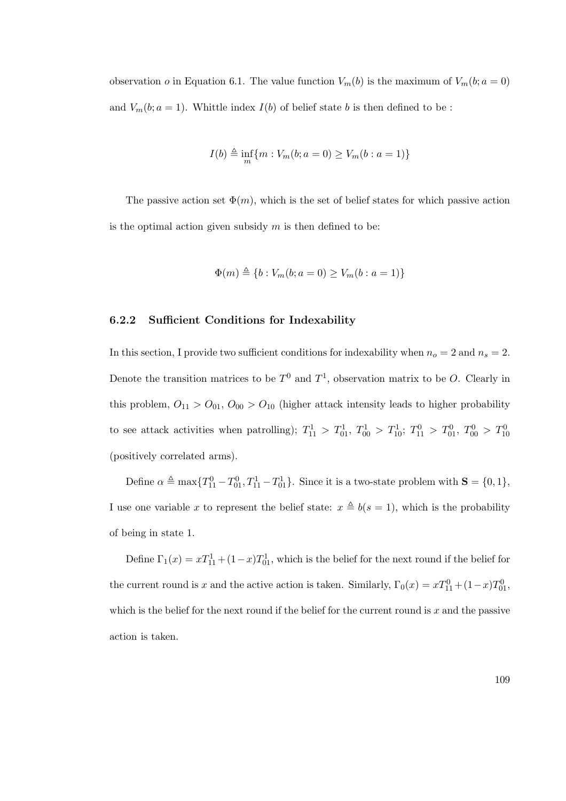observation *o* in Equation 6.1. The value function  $V_m(b)$  is the maximum of  $V_m(b; a = 0)$ and  $V_m(b; a = 1)$ . Whittle index  $I(b)$  of belief state b is then defined to be:

$$
I(b) \triangleq \inf_{m} \{ m : V_m(b; a = 0) \ge V_m(b : a = 1) \}
$$

The passive action set  $\Phi(m)$ , which is the set of belief states for which passive action is the optimal action given subsidy  $m$  is then defined to be:

$$
\Phi(m) \triangleq \{b : V_m(b; a = 0) \ge V_m(b : a = 1)\}
$$

#### 6.2.2 Sufficient Conditions for Indexability

In this section, I provide two sufficient conditions for indexability when  $n_o = 2$  and  $n_s = 2$ . Denote the transition matrices to be  $T^0$  and  $T^1$ , observation matrix to be O. Clearly in this problem,  $O_{11} > O_{01}$ ,  $O_{00} > O_{10}$  (higher attack intensity leads to higher probability to see attack activities when patrolling);  $T_{11}^1 > T_{01}^1$ ,  $T_{00}^1 > T_{10}^1$ ;  $T_{11}^0 > T_{01}^0$ ,  $T_{00}^0 > T_{10}^0$ (positively correlated arms).

Define  $\alpha \triangleq \max\{T_{11}^0 - T_{01}^0, T_{11}^1 - T_{01}^1\}$ . Since it is a two-state problem with  $S = \{0, 1\}$ , I use one variable x to represent the belief state:  $x \triangleq b(s = 1)$ , which is the probability of being in state 1.

Define  $\Gamma_1(x) = xT_{11}^1 + (1-x)T_{01}^1$ , which is the belief for the next round if the belief for the current round is x and the active action is taken. Similarly,  $\Gamma_0(x) = xT_{11}^0 + (1-x)T_{01}^0$ , which is the belief for the next round if the belief for the current round is  $x$  and the passive action is taken.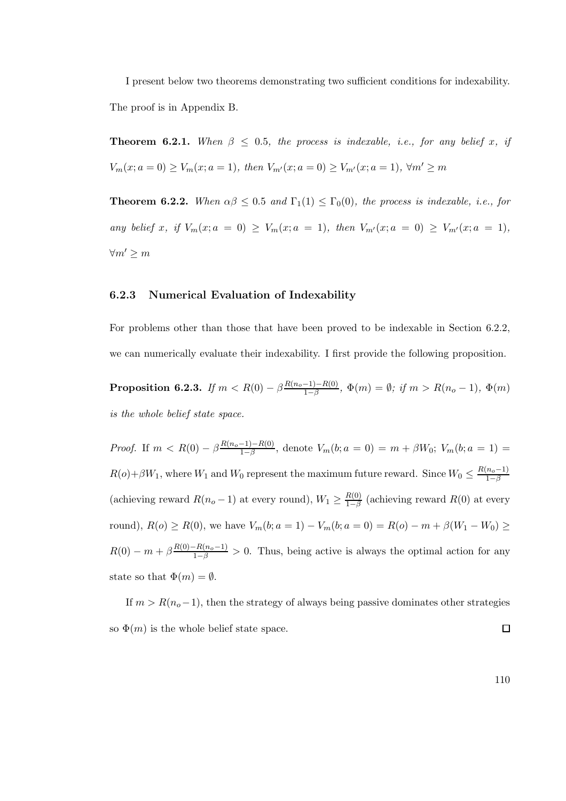I present below two theorems demonstrating two sufficient conditions for indexability. The proof is in Appendix B.

**Theorem 6.2.1.** When  $\beta \leq 0.5$ , the process is indexable, i.e., for any belief x, if  $V_m(x; a = 0) \ge V_m(x; a = 1)$ , then  $V_{m'}(x; a = 0) \ge V_{m'}(x; a = 1)$ ,  $\forall m' \ge m$ 

**Theorem 6.2.2.** When  $\alpha\beta \leq 0.5$  and  $\Gamma_1(1) \leq \Gamma_0(0)$ , the process is indexable, i.e., for any belief x, if  $V_m(x; a = 0) \ge V_m(x; a = 1)$ , then  $V_{m'}(x; a = 0) \ge V_{m'}(x; a = 1)$ ,  $\forall m' \geq m$ 

### 6.2.3 Numerical Evaluation of Indexability

For problems other than those that have been proved to be indexable in Section 6.2.2, we can numerically evaluate their indexability. I first provide the following proposition.

 $\textbf{Proposition 6.2.3.} \ \textit{If} \ m < R(0)-\beta\frac{R(n_o-1)-R(0)}{1-\beta}$  $\frac{-1,-R(0)}{1-\beta}, \ \Phi(m) = \emptyset; \ if \ m > R(n_o-1), \ \Phi(m)$ is the whole belief state space.

*Proof.* If  $m < R(0) - \beta \frac{R(n_o-1) - R(0)}{1-\beta}$  $\frac{(-1)-R(0)}{1-\beta}$ , denote  $V_m(b; a = 0) = m + \beta W_0$ ;  $V_m(b; a = 1) =$  $R(o)+\beta W_1$ , where  $W_1$  and  $W_0$  represent the maximum future reward. Since  $W_0 \leq \frac{R(n_o-1)}{1-\beta}$  $1-\beta$ (achieving reward  $R(n_o - 1)$  at every round),  $W_1 \ge \frac{R(0)}{1-\beta}$  $\frac{R(0)}{1-\beta}$  (achieving reward  $R(0)$  at every round),  $R(o) \ge R(0)$ , we have  $V_m(b; a = 1) - V_m(b; a = 0) = R(o) - m + \beta(W_1 - W_0) \ge$  $R(0) - m + \beta \frac{R(0) - R(n_0 - 1)}{1 - \beta} > 0$ . Thus, being active is always the optimal action for any state so that  $\Phi(m) = \emptyset$ .

If  $m > R(n_o-1)$ , then the strategy of always being passive dominates other strategies so  $\Phi(m)$  is the whole belief state space.  $\Box$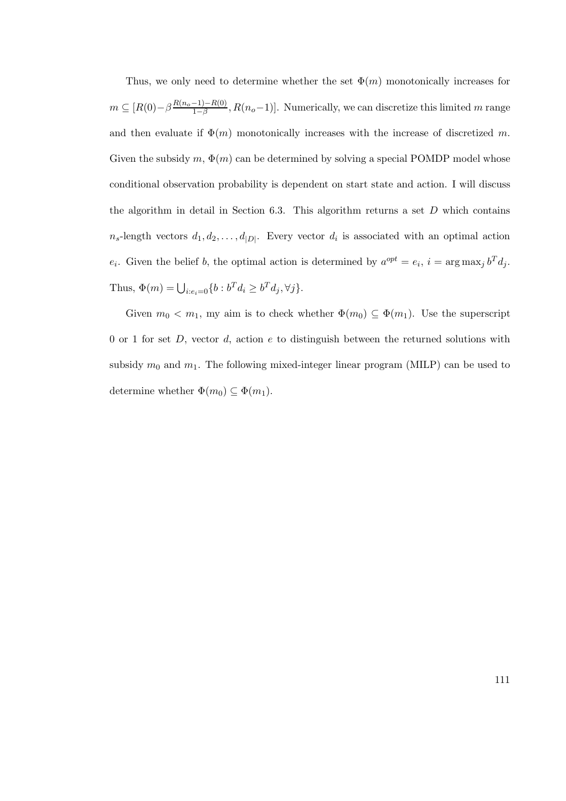Thus, we only need to determine whether the set  $\Phi(m)$  monotonically increases for  $m \subseteq [R(0)-\beta \frac{R(n_0-1)-R(0)}{1-\beta}$  $\frac{-1-1}{1-\beta}, R(n_o-1)$ . Numerically, we can discretize this limited m range and then evaluate if  $\Phi(m)$  monotonically increases with the increase of discretized m. Given the subsidy  $m, \Phi(m)$  can be determined by solving a special POMDP model whose conditional observation probability is dependent on start state and action. I will discuss the algorithm in detail in Section 6.3. This algorithm returns a set  $D$  which contains  $n_s$ -length vectors  $d_1, d_2, \ldots, d_{|D|}$ . Every vector  $d_i$  is associated with an optimal action  $e_i$ . Given the belief b, the optimal action is determined by  $a^{opt} = e_i$ ,  $i = \arg \max_j b^T d_j$ . Thus,  $\Phi(m) = \bigcup_{i:e_i=0} \{b : b^T d_i \ge b^T d_j, \forall j\}.$ 

Given  $m_0 < m_1$ , my aim is to check whether  $\Phi(m_0) \subseteq \Phi(m_1)$ . Use the superscript 0 or 1 for set  $D$ , vector  $d$ , action  $e$  to distinguish between the returned solutions with subsidy  $m_0$  and  $m_1$ . The following mixed-integer linear program (MILP) can be used to determine whether  $\Phi(m_0) \subseteq \Phi(m_1)$ .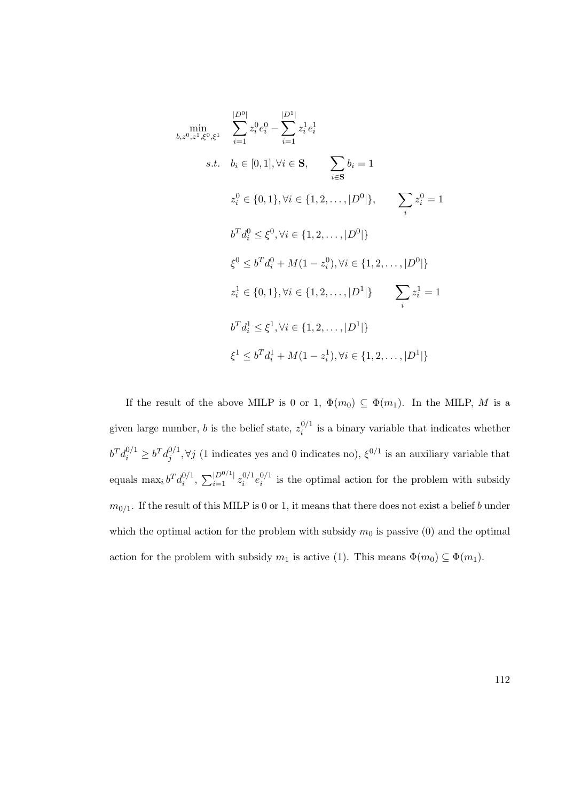$$
\min_{b,z^0,z^1,\xi^0,\xi^1} \sum_{i=1}^{|D^0|} z_i^0 e_i^0 - \sum_{i=1}^{|D^1|} z_i^1 e_i^1
$$
\n
$$
s.t. \quad b_i \in [0,1], \forall i \in \mathbf{S}, \qquad \sum_{i \in \mathbf{S}} b_i = 1
$$
\n
$$
z_i^0 \in \{0,1\}, \forall i \in \{1,2,\ldots,|D^0|\}, \qquad \sum_i z_i^0 = 1
$$
\n
$$
b^T d_i^0 \le \xi^0, \forall i \in \{1,2,\ldots,|D^0|\}
$$
\n
$$
\xi^0 \le b^T d_i^0 + M(1 - z_i^0), \forall i \in \{1,2,\ldots,|D^0|\}
$$
\n
$$
z_i^1 \in \{0,1\}, \forall i \in \{1,2,\ldots,|D^1|\} \qquad \sum_i z_i^1 = 1
$$
\n
$$
b^T d_i^1 \le \xi^1, \forall i \in \{1,2,\ldots,|D^1|\}
$$
\n
$$
\xi^1 \le b^T d_i^1 + M(1 - z_i^1), \forall i \in \{1,2,\ldots,|D^1|\}
$$

If the result of the above MILP is 0 or 1,  $\Phi(m_0) \subseteq \Phi(m_1)$ . In the MILP, M is a given large number, *b* is the belief state,  $z_i^{0/1}$  $i^{0/1}$  is a binary variable that indicates whether  $b^Td_i^{0/1}\geq b^Td_j^{0/1}$  $\mathcal{L}_{j}^{0/1}, \forall j$  (1 indicates yes and 0 indicates no),  $\xi^{0/1}$  is an auxiliary variable that equals  $\max_i b^T d_i^{0/1}$  $\sum_{i=1}^{\lfloor D^{0/1} \rfloor} z_i^{0/1}$  $\frac{0/1}{i}e_i^{0/1}$  $i_i^{0/1}$  is the optimal action for the problem with subsidy  $m_{0/1}$ . If the result of this MILP is 0 or 1, it means that there does not exist a belief b under which the optimal action for the problem with subsidy  $m_0$  is passive (0) and the optimal action for the problem with subsidy  $m_1$  is active (1). This means  $\Phi(m_0) \subseteq \Phi(m_1)$ .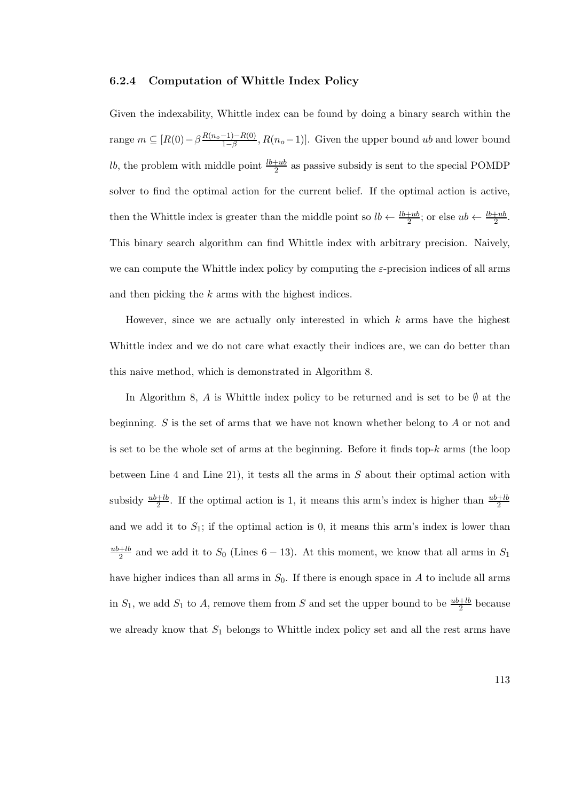### 6.2.4 Computation of Whittle Index Policy

Given the indexability, Whittle index can be found by doing a binary search within the range  $m \subseteq [R(0) - \beta \frac{R(n_o-1) - R(0)}{1-\beta}]$  $\frac{-1-(-R(0))}{1-\beta}, R(n_o-1)].$  Given the upper bound ub and lower bound *lb*, the problem with middle point  $\frac{lb+ub}{2}$  as passive subsidy is sent to the special POMDP solver to find the optimal action for the current belief. If the optimal action is active, then the Whittle index is greater than the middle point so  $lb \leftarrow \frac{lb+ub}{2}$ ; or else  $ub \leftarrow \frac{lb+ub}{2}$ . This binary search algorithm can find Whittle index with arbitrary precision. Naively, we can compute the Whittle index policy by computing the  $\varepsilon$ -precision indices of all arms and then picking the k arms with the highest indices.

However, since we are actually only interested in which  $k$  arms have the highest Whittle index and we do not care what exactly their indices are, we can do better than this naive method, which is demonstrated in Algorithm 8.

In Algorithm 8, A is Whittle index policy to be returned and is set to be  $\emptyset$  at the beginning.  $S$  is the set of arms that we have not known whether belong to  $A$  or not and is set to be the whole set of arms at the beginning. Before it finds top- $k$  arms (the loop between Line 4 and Line 21), it tests all the arms in  $S$  about their optimal action with subsidy  $\frac{ub+lb}{2}$ . If the optimal action is 1, it means this arm's index is higher than  $\frac{ub+lb}{2}$ and we add it to  $S_1$ ; if the optimal action is 0, it means this arm's index is lower than  $_{ub+lb}$  $\frac{+ib}{2}$  and we add it to  $S_0$  (Lines 6 – 13). At this moment, we know that all arms in  $S_1$ have higher indices than all arms in  $S_0$ . If there is enough space in A to include all arms in  $S_1$ , we add  $S_1$  to A, remove them from S and set the upper bound to be  $\frac{ub+lb}{2}$  because we already know that  $S_1$  belongs to Whittle index policy set and all the rest arms have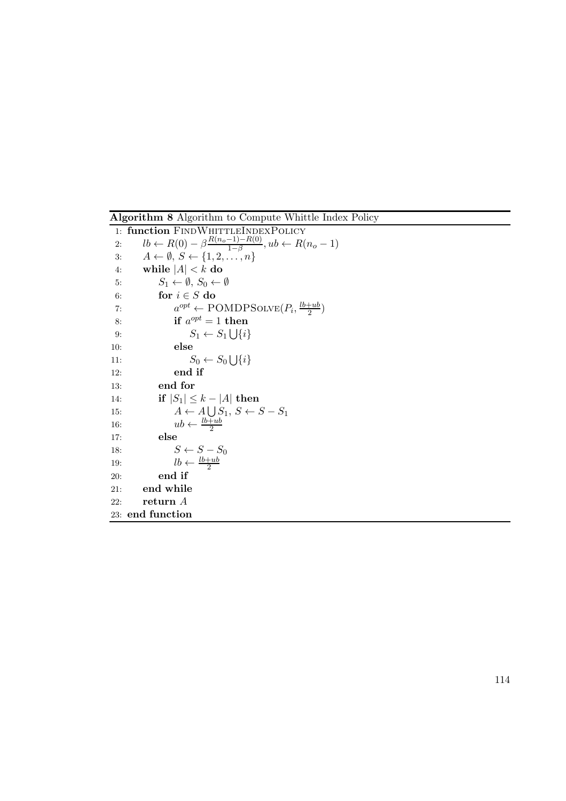Algorithm 8 Algorithm to Compute Whittle Index Policy 1: function FINDWHITTLEINDEXPOLICY 2:  $lb \leftarrow R(0) - \beta \frac{R(n_0 - 1) - R(0)}{1 - \beta}$  $\frac{-1)-R(0)}{1-\beta}$ ,  $ub \leftarrow R(n_o-1)$ 3:  $A \leftarrow \emptyset, S \leftarrow \{1, 2, \dots, n\}$ 4: while  $|A| < k$  do<br>5:  $S_1 \leftarrow \emptyset$ ,  $S_0 \leftarrow$ 5:  $S_1 \leftarrow \emptyset, S_0 \leftarrow \emptyset$ <br>6: **for**  $i \in S$  **do** 6: for  $i \in S$  do<br>7:  $a^{opt} \leftarrow P$ 7:  $a^{opt} \leftarrow \text{POMDPSOLVE}(P_i, \frac{lb+ub}{2})$  $\frac{+ub}{2}$ 8: if  $a^{opt} = 1$  then 9:  $S_1 \leftarrow S_1 \bigcup \{i\}$ 10: else 11:  $S_0 \leftarrow S_0 \bigcup \{i\}$ 12: end if 13: end for 14: **if**  $|S_1| \le k - |A|$  then<br>15:  $A \leftarrow A \cup S_1, S \leftarrow B$ 15:  $A \leftarrow A \bigcup_{n} S_1, S \leftarrow S - S_1$ 16:  $ub \leftarrow \frac{lb+ub}{2}$ 17: else 18:  $S \leftarrow S - S_0$ 19:  $lb \leftarrow \frac{lb+ub}{2}$ 20: end if 21: end while 22: return  $A$ 23: end function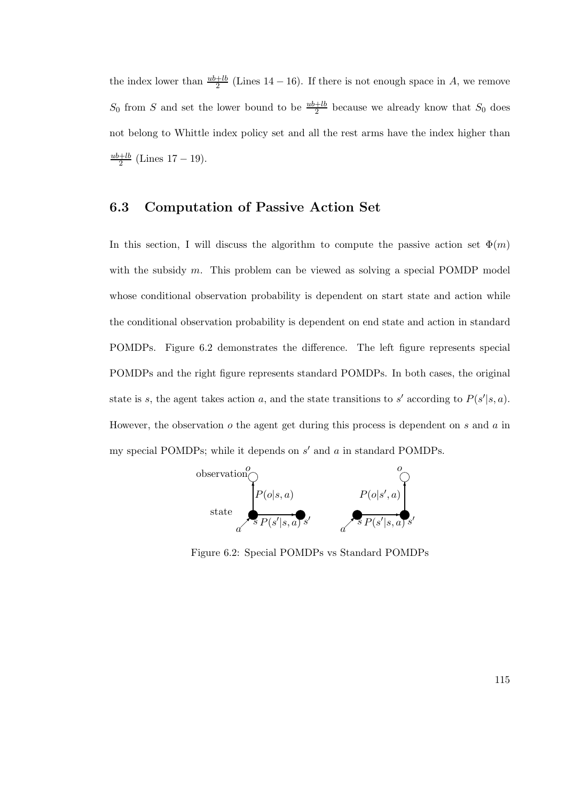the index lower than  $\frac{ub+lb}{2}$  (Lines 14 – 16). If there is not enough space in A, we remove  $S_0$  from S and set the lower bound to be  $\frac{ub+lb}{2}$  because we already know that  $S_0$  does not belong to Whittle index policy set and all the rest arms have the index higher than  $_{ub+lb}$  $\frac{+1b}{2}$  (Lines 17 – 19).

### 6.3 Computation of Passive Action Set

In this section, I will discuss the algorithm to compute the passive action set  $\Phi(m)$ with the subsidy  $m$ . This problem can be viewed as solving a special POMDP model whose conditional observation probability is dependent on start state and action while the conditional observation probability is dependent on end state and action in standard POMDPs. Figure 6.2 demonstrates the difference. The left figure represents special POMDPs and the right figure represents standard POMDPs. In both cases, the original state is s, the agent takes action a, and the state transitions to s' according to  $P(s'|s, a)$ . However, the observation  $o$  the agent get during this process is dependent on  $s$  and  $a$  in my special POMDPs; while it depends on  $s'$  and  $a$  in standard POMDPs.



Figure 6.2: Special POMDPs vs Standard POMDPs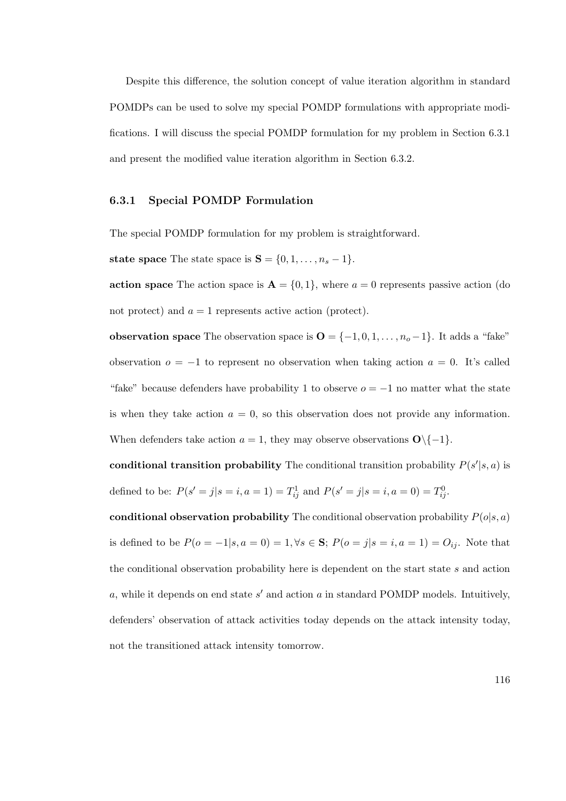Despite this difference, the solution concept of value iteration algorithm in standard POMDPs can be used to solve my special POMDP formulations with appropriate modifications. I will discuss the special POMDP formulation for my problem in Section 6.3.1 and present the modified value iteration algorithm in Section 6.3.2.

#### 6.3.1 Special POMDP Formulation

The special POMDP formulation for my problem is straightforward.

state space The state space is  $S = \{0, 1, \ldots, n_s - 1\}.$ 

action space The action space is  $A = \{0, 1\}$ , where  $a = 0$  represents passive action (do not protect) and  $a = 1$  represents active action (protect).

observation space The observation space is  $\mathbf{O} = \{-1, 0, 1, \dots, n_o - 1\}$ . It adds a "fake" observation  $o = -1$  to represent no observation when taking action  $a = 0$ . It's called "fake" because defenders have probability 1 to observe  $o = -1$  no matter what the state is when they take action  $a = 0$ , so this observation does not provide any information. When defenders take action  $a = 1$ , they may observe observations  $O\{(-1\}$ .

conditional transition probability The conditional transition probability  $P(s'|s, a)$  is defined to be:  $P(s' = j | s = i, a = 1) = T_{ij}^1$  and  $P(s' = j | s = i, a = 0) = T_{ij}^0$ .

conditional observation probability The conditional observation probability  $P(o|s, a)$ is defined to be  $P(o = -1|s, a = 0) = 1, \forall s \in \mathbf{S}; P(o = j|s = i, a = 1) = O_{ij}$ . Note that the conditional observation probability here is dependent on the start state s and action  $a$ , while it depends on end state  $s'$  and action  $a$  in standard POMDP models. Intuitively, defenders' observation of attack activities today depends on the attack intensity today, not the transitioned attack intensity tomorrow.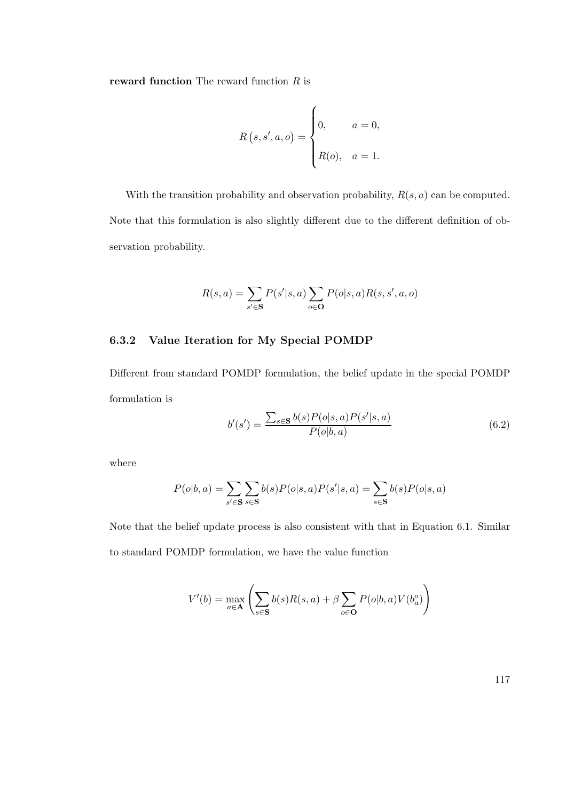reward function The reward function  $R$  is

$$
R(s, s', a, o) = \begin{cases} 0, & a = 0, \\ R(o), & a = 1. \end{cases}
$$

With the transition probability and observation probability,  $R(s, a)$  can be computed. Note that this formulation is also slightly different due to the different definition of observation probability.

$$
R(s,a) = \sum_{s' \in \mathbf{S}} P(s'|s,a) \sum_{o \in \mathbf{O}} P(o|s,a) R(s,s',a,o)
$$

### 6.3.2 Value Iteration for My Special POMDP

Different from standard POMDP formulation, the belief update in the special POMDP formulation is

$$
b'(s') = \frac{\sum_{s \in \mathbf{S}} b(s) P(o|s, a) P(s'|s, a)}{P(o|b, a)}
$$
(6.2)

where

$$
P(o|b, a) = \sum_{s' \in \mathbf{S}} \sum_{s \in \mathbf{S}} b(s) P(o|s, a) P(s'|s, a) = \sum_{s \in \mathbf{S}} b(s) P(o|s, a)
$$

Note that the belief update process is also consistent with that in Equation 6.1. Similar to standard POMDP formulation, we have the value function

$$
V'(b) = \max_{a \in \mathbf{A}} \left( \sum_{s \in \mathbf{S}} b(s) R(s, a) + \beta \sum_{o \in \mathbf{O}} P(o|b, a) V(b_a^o) \right)
$$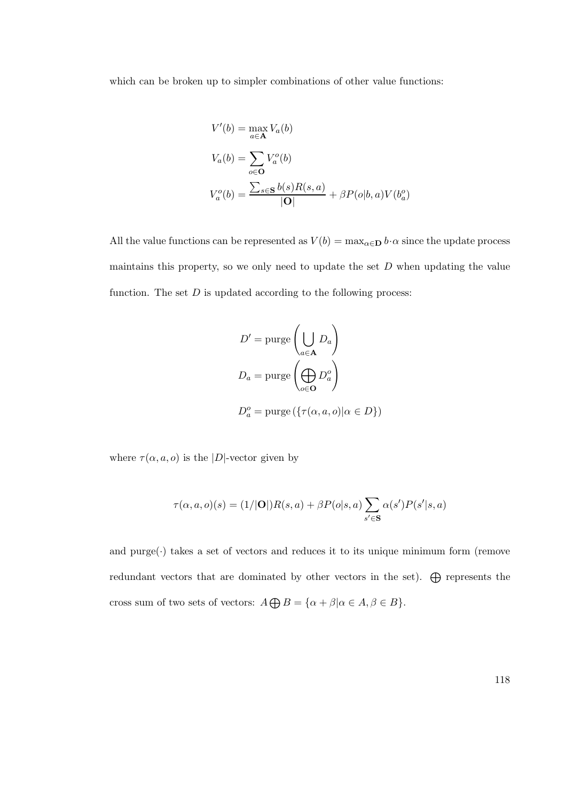which can be broken up to simpler combinations of other value functions:

$$
V'(b) = \max_{a \in \mathbf{A}} V_a(b)
$$
  
\n
$$
V_a(b) = \sum_{o \in \mathbf{O}} V_a^o(b)
$$
  
\n
$$
V_a^o(b) = \frac{\sum_{s \in \mathbf{S}} b(s)R(s, a)}{|\mathbf{O}|} + \beta P(o|b, a)V(b_a^o)
$$

All the value functions can be represented as  $V(b) = \max_{\alpha \in \mathbf{D}} b \cdot \alpha$  since the update process maintains this property, so we only need to update the set  $D$  when updating the value function. The set  $D$  is updated according to the following process:

$$
D' = \text{pure}\left(\bigcup_{a \in \mathbf{A}} D_a\right)
$$

$$
D_a = \text{pure}\left(\bigoplus_{o \in \mathbf{O}} D_a^o\right)
$$

$$
D_a^o = \text{pure}\left(\{\tau(\alpha, a, o) | \alpha \in D\}\right)
$$

where  $\tau(\alpha, a, o)$  is the |D|-vector given by

$$
\tau(\alpha, a, o)(s) = (1/|\mathbf{O}|)R(s, a) + \beta P(o|s, a) \sum_{s' \in \mathbf{S}} \alpha(s')P(s'|s, a)
$$

and  $pure(\cdot)$  takes a set of vectors and reduces it to its unique minimum form (remove redundant vectors that are dominated by other vectors in the set).  $\bigoplus$  represents the cross sum of two sets of vectors:  $A \bigoplus B = {\alpha + \beta | \alpha \in A, \beta \in B}.$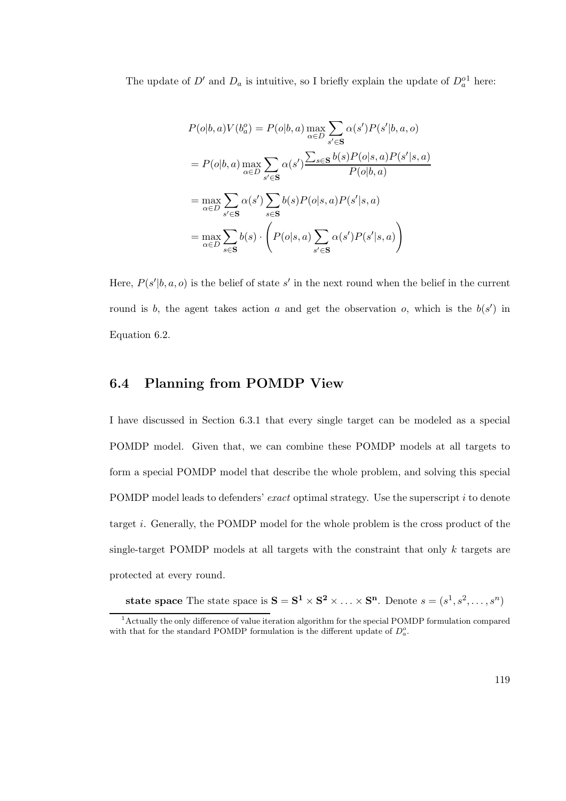The update of  $D'$  and  $D_a$  is intuitive, so I briefly explain the update of  $D_a^{\text{o}1}$  here:

$$
P(o|b, a)V(b_a^o) = P(o|b, a) \max_{\alpha \in D} \sum_{s' \in \mathbf{S}} \alpha(s')P(s'|b, a, o)
$$
  
= 
$$
P(o|b, a) \max_{\alpha \in D} \sum_{s' \in \mathbf{S}} \alpha(s') \frac{\sum_{s \in \mathbf{S}} b(s)P(o|s, a)P(s'|s, a)}{P(o|b, a)}
$$
  
= 
$$
\max_{\alpha \in D} \sum_{s' \in \mathbf{S}} \alpha(s') \sum_{s \in \mathbf{S}} b(s)P(o|s, a)P(s'|s, a)
$$
  
= 
$$
\max_{\alpha \in D} \sum_{s \in \mathbf{S}} b(s) \cdot \left(P(o|s, a) \sum_{s' \in \mathbf{S}} \alpha(s')P(s'|s, a)\right)
$$

Here,  $P(s'|b, a, o)$  is the belief of state s' in the next round when the belief in the current round is b, the agent takes action a and get the observation o, which is the  $b(s')$  in Equation 6.2.

# 6.4 Planning from POMDP View

I have discussed in Section 6.3.1 that every single target can be modeled as a special POMDP model. Given that, we can combine these POMDP models at all targets to form a special POMDP model that describe the whole problem, and solving this special POMDP model leads to defenders' exact optimal strategy. Use the superscript i to denote target i. Generally, the POMDP model for the whole problem is the cross product of the single-target POMDP models at all targets with the constraint that only  $k$  targets are protected at every round.

state space The state space is  $S = S^1 \times S^2 \times \ldots \times S^n$ . Denote  $s = (s^1, s^2, \ldots, s^n)$ 

<sup>&</sup>lt;sup>1</sup> Actually the only difference of value iteration algorithm for the special POMDP formulation compared with that for the standard POMDP formulation is the different update of  $D_a^o$ .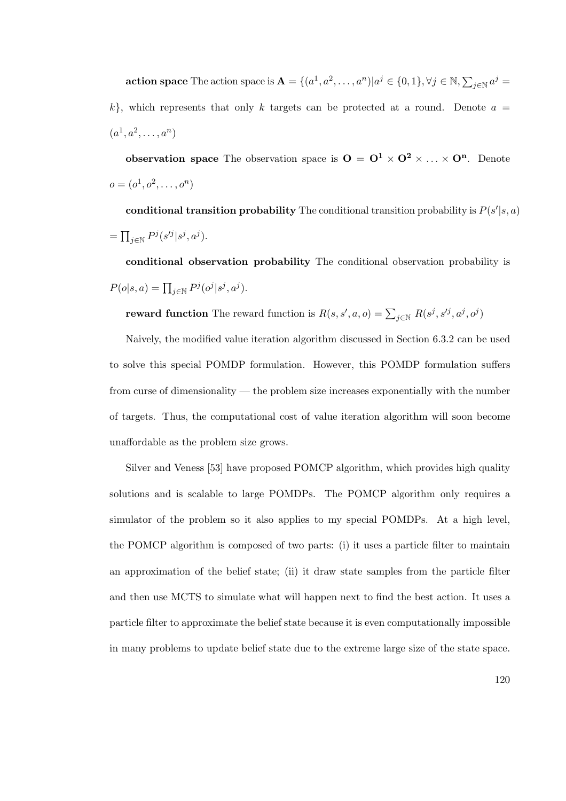**action space** The action space is  $\mathbf{A} = \{(a^1, a^2, \dots, a^n)|a^j \in \{0,1\}, \forall j \in \mathbb{N}, \sum_{j \in \mathbb{N}} a^j =$  $k$ , which represents that only k targets can be protected at a round. Denote  $a =$  $(a^1, a^2, \ldots, a^n)$ 

observation space The observation space is  $O = O^1 \times O^2 \times \ldots \times O^n$ . Denote  $o = (o^1, o^2, \dots, o^n)$ 

conditional transition probability The conditional transition probability is  $P(s'|s, a)$  $= \prod_{j \in \mathbb{N}} P^j(s'^j | s^j, a^j).$ 

conditional observation probability The conditional observation probability is  $P(o|s, a) = \prod_{j \in \mathbb{N}} P^j(o^j|s^j, a^j).$ 

reward function The reward function is  $R(s, s', a, o) = \sum_{j \in \mathbb{N}} R(s^j, s'^j, a^j, o^j)$ 

Naively, the modified value iteration algorithm discussed in Section 6.3.2 can be used to solve this special POMDP formulation. However, this POMDP formulation suffers from curse of dimensionality — the problem size increases exponentially with the number of targets. Thus, the computational cost of value iteration algorithm will soon become unaffordable as the problem size grows.

Silver and Veness [53] have proposed POMCP algorithm, which provides high quality solutions and is scalable to large POMDPs. The POMCP algorithm only requires a simulator of the problem so it also applies to my special POMDPs. At a high level, the POMCP algorithm is composed of two parts: (i) it uses a particle filter to maintain an approximation of the belief state; (ii) it draw state samples from the particle filter and then use MCTS to simulate what will happen next to find the best action. It uses a particle filter to approximate the belief state because it is even computationally impossible in many problems to update belief state due to the extreme large size of the state space.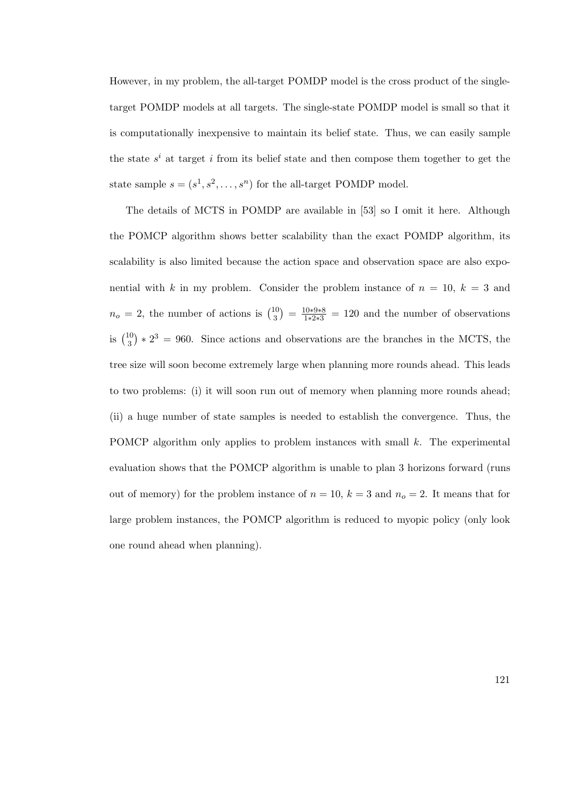However, in my problem, the all-target POMDP model is the cross product of the singletarget POMDP models at all targets. The single-state POMDP model is small so that it is computationally inexpensive to maintain its belief state. Thus, we can easily sample the state  $s^i$  at target i from its belief state and then compose them together to get the state sample  $s = (s^1, s^2, \dots, s^n)$  for the all-target POMDP model.

The details of MCTS in POMDP are available in [53] so I omit it here. Although the POMCP algorithm shows better scalability than the exact POMDP algorithm, its scalability is also limited because the action space and observation space are also exponential with k in my problem. Consider the problem instance of  $n = 10$ ,  $k = 3$  and  $n_o = 2$ , the number of actions is  $\binom{10}{3}$  $\binom{10}{3} = \frac{10*9*8}{1*2*3} = 120$  and the number of observations is  $\binom{10}{3}$  $(10<sub>3</sub>) * 2<sup>3</sup> = 960$ . Since actions and observations are the branches in the MCTS, the tree size will soon become extremely large when planning more rounds ahead. This leads to two problems: (i) it will soon run out of memory when planning more rounds ahead; (ii) a huge number of state samples is needed to establish the convergence. Thus, the POMCP algorithm only applies to problem instances with small  $k$ . The experimental evaluation shows that the POMCP algorithm is unable to plan 3 horizons forward (runs out of memory) for the problem instance of  $n = 10$ ,  $k = 3$  and  $n<sub>o</sub> = 2$ . It means that for large problem instances, the POMCP algorithm is reduced to myopic policy (only look one round ahead when planning).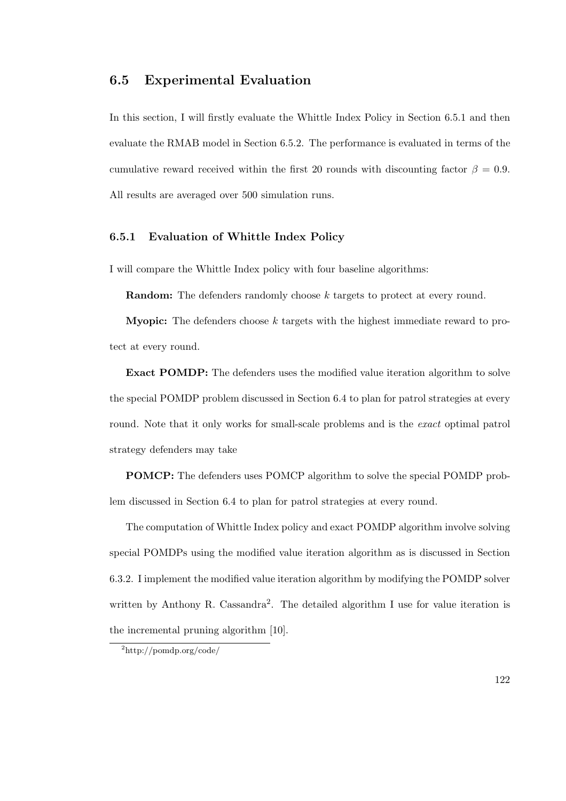### 6.5 Experimental Evaluation

In this section, I will firstly evaluate the Whittle Index Policy in Section 6.5.1 and then evaluate the RMAB model in Section 6.5.2. The performance is evaluated in terms of the cumulative reward received within the first 20 rounds with discounting factor  $\beta = 0.9$ . All results are averaged over 500 simulation runs.

### 6.5.1 Evaluation of Whittle Index Policy

I will compare the Whittle Index policy with four baseline algorithms:

Random: The defenders randomly choose k targets to protect at every round.

**Myopic:** The defenders choose  $k$  targets with the highest immediate reward to protect at every round.

Exact POMDP: The defenders uses the modified value iteration algorithm to solve the special POMDP problem discussed in Section 6.4 to plan for patrol strategies at every round. Note that it only works for small-scale problems and is the *exact* optimal patrol strategy defenders may take

POMCP: The defenders uses POMCP algorithm to solve the special POMDP problem discussed in Section 6.4 to plan for patrol strategies at every round.

The computation of Whittle Index policy and exact POMDP algorithm involve solving special POMDPs using the modified value iteration algorithm as is discussed in Section 6.3.2. I implement the modified value iteration algorithm by modifying the POMDP solver written by Anthony R. Cassandra<sup>2</sup>. The detailed algorithm I use for value iteration is the incremental pruning algorithm [10].

<sup>2</sup>http://pomdp.org/code/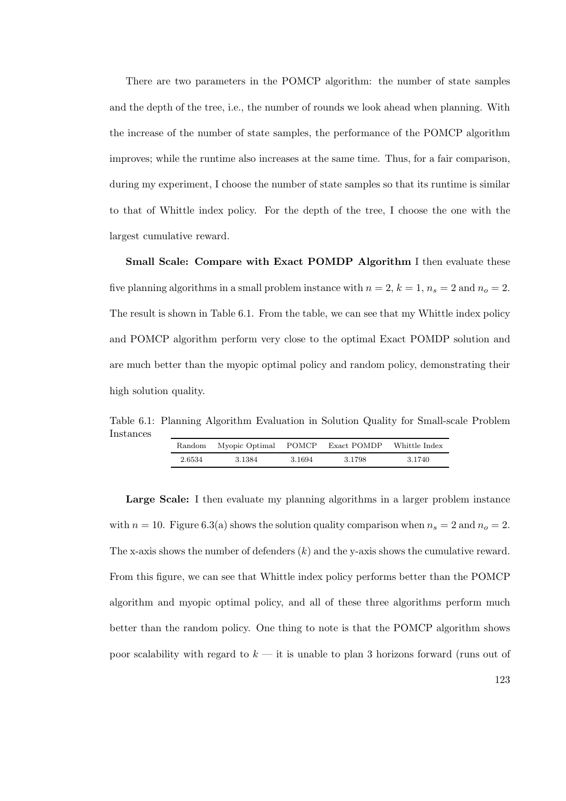There are two parameters in the POMCP algorithm: the number of state samples and the depth of the tree, i.e., the number of rounds we look ahead when planning. With the increase of the number of state samples, the performance of the POMCP algorithm improves; while the runtime also increases at the same time. Thus, for a fair comparison, during my experiment, I choose the number of state samples so that its runtime is similar to that of Whittle index policy. For the depth of the tree, I choose the one with the largest cumulative reward.

Small Scale: Compare with Exact POMDP Algorithm I then evaluate these five planning algorithms in a small problem instance with  $n = 2$ ,  $k = 1$ ,  $n_s = 2$  and  $n_o = 2$ . The result is shown in Table 6.1. From the table, we can see that my Whittle index policy and POMCP algorithm perform very close to the optimal Exact POMDP solution and are much better than the myopic optimal policy and random policy, demonstrating their high solution quality.

Table 6.1: Planning Algorithm Evaluation in Solution Quality for Small-scale Problem Instances

| Random | Myopic Optimal | POMCP  | Exact POMDP | Whittle Index |
|--------|----------------|--------|-------------|---------------|
| 2.6534 | 3.1384         | 3.1694 | 3.1798      | 3.1740        |

Large Scale: I then evaluate my planning algorithms in a larger problem instance with  $n = 10$ . Figure 6.3(a) shows the solution quality comparison when  $n_s = 2$  and  $n_o = 2$ . The x-axis shows the number of defenders  $(k)$  and the y-axis shows the cumulative reward. From this figure, we can see that Whittle index policy performs better than the POMCP algorithm and myopic optimal policy, and all of these three algorithms perform much better than the random policy. One thing to note is that the POMCP algorithm shows poor scalability with regard to  $k - i$ t is unable to plan 3 horizons forward (runs out of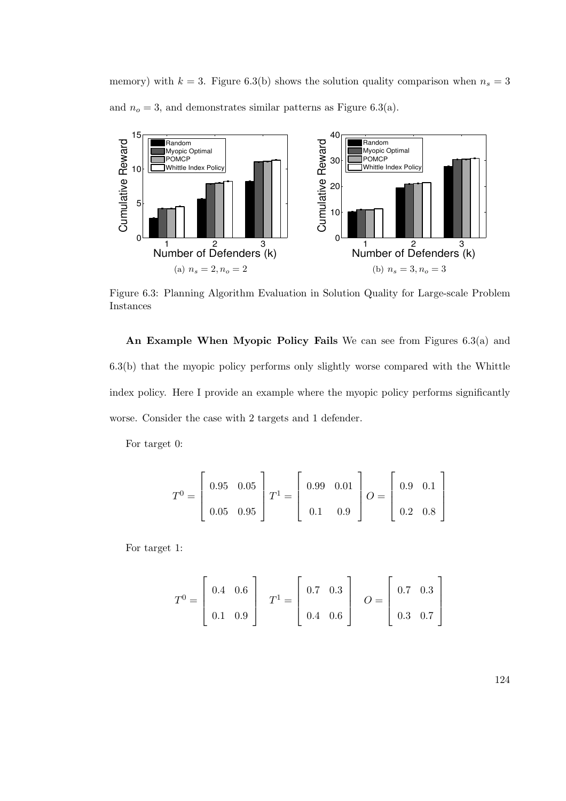memory) with  $k = 3$ . Figure 6.3(b) shows the solution quality comparison when  $n_s = 3$ and  $n_o = 3$ , and demonstrates similar patterns as Figure 6.3(a).



Figure 6.3: Planning Algorithm Evaluation in Solution Quality for Large-scale Problem Instances

An Example When Myopic Policy Fails We can see from Figures 6.3(a) and 6.3(b) that the myopic policy performs only slightly worse compared with the Whittle index policy. Here I provide an example where the myopic policy performs significantly worse. Consider the case with 2 targets and 1 defender.

For target 0:

$$
T^{0} = \begin{bmatrix} 0.95 & 0.05 \\ 0.05 & 0.95 \end{bmatrix} T^{1} = \begin{bmatrix} 0.99 & 0.01 \\ 0.1 & 0.9 \end{bmatrix} O = \begin{bmatrix} 0.9 & 0.1 \\ 0.2 & 0.8 \end{bmatrix}
$$

For target 1:

$$
T^{0} = \begin{bmatrix} 0.4 & 0.6 \\ 0.1 & 0.9 \end{bmatrix} \quad T^{1} = \begin{bmatrix} 0.7 & 0.3 \\ 0.4 & 0.6 \end{bmatrix} \quad O = \begin{bmatrix} 0.7 & 0.3 \\ 0.3 & 0.7 \end{bmatrix}
$$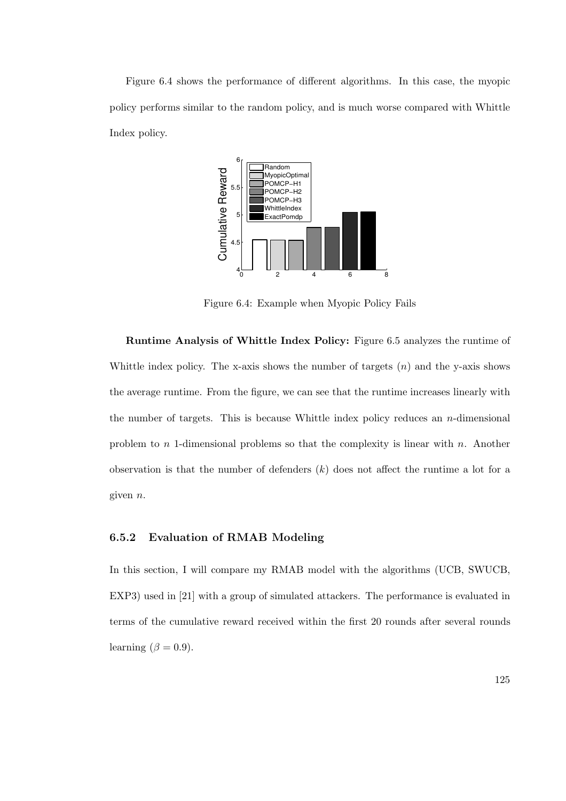Figure 6.4 shows the performance of different algorithms. In this case, the myopic policy performs similar to the random policy, and is much worse compared with Whittle Index policy.



Figure 6.4: Example when Myopic Policy Fails

Runtime Analysis of Whittle Index Policy: Figure 6.5 analyzes the runtime of Whittle index policy. The x-axis shows the number of targets  $(n)$  and the y-axis shows the average runtime. From the figure, we can see that the runtime increases linearly with the number of targets. This is because Whittle index policy reduces an  $n$ -dimensional problem to n 1-dimensional problems so that the complexity is linear with n. Another observation is that the number of defenders  $(k)$  does not affect the runtime a lot for a given n.

### 6.5.2 Evaluation of RMAB Modeling

In this section, I will compare my RMAB model with the algorithms (UCB, SWUCB, EXP3) used in [21] with a group of simulated attackers. The performance is evaluated in terms of the cumulative reward received within the first 20 rounds after several rounds learning  $(\beta = 0.9)$ .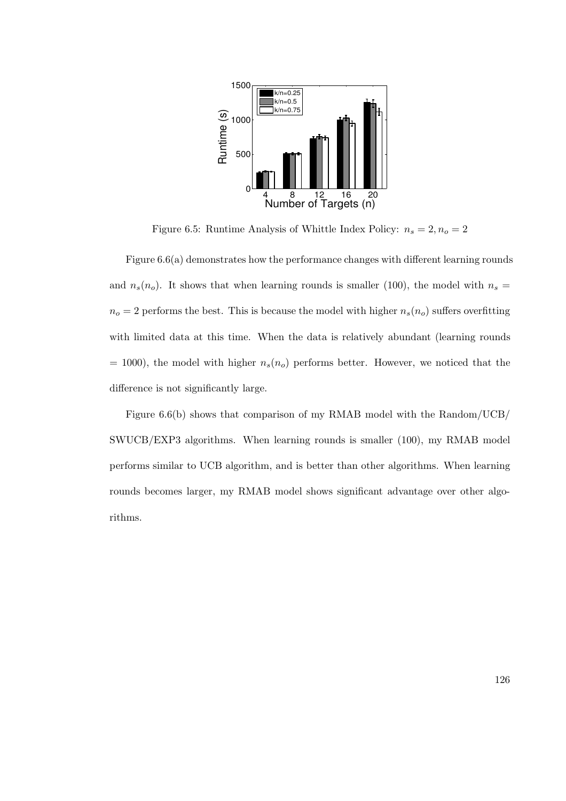

Figure 6.5: Runtime Analysis of Whittle Index Policy:  $n_s=2, n_o=2$ 

Figure 6.6(a) demonstrates how the performance changes with different learning rounds and  $n_s(n_o)$ . It shows that when learning rounds is smaller (100), the model with  $n_s =$  $n_o = 2$  performs the best. This is because the model with higher  $n_s(n_o)$  suffers overfitting with limited data at this time. When the data is relatively abundant (learning rounds  $= 1000$ , the model with higher  $n_s(n_o)$  performs better. However, we noticed that the difference is not significantly large.

Figure 6.6(b) shows that comparison of my RMAB model with the Random/UCB/ SWUCB/EXP3 algorithms. When learning rounds is smaller (100), my RMAB model performs similar to UCB algorithm, and is better than other algorithms. When learning rounds becomes larger, my RMAB model shows significant advantage over other algorithms.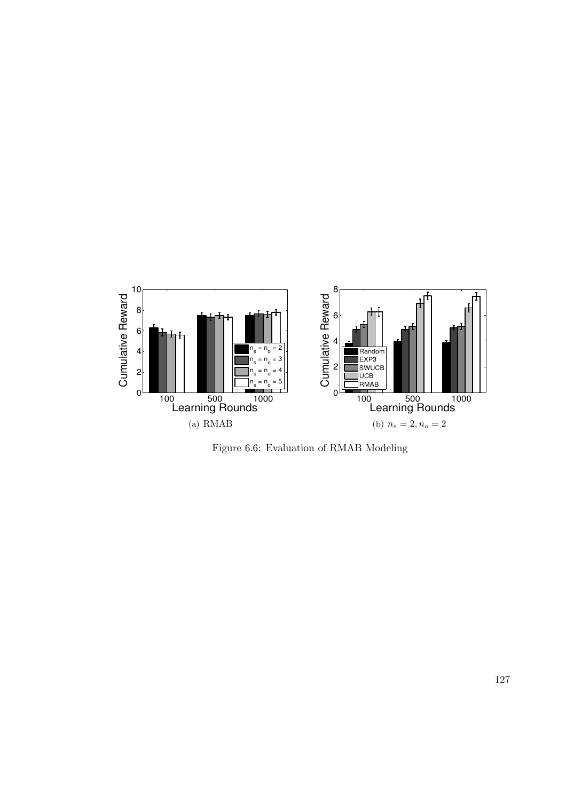

Figure 6.6: Evaluation of RMAB Modeling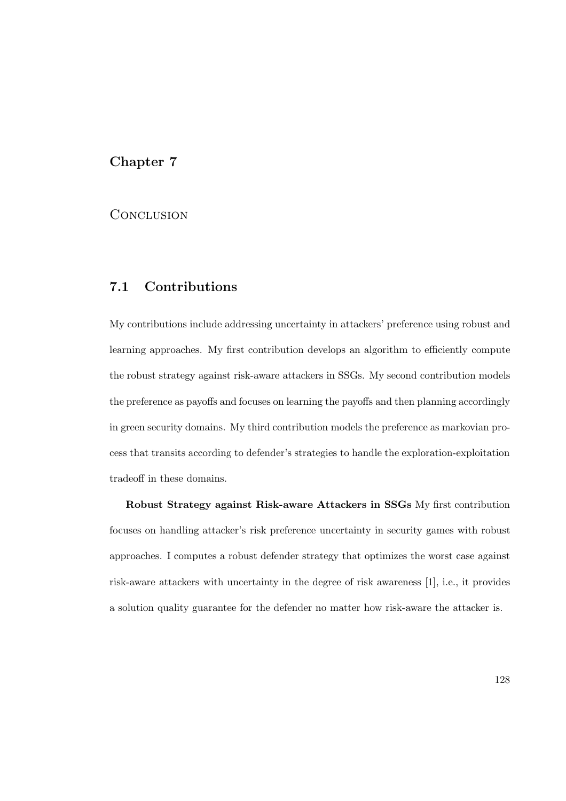# Chapter 7

# **CONCLUSION**

# 7.1 Contributions

My contributions include addressing uncertainty in attackers' preference using robust and learning approaches. My first contribution develops an algorithm to efficiently compute the robust strategy against risk-aware attackers in SSGs. My second contribution models the preference as payoffs and focuses on learning the payoffs and then planning accordingly in green security domains. My third contribution models the preference as markovian process that transits according to defender's strategies to handle the exploration-exploitation tradeoff in these domains.

Robust Strategy against Risk-aware Attackers in SSGs My first contribution focuses on handling attacker's risk preference uncertainty in security games with robust approaches. I computes a robust defender strategy that optimizes the worst case against risk-aware attackers with uncertainty in the degree of risk awareness [1], i.e., it provides a solution quality guarantee for the defender no matter how risk-aware the attacker is.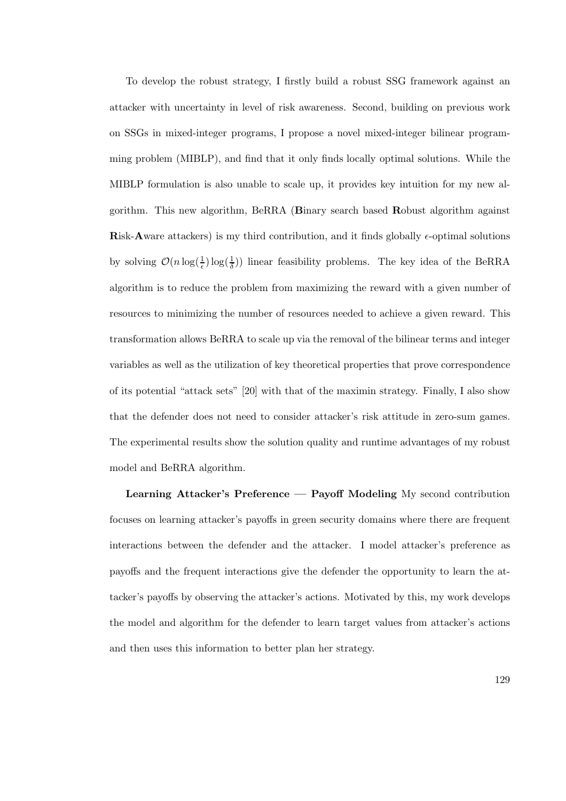To develop the robust strategy, I firstly build a robust SSG framework against an attacker with uncertainty in level of risk awareness. Second, building on previous work on SSGs in mixed-integer programs, I propose a novel mixed-integer bilinear programming problem (MIBLP), and find that it only finds locally optimal solutions. While the MIBLP formulation is also unable to scale up, it provides key intuition for my new algorithm. This new algorithm, BeRRA (Binary search based Robust algorithm against Risk-Aware attackers) is my third contribution, and it finds globally  $\epsilon$ -optimal solutions by solving  $\mathcal{O}(n \log(\frac{1}{\epsilon}) \log(\frac{1}{\delta}))$  linear feasibility problems. The key idea of the BeRRA algorithm is to reduce the problem from maximizing the reward with a given number of resources to minimizing the number of resources needed to achieve a given reward. This transformation allows BeRRA to scale up via the removal of the bilinear terms and integer variables as well as the utilization of key theoretical properties that prove correspondence of its potential "attack sets" [20] with that of the maximin strategy. Finally, I also show that the defender does not need to consider attacker's risk attitude in zero-sum games. The experimental results show the solution quality and runtime advantages of my robust model and BeRRA algorithm.

Learning Attacker's Preference — Payoff Modeling My second contribution focuses on learning attacker's payoffs in green security domains where there are frequent interactions between the defender and the attacker. I model attacker's preference as payoffs and the frequent interactions give the defender the opportunity to learn the attacker's payoffs by observing the attacker's actions. Motivated by this, my work develops the model and algorithm for the defender to learn target values from attacker's actions and then uses this information to better plan her strategy.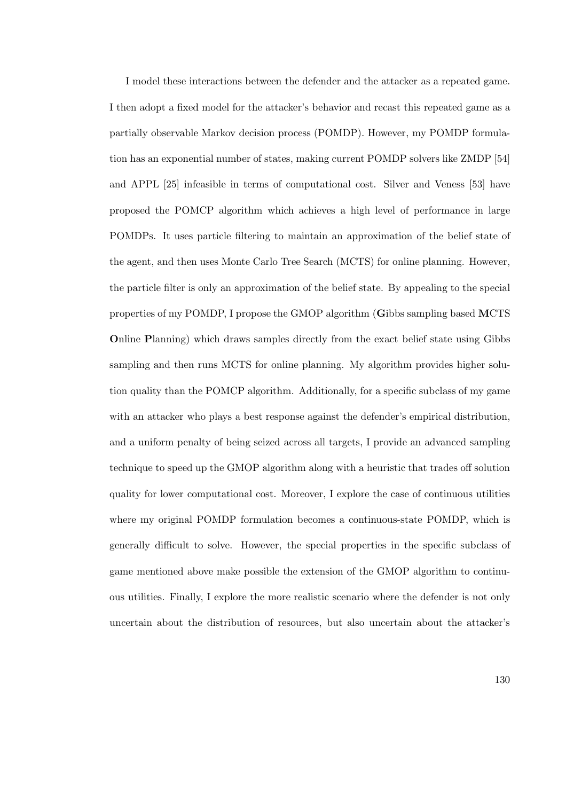I model these interactions between the defender and the attacker as a repeated game. I then adopt a fixed model for the attacker's behavior and recast this repeated game as a partially observable Markov decision process (POMDP). However, my POMDP formulation has an exponential number of states, making current POMDP solvers like ZMDP [54] and APPL [25] infeasible in terms of computational cost. Silver and Veness [53] have proposed the POMCP algorithm which achieves a high level of performance in large POMDPs. It uses particle filtering to maintain an approximation of the belief state of the agent, and then uses Monte Carlo Tree Search (MCTS) for online planning. However, the particle filter is only an approximation of the belief state. By appealing to the special properties of my POMDP, I propose the GMOP algorithm (Gibbs sampling based MCTS Online Planning) which draws samples directly from the exact belief state using Gibbs sampling and then runs MCTS for online planning. My algorithm provides higher solution quality than the POMCP algorithm. Additionally, for a specific subclass of my game with an attacker who plays a best response against the defender's empirical distribution, and a uniform penalty of being seized across all targets, I provide an advanced sampling technique to speed up the GMOP algorithm along with a heuristic that trades off solution quality for lower computational cost. Moreover, I explore the case of continuous utilities where my original POMDP formulation becomes a continuous-state POMDP, which is generally difficult to solve. However, the special properties in the specific subclass of game mentioned above make possible the extension of the GMOP algorithm to continuous utilities. Finally, I explore the more realistic scenario where the defender is not only uncertain about the distribution of resources, but also uncertain about the attacker's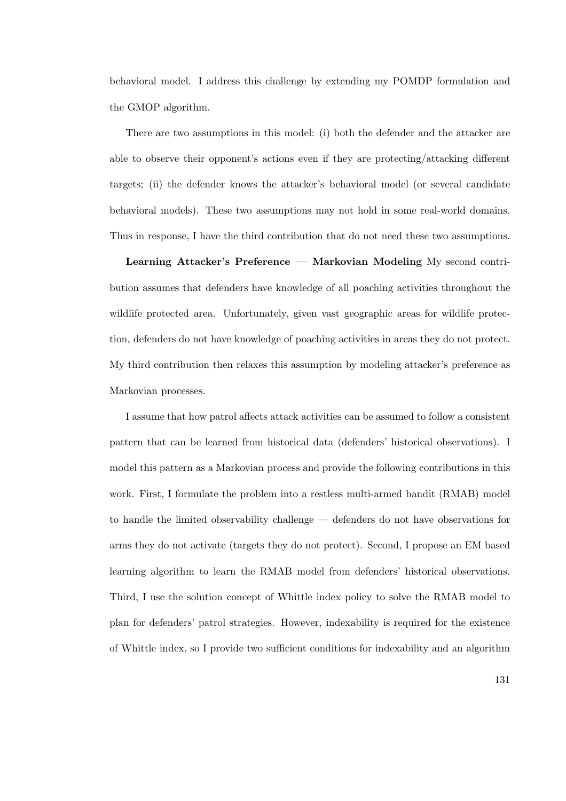behavioral model. I address this challenge by extending my POMDP formulation and the GMOP algorithm.

There are two assumptions in this model: (i) both the defender and the attacker are able to observe their opponent's actions even if they are protecting/attacking different targets; (ii) the defender knows the attacker's behavioral model (or several candidate behavioral models). These two assumptions may not hold in some real-world domains. Thus in response, I have the third contribution that do not need these two assumptions.

Learning Attacker's Preference — Markovian Modeling My second contribution assumes that defenders have knowledge of all poaching activities throughout the wildlife protected area. Unfortunately, given vast geographic areas for wildlife protection, defenders do not have knowledge of poaching activities in areas they do not protect. My third contribution then relaxes this assumption by modeling attacker's preference as Markovian processes.

I assume that how patrol affects attack activities can be assumed to follow a consistent pattern that can be learned from historical data (defenders' historical observations). I model this pattern as a Markovian process and provide the following contributions in this work. First, I formulate the problem into a restless multi-armed bandit (RMAB) model to handle the limited observability challenge — defenders do not have observations for arms they do not activate (targets they do not protect). Second, I propose an EM based learning algorithm to learn the RMAB model from defenders' historical observations. Third, I use the solution concept of Whittle index policy to solve the RMAB model to plan for defenders' patrol strategies. However, indexability is required for the existence of Whittle index, so I provide two sufficient conditions for indexability and an algorithm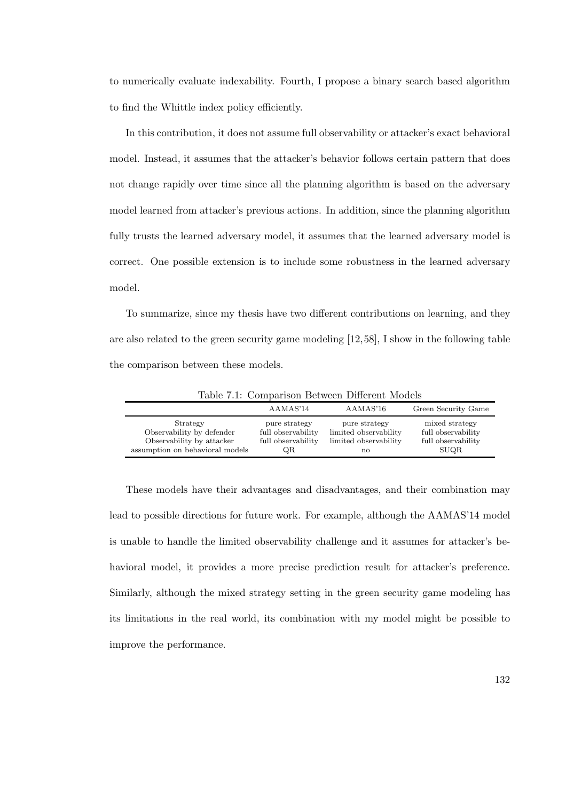to numerically evaluate indexability. Fourth, I propose a binary search based algorithm to find the Whittle index policy efficiently.

In this contribution, it does not assume full observability or attacker's exact behavioral model. Instead, it assumes that the attacker's behavior follows certain pattern that does not change rapidly over time since all the planning algorithm is based on the adversary model learned from attacker's previous actions. In addition, since the planning algorithm fully trusts the learned adversary model, it assumes that the learned adversary model is correct. One possible extension is to include some robustness in the learned adversary model.

To summarize, since my thesis have two different contributions on learning, and they are also related to the green security game modeling [12,58], I show in the following table the comparison between these models.

|                                                                                                       | AAMAS'14                                                        | AAMAS'16                                                              | Green Security Game                                                       |
|-------------------------------------------------------------------------------------------------------|-----------------------------------------------------------------|-----------------------------------------------------------------------|---------------------------------------------------------------------------|
| Strategy<br>Observability by defender<br>Observability by attacker<br>assumption on behavioral models | pure strategy<br>full observability<br>full observability<br>QR | pure strategy<br>limited observability<br>limited observability<br>no | mixed strategy<br>full observability<br>full observability<br><b>SUQR</b> |

Table 7.1: Comparison Between Different Models

These models have their advantages and disadvantages, and their combination may lead to possible directions for future work. For example, although the AAMAS'14 model is unable to handle the limited observability challenge and it assumes for attacker's behavioral model, it provides a more precise prediction result for attacker's preference. Similarly, although the mixed strategy setting in the green security game modeling has its limitations in the real world, its combination with my model might be possible to improve the performance.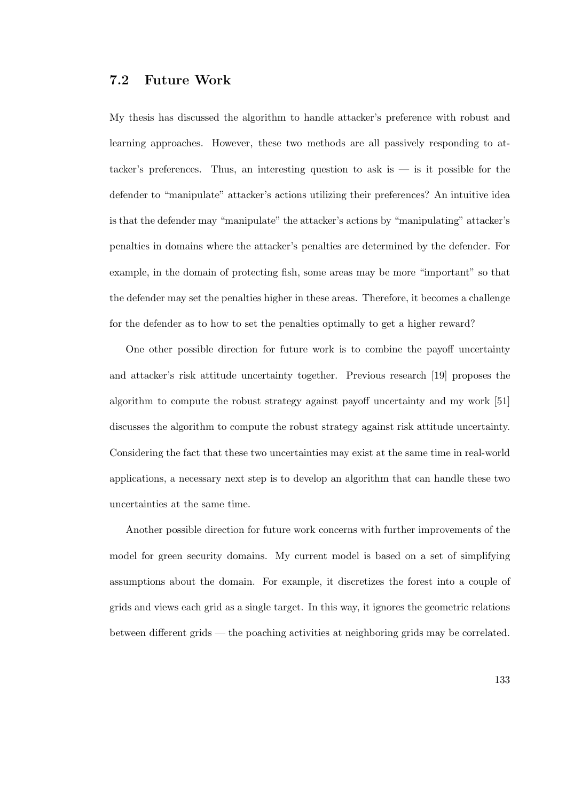# 7.2 Future Work

My thesis has discussed the algorithm to handle attacker's preference with robust and learning approaches. However, these two methods are all passively responding to attacker's preferences. Thus, an interesting question to ask is  $-$  is it possible for the defender to "manipulate" attacker's actions utilizing their preferences? An intuitive idea is that the defender may "manipulate" the attacker's actions by "manipulating" attacker's penalties in domains where the attacker's penalties are determined by the defender. For example, in the domain of protecting fish, some areas may be more "important" so that the defender may set the penalties higher in these areas. Therefore, it becomes a challenge for the defender as to how to set the penalties optimally to get a higher reward?

One other possible direction for future work is to combine the payoff uncertainty and attacker's risk attitude uncertainty together. Previous research [19] proposes the algorithm to compute the robust strategy against payoff uncertainty and my work [51] discusses the algorithm to compute the robust strategy against risk attitude uncertainty. Considering the fact that these two uncertainties may exist at the same time in real-world applications, a necessary next step is to develop an algorithm that can handle these two uncertainties at the same time.

Another possible direction for future work concerns with further improvements of the model for green security domains. My current model is based on a set of simplifying assumptions about the domain. For example, it discretizes the forest into a couple of grids and views each grid as a single target. In this way, it ignores the geometric relations between different grids — the poaching activities at neighboring grids may be correlated.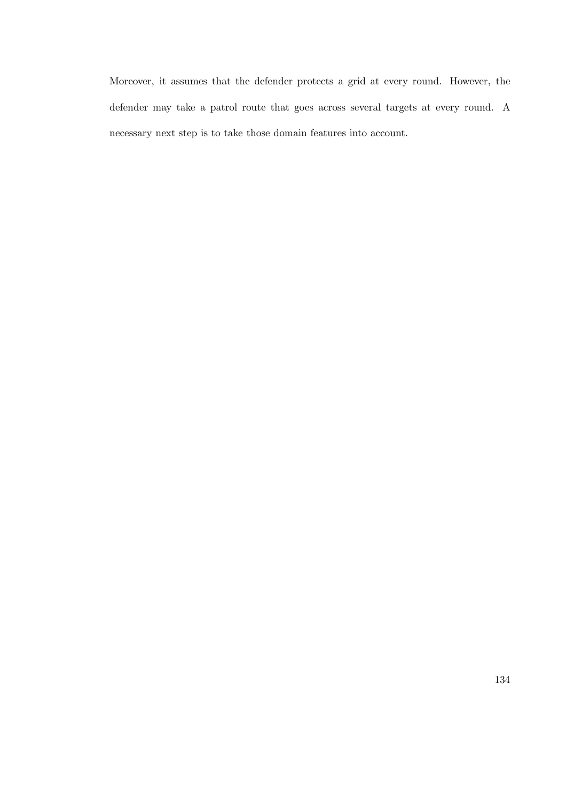Moreover, it assumes that the defender protects a grid at every round. However, the defender may take a patrol route that goes across several targets at every round. A necessary next step is to take those domain features into account.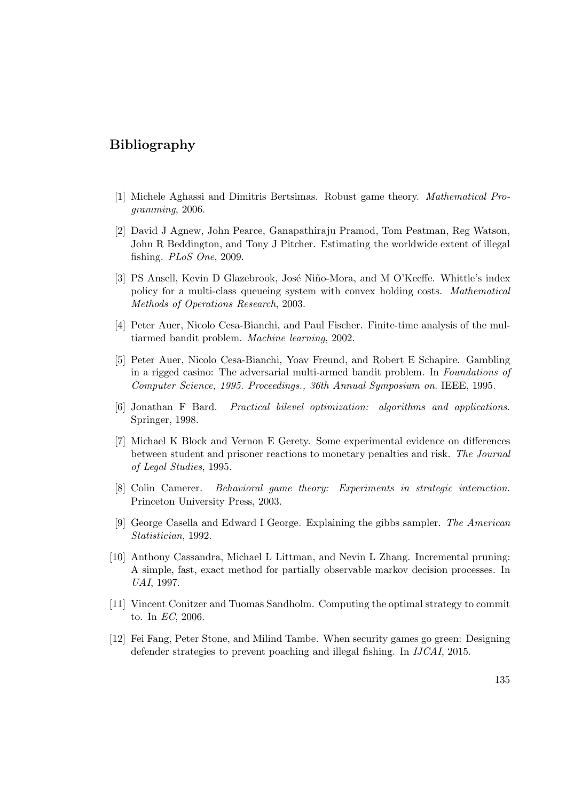### Bibliography

- [1] Michele Aghassi and Dimitris Bertsimas. Robust game theory. Mathematical Programming, 2006.
- [2] David J Agnew, John Pearce, Ganapathiraju Pramod, Tom Peatman, Reg Watson, John R Beddington, and Tony J Pitcher. Estimating the worldwide extent of illegal fishing. PLoS One, 2009.
- [3] PS Ansell, Kevin D Glazebrook, José Niño-Mora, and M O'Keeffe. Whittle's index policy for a multi-class queueing system with convex holding costs. Mathematical Methods of Operations Research, 2003.
- [4] Peter Auer, Nicolo Cesa-Bianchi, and Paul Fischer. Finite-time analysis of the multiarmed bandit problem. Machine learning, 2002.
- [5] Peter Auer, Nicolo Cesa-Bianchi, Yoav Freund, and Robert E Schapire. Gambling in a rigged casino: The adversarial multi-armed bandit problem. In Foundations of Computer Science, 1995. Proceedings., 36th Annual Symposium on. IEEE, 1995.
- [6] Jonathan F Bard. Practical bilevel optimization: algorithms and applications. Springer, 1998.
- [7] Michael K Block and Vernon E Gerety. Some experimental evidence on differences between student and prisoner reactions to monetary penalties and risk. The Journal of Legal Studies, 1995.
- [8] Colin Camerer. Behavioral game theory: Experiments in strategic interaction. Princeton University Press, 2003.
- [9] George Casella and Edward I George. Explaining the gibbs sampler. The American Statistician, 1992.
- [10] Anthony Cassandra, Michael L Littman, and Nevin L Zhang. Incremental pruning: A simple, fast, exact method for partially observable markov decision processes. In UAI, 1997.
- [11] Vincent Conitzer and Tuomas Sandholm. Computing the optimal strategy to commit to. In EC, 2006.
- [12] Fei Fang, Peter Stone, and Milind Tambe. When security games go green: Designing defender strategies to prevent poaching and illegal fishing. In IJCAI, 2015.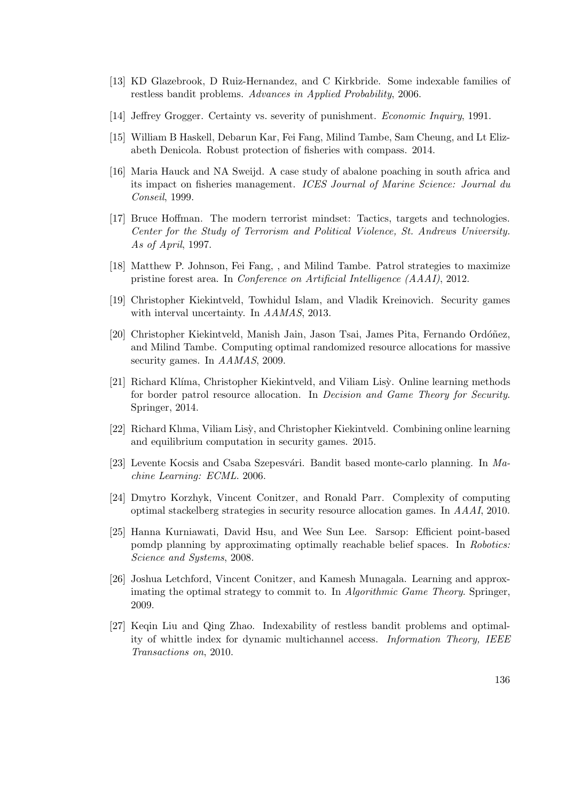- [13] KD Glazebrook, D Ruiz-Hernandez, and C Kirkbride. Some indexable families of restless bandit problems. Advances in Applied Probability, 2006.
- [14] Jeffrey Grogger. Certainty vs. severity of punishment. Economic Inquiry, 1991.
- [15] William B Haskell, Debarun Kar, Fei Fang, Milind Tambe, Sam Cheung, and Lt Elizabeth Denicola. Robust protection of fisheries with compass. 2014.
- [16] Maria Hauck and NA Sweijd. A case study of abalone poaching in south africa and its impact on fisheries management. ICES Journal of Marine Science: Journal du Conseil, 1999.
- [17] Bruce Hoffman. The modern terrorist mindset: Tactics, targets and technologies. Center for the Study of Terrorism and Political Violence, St. Andrews University. As of April, 1997.
- [18] Matthew P. Johnson, Fei Fang, , and Milind Tambe. Patrol strategies to maximize pristine forest area. In Conference on Artificial Intelligence (AAAI), 2012.
- [19] Christopher Kiekintveld, Towhidul Islam, and Vladik Kreinovich. Security games with interval uncertainty. In AAMAS, 2013.
- [20] Christopher Kiekintveld, Manish Jain, Jason Tsai, James Pita, Fernando Ordóñez, and Milind Tambe. Computing optimal randomized resource allocations for massive security games. In AAMAS, 2009.
- [21] Richard Klíma, Christopher Kiekintveld, and Viliam Lisy. Online learning methods for border patrol resource allocation. In Decision and Game Theory for Security. Springer, 2014.
- [22] Richard Klıma, Viliam Lisy, and Christopher Kiekintveld. Combining online learning and equilibrium computation in security games. 2015.
- [23] Levente Kocsis and Csaba Szepesvári. Bandit based monte-carlo planning. In  $Ma$ chine Learning: ECML. 2006.
- [24] Dmytro Korzhyk, Vincent Conitzer, and Ronald Parr. Complexity of computing optimal stackelberg strategies in security resource allocation games. In AAAI, 2010.
- [25] Hanna Kurniawati, David Hsu, and Wee Sun Lee. Sarsop: Efficient point-based pomdp planning by approximating optimally reachable belief spaces. In Robotics: Science and Systems, 2008.
- [26] Joshua Letchford, Vincent Conitzer, and Kamesh Munagala. Learning and approximating the optimal strategy to commit to. In Algorithmic Game Theory. Springer, 2009.
- [27] Keqin Liu and Qing Zhao. Indexability of restless bandit problems and optimality of whittle index for dynamic multichannel access. Information Theory, IEEE Transactions on, 2010.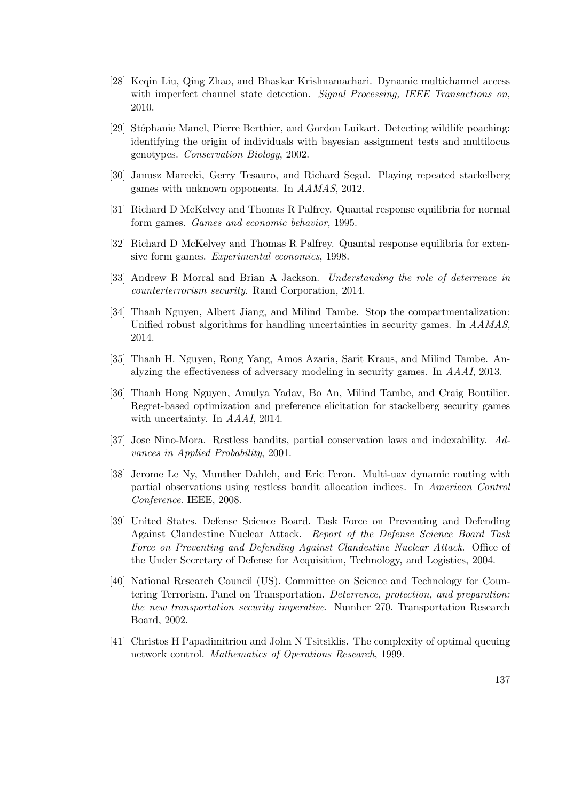- [28] Keqin Liu, Qing Zhao, and Bhaskar Krishnamachari. Dynamic multichannel access with imperfect channel state detection. Signal Processing, IEEE Transactions on, 2010.
- [29] Stéphanie Manel, Pierre Berthier, and Gordon Luikart. Detecting wildlife poaching: identifying the origin of individuals with bayesian assignment tests and multilocus genotypes. Conservation Biology, 2002.
- [30] Janusz Marecki, Gerry Tesauro, and Richard Segal. Playing repeated stackelberg games with unknown opponents. In AAMAS, 2012.
- [31] Richard D McKelvey and Thomas R Palfrey. Quantal response equilibria for normal form games. Games and economic behavior, 1995.
- [32] Richard D McKelvey and Thomas R Palfrey. Quantal response equilibria for extensive form games. Experimental economics, 1998.
- [33] Andrew R Morral and Brian A Jackson. Understanding the role of deterrence in counterterrorism security. Rand Corporation, 2014.
- [34] Thanh Nguyen, Albert Jiang, and Milind Tambe. Stop the compartmentalization: Unified robust algorithms for handling uncertainties in security games. In AAMAS, 2014.
- [35] Thanh H. Nguyen, Rong Yang, Amos Azaria, Sarit Kraus, and Milind Tambe. Analyzing the effectiveness of adversary modeling in security games. In AAAI, 2013.
- [36] Thanh Hong Nguyen, Amulya Yadav, Bo An, Milind Tambe, and Craig Boutilier. Regret-based optimization and preference elicitation for stackelberg security games with uncertainty. In  $AAAI$ , 2014.
- [37] Jose Nino-Mora. Restless bandits, partial conservation laws and indexability. Advances in Applied Probability, 2001.
- [38] Jerome Le Ny, Munther Dahleh, and Eric Feron. Multi-uav dynamic routing with partial observations using restless bandit allocation indices. In American Control Conference. IEEE, 2008.
- [39] United States. Defense Science Board. Task Force on Preventing and Defending Against Clandestine Nuclear Attack. Report of the Defense Science Board Task Force on Preventing and Defending Against Clandestine Nuclear Attack. Office of the Under Secretary of Defense for Acquisition, Technology, and Logistics, 2004.
- [40] National Research Council (US). Committee on Science and Technology for Countering Terrorism. Panel on Transportation. Deterrence, protection, and preparation: the new transportation security imperative. Number 270. Transportation Research Board, 2002.
- [41] Christos H Papadimitriou and John N Tsitsiklis. The complexity of optimal queuing network control. Mathematics of Operations Research, 1999.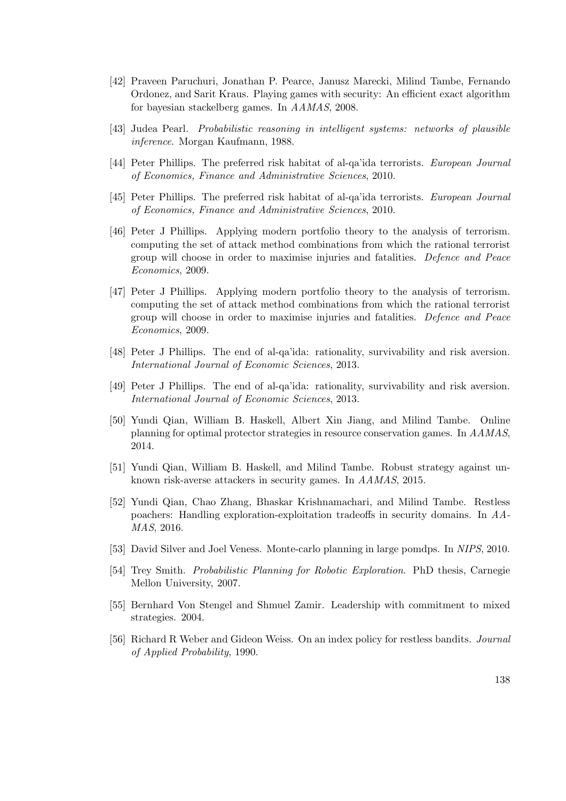- [42] Praveen Paruchuri, Jonathan P. Pearce, Janusz Marecki, Milind Tambe, Fernando Ordonez, and Sarit Kraus. Playing games with security: An efficient exact algorithm for bayesian stackelberg games. In AAMAS, 2008.
- [43] Judea Pearl. Probabilistic reasoning in intelligent systems: networks of plausible inference. Morgan Kaufmann, 1988.
- [44] Peter Phillips. The preferred risk habitat of al-qa'ida terrorists. European Journal of Economics, Finance and Administrative Sciences, 2010.
- [45] Peter Phillips. The preferred risk habitat of al-qa'ida terrorists. European Journal of Economics, Finance and Administrative Sciences, 2010.
- [46] Peter J Phillips. Applying modern portfolio theory to the analysis of terrorism. computing the set of attack method combinations from which the rational terrorist group will choose in order to maximise injuries and fatalities. Defence and Peace Economics, 2009.
- [47] Peter J Phillips. Applying modern portfolio theory to the analysis of terrorism. computing the set of attack method combinations from which the rational terrorist group will choose in order to maximise injuries and fatalities. Defence and Peace Economics, 2009.
- [48] Peter J Phillips. The end of al-qa'ida: rationality, survivability and risk aversion. International Journal of Economic Sciences, 2013.
- [49] Peter J Phillips. The end of al-qa'ida: rationality, survivability and risk aversion. International Journal of Economic Sciences, 2013.
- [50] Yundi Qian, William B. Haskell, Albert Xin Jiang, and Milind Tambe. Online planning for optimal protector strategies in resource conservation games. In AAMAS, 2014.
- [51] Yundi Qian, William B. Haskell, and Milind Tambe. Robust strategy against unknown risk-averse attackers in security games. In AAMAS, 2015.
- [52] Yundi Qian, Chao Zhang, Bhaskar Krishnamachari, and Milind Tambe. Restless poachers: Handling exploration-exploitation tradeoffs in security domains. In AA-MAS, 2016.
- [53] David Silver and Joel Veness. Monte-carlo planning in large pomdps. In NIPS, 2010.
- [54] Trey Smith. Probabilistic Planning for Robotic Exploration. PhD thesis, Carnegie Mellon University, 2007.
- [55] Bernhard Von Stengel and Shmuel Zamir. Leadership with commitment to mixed strategies. 2004.
- [56] Richard R Weber and Gideon Weiss. On an index policy for restless bandits. Journal of Applied Probability, 1990.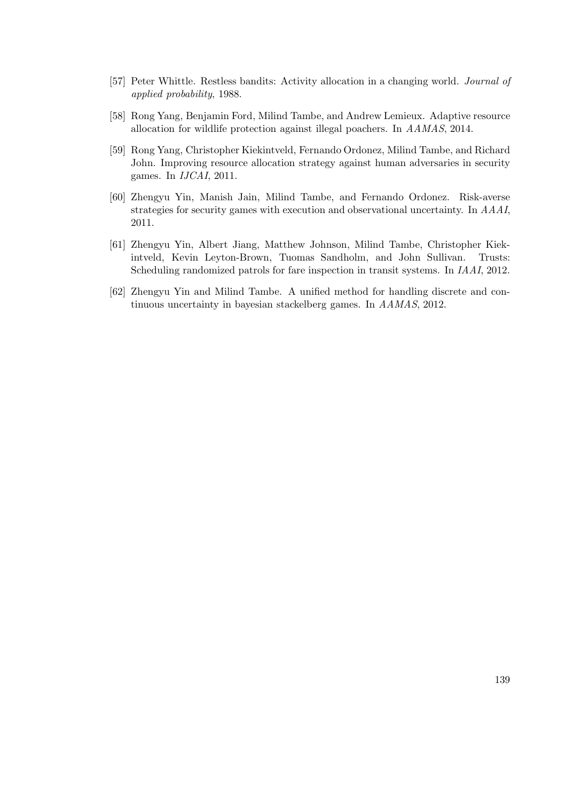- [57] Peter Whittle. Restless bandits: Activity allocation in a changing world. Journal of applied probability, 1988.
- [58] Rong Yang, Benjamin Ford, Milind Tambe, and Andrew Lemieux. Adaptive resource allocation for wildlife protection against illegal poachers. In AAMAS, 2014.
- [59] Rong Yang, Christopher Kiekintveld, Fernando Ordonez, Milind Tambe, and Richard John. Improving resource allocation strategy against human adversaries in security games. In IJCAI, 2011.
- [60] Zhengyu Yin, Manish Jain, Milind Tambe, and Fernando Ordonez. Risk-averse strategies for security games with execution and observational uncertainty. In AAAI, 2011.
- [61] Zhengyu Yin, Albert Jiang, Matthew Johnson, Milind Tambe, Christopher Kiekintveld, Kevin Leyton-Brown, Tuomas Sandholm, and John Sullivan. Trusts: Scheduling randomized patrols for fare inspection in transit systems. In IAAI, 2012.
- [62] Zhengyu Yin and Milind Tambe. A unified method for handling discrete and continuous uncertainty in bayesian stackelberg games. In AAMAS, 2012.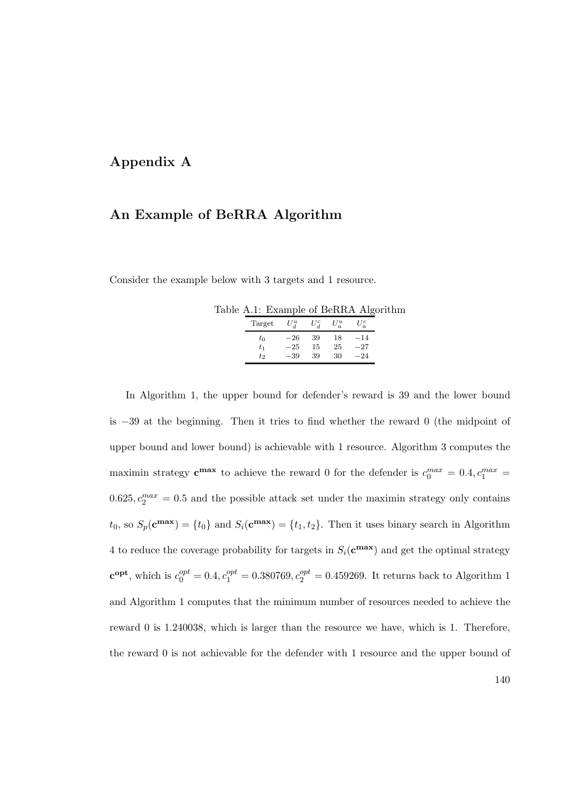### Appendix A

### An Example of BeRRA Algorithm

Consider the example below with 3 targets and 1 resource.

|  |                                        |  | Table A.1: Example of BeRRA Algorithm |
|--|----------------------------------------|--|---------------------------------------|
|  | Target $U^u_A$ $U^c_A$ $U^u_a$ $U^c_a$ |  |                                       |
|  |                                        |  |                                       |

| $\alpha$ $\alpha$ $\alpha$ $\alpha$ |                   |             | $\sim a$ |
|-------------------------------------|-------------------|-------------|----------|
| $t_0$                               | $-26$ 39 18 $-14$ |             |          |
| $t_{1}$                             | $-25$ 15 25 $-27$ |             |          |
| $t_2$                               |                   | $-39$ 39 30 | $-24$    |

In Algorithm 1, the upper bound for defender's reward is 39 and the lower bound is −39 at the beginning. Then it tries to find whether the reward 0 (the midpoint of upper bound and lower bound) is achievable with 1 resource. Algorithm 3 computes the maximin strategy  $\mathbf{c}^{\max}$  to achieve the reward 0 for the defender is  $c_0^{max} = 0.4, c_1^{max} = 0.4$  $0.625, c_2^{max} = 0.5$  and the possible attack set under the maximin strategy only contains  $t_0$ , so  $S_p(\mathbf{c}^{\max}) = \{t_0\}$  and  $S_i(\mathbf{c}^{\max}) = \{t_1, t_2\}$ . Then it uses binary search in Algorithm 4 to reduce the coverage probability for targets in  $S_i(\mathbf{c}^{\max})$  and get the optimal strategy  $\mathbf{c}^{\text{opt}},$  which is  $c_0^{opt} = 0.4, c_1^{opt} = 0.380769, c_2^{opt} = 0.459269$ . It returns back to Algorithm 1 and Algorithm 1 computes that the minimum number of resources needed to achieve the reward 0 is 1.240038, which is larger than the resource we have, which is 1. Therefore, the reward 0 is not achievable for the defender with 1 resource and the upper bound of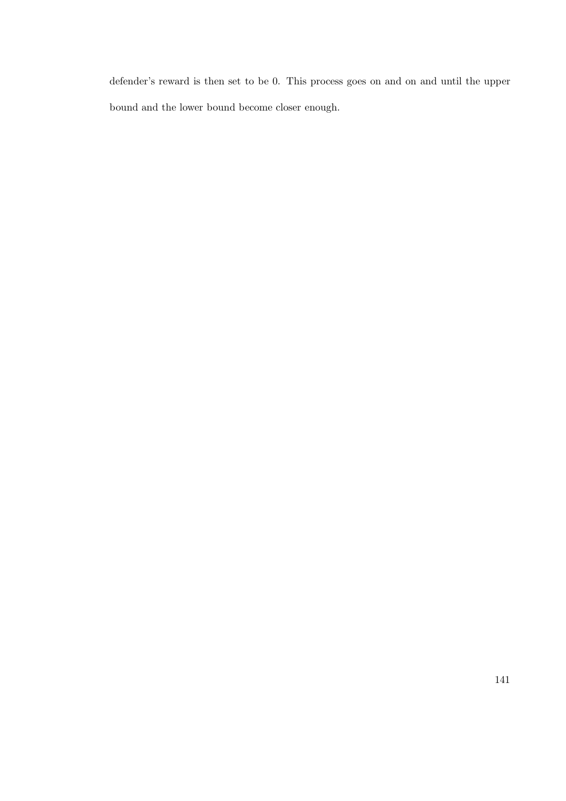defender's reward is then set to be 0. This process goes on and on and until the upper bound and the lower bound become closer enough.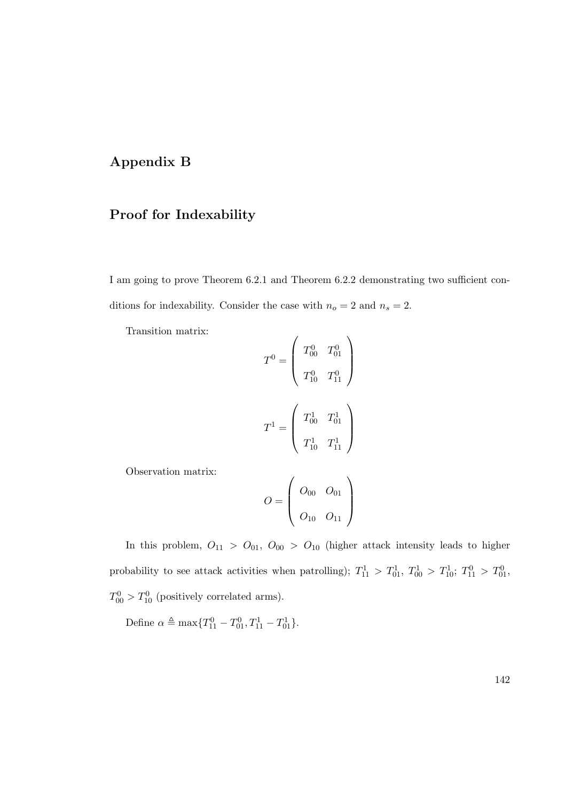### Appendix B

# Proof for Indexability

I am going to prove Theorem 6.2.1 and Theorem 6.2.2 demonstrating two sufficient conditions for indexability. Consider the case with  $n_o=2$  and  $n_s=2.$ 

Transition matrix:

$$
T^{0} = \left(\begin{array}{cc} T^{0}_{00} & T^{0}_{01} \\ \\ T^{0}_{10} & T^{0}_{11} \end{array}\right)
$$

$$
T^{1} = \left(\begin{array}{cc} T^{1}_{00} & T^{1}_{01} \\ \\ T^{1}_{10} & T^{1}_{11} \end{array}\right)
$$

Observation matrix:

$$
O = \left(\begin{array}{cc} O_{00} & O_{01} \\ O_{10} & O_{11} \end{array}\right)
$$

In this problem,  $O_{11} > O_{01}$ ,  $O_{00} > O_{10}$  (higher attack intensity leads to higher probability to see attack activities when patrolling);  $T_{11}^1 > T_{01}^1$ ,  $T_{00}^1 > T_{10}^1$ ;  $T_{11}^0 > T_{01}^0$ ,  $T_{00}^0 > T_{10}^0$  (positively correlated arms).

Define  $\alpha \triangleq \max\{T_{11}^0 - T_{01}^0, T_{11}^1 - T_{01}^1\}.$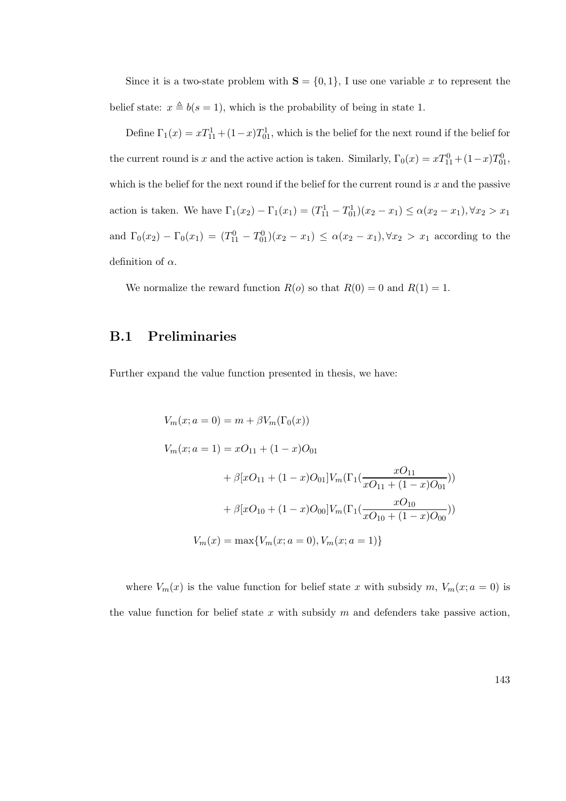Since it is a two-state problem with  $S = \{0, 1\}$ , I use one variable x to represent the belief state:  $x \triangleq b(s = 1)$ , which is the probability of being in state 1.

Define  $\Gamma_1(x) = xT_{11}^1 + (1-x)T_{01}^1$ , which is the belief for the next round if the belief for the current round is x and the active action is taken. Similarly,  $\Gamma_0(x) = xT_{11}^0 + (1-x)T_{01}^0$ , which is the belief for the next round if the belief for the current round is  $x$  and the passive action is taken. We have  $\Gamma_1(x_2) - \Gamma_1(x_1) = (T_{11}^1 - T_{01}^1)(x_2 - x_1) \le \alpha(x_2 - x_1), \forall x_2 > x_1$ and  $\Gamma_0(x_2) - \Gamma_0(x_1) = (T_{11}^0 - T_{01}^0)(x_2 - x_1) \le \alpha(x_2 - x_1), \forall x_2 > x_1$  according to the definition of  $\alpha$ .

We normalize the reward function  $R(o)$  so that  $R(0) = 0$  and  $R(1) = 1$ .

### B.1 Preliminaries

Further expand the value function presented in thesis, we have:

$$
V_m(x; a = 0) = m + \beta V_m(\Gamma_0(x))
$$
  
\n
$$
V_m(x; a = 1) = xO_{11} + (1 - x)O_{01}
$$
  
\n
$$
+ \beta [xO_{11} + (1 - x)O_{01}]V_m(\Gamma_1(\frac{xO_{11}}{xO_{11} + (1 - x)O_{01}}))
$$
  
\n
$$
+ \beta [xO_{10} + (1 - x)O_{00}]V_m(\Gamma_1(\frac{xO_{10}}{xO_{10} + (1 - x)O_{00}}))
$$
  
\n
$$
V_m(x) = \max \{V_m(x; a = 0), V_m(x; a = 1)\}
$$

where  $V_m(x)$  is the value function for belief state x with subsidy m,  $V_m(x; a = 0)$  is the value function for belief state x with subsidy  $m$  and defenders take passive action,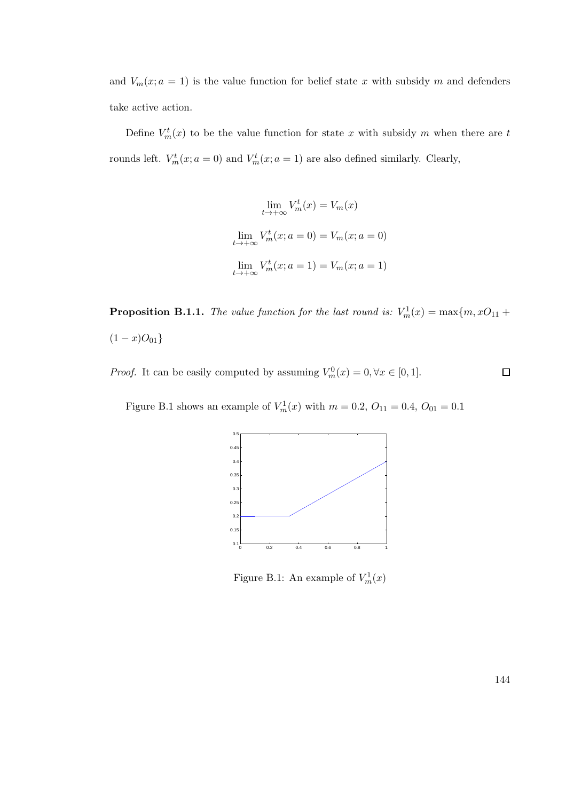and  $V_m(x; a = 1)$  is the value function for belief state x with subsidy m and defenders take active action.

Define  $V_m^t(x)$  to be the value function for state x with subsidy m when there are t rounds left.  $V_m^t(x; a = 0)$  and  $V_m^t(x; a = 1)$  are also defined similarly. Clearly,

$$
\lim_{t \to +\infty} V_m^t(x) = V_m(x)
$$
  

$$
\lim_{t \to +\infty} V_m^t(x; a = 0) = V_m(x; a = 0)
$$
  

$$
\lim_{t \to +\infty} V_m^t(x; a = 1) = V_m(x; a = 1)
$$

**Proposition B.1.1.** The value function for the last round is:  $V_m^1(x) = \max\{m, xO_{11} +$  $(1-x)O_{01}$ 

*Proof.* It can be easily computed by assuming  $V_m^0(x) = 0, \forall x \in [0, 1].$  $\Box$ 

Figure B.1 shows an example of  $V_m^1(x)$  with  $m = 0.2, O_{11} = 0.4, O_{01} = 0.1$ 



Figure B.1: An example of  $V_m^1(x)$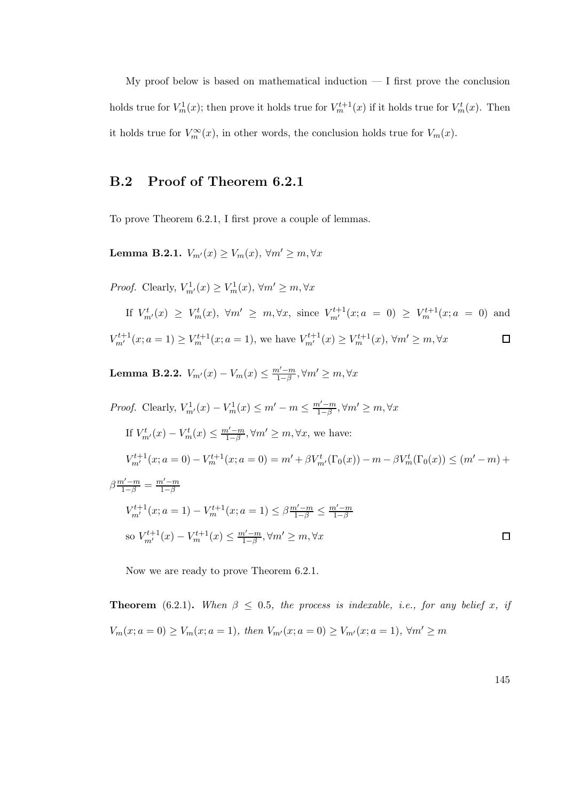My proof below is based on mathematical induction  $- I$  first prove the conclusion holds true for  $V_m^1(x)$ ; then prove it holds true for  $V_m^{t+1}(x)$  if it holds true for  $V_m^t(x)$ . Then it holds true for  $V_m^{\infty}(x)$ , in other words, the conclusion holds true for  $V_m(x)$ .

## B.2 Proof of Theorem 6.2.1

To prove Theorem 6.2.1, I first prove a couple of lemmas.

Lemma B.2.1.  $V_{m'}(x) \ge V_m(x)$ ,  $\forall m' \ge m, \forall x$ 

*Proof.* Clearly,  $V_{m'}^1(x) \ge V_m^1(x)$ ,  $\forall m' \ge m, \forall x$ 

If 
$$
V_{m'}^t(x) \ge V_m^t(x)
$$
,  $\forall m' \ge m, \forall x$ , since  $V_{m'}^{t+1}(x; a = 0) \ge V_m^{t+1}(x; a = 0)$  and  

$$
V_{m'}^{t+1}(x; a = 1) \ge V_m^{t+1}(x; a = 1)
$$
, we have  $V_{m'}^{t+1}(x) \ge V_m^{t+1}(x)$ ,  $\forall m' \ge m, \forall x$ 

Lemma B.2.2.  $V_{m'}(x) - V_m(x) \le \frac{m'-m}{1-\beta}$  $\frac{n'-m}{1-\beta}, \forall m' \geq m, \forall x$ 

Proof. Clearly, 
$$
V_{m'}^1(x) - V_m^1(x) \le m' - m \le \frac{m'-m}{1-\beta}, \forall m' \ge m, \forall x
$$
  
\nIf  $V_{m'}^t(x) - V_m^t(x) \le \frac{m'-m}{1-\beta}, \forall m' \ge m, \forall x$ , we have:  
\n $V_{m'}^{t+1}(x; a = 0) - V_m^{t+1}(x; a = 0) = m' + \beta V_{m'}^t(\Gamma_0(x)) - m - \beta V_m^t(\Gamma_0(x)) \le (m' - m) + \beta \frac{m'-m}{1-\beta} = \frac{m'-m}{1-\beta}$   
\n $V_{m'}^{t+1}(x; a = 1) - V_m^{t+1}(x; a = 1) \le \beta \frac{m'-m}{1-\beta} \le \frac{m'-m}{1-\beta}$   
\nso  $V_{m'}^{t+1}(x) - V_m^{t+1}(x) \le \frac{m'-m}{1-\beta}, \forall m' \ge m, \forall x$ 

Now we are ready to prove Theorem 6.2.1.

**Theorem** (6.2.1). When  $\beta \leq 0.5$ , the process is indexable, i.e., for any belief x, if  $V_m(x; a = 0) \ge V_m(x; a = 1)$ , then  $V_{m'}(x; a = 0) \ge V_{m'}(x; a = 1)$ ,  $\forall m' \ge m$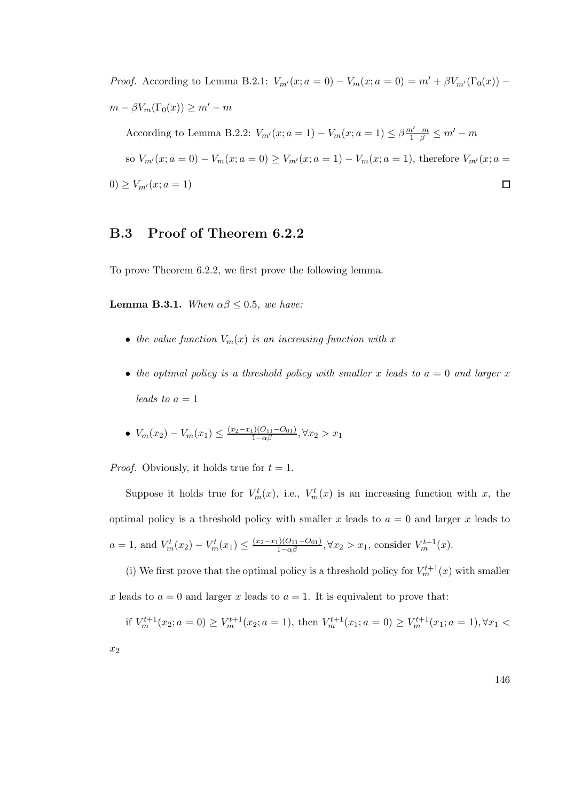*Proof.* According to Lemma B.2.1:  $V_{m'}(x; a = 0) - V_m(x; a = 0) = m' + \beta V_{m'}(\Gamma_0(x))$  $m - \beta V_m(\Gamma_0(x)) \geq m' - m$ According to Lemma B.2.2:  $V_{m'}(x; a = 1) - V_m(x; a = 1) \leq \beta \frac{m'-m}{1-\beta} \leq m' - m$ 

so  $V_{m'}(x; a = 0) - V_m(x; a = 0) \ge V_{m'}(x; a = 1) - V_m(x; a = 1)$ , therefore  $V_{m'}(x; a = 1)$ 0)  $\geq V_{m'}(x; a = 1)$  $\Box$ 

#### B.3 Proof of Theorem 6.2.2

To prove Theorem 6.2.2, we first prove the following lemma.

**Lemma B.3.1.** When  $\alpha\beta \leq 0.5$ , we have:

- the value function  $V_m(x)$  is an increasing function with x
- the optimal policy is a threshold policy with smaller x leads to  $a = 0$  and larger x leads to  $a=1$
- $V_m(x_2) V_m(x_1) \leq \frac{(x_2 x_1)(O_{11} O_{01})}{1 \alpha \beta}, \forall x_2 > x_1$

*Proof.* Obviously, it holds true for  $t = 1$ .

 $\overline{x}$ 

Suppose it holds true for  $V_m^t(x)$ , i.e.,  $V_m^t(x)$  is an increasing function with x, the optimal policy is a threshold policy with smaller x leads to  $a = 0$  and larger x leads to  $a = 1$ , and  $V_m^t(x_2) - V_m^t(x_1) \le \frac{(x_2 - x_1)(O_{11} - O_{01})}{1 - \alpha \beta}, \forall x_2 > x_1$ , consider  $V_m^{t+1}(x)$ .

(i) We first prove that the optimal policy is a threshold policy for  $V_m^{t+1}(x)$  with smaller x leads to  $a = 0$  and larger x leads to  $a = 1$ . It is equivalent to prove that:

if 
$$
V_m^{t+1}(x_2; a = 0) \ge V_m^{t+1}(x_2; a = 1)
$$
, then  $V_m^{t+1}(x_1; a = 0) \ge V_m^{t+1}(x_1; a = 1), \forall x_1 < 2$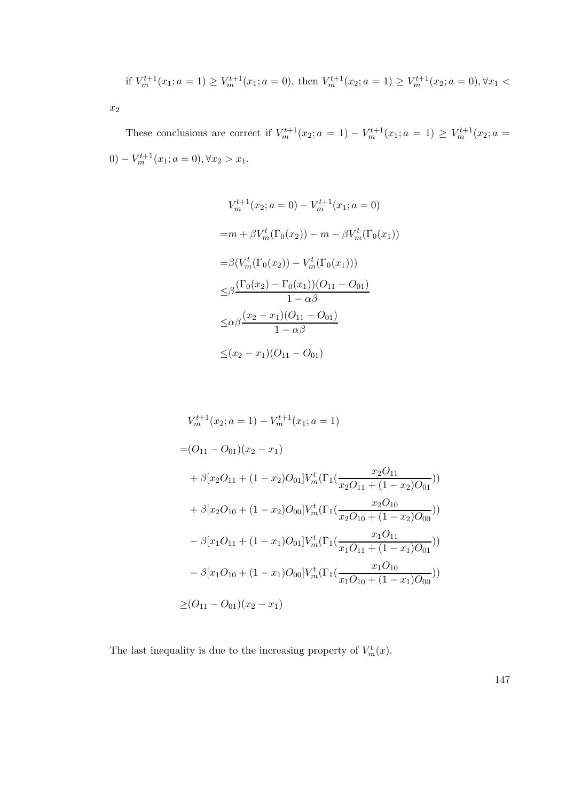if 
$$
V_m^{t+1}(x_1; a = 1) \ge V_m^{t+1}(x_1; a = 0)
$$
, then  $V_m^{t+1}(x_2; a = 1) \ge V_m^{t+1}(x_2; a = 0), \forall x_1 <$ 

 $x_2$ 

These conclusions are correct if  $V_m^{t+1}(x_2; a = 1) - V_m^{t+1}(x_1; a = 1) \geq V_m^{t+1}(x_2; a = 1)$  $0) - V_m^{t+1}(x_1; a = 0), \forall x_2 > x_1.$ 

$$
V_m^{t+1}(x_2; a = 0) - V_m^{t+1}(x_1; a = 0)
$$
  
= $m + \beta V_m^t(\Gamma_0(x_2)) - m - \beta V_m^t(\Gamma_0(x_1))$   
= $\beta (V_m^t(\Gamma_0(x_2)) - V_m^t(\Gamma_0(x_1)))$   
 $\leq \beta \frac{(\Gamma_0(x_2) - \Gamma_0(x_1)) (O_{11} - O_{01})}{1 - \alpha \beta}$   
 $\leq \alpha \beta \frac{(x_2 - x_1)(O_{11} - O_{01})}{1 - \alpha \beta}$   
 $\leq (x_2 - x_1)(O_{11} - O_{01})$ 

$$
V_m^{t+1}(x_2; a = 1) - V_m^{t+1}(x_1; a = 1)
$$
  
\n
$$
= (O_{11} - O_{01})(x_2 - x_1)
$$
  
\n
$$
+ \beta [x_2O_{11} + (1 - x_2)O_{01}]V_m^t(\Gamma_1(\frac{x_2O_{11}}{x_2O_{11} + (1 - x_2)O_{01}}))
$$
  
\n
$$
+ \beta [x_2O_{10} + (1 - x_2)O_{00}]V_m^t(\Gamma_1(\frac{x_2O_{10}}{x_2O_{10} + (1 - x_2)O_{00}}))
$$
  
\n
$$
- \beta [x_1O_{11} + (1 - x_1)O_{01}]V_m^t(\Gamma_1(\frac{x_1O_{11}}{x_1O_{11} + (1 - x_1)O_{01}}))
$$
  
\n
$$
- \beta [x_1O_{10} + (1 - x_1)O_{00}]V_m^t(\Gamma_1(\frac{x_1O_{10}}{x_1O_{10} + (1 - x_1)O_{00}}))
$$
  
\n
$$
\ge (O_{11} - O_{01})(x_2 - x_1)
$$

The last inequality is due to the increasing property of  $V_m^t(x)$ .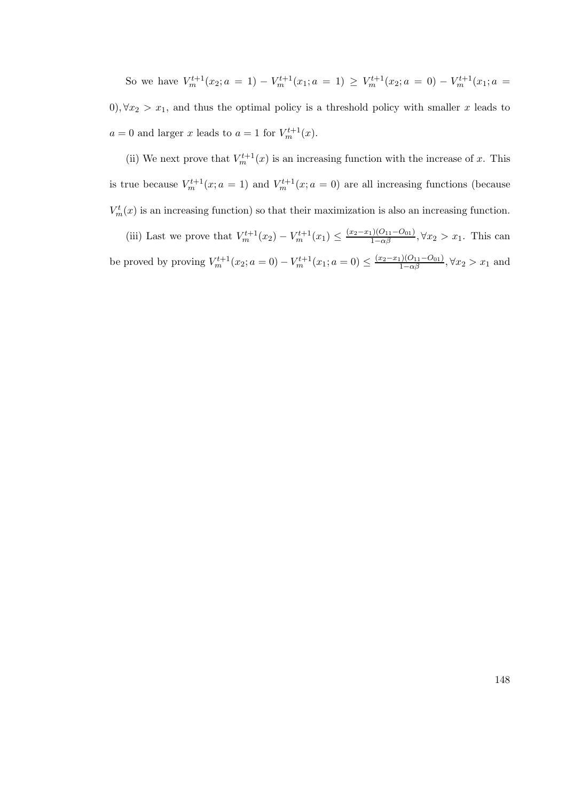So we have  $V_m^{t+1}(x_2; a = 1) - V_m^{t+1}(x_1; a = 1) \geq V_m^{t+1}(x_2; a = 0) - V_m^{t+1}(x_1; a = 1)$ 0),  $\forall x_2 > x_1$ , and thus the optimal policy is a threshold policy with smaller x leads to  $a = 0$  and larger x leads to  $a = 1$  for  $V_m^{t+1}(x)$ .

(ii) We next prove that  $V_m^{t+1}(x)$  is an increasing function with the increase of x. This is true because  $V_m^{t+1}(x; a = 1)$  and  $V_m^{t+1}(x; a = 0)$  are all increasing functions (because  $V_m^t(x)$  is an increasing function) so that their maximization is also an increasing function.

(iii) Last we prove that  $V_m^{t+1}(x_2) - V_m^{t+1}(x_1) \leq \frac{(x_2 - x_1)(O_{11} - O_{01})}{1 - \alpha \beta}, \forall x_2 > x_1$ . This can be proved by proving  $V_m^{t+1}(x_2; a = 0) - V_m^{t+1}(x_1; a = 0) \le \frac{(x_2 - x_1)(O_{11} - O_{01})}{1 - \alpha \beta}, \forall x_2 > x_1$  and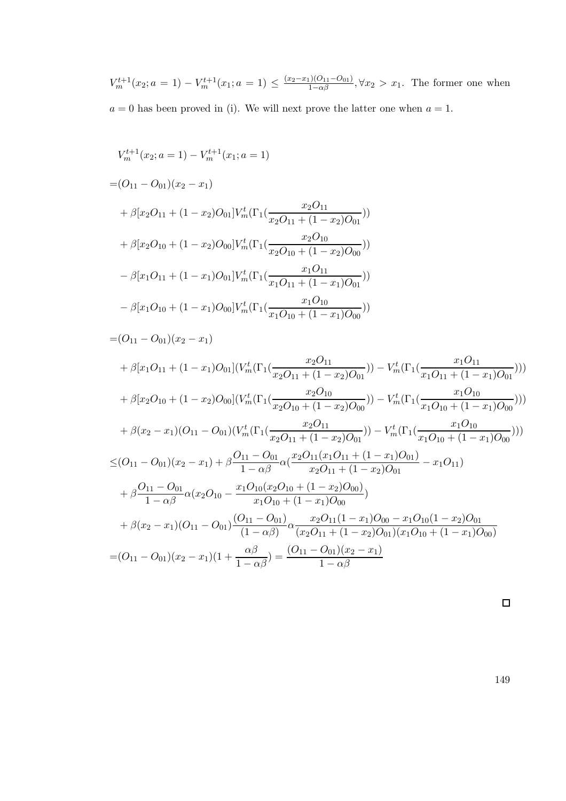$V_m^{t+1}(x_2; a = 1) - V_m^{t+1}(x_1; a = 1) \le \frac{(x_2 - x_1)(0_{11} - 0_{01})}{1 - \alpha \beta}, \forall x_2 > x_1$ . The former one when  $a = 0$  has been proved in (i). We will next prove the latter one when  $a = 1$ .

$$
V_m^{t+1}(x_2; a = 1) - V_m^{t+1}(x_1; a = 1)
$$
  
=  $(O_{11} - O_{01})(x_2 - x_1)$   
+  $\beta[x_2O_{11} + (1 - x_2)O_{01}]V_m^t(\Gamma_1(\frac{x_2O_{11}}{x_2O_{11} + (1 - x_2)O_{01}}))$   
+  $\beta[x_2O_{10} + (1 - x_2)O_{00}]V_m^t(\Gamma_1(\frac{x_2O_{10}}{x_2O_{10} + (1 - x_2)O_{00}}))$   
-  $\beta[x_1O_{11} + (1 - x_1)O_{01}]V_m^t(\Gamma_1(\frac{x_1O_{11}}{x_1O_{11} + (1 - x_1)O_{01}}))$   
-  $\beta[x_1O_{10} + (1 - x_1)O_{00}]V_m^t(\Gamma_1(\frac{x_1O_{10}}{x_1O_{10} + (1 - x_1)O_{00}}))$ 

$$
= (O_{11} - O_{01})(x_2 - x_1)
$$
  
+  $\beta[x_1O_{11} + (1 - x_1)O_{01}](V_m^t(\Gamma_1(\frac{x_2O_{11}}{x_2O_{11} + (1 - x_2)O_{01}})) - V_m^t(\Gamma_1(\frac{x_1O_{11}}{x_1O_{11} + (1 - x_1)O_{01}})))$   
+  $\beta[x_2O_{10} + (1 - x_2)O_{00}](V_m^t(\Gamma_1(\frac{x_2O_{10}}{x_2O_{10} + (1 - x_2)O_{00}})) - V_m^t(\Gamma_1(\frac{x_1O_{10}}{x_1O_{10} + (1 - x_1)O_{00}})))$   
+  $\beta(x_2 - x_1)(O_{11} - O_{01})(V_m^t(\Gamma_1(\frac{x_2O_{11}}{x_2O_{11} + (1 - x_2)O_{01}})) - V_m^t(\Gamma_1(\frac{x_1O_{10}}{x_1O_{10} + (1 - x_1)O_{00}})))$   

$$
\leq (O_{11} - O_{01})(x_2 - x_1) + \beta \frac{O_{11} - O_{01}}{1 - \alpha \beta} \alpha (\frac{x_2O_{11}(x_1O_{11} + (1 - x_1)O_{01})}{x_2O_{11} + (1 - x_2)O_{01}} - x_1O_{11})
$$
  
+  $\beta \frac{O_{11} - O_{01}}{1 - \alpha \beta} \alpha(x_2O_{10} - \frac{x_1O_{10}(x_2O_{10} + (1 - x_2)O_{00})}{x_1O_{10} + (1 - x_1)O_{00}})$   
+  $\beta(x_2 - x_1)(O_{11} - O_{01}) \frac{(O_{11} - O_{01})}{(1 - \alpha \beta)} \alpha \frac{x_2O_{11}(1 - x_1)O_{00} - x_1O_{10}(1 - x_2)O_{01}}{(x_2O_{11} + (1 - x_2)O_{01})(x_1O_{10} + (1 - x_1)O_{00})}$   
=  $(O_{11} - O_{01})(x_2 - x_1)(1 + \frac{\alpha \beta}{1 - \alpha \beta}) = \frac{($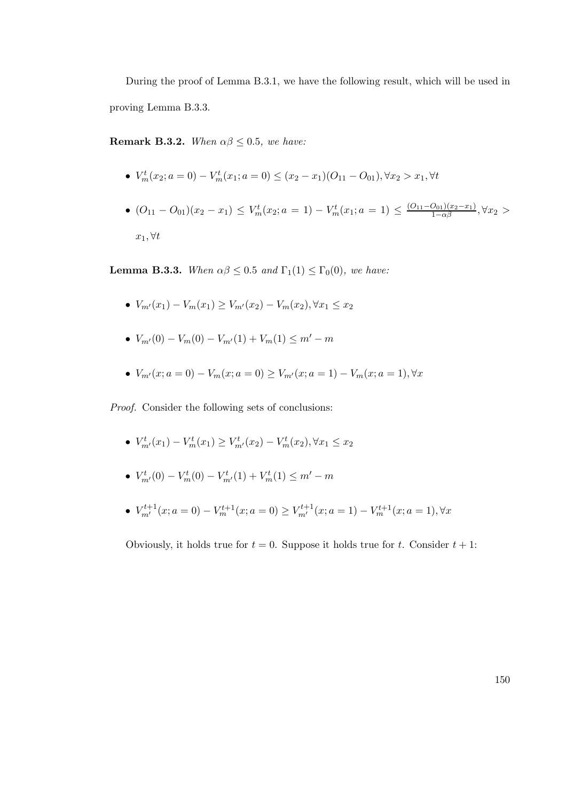During the proof of Lemma B.3.1, we have the following result, which will be used in proving Lemma B.3.3.

Remark B.3.2. When  $\alpha\beta \leq 0.5$ , we have:

- $V_m^t(x_2; a = 0) V_m^t(x_1; a = 0) \le (x_2 x_1)(O_{11} O_{01}), \forall x_2 > x_1, \forall t$
- $(O_{11} O_{01})(x_2 x_1) \leq V_m^t(x_2; a = 1) V_m^t(x_1; a = 1) \leq \frac{(O_{11} O_{01})(x_2 x_1)}{1 \alpha \beta}, \forall x_2 >$  $x_1, \forall t$

**Lemma B.3.3.** When  $\alpha\beta \leq 0.5$  and  $\Gamma_1(1) \leq \Gamma_0(0)$ , we have:

- $V_{m'}(x_1) V_m(x_1) \geq V_{m'}(x_2) V_m(x_2), \forall x_1 \leq x_2$
- $V_{m'}(0) V_m(0) V_{m'}(1) + V_m(1) \leq m' m$
- $V_{m'}(x; a = 0) V_m(x; a = 0) \ge V_{m'}(x; a = 1) V_m(x; a = 1), \forall x$

Proof. Consider the following sets of conclusions:

- $V^t_{m'}(x_1) V^t_{m}(x_1) \geq V^t_{m'}(x_2) V^t_{m}(x_2), \forall x_1 \leq x_2$
- $V^t_{m'}(0) V^t_m(0) V^t_{m'}(1) + V^t_m(1) \leq m' m$
- $V_{m'}^{t+1}(x; a = 0) V_m^{t+1}(x; a = 0) \geq V_{m'}^{t+1}(x; a = 1) V_m^{t+1}(x; a = 1), \forall x$

Obviously, it holds true for  $t = 0$ . Suppose it holds true for t. Consider  $t + 1$ :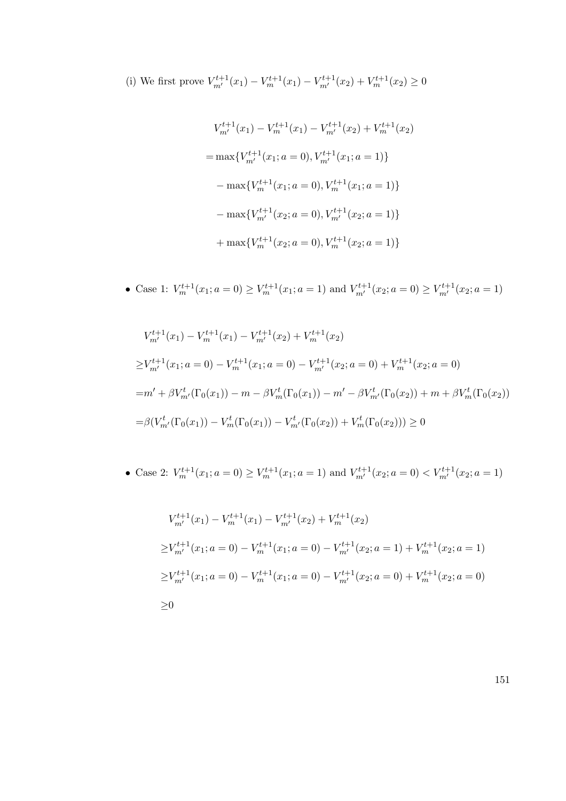(i) We first prove  $V_{m'}^{t+1}(x_1) - V_{m}^{t+1}(x_1) - V_{m'}^{t+1}(x_2) + V_{m}^{t+1}(x_2) \ge 0$ 

$$
V_{m'}^{t+1}(x_1) - V_m^{t+1}(x_1) - V_{m'}^{t+1}(x_2) + V_m^{t+1}(x_2)
$$
  
= max{ $V_{m'}^{t+1}(x_1; a = 0), V_{m'}^{t+1}(x_1; a = 1)$ }  
- max{ $V_m^{t+1}(x_1; a = 0), V_m^{t+1}(x_1; a = 1)$ }  
- max{ $V_{m'}^{t+1}(x_2; a = 0), V_{m'}^{t+1}(x_2; a = 1)$ }  
+ max{ $V_m^{t+1}(x_2; a = 0), V_m^{t+1}(x_2; a = 1)$ }

• Case 1:  $V_m^{t+1}(x_1; a = 0) \ge V_m^{t+1}(x_1; a = 1)$  and  $V_{m'}^{t+1}(x_2; a = 0) \ge V_{m'}^{t+1}(x_2; a = 1)$ 

$$
V_{m'}^{t+1}(x_1) - V_{m'}^{t+1}(x_1) - V_{m'}^{t+1}(x_2) + V_{m}^{t+1}(x_2)
$$
  
\n
$$
\geq V_{m'}^{t+1}(x_1; a = 0) - V_{m}^{t+1}(x_1; a = 0) - V_{m'}^{t+1}(x_2; a = 0) + V_{m}^{t+1}(x_2; a = 0)
$$
  
\n
$$
= m' + \beta V_{m'}^t(\Gamma_0(x_1)) - m - \beta V_{m}^t(\Gamma_0(x_1)) - m' - \beta V_{m'}^t(\Gamma_0(x_2)) + m + \beta V_{m}^t(\Gamma_0(x_2))
$$
  
\n
$$
= \beta (V_{m'}^t(\Gamma_0(x_1)) - V_{m}^t(\Gamma_0(x_1)) - V_{m'}^t(\Gamma_0(x_2)) + V_{m}^t(\Gamma_0(x_2))) \geq 0
$$

• Case 2: 
$$
V_m^{t+1}(x_1; a = 0) \ge V_m^{t+1}(x_1; a = 1)
$$
 and  $V_{m'}^{t+1}(x_2; a = 0) < V_{m'}^{t+1}(x_2; a = 1)$ 

$$
V_{m'}^{t+1}(x_1) - V_{m'}^{t+1}(x_1) - V_{m'}^{t+1}(x_2) + V_{m}^{t+1}(x_2)
$$
  
\n
$$
\geq V_{m'}^{t+1}(x_1; a = 0) - V_{m}^{t+1}(x_1; a = 0) - V_{m'}^{t+1}(x_2; a = 1) + V_{m}^{t+1}(x_2; a = 1)
$$
  
\n
$$
\geq V_{m'}^{t+1}(x_1; a = 0) - V_{m'}^{t+1}(x_1; a = 0) - V_{m'}^{t+1}(x_2; a = 0) + V_{m}^{t+1}(x_2; a = 0)
$$
  
\n
$$
\geq 0
$$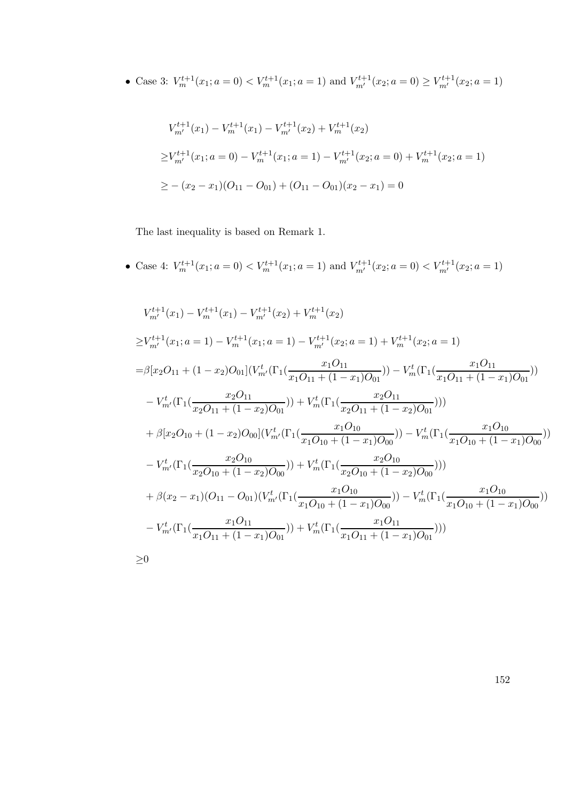• Case 3:  $V_m^{t+1}(x_1; a = 0) < V_m^{t+1}(x_1; a = 1)$  and  $V_{m'}^{t+1}(x_2; a = 0) \ge V_{m'}^{t+1}(x_2; a = 1)$ 

$$
V_{m'}^{t+1}(x_1) - V_{m}^{t+1}(x_1) - V_{m'}^{t+1}(x_2) + V_{m}^{t+1}(x_2)
$$
  
\n
$$
\geq V_{m'}^{t+1}(x_1; a = 0) - V_{m}^{t+1}(x_1; a = 1) - V_{m'}^{t+1}(x_2; a = 0) + V_{m}^{t+1}(x_2; a = 1)
$$
  
\n
$$
\geq -(x_2 - x_1)(O_{11} - O_{01}) + (O_{11} - O_{01})(x_2 - x_1) = 0
$$

The last inequality is based on Remark 1.

• Case 4:  $V_m^{t+1}(x_1; a = 0) < V_m^{t+1}(x_1; a = 1)$  and  $V_{m'}^{t+1}(x_2; a = 0) < V_{m'}^{t+1}(x_2; a = 1)$ 

$$
V_{m'}^{t+1}(x_1) - V_{m}^{t+1}(x_1) - V_{m'}^{t+1}(x_2) + V_{m}^{t+1}(x_2)
$$
  
\n
$$
\geq V_{m'}^{t+1}(x_1; a = 1) - V_{m}^{t+1}(x_1; a = 1) - V_{m'}^{t+1}(x_2; a = 1) + V_{m}^{t+1}(x_2; a = 1)
$$
  
\n
$$
= \beta[x_2O_{11} + (1-x_2)O_{01}](V_{m'}^t(\Gamma_1(\frac{x_1O_{11}}{x_1O_{11} + (1-x_1)O_{01}})) - V_{m}^t(\Gamma_1(\frac{x_1O_{11}}{x_1O_{11} + (1-x_1)O_{01}}))
$$
  
\n
$$
- V_{m'}^t(\Gamma_1(\frac{x_2O_{11}}{x_2O_{11} + (1-x_2)O_{01}})) + V_{m}^t(\Gamma_1(\frac{x_2O_{11}}{x_2O_{11} + (1-x_2)O_{01}})))
$$
  
\n
$$
+ \beta[x_2O_{10} + (1-x_2)O_{00}](V_{m'}^t(\Gamma_1(\frac{x_1O_{10}}{x_1O_{10} + (1-x_1)O_{00}})) - V_{m}^t(\Gamma_1(\frac{x_1O_{10}}{x_1O_{10} + (1-x_1)O_{00}}))
$$
  
\n
$$
- V_{m'}^t(\Gamma_1(\frac{x_2O_{10}}{x_2O_{10} + (1-x_2)O_{00}})) + V_{m}^t(\Gamma_1(\frac{x_2O_{10}}{x_2O_{10} + (1-x_2)O_{00}})))
$$
  
\n
$$
+ \beta(x_2 - x_1)(O_{11} - O_{01})(V_{m'}^t(\Gamma_1(\frac{x_1O_{10}}{x_1O_{10} + (1-x_1)O_{00}})) - V_{m}^t(\Gamma_1(\frac{x_1O_{10}}{x_1O_{10} + (1-x_1)O_{00}}))
$$
  
\n
$$
- V_{m'}^t(\Gamma_1(\frac{x_1O_{11}}{x_1O_{11} + (1-x_1)O_{01}})) + V_{m}
$$

≥0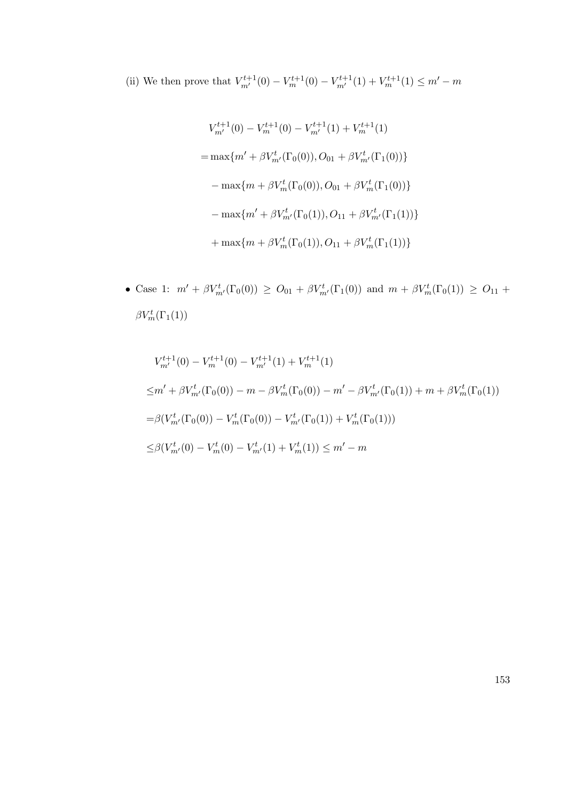(ii) We then prove that  $V_{m'}^{t+1}(0) - V_{m}^{t+1}(0) - V_{m'}^{t+1}(1) + V_{m}^{t+1}(1) \leq m' - m$ 

$$
V_{m'}^{t+1}(0) - V_{m}^{t+1}(0) - V_{m'}^{t+1}(1) + V_{m}^{t+1}(1)
$$
  
= max{ $m' + \beta V_{m'}^t(\Gamma_0(0)), O_{01} + \beta V_{m'}^t(\Gamma_1(0))$ }  
- max{ $m + \beta V_{m}^t(\Gamma_0(0)), O_{01} + \beta V_{m}^t(\Gamma_1(0))$ }  
- max{ $m' + \beta V_{m'}^t(\Gamma_0(1)), O_{11} + \beta V_{m'}^t(\Gamma_1(1))$ }  
+ max{ $m + \beta V_{m}^t(\Gamma_0(1)), O_{11} + \beta V_{m}^t(\Gamma_1(1))$ }

• Case 1:  $m' + \beta V^t_{m'}(\Gamma_0(0)) \geq O_{01} + \beta V^t_{m'}(\Gamma_1(0))$  and  $m + \beta V^t_{m}(\Gamma_0(1)) \geq O_{11}$  +  $\beta V_m^t(\Gamma_1(1))$ 

$$
V_{m'}^{t+1}(0) - V_m^{t+1}(0) - V_{m'}^{t+1}(1) + V_m^{t+1}(1)
$$
  
\n
$$
\leq m' + \beta V_{m'}^t(\Gamma_0(0)) - m - \beta V_m^t(\Gamma_0(0)) - m' - \beta V_{m'}^t(\Gamma_0(1)) + m + \beta V_m^t(\Gamma_0(1))
$$
  
\n
$$
= \beta (V_{m'}^t(\Gamma_0(0)) - V_m^t(\Gamma_0(0)) - V_{m'}^t(\Gamma_0(1)) + V_m^t(\Gamma_0(1)))
$$
  
\n
$$
\leq \beta (V_{m'}^t(0) - V_m^t(0) - V_{m'}^t(1) + V_m^t(1)) \leq m' - m
$$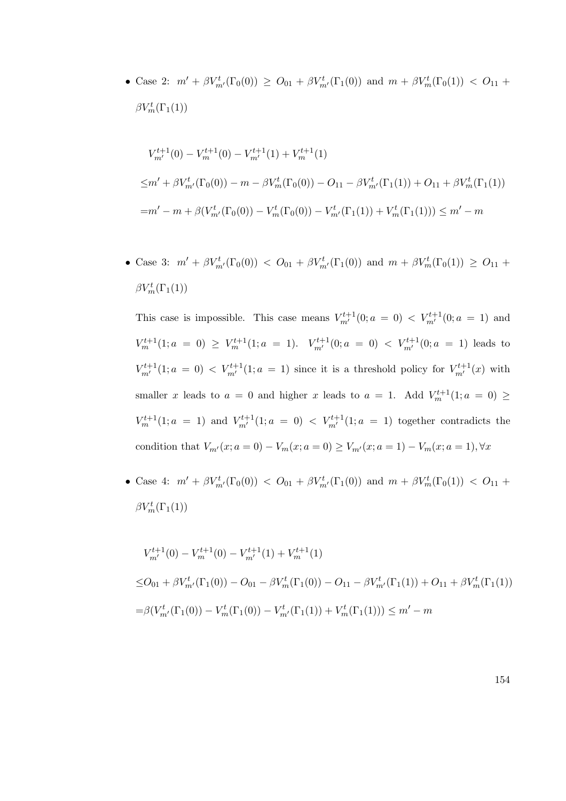• Case 2:  $m' + \beta V^t_{m'}(\Gamma_0(0)) \geq O_{01} + \beta V^t_{m'}(\Gamma_1(0))$  and  $m + \beta V^t_{m}(\Gamma_0(1)) < O_{11}$  +  $\beta V_m^t(\Gamma_1(1))$ 

$$
V_{m'}^{t+1}(0) - V_{m'}^{t+1}(0) - V_{m'}^{t+1}(1) + V_{m}^{t+1}(1)
$$
  
\n
$$
\leq m' + \beta V_{m'}^t(\Gamma_0(0)) - m - \beta V_{m}^t(\Gamma_0(0)) - O_{11} - \beta V_{m'}^t(\Gamma_1(1)) + O_{11} + \beta V_{m}^t(\Gamma_1(1))
$$
  
\n
$$
= m' - m + \beta (V_{m'}^t(\Gamma_0(0)) - V_{m}^t(\Gamma_0(0)) - V_{m'}^t(\Gamma_1(1)) + V_{m}^t(\Gamma_1(1))) \leq m' - m
$$

• Case 3:  $m' + \beta V^t_{m'}(\Gamma_0(0)) < O_{01} + \beta V^t_{m'}(\Gamma_1(0))$  and  $m + \beta V^t_{m}(\Gamma_0(1)) \ge O_{11}$  +  $\beta V_m^t(\Gamma_1(1))$ 

This case is impossible. This case means  $V_{m'}^{t+1}(0; a = 0) < V_{m'}^{t+1}(0; a = 1)$  and  $V_m^{t+1}(1; a = 0) \geq V_m^{t+1}(1; a = 1)$ .  $V_{m'}^{t+1}(0; a = 0) < V_{m'}^{t+1}(0; a = 1)$  leads to  $V^{t+1}_{m'}(1; a = 0) < V^{t+1}_{m'}(1; a = 1)$  since it is a threshold policy for  $V^{t+1}_{m'}(x)$  with smaller x leads to  $a = 0$  and higher x leads to  $a = 1$ . Add  $V_m^{t+1}(1; a = 0) \geq$  $V_m^{t+1}(1; a = 1)$  and  $V_{m'}^{t+1}(1; a = 0) < V_{m'}^{t+1}(1; a = 1)$  together contradicts the condition that  $V_{m'}(x; a = 0) - V_m(x; a = 0) \ge V_{m'}(x; a = 1) - V_m(x; a = 1), \forall x$ 

• Case 4:  $m' + \beta V^t_{m'}(\Gamma_0(0)) < O_{01} + \beta V^t_{m'}(\Gamma_1(0))$  and  $m + \beta V^t_{m}(\Gamma_0(1)) < O_{11}$  +  $\beta V_m^t(\Gamma_1(1))$ 

$$
V_{m'}^{t+1}(0) - V_{m'}^{t+1}(0) - V_{m'}^{t+1}(1) + V_{m}^{t+1}(1)
$$
  
\n
$$
\leq O_{01} + \beta V_{m'}^{t}(\Gamma_{1}(0)) - O_{01} - \beta V_{m}^{t}(\Gamma_{1}(0)) - O_{11} - \beta V_{m'}^{t}(\Gamma_{1}(1)) + O_{11} + \beta V_{m}^{t}(\Gamma_{1}(1))
$$
  
\n
$$
= \beta (V_{m'}^{t}(\Gamma_{1}(0)) - V_{m}^{t}(\Gamma_{1}(0)) - V_{m'}^{t}(\Gamma_{1}(1)) + V_{m}^{t}(\Gamma_{1}(1))) \leq m' - m
$$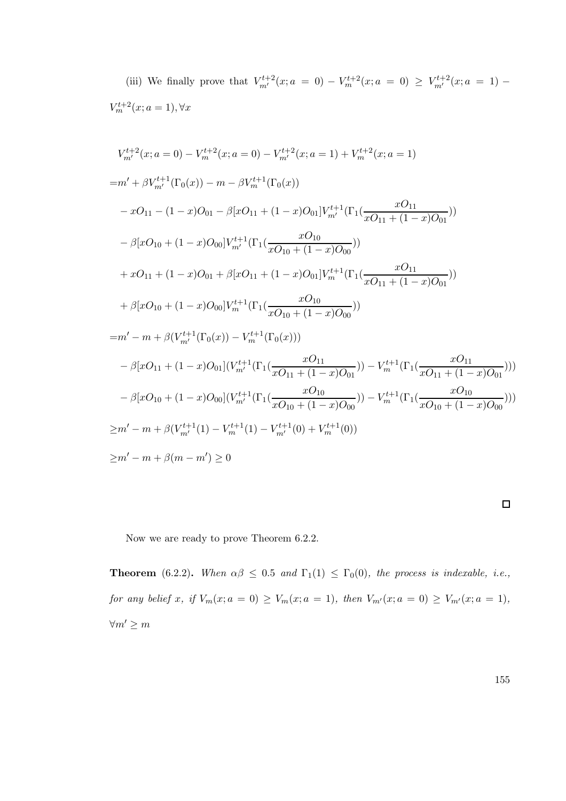(iii) We finally prove that  $V_{m'}^{t+2}(x; a = 0) - V_{m}^{t+2}(x; a = 0) \geq V_{m'}^{t+2}(x; a = 1) V_m^{t+2}(x; a = 1), \forall x$ 

$$
V_{m'}^{t+2}(x; a = 0) - V_{m'}^{t+2}(x; a = 0) - V_{m'}^{t+2}(x; a = 1) + V_{m}^{t+2}(x; a = 1)
$$
  
\n
$$
= m' + \beta V_{m'}^{t+1}(\Gamma_0(x)) - m - \beta V_{m}^{t+1}(\Gamma_0(x))
$$
  
\n
$$
- xO_{11} - (1 - x)O_{01} - \beta[xO_{11} + (1 - x)O_{01}]V_{m'}^{t+1}(\Gamma_1(\frac{xO_{11}}{xO_{11} + (1 - x)O_{01}}))
$$
  
\n
$$
- \beta[xO_{10} + (1 - x)O_{00}]V_{m'}^{t+1}(\Gamma_1(\frac{xO_{10}}{xO_{10} + (1 - x)O_{00}}))
$$
  
\n
$$
+ xO_{11} + (1 - x)O_{01} + \beta[xO_{11} + (1 - x)O_{01}]V_{m}^{t+1}(\Gamma_1(\frac{xO_{11}}{xO_{11} + (1 - x)O_{01}}))
$$
  
\n
$$
+ \beta[xO_{10} + (1 - x)O_{00}]V_{m}^{t+1}(\Gamma_1(\frac{xO_{10}}{xO_{10} + (1 - x)O_{00}}))
$$
  
\n
$$
= m' - m + \beta(V_{m'}^{t+1}(\Gamma_0(x)) - V_{m}^{t+1}(\Gamma_0(x)))
$$
  
\n
$$
- \beta[xO_{11} + (1 - x)O_{01}](V_{m'}^{t+1}(\Gamma_1(\frac{xO_{11}}{xO_{11} + (1 - x)O_{01}})) - V_{m}^{t+1}(\Gamma_1(\frac{xO_{11}}{xO_{11} + (1 - x)O_{01}})))
$$
  
\n
$$
- \beta[xO_{10} + (1 - x)O_{00}](V_{m'}^{t+1}(\Gamma_1(\frac{xO_{10}}{xO_{10} + (1 - x)O_{00}})) - V_{m}^{t+1}(\Gamma_1(\frac{xO_{10}}{xO_{10} + (1 - x)O_{00}})))
$$
  
\n
$$
\geq m' - m + \beta(V_{m'}^{t+1}(1) - V_{m}
$$

Now we are ready to prove Theorem 6.2.2.

**Theorem** (6.2.2). When  $\alpha\beta \leq 0.5$  and  $\Gamma_1(1) \leq \Gamma_0(0)$ , the process is indexable, i.e., for any belief x, if  $V_m(x; a = 0) \ge V_m(x; a = 1)$ , then  $V_{m'}(x; a = 0) \ge V_{m'}(x; a = 1)$ ,  $\forall m' \geq m$